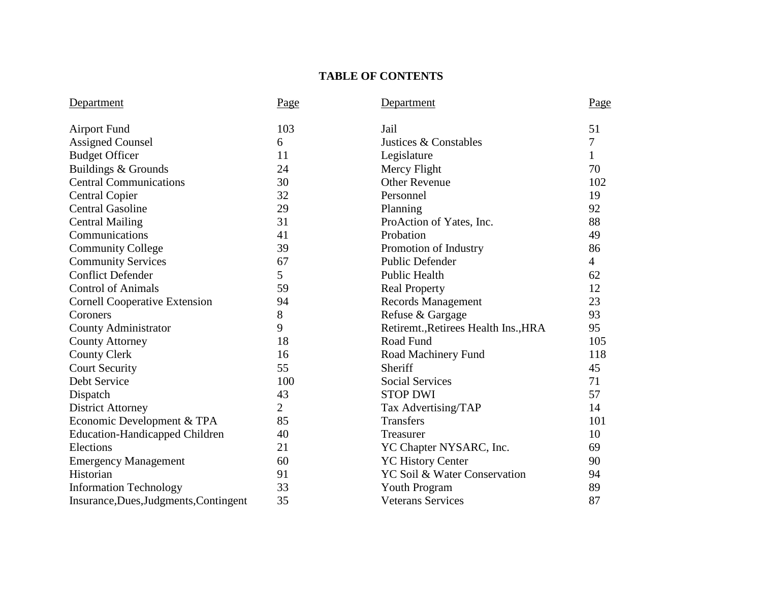# **TABLE OF CONTENTS**

| Department                             | Page           | Department                           | Page           |
|----------------------------------------|----------------|--------------------------------------|----------------|
| <b>Airport Fund</b>                    | 103            | Jail                                 | 51             |
| <b>Assigned Counsel</b>                | 6              | Justices & Constables                | 7              |
| <b>Budget Officer</b>                  | 11             | Legislature                          | $\mathbf{1}$   |
| Buildings & Grounds                    | 24             | Mercy Flight                         | 70             |
| <b>Central Communications</b>          | 30             | <b>Other Revenue</b>                 | 102            |
| <b>Central Copier</b>                  | 32             | Personnel                            | 19             |
| <b>Central Gasoline</b>                | 29             | Planning                             | 92             |
| <b>Central Mailing</b>                 | 31             | ProAction of Yates, Inc.             | 88             |
| Communications                         | 41             | Probation                            | 49             |
| <b>Community College</b>               | 39             | Promotion of Industry                | 86             |
| <b>Community Services</b>              | 67             | <b>Public Defender</b>               | $\overline{4}$ |
| <b>Conflict Defender</b>               | 5              | <b>Public Health</b>                 | 62             |
| <b>Control of Animals</b>              | 59             | <b>Real Property</b>                 | 12             |
| <b>Cornell Cooperative Extension</b>   | 94             | <b>Records Management</b>            | 23             |
| Coroners                               | 8              | Refuse & Gargage                     | 93             |
| <b>County Administrator</b>            | 9              | Retiremt., Retirees Health Ins., HRA | 95             |
| <b>County Attorney</b>                 | 18             | Road Fund                            | 105            |
| <b>County Clerk</b>                    | 16             | Road Machinery Fund                  | 118            |
| <b>Court Security</b>                  | 55             | Sheriff                              | 45             |
| Debt Service                           | 100            | <b>Social Services</b>               | 71             |
| Dispatch                               | 43             | <b>STOP DWI</b>                      | 57             |
| <b>District Attorney</b>               | $\overline{2}$ | Tax Advertising/TAP                  | 14             |
| Economic Development & TPA             | 85             | <b>Transfers</b>                     | 101            |
| <b>Education-Handicapped Children</b>  | 40             | Treasurer                            | 10             |
| Elections                              | 21             | YC Chapter NYSARC, Inc.              | 69             |
| <b>Emergency Management</b>            | 60             | <b>YC History Center</b>             | 90             |
| Historian                              | 91             | YC Soil & Water Conservation         | 94             |
| <b>Information Technology</b>          | 33             | Youth Program                        | 89             |
| Insurance, Dues, Judgments, Contingent | 35             | <b>Veterans Services</b>             | 87             |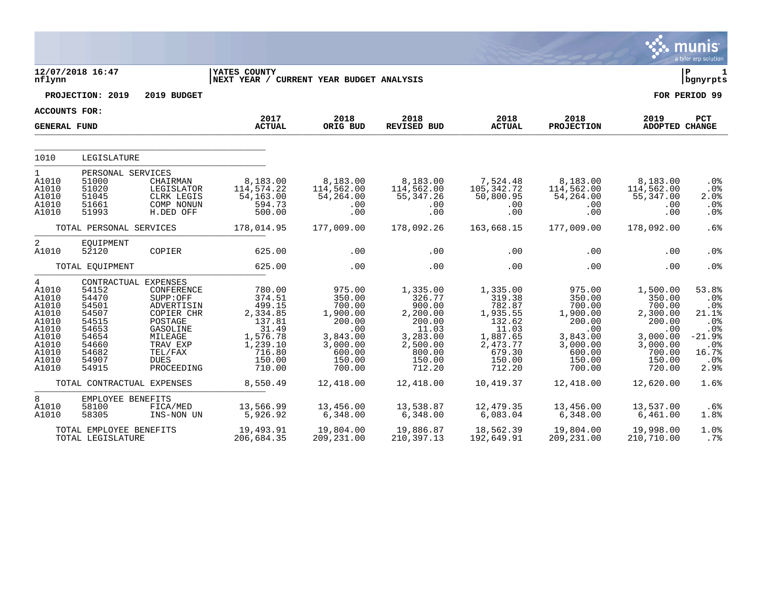|                                                                                                                   |                                                                                                                         |                                                                                                                                          |                                                                                                                 |                                                                                                               |                                                                                                                   |                                                                                                                   |                                                                                                                    |                                                                                                                 | munis<br>a tyler erp solution                                                         |
|-------------------------------------------------------------------------------------------------------------------|-------------------------------------------------------------------------------------------------------------------------|------------------------------------------------------------------------------------------------------------------------------------------|-----------------------------------------------------------------------------------------------------------------|---------------------------------------------------------------------------------------------------------------|-------------------------------------------------------------------------------------------------------------------|-------------------------------------------------------------------------------------------------------------------|--------------------------------------------------------------------------------------------------------------------|-----------------------------------------------------------------------------------------------------------------|---------------------------------------------------------------------------------------|
| nflynn                                                                                                            | 12/07/2018 16:47                                                                                                        |                                                                                                                                          | YATES COUNTY<br>NEXT YEAR / CURRENT YEAR BUDGET ANALYSIS                                                        |                                                                                                               |                                                                                                                   |                                                                                                                   |                                                                                                                    |                                                                                                                 | lР<br>1<br>  bgnyrpts                                                                 |
|                                                                                                                   | PROJECTION: 2019                                                                                                        | 2019 BUDGET                                                                                                                              |                                                                                                                 |                                                                                                               |                                                                                                                   |                                                                                                                   |                                                                                                                    |                                                                                                                 | FOR PERIOD 99                                                                         |
| ACCOUNTS FOR:                                                                                                     |                                                                                                                         |                                                                                                                                          |                                                                                                                 |                                                                                                               |                                                                                                                   |                                                                                                                   |                                                                                                                    |                                                                                                                 |                                                                                       |
| <b>GENERAL FUND</b>                                                                                               |                                                                                                                         |                                                                                                                                          | 2017<br><b>ACTUAL</b>                                                                                           | 2018<br>ORIG BUD                                                                                              | 2018<br>REVISED BUD                                                                                               | 2018<br><b>ACTUAL</b>                                                                                             | 2018<br><b>PROJECTION</b>                                                                                          | 2019<br><b>ADOPTED CHANGE</b>                                                                                   | PCT                                                                                   |
|                                                                                                                   |                                                                                                                         |                                                                                                                                          |                                                                                                                 |                                                                                                               |                                                                                                                   |                                                                                                                   |                                                                                                                    |                                                                                                                 |                                                                                       |
| 1010                                                                                                              | LEGISLATURE                                                                                                             |                                                                                                                                          |                                                                                                                 |                                                                                                               |                                                                                                                   |                                                                                                                   |                                                                                                                    |                                                                                                                 |                                                                                       |
| $\mathbf{1}$<br>A1010<br>A1010<br>A1010<br>A1010<br>A1010                                                         | PERSONAL SERVICES<br>51000<br>51020<br>51045<br>51661<br>51993                                                          | CHAIRMAN<br>LEGISLATOR<br>CLRK LEGIS<br>COMP NONUN<br>H.DED OFF                                                                          | 8,183.00<br>114,574.22<br>54,163.00<br>594.73<br>500.00                                                         | 8,183.00<br>114,562.00<br>54,264.00<br>.00<br>.00                                                             | 8,183.00<br>114,562.00<br>55, 347.26<br>.00<br>.00                                                                | 7,524.48<br>105,342.72<br>50,800.95<br>.00<br>.00                                                                 | 8,183.00<br>114,562.00<br>54,264.00<br>$.00 \ \rm$<br>$.00 \ \rm$                                                  | 8,183.00<br>114,562.00<br>55,347.00<br>.00<br>.00                                                               | .0%<br>.0%<br>2.0%<br>.0%<br>.0%                                                      |
|                                                                                                                   | TOTAL PERSONAL SERVICES                                                                                                 |                                                                                                                                          | 178,014.95                                                                                                      | 177,009.00                                                                                                    | 178,092.26                                                                                                        | 163,668.15                                                                                                        | 177,009.00                                                                                                         | 178,092.00                                                                                                      | .6%                                                                                   |
| $\overline{2}$<br>A1010                                                                                           | EOUIPMENT<br>52120                                                                                                      | COPIER                                                                                                                                   | 625.00                                                                                                          | .00                                                                                                           | .00                                                                                                               | .00                                                                                                               | $.00 \ \rm$                                                                                                        | .00                                                                                                             | .0%                                                                                   |
|                                                                                                                   | TOTAL EQUIPMENT                                                                                                         |                                                                                                                                          | 625.00                                                                                                          | .00                                                                                                           | .00                                                                                                               | .00                                                                                                               | .00                                                                                                                | .00                                                                                                             | .0%                                                                                   |
| $\overline{4}$<br>A1010<br>A1010<br>A1010<br>A1010<br>A1010<br>A1010<br>A1010<br>A1010<br>A1010<br>A1010<br>A1010 | CONTRACTUAL EXPENSES<br>54152<br>54470<br>54501<br>54507<br>54515<br>54653<br>54654<br>54660<br>54682<br>54907<br>54915 | CONFERENCE<br>SUPP:OFF<br>ADVERTISIN<br>COPIER CHR<br>POSTAGE<br>GASOLINE<br>MILEAGE<br>TRAV EXP<br>TEL/FAX<br><b>DUES</b><br>PROCEEDING | 780.00<br>374.51<br>499.15<br>2,334.85<br>137.81<br>31.49<br>1,576.78<br>1,239.10<br>716.80<br>150.00<br>710.00 | 975.00<br>350.00<br>700.00<br>1,900.00<br>200.00<br>.00<br>3,843.00<br>3,000.00<br>600.00<br>150.00<br>700.00 | 1,335.00<br>326.77<br>900.00<br>2,200.00<br>200.00<br>11.03<br>3,283.00<br>2,500.00<br>800.00<br>150.00<br>712.20 | 1,335.00<br>319.38<br>782.87<br>1,935.55<br>132.62<br>11.03<br>1,887.65<br>2,473.77<br>679.30<br>150.00<br>712.20 | 975.00<br>350.00<br>700.00<br>1,900.00<br>200.00<br>$.00 \,$<br>3,843.00<br>3,000.00<br>600.00<br>150.00<br>700.00 | 1,500.00<br>350.00<br>700.00<br>2,300.00<br>200.00<br>.00<br>3,000.00<br>3,000.00<br>700.00<br>150.00<br>720.00 | 53.8%<br>.0%<br>.0%<br>21.1%<br>.0%<br>.0%<br>$-21.9%$<br>.0%<br>16.7%<br>.0%<br>2.9% |
|                                                                                                                   | TOTAL CONTRACTUAL EXPENSES                                                                                              |                                                                                                                                          | 8,550.49                                                                                                        | 12,418.00                                                                                                     | 12,418.00                                                                                                         | 10,419.37                                                                                                         | 12,418.00                                                                                                          | 12,620.00                                                                                                       | 1.6%                                                                                  |
| 8<br>A1010<br>A1010                                                                                               | EMPLOYEE BENEFITS<br>58100<br>58305                                                                                     | FICA/MED<br>INS-NON UN                                                                                                                   | 13,566.99<br>5,926.92                                                                                           | 13,456.00<br>6,348.00                                                                                         | 13,538.87<br>6,348.00                                                                                             | 12,479.35<br>6,083.04                                                                                             | 13,456.00<br>6,348.00                                                                                              | 13,537.00<br>6,461.00                                                                                           | .6%<br>1.8%                                                                           |
|                                                                                                                   | TOTAL EMPLOYEE BENEFITS<br>TOTAL LEGISLATURE                                                                            |                                                                                                                                          | 19,493.91<br>206,684.35                                                                                         | 19,804.00<br>209,231.00                                                                                       | 19,886.87<br>210, 397. 13                                                                                         | 18,562.39<br>192,649.91                                                                                           | 19,804.00<br>209, 231.00                                                                                           | 19,998.00<br>210,710.00                                                                                         | 1.0%<br>.7%                                                                           |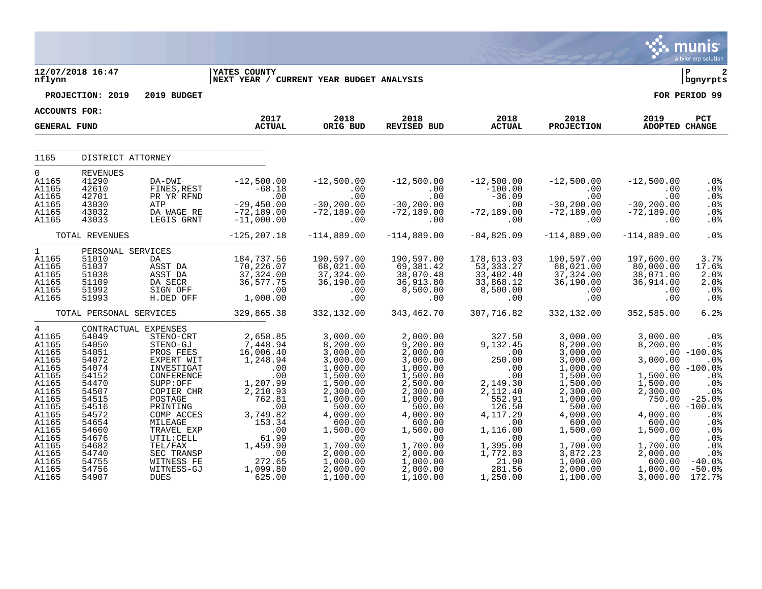|                                                                                                                                                                              |                                                                                                                                                                                                 |                                                                                                                                                                                                                                                       |                                                                                                                                                                                               |                                                                                                                                                                                                                         |                                                                                                                                                                                                                              |                                                                                                                                                                                                   |                                                                                                                                                                                                                         |                                                                                                                                                                                   | munis<br>a tyler erp solution                                                                                                                                                          |
|------------------------------------------------------------------------------------------------------------------------------------------------------------------------------|-------------------------------------------------------------------------------------------------------------------------------------------------------------------------------------------------|-------------------------------------------------------------------------------------------------------------------------------------------------------------------------------------------------------------------------------------------------------|-----------------------------------------------------------------------------------------------------------------------------------------------------------------------------------------------|-------------------------------------------------------------------------------------------------------------------------------------------------------------------------------------------------------------------------|------------------------------------------------------------------------------------------------------------------------------------------------------------------------------------------------------------------------------|---------------------------------------------------------------------------------------------------------------------------------------------------------------------------------------------------|-------------------------------------------------------------------------------------------------------------------------------------------------------------------------------------------------------------------------|-----------------------------------------------------------------------------------------------------------------------------------------------------------------------------------|----------------------------------------------------------------------------------------------------------------------------------------------------------------------------------------|
| nflynn                                                                                                                                                                       | 12/07/2018 16:47                                                                                                                                                                                |                                                                                                                                                                                                                                                       | <b>IYATES COUNTY</b><br>NEXT YEAR / CURRENT YEAR BUDGET ANALYSIS                                                                                                                              |                                                                                                                                                                                                                         |                                                                                                                                                                                                                              |                                                                                                                                                                                                   |                                                                                                                                                                                                                         |                                                                                                                                                                                   | ∣ P<br>2<br>  bgnyrpts                                                                                                                                                                 |
|                                                                                                                                                                              | PROJECTION: 2019                                                                                                                                                                                | 2019 BUDGET                                                                                                                                                                                                                                           |                                                                                                                                                                                               |                                                                                                                                                                                                                         |                                                                                                                                                                                                                              |                                                                                                                                                                                                   |                                                                                                                                                                                                                         |                                                                                                                                                                                   | FOR PERIOD 99                                                                                                                                                                          |
| ACCOUNTS FOR:                                                                                                                                                                |                                                                                                                                                                                                 |                                                                                                                                                                                                                                                       |                                                                                                                                                                                               |                                                                                                                                                                                                                         |                                                                                                                                                                                                                              |                                                                                                                                                                                                   |                                                                                                                                                                                                                         |                                                                                                                                                                                   |                                                                                                                                                                                        |
| <b>GENERAL FUND</b>                                                                                                                                                          |                                                                                                                                                                                                 |                                                                                                                                                                                                                                                       | 2017<br><b>ACTUAL</b>                                                                                                                                                                         | 2018<br>ORIG BUD                                                                                                                                                                                                        | 2018<br>REVISED BUD                                                                                                                                                                                                          | 2018<br><b>ACTUAL</b>                                                                                                                                                                             | 2018<br><b>PROJECTION</b>                                                                                                                                                                                               | 2019<br><b>ADOPTED CHANGE</b>                                                                                                                                                     | PCT                                                                                                                                                                                    |
| 1165                                                                                                                                                                         | DISTRICT ATTORNEY                                                                                                                                                                               |                                                                                                                                                                                                                                                       |                                                                                                                                                                                               |                                                                                                                                                                                                                         |                                                                                                                                                                                                                              |                                                                                                                                                                                                   |                                                                                                                                                                                                                         |                                                                                                                                                                                   |                                                                                                                                                                                        |
| $\overline{0}$<br>A1165<br>A1165<br>A1165<br>A1165<br>A1165<br>A1165                                                                                                         | <b>REVENUES</b><br>41290<br>42610<br>42701<br>43030<br>43032<br>43033                                                                                                                           | DA-DWI<br>FINES, REST<br>PR YR RFND<br>ATP<br>DA WAGE RE<br>LEGIS GRNT                                                                                                                                                                                | $-12,500.00$<br>$-68.18$<br>$\frac{-100}{-0.00}$<br>$-29,450.00$<br>$-72,189.00$<br>$-11,000.00$                                                                                              | $-12,500.00$<br>.00<br>.00<br>$-30, 200.00$<br>$-72,189.00$<br>.00                                                                                                                                                      | $-12,500.00$<br>.00<br>.00<br>$-30, 200.00$<br>$-72,189.00$<br>.00                                                                                                                                                           | $-12,500.00$<br>$-100.00$<br>$-36.09$<br>$\ldots$<br>$-72,189.00$<br>.00                                                                                                                          | $-12,500.00$<br>$.00 \,$<br>.00<br>$-30, 200.00$<br>$-72,189.00$<br>.00                                                                                                                                                 | $-12,500.00$<br>.00<br>.00<br>$-30, 200.00$<br>$-72,189.00$<br>.00                                                                                                                | .0%<br>.0%<br>.0%<br>.0%<br>.0%<br>.0 <sub>8</sub>                                                                                                                                     |
|                                                                                                                                                                              | TOTAL REVENUES                                                                                                                                                                                  |                                                                                                                                                                                                                                                       | $-125, 207.18$                                                                                                                                                                                | $-114,889.00$                                                                                                                                                                                                           | $-114,889.00$                                                                                                                                                                                                                | $-84, 825.09$                                                                                                                                                                                     | $-114,889.00$                                                                                                                                                                                                           | $-114,889.00$                                                                                                                                                                     | .0%                                                                                                                                                                                    |
| $\mathbf{1}$<br>A1165<br>A1165<br>A1165<br>A1165<br>A1165<br>A1165                                                                                                           | PERSONAL SERVICES<br>51010<br>51037<br>51038<br>51109<br>51992<br>51993                                                                                                                         | DA<br>ASST DA<br>ASST DA<br>DA SECR<br>SIGN OFF<br>H.DED OFF                                                                                                                                                                                          | 184,737.56<br>70,226.07<br>37,324.00<br>36,577.75<br>.00<br>1,000.00                                                                                                                          | 190,597.00<br>68,021.00<br>37,324.00<br>36,190.00<br>.00<br>.00                                                                                                                                                         | 190,597.00<br>69,381.42<br>38,070.48<br>36,913.80<br>8,500.00<br>.00                                                                                                                                                         | 178,613.03<br>53, 333.27<br>33,402.40<br>33,868.12<br>8,500.00<br>.00                                                                                                                             | 190,597.00<br>68,021.00<br>37,324.00<br>36,190.00<br>.00<br>.00                                                                                                                                                         | 197,600.00<br>80,000.00<br>38,071.00<br>36,914.00<br>.00<br>.00                                                                                                                   | 3.7%<br>17.6%<br>2.0%<br>2.0%<br>.0%<br>.0 <sub>8</sub>                                                                                                                                |
|                                                                                                                                                                              | TOTAL PERSONAL SERVICES                                                                                                                                                                         |                                                                                                                                                                                                                                                       | 329,865.38                                                                                                                                                                                    | 332,132.00                                                                                                                                                                                                              | 343,462.70                                                                                                                                                                                                                   | 307,716.82                                                                                                                                                                                        | 332,132.00                                                                                                                                                                                                              | 352,585.00                                                                                                                                                                        | 6.2%                                                                                                                                                                                   |
| 4<br>A1165<br>A1165<br>A1165<br>A1165<br>A1165<br>A1165<br>A1165<br>A1165<br>A1165<br>A1165<br>A1165<br>A1165<br>A1165<br>A1165<br>A1165<br>A1165<br>A1165<br>A1165<br>A1165 | CONTRACTUAL EXPENSES<br>54049<br>54050<br>54051<br>54072<br>54074<br>54152<br>54470<br>54507<br>54515<br>54516<br>54572<br>54654<br>54660<br>54676<br>54682<br>54740<br>54755<br>54756<br>54907 | STENO-CRT<br>STENO-GJ<br>PROS FEES<br>EXPERT WIT<br>INVESTIGAT<br>CONFERENCE<br>SUPP:OFF<br>COPIER CHR<br>POSTAGE<br>PRINTING<br>COMP ACCES<br>MILEAGE<br>TRAVEL EXP<br>UTIL:CELL<br>TEL/FAX<br>SEC TRANSP<br>WITNESS FE<br>WITNESS-GJ<br><b>DUES</b> | 2,658.85<br>7,448.94<br>16,006.40<br>1,248.94<br>.00<br>.00<br>1,207.99<br>2,210.93<br>762.81<br>.00<br>3,749.82<br>153.34<br>.00<br>61.99<br>1,459.90<br>.00<br>272.65<br>1,099.80<br>625.00 | 3,000.00<br>8,200.00<br>3,000.00<br>3,000.00<br>1,000.00<br>1,500.00<br>1,500.00<br>2,300.00<br>1,000.00<br>500.00<br>4,000.00<br>600.00<br>1,500.00<br>.00<br>1,700.00<br>2,000.00<br>1,000.00<br>2,000.00<br>1,100.00 | 2,000.00<br>9,200.00<br>2,000.00<br>3,000.00<br>1,000.00<br>1,500.00<br>2,500.00<br>2,300.00<br>1,000.00<br>500.00<br>4,000.00<br>600.00<br>1,500.00<br>$1 - 00$<br>1,700.00<br>2,000.00<br>1,000.00<br>2,000.00<br>1,100.00 | 327.50<br>9,132.45<br>$\sim$ 00<br>250.00<br>.00<br>.00<br>2,149.30<br>2,112.40<br>552.91<br>126.50<br>4, 117.29<br>.00<br>1,116.00<br>.00<br>1,395.00<br>1,772.83<br>21.90<br>281.56<br>1,250.00 | 3,000.00<br>8,200.00<br>3,000.00<br>3,000.00<br>1,000.00<br>1,500.00<br>1,500.00<br>2,300.00<br>1,000.00<br>500.00<br>4,000.00<br>600.00<br>1,500.00<br>.00<br>1,700.00<br>3,872.23<br>1,000.00<br>2,000.00<br>1,100.00 | 3,000.00<br>8,200.00<br>3,000.00<br>1,500.00<br>1,500.00<br>2,300.00<br>750.00<br>4,000.00<br>600.00<br>1,500.00<br>.00<br>1,700.00<br>2,000.00<br>600.00<br>1,000.00<br>3,000.00 | $.0\%$<br>. 0 %<br>$.00 - 100.0$<br>.0%<br>$.00 - 100.0$<br>.0%<br>.0%<br>.0%<br>$-25.0%$<br>$.00 - 100.0$<br>.0%<br>.0%<br>.0%<br>.0%<br>.0%<br>.0%<br>$-40.0%$<br>$-50.0%$<br>172.7% |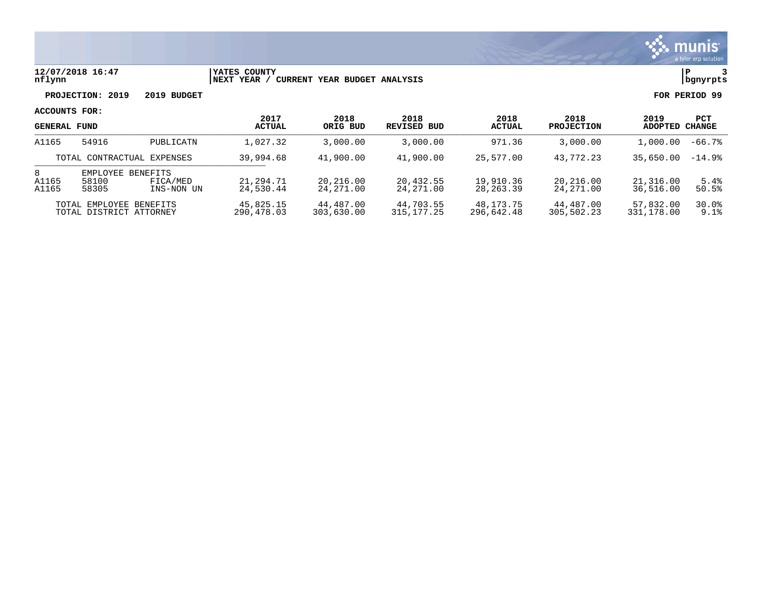

### **12/07/2018 16:47 |YATES COUNTY |P 3 nflynn |NEXT YEAR / CURRENT YEAR BUDGET ANALYSIS |bgnyrpts**

**PROJECTION: 2019 2019 BUDGET FOR PERIOD 99**

| <b>GENERAL FUND</b>                                |                            |                                           | 2017<br><b>ACTUAL</b>   | 2018<br>ORIG BUD        | 2018<br>REVISED BUD     | 2018<br>ACTUAL           | 2018<br><b>PROJECTION</b> | 2019<br>ADOPTED        | <b>PCT</b><br><b>CHANGE</b> |
|----------------------------------------------------|----------------------------|-------------------------------------------|-------------------------|-------------------------|-------------------------|--------------------------|---------------------------|------------------------|-----------------------------|
| A1165                                              | 54916                      | PUBLICATN                                 | 1,027.32                | 3,000.00                | 3,000.00                | 971.36                   | 3,000.00                  | 1,000.00               | $-66.7%$                    |
|                                                    | TOTAL CONTRACTUAL EXPENSES |                                           | 39,994.68               | 41,900.00               | 41,900.00               | 25,577.00                | 43,772.23                 | 35,650.00              | $-14.9%$                    |
| 8<br>A1165<br>A1165                                | EMPLOYEE<br>58100<br>58305 | <b>BENEFITS</b><br>FICA/MED<br>INS-NON UN | 21,294.71<br>24,530.44  | 20,216.00<br>24,271.00  | 20,432.55<br>24,271.00  | 19,910.36<br>28, 263, 39 | 20,216.00<br>24, 271, 00  | 21,316.00<br>36,516.00 | 5.4%<br>50.5%               |
| TOTAL EMPLOYEE BENEFITS<br>TOTAL DISTRICT ATTORNEY |                            | 45,825.15<br>290,478.03                   | 44,487.00<br>303,630.00 | 44,703.55<br>315,177.25 | 48,173.75<br>296.642.48 | 44,487.00<br>305,502.23  | 57,832.00<br>331,178.00   | 30.0%<br>9.1%          |                             |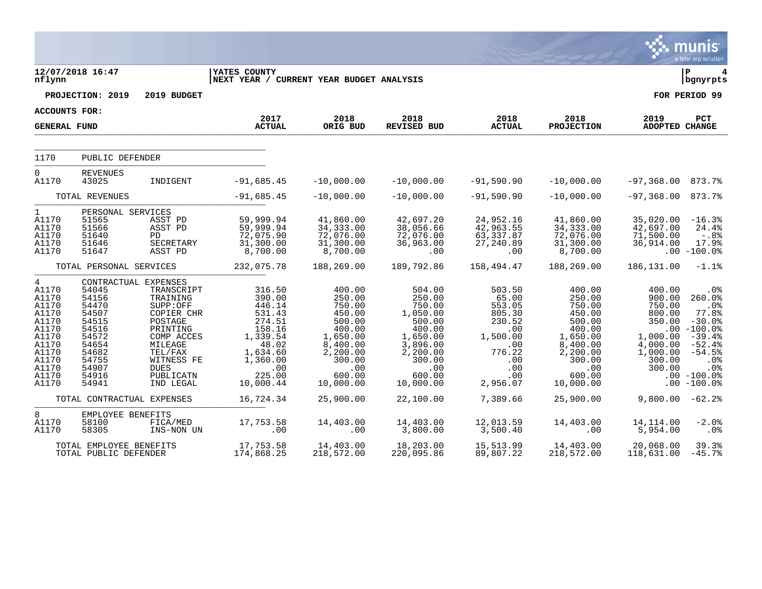|                                                                                                                             |                                                                                                                                                                                              |                                                                                                                                                                    |                                                                                                                                                  |                                                                                                                                                   |                                                                                                                                                     |                                                                                                                                |                                                                                                                                                   |                                                                                                                           | munis<br>a tyler erp solution                                                                                                                                                            |
|-----------------------------------------------------------------------------------------------------------------------------|----------------------------------------------------------------------------------------------------------------------------------------------------------------------------------------------|--------------------------------------------------------------------------------------------------------------------------------------------------------------------|--------------------------------------------------------------------------------------------------------------------------------------------------|---------------------------------------------------------------------------------------------------------------------------------------------------|-----------------------------------------------------------------------------------------------------------------------------------------------------|--------------------------------------------------------------------------------------------------------------------------------|---------------------------------------------------------------------------------------------------------------------------------------------------|---------------------------------------------------------------------------------------------------------------------------|------------------------------------------------------------------------------------------------------------------------------------------------------------------------------------------|
| nflynn                                                                                                                      | 12/07/2018 16:47                                                                                                                                                                             |                                                                                                                                                                    | YATES COUNTY<br> NEXT YEAR / CURRENT YEAR BUDGET ANALYSIS                                                                                        |                                                                                                                                                   |                                                                                                                                                     |                                                                                                                                |                                                                                                                                                   |                                                                                                                           | P<br>bgnyrpts                                                                                                                                                                            |
|                                                                                                                             | PROJECTION: 2019                                                                                                                                                                             | 2019 BUDGET                                                                                                                                                        |                                                                                                                                                  |                                                                                                                                                   |                                                                                                                                                     |                                                                                                                                |                                                                                                                                                   |                                                                                                                           | FOR PERIOD 99                                                                                                                                                                            |
| <b>ACCOUNTS FOR:</b>                                                                                                        |                                                                                                                                                                                              |                                                                                                                                                                    | 2017                                                                                                                                             | 2018                                                                                                                                              |                                                                                                                                                     |                                                                                                                                |                                                                                                                                                   |                                                                                                                           |                                                                                                                                                                                          |
| <b>GENERAL FUND</b>                                                                                                         |                                                                                                                                                                                              |                                                                                                                                                                    | <b>ACTUAL</b>                                                                                                                                    | ORIG BUD                                                                                                                                          | 2018<br><b>REVISED BUD</b>                                                                                                                          | 2018<br><b>ACTUAL</b>                                                                                                          | 2018<br><b>PROJECTION</b>                                                                                                                         | 2019<br><b>ADOPTED CHANGE</b>                                                                                             | PCT                                                                                                                                                                                      |
| 1170                                                                                                                        | PUBLIC DEFENDER                                                                                                                                                                              |                                                                                                                                                                    |                                                                                                                                                  |                                                                                                                                                   |                                                                                                                                                     |                                                                                                                                |                                                                                                                                                   |                                                                                                                           |                                                                                                                                                                                          |
| 0<br>A1170                                                                                                                  | <b>REVENUES</b><br>43025                                                                                                                                                                     | INDIGENT                                                                                                                                                           | $-91,685.45$                                                                                                                                     | $-10,000.00$                                                                                                                                      | $-10,000.00$                                                                                                                                        | $-91,590.90$                                                                                                                   | $-10,000.00$                                                                                                                                      | -97,368.00                                                                                                                | 873.7%                                                                                                                                                                                   |
|                                                                                                                             | TOTAL REVENUES                                                                                                                                                                               |                                                                                                                                                                    | $-91,685.45$                                                                                                                                     | $-10,000.00$                                                                                                                                      | $-10,000.00$                                                                                                                                        | $-91,590.90$                                                                                                                   | $-10,000.00$                                                                                                                                      | $-97, 368.00$                                                                                                             | 873.7%                                                                                                                                                                                   |
| $\mathbf 1$<br>A1170<br>A1170<br>A1170<br>A1170<br>A1170                                                                    | PERSONAL SERVICES<br>51565<br>51566<br>51640<br>51646<br>51647                                                                                                                               | ASST PD<br>ASST PD<br>PD<br>SECRETARY<br>ASST PD                                                                                                                   | 59,999.94<br>59,999.94<br>72,075.90<br>31,300.00<br>8,700.00                                                                                     | 41,860.00<br>34, 333.00<br>72,076.00<br>31,300.00<br>8,700.00                                                                                     | 42,697.20<br>38,056.66<br>72,076.00<br>36,963.00<br>.00                                                                                             | 24,952.16<br>42,963.55<br>63,337.87<br>27,240.89<br>.00                                                                        | 41,860.00<br>34, 333.00<br>72,076.00<br>31,300.00<br>8,700.00                                                                                     | 35,020.00<br>42,697.00<br>71,500.00<br>36,914.00                                                                          | $-16.3%$<br>24.4%<br>$-0.88$<br>17.9%<br>$.00 - 100.0%$                                                                                                                                  |
|                                                                                                                             | TOTAL PERSONAL SERVICES                                                                                                                                                                      |                                                                                                                                                                    | 232,075.78                                                                                                                                       | 188,269.00                                                                                                                                        | 189,792.86                                                                                                                                          | 158,494.47                                                                                                                     | 188,269.00                                                                                                                                        | 186, 131.00                                                                                                               | $-1.1%$                                                                                                                                                                                  |
| 4<br>A1170<br>A1170<br>A1170<br>A1170<br>A1170<br>A1170<br>A1170<br>A1170<br>A1170<br>A1170<br>A1170<br>A1170<br>A1170<br>8 | CONTRACTUAL EXPENSES<br>54045<br>54156<br>54470<br>54507<br>54515<br>54516<br>54572<br>54654<br>54682<br>54755<br>54907<br>54916<br>54941<br>TOTAL CONTRACTUAL EXPENSES<br>EMPLOYEE BENEFITS | TRANSCRIPT<br>TRAINING<br>SUPP:OFF<br>COPIER CHR<br>POSTAGE<br>PRINTING<br>COMP ACCES<br>MILEAGE<br>TEL/FAX<br>WITNESS FE<br><b>DUES</b><br>PUBLICATN<br>IND LEGAL | 316.50<br>390.00<br>446.14<br>531.43<br>274.51<br>158.16<br>1,339.54<br>48.02<br>1,634.60<br>1,360.00<br>.00<br>225.00<br>10,000.44<br>16,724.34 | 400.00<br>250.00<br>750.00<br>450.00<br>500.00<br>400.00<br>1,650.00<br>8,400.00<br>2,200.00<br>300.00<br>.00<br>600.00<br>10,000.00<br>25,900.00 | 504.00<br>250.00<br>750.00<br>1,050.00<br>500.00<br>400.00<br>1,650.00<br>3,896.00<br>2,200.00<br>300.00<br>.00<br>600.00<br>10,000.00<br>22,100.00 | 503.50<br>65.00<br>553.05<br>805.30<br>230.52<br>.00<br>1,500.00<br>.00<br>776.22<br>.00<br>.00<br>.00<br>2,956.07<br>7,389.66 | 400.00<br>250.00<br>750.00<br>450.00<br>500.00<br>400.00<br>1,650.00<br>8,400.00<br>2,200.00<br>300.00<br>.00<br>600.00<br>10,000.00<br>25,900.00 | 400.00<br>900.00<br>750.00<br>800.00<br>350.00<br>1,000.00<br>4,000.00<br>1,000.00<br>300.00<br>300.00<br>.00<br>9,800.00 | .0%<br>260.0%<br>.0 <sub>8</sub><br>77.8%<br>$-30.0%$<br>$.00 - 100.0$<br>$-39.4%$<br>$-52.4%$<br>$-54.5%$<br>.0 <sup>8</sup><br>.0%<br>$.00 - 100.08$<br>$-100.0$ $^{\circ}$<br>$-62.2$ |
| A1170<br>A1170                                                                                                              | 58100<br>58305                                                                                                                                                                               | FICA/MED<br>INS-NON UN                                                                                                                                             | 17,753.58<br>.00                                                                                                                                 | 14,403.00<br>.00                                                                                                                                  | 14,403.00<br>3,800.00                                                                                                                               | 12,013.59<br>3,500.40                                                                                                          | 14,403.00<br>.00                                                                                                                                  | 14, 114.00<br>5,954.00                                                                                                    | $-2.0%$<br>.0 <sub>8</sub>                                                                                                                                                               |
|                                                                                                                             | TOTAL EMPLOYEE BENEFITS<br>TOTAL PUBLIC DEFENDER                                                                                                                                             |                                                                                                                                                                    | 17,753.58<br>174,868.25                                                                                                                          | 14,403.00<br>218,572.00                                                                                                                           | 18,203.00<br>220,095.86                                                                                                                             | 15,513.99<br>89,807.22                                                                                                         | 14,403.00<br>218,572.00                                                                                                                           | 20,068.00<br>118,631.00                                                                                                   | 39.3%<br>$-45.7%$                                                                                                                                                                        |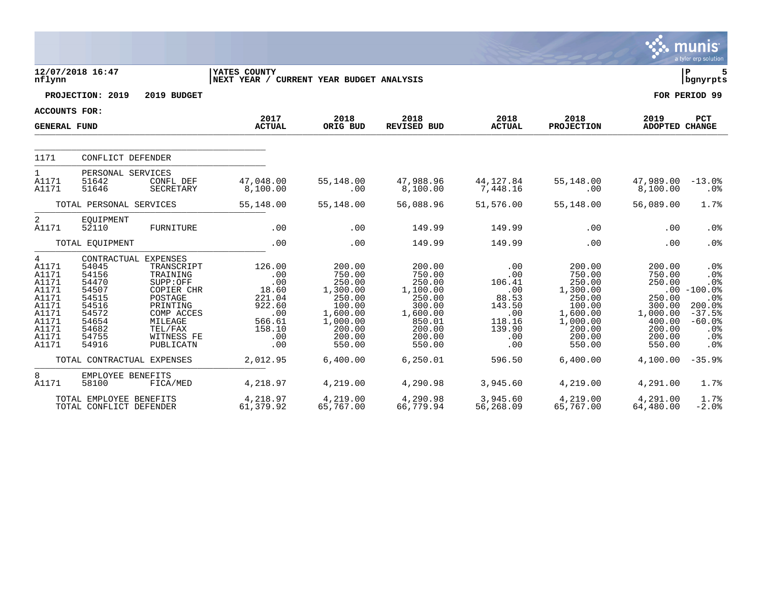|                                                                                                      |                                                                                                                                                                                                                                                                                                 |                                                                                                        |                                                                                                                              |                                                                                                                            |                                                                                                   |                                                                                                                              |                                                                                                                | munis<br>a tyler erp solution                                                                                |
|------------------------------------------------------------------------------------------------------|-------------------------------------------------------------------------------------------------------------------------------------------------------------------------------------------------------------------------------------------------------------------------------------------------|--------------------------------------------------------------------------------------------------------|------------------------------------------------------------------------------------------------------------------------------|----------------------------------------------------------------------------------------------------------------------------|---------------------------------------------------------------------------------------------------|------------------------------------------------------------------------------------------------------------------------------|----------------------------------------------------------------------------------------------------------------|--------------------------------------------------------------------------------------------------------------|
| nflynn                                                                                               | 12/07/2018 16:47                                                                                                                                                                                                                                                                                | YATES COUNTY<br>NEXT YEAR / CURRENT YEAR BUDGET ANALYSIS                                               |                                                                                                                              |                                                                                                                            |                                                                                                   |                                                                                                                              |                                                                                                                | ΙP<br>  bgnyrpts                                                                                             |
|                                                                                                      | PROJECTION: 2019<br>2019 BUDGET                                                                                                                                                                                                                                                                 |                                                                                                        |                                                                                                                              |                                                                                                                            |                                                                                                   |                                                                                                                              |                                                                                                                | FOR PERIOD 99                                                                                                |
| <b>ACCOUNTS FOR:</b>                                                                                 |                                                                                                                                                                                                                                                                                                 |                                                                                                        |                                                                                                                              |                                                                                                                            |                                                                                                   |                                                                                                                              |                                                                                                                |                                                                                                              |
| <b>GENERAL FUND</b>                                                                                  |                                                                                                                                                                                                                                                                                                 | 2017<br><b>ACTUAL</b>                                                                                  | 2018<br>ORIG BUD                                                                                                             | 2018<br><b>REVISED BUD</b>                                                                                                 | 2018<br><b>ACTUAL</b>                                                                             | 2018<br><b>PROJECTION</b>                                                                                                    | 2019<br>ADOPTED CHANGE                                                                                         | PCT                                                                                                          |
| 1171                                                                                                 | CONFLICT DEFENDER                                                                                                                                                                                                                                                                               |                                                                                                        |                                                                                                                              |                                                                                                                            |                                                                                                   |                                                                                                                              |                                                                                                                |                                                                                                              |
| $\mathbf{1}$<br>A1171<br>A1171                                                                       | PERSONAL SERVICES<br>51642<br>CONFL DEF<br>51646<br>SECRETARY                                                                                                                                                                                                                                   | 47,048.00<br>8,100.00                                                                                  | 55,148.00<br>.00                                                                                                             | 47,988.96<br>8,100.00                                                                                                      | 44,127.84<br>7,448.16                                                                             | 55,148.00<br>.00                                                                                                             | 47,989.00<br>8,100.00                                                                                          | $-13.0$ %<br>.0%                                                                                             |
| TOTAL PERSONAL SERVICES                                                                              |                                                                                                                                                                                                                                                                                                 | 55,148.00                                                                                              | 55,148.00                                                                                                                    | 56,088.96                                                                                                                  | 51,576.00                                                                                         | 55,148.00                                                                                                                    | 56,089.00                                                                                                      | 1.7%                                                                                                         |
| 2<br>A1171                                                                                           | <b>EOUIPMENT</b><br>52110<br>FURNITURE                                                                                                                                                                                                                                                          | .00                                                                                                    | .00                                                                                                                          | 149.99                                                                                                                     | 149.99                                                                                            | $.00 \,$                                                                                                                     | .00                                                                                                            | .0 <sub>8</sub>                                                                                              |
|                                                                                                      | TOTAL EQUIPMENT                                                                                                                                                                                                                                                                                 | .00                                                                                                    | .00                                                                                                                          | 149.99                                                                                                                     | 149.99                                                                                            | .00                                                                                                                          | .00                                                                                                            | .0%                                                                                                          |
| 4<br>A1171<br>A1171<br>A1171<br>A1171<br>A1171<br>A1171<br>A1171<br>A1171<br>A1171<br>A1171<br>A1171 | CONTRACTUAL EXPENSES<br>54045<br>TRANSCRIPT<br>54156<br>TRAINING<br>54470<br>SUPP:OFF<br>54507<br>COPIER CHR<br>54515<br>POSTAGE<br>54516<br>PRINTING<br>54572<br>COMP ACCES<br>54654<br>MILEAGE<br>54682<br>TEL/FAX<br>54755<br>WITNESS FE<br>54916<br>PUBLICATN<br>TOTAL CONTRACTUAL EXPENSES | 126.00<br>.00<br>.00<br>18.60<br>221.04<br>922.60<br>.00<br>566.61<br>158.10<br>.00<br>.00<br>2,012.95 | 200.00<br>750.00<br>250.00<br>1,300.00<br>250.00<br>100.00<br>1,600.00<br>1,000.00<br>200.00<br>200.00<br>550.00<br>6,400.00 | 200.00<br>750.00<br>250.00<br>1,100.00<br>250.00<br>300.00<br>1,600.00<br>850.01<br>200.00<br>200.00<br>550.00<br>6,250.01 | .00<br>.00<br>106.41<br>.00<br>88.53<br>143.50<br>.00<br>118.16<br>139.90<br>.00<br>.00<br>596.50 | 200.00<br>750.00<br>250.00<br>1,300.00<br>250.00<br>100.00<br>1,600.00<br>1,000.00<br>200.00<br>200.00<br>550.00<br>6,400.00 | 200.00<br>750.00<br>250.00<br>250.00<br>300.00<br>1,000.00<br>400.00<br>200.00<br>200.00<br>550.00<br>4,100.00 | .0%<br>.0%<br>.0%<br>$.00 - 100.0$<br>.0%<br>200.0%<br>$-37.5%$<br>$-60.0%$<br>.0%<br>.0%<br>.0%<br>$-35.9%$ |
| 8<br>A1171                                                                                           | EMPLOYEE BENEFITS<br>58100<br>FICA/MED                                                                                                                                                                                                                                                          | 4,218.97                                                                                               | 4,219.00                                                                                                                     | 4,290.98                                                                                                                   | 3,945.60                                                                                          | 4,219.00                                                                                                                     | 4,291.00                                                                                                       | 1.7%                                                                                                         |
|                                                                                                      | TOTAL EMPLOYEE BENEFITS<br>TOTAL CONFLICT DEFENDER                                                                                                                                                                                                                                              | 4,218.97<br>61,379.92                                                                                  | 4,219.00<br>65,767.00                                                                                                        | 4,290.98<br>66,779.94                                                                                                      | 3,945.60<br>56,268.09                                                                             | 4,219.00<br>65,767.00                                                                                                        | 4,291.00<br>64,480.00                                                                                          | 1.7%<br>$-2.0%$                                                                                              |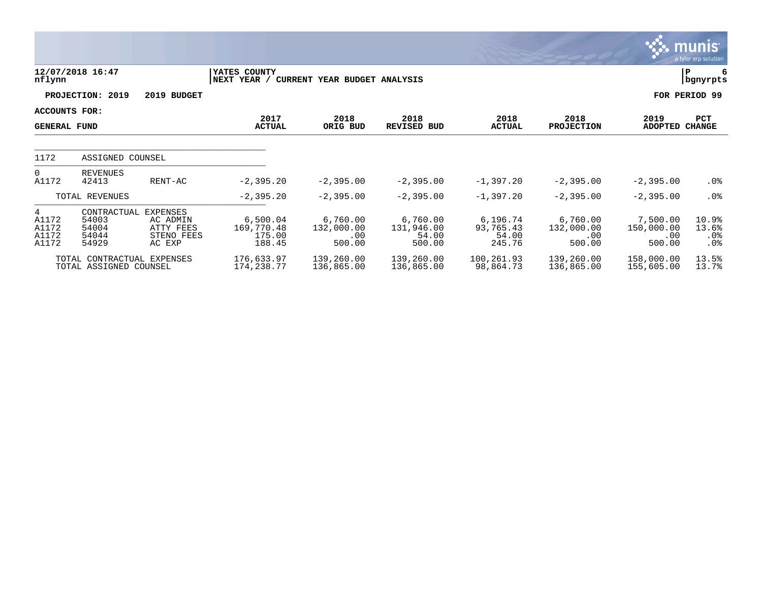|                                       |                                                      |                                                           |                                            |                                         |                                           |                                          |                                         |                                         | <u>munis</u><br>a tyler erp solution |
|---------------------------------------|------------------------------------------------------|-----------------------------------------------------------|--------------------------------------------|-----------------------------------------|-------------------------------------------|------------------------------------------|-----------------------------------------|-----------------------------------------|--------------------------------------|
| nflynn                                | 12/07/2018 16:47                                     |                                                           | YATES COUNTY<br>NEXT YEAR /                | CURRENT YEAR BUDGET ANALYSIS            |                                           |                                          |                                         |                                         | ΙP<br>6<br>bgnyrpts                  |
|                                       | PROJECTION: 2019                                     | 2019 BUDGET                                               |                                            |                                         |                                           |                                          |                                         |                                         | FOR PERIOD 99                        |
| ACCOUNTS FOR:<br><b>GENERAL FUND</b>  |                                                      |                                                           | 2017<br><b>ACTUAL</b>                      | 2018<br>ORIG BUD                        | 2018<br><b>REVISED BUD</b>                | 2018<br><b>ACTUAL</b>                    | 2018<br><b>PROJECTION</b>               | 2019<br><b>ADOPTED</b>                  | PCT<br><b>CHANGE</b>                 |
| 1172                                  | ASSIGNED COUNSEL                                     |                                                           |                                            |                                         |                                           |                                          |                                         |                                         |                                      |
| $\Omega$<br>A1172                     | <b>REVENUES</b><br>42413                             | RENT-AC                                                   | $-2, 395.20$                               | $-2,395.00$                             | $-2, 395.00$                              | $-1,397.20$                              | $-2, 395.00$                            | $-2, 395.00$                            | $.0\%$                               |
|                                       | TOTAL REVENUES                                       |                                                           | $-2, 395.20$                               | $-2,395.00$                             | $-2, 395.00$                              | $-1,397.20$                              | $-2, 395.00$                            | $-2, 395.00$                            | $.0\%$                               |
| 4<br>A1172<br>A1172<br>A1172<br>A1172 | CONTRACTUAL<br>54003<br>54004<br>54044<br>54929      | EXPENSES<br>AC ADMIN<br>ATTY FEES<br>STENO FEES<br>AC EXP | 6,500.04<br>169,770.48<br>175.00<br>188.45 | 6,760.00<br>132,000.00<br>.00<br>500.00 | 6,760.00<br>131,946.00<br>54.00<br>500.00 | 6,196.74<br>93,765.43<br>54.00<br>245.76 | 6,760.00<br>132,000.00<br>.00<br>500.00 | 7,500.00<br>150,000.00<br>.00<br>500.00 | 10.9%<br>13.6%<br>$.0\%$<br>$.0\%$   |
|                                       | TOTAL CONTRACTUAL EXPENSES<br>TOTAL ASSIGNED COUNSEL |                                                           | 176,633.97<br>174,238.77                   | 139,260.00<br>136,865.00                | 139,260.00<br>136,865.00                  | 100,261.93<br>98,864.73                  | 139,260.00<br>136,865.00                | 158,000.00<br>155,605.00                | 13.5%<br>13.7%                       |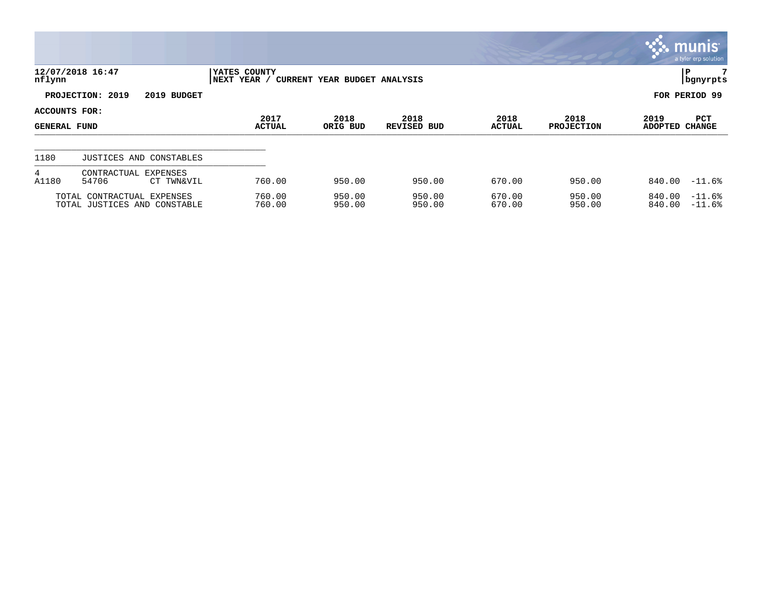|                                      |                                                            |                              |                              |                            |                       |                           |                  | $\mathbb{C}$ munis $\mathbb{C}$<br>a tyler erp solution |
|--------------------------------------|------------------------------------------------------------|------------------------------|------------------------------|----------------------------|-----------------------|---------------------------|------------------|---------------------------------------------------------|
| nflynn                               | 12/07/2018 16:47                                           | YATES COUNTY<br> NEXT YEAR / | CURRENT YEAR BUDGET ANALYSIS |                            |                       |                           |                  | 7<br>P<br>  bgnyrpts                                    |
|                                      | PROJECTION: 2019<br>2019 BUDGET                            |                              |                              |                            |                       |                           |                  | FOR PERIOD 99                                           |
| ACCOUNTS FOR:<br><b>GENERAL FUND</b> |                                                            | 2017<br><b>ACTUAL</b>        | 2018<br>ORIG BUD             | 2018<br><b>REVISED BUD</b> | 2018<br><b>ACTUAL</b> | 2018<br><b>PROJECTION</b> | 2019<br>ADOPTED  | PCT<br><b>CHANGE</b>                                    |
| 1180                                 | JUSTICES AND CONSTABLES                                    |                              |                              |                            |                       |                           |                  |                                                         |
| 4<br>A1180                           | CONTRACTUAL EXPENSES<br>54706<br>CT TWN&VIL                | 760.00                       | 950.00                       | 950.00                     | 670.00                | 950.00                    | 840.00           | $-11.6%$                                                |
|                                      | TOTAL CONTRACTUAL EXPENSES<br>TOTAL JUSTICES AND CONSTABLE | 760.00<br>760.00             | 950.00<br>950.00             | 950.00<br>950.00           | 670.00<br>670.00      | 950.00<br>950.00          | 840.00<br>840.00 | $-11.6%$<br>$-11.6%$                                    |

**Contract Contract Contract Contract Contract Contract Contract Contract Contract Contract Contract Contract Co**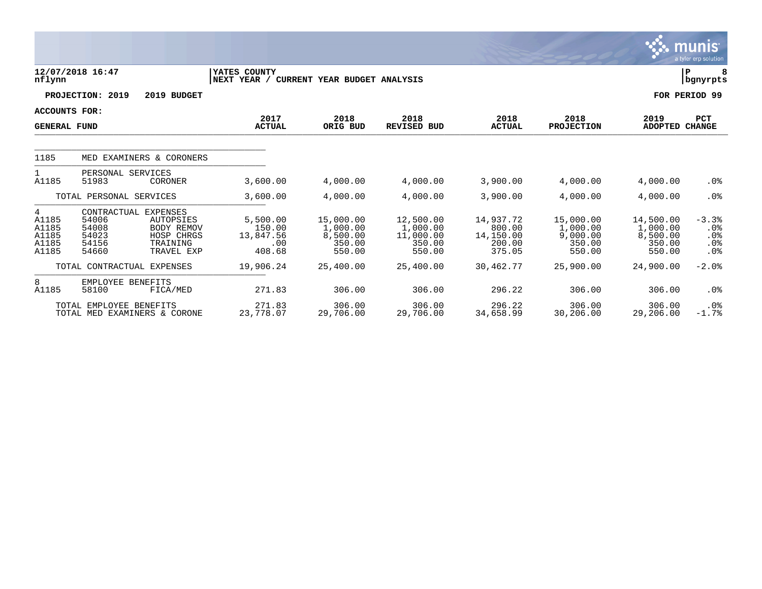|                                                |                                                                   |                                                                 |                                                          |                                                       |                                                        |                                                      |                                                       |                                                       | munis<br>a tyler erp solution                            |
|------------------------------------------------|-------------------------------------------------------------------|-----------------------------------------------------------------|----------------------------------------------------------|-------------------------------------------------------|--------------------------------------------------------|------------------------------------------------------|-------------------------------------------------------|-------------------------------------------------------|----------------------------------------------------------|
| nflynn                                         | 12/07/2018 16:47                                                  |                                                                 | YATES COUNTY<br>NEXT YEAR / CURRENT YEAR BUDGET ANALYSIS |                                                       |                                                        |                                                      |                                                       |                                                       | lР<br>  bgnyrpts                                         |
|                                                | PROJECTION: 2019                                                  | 2019 BUDGET                                                     |                                                          |                                                       |                                                        |                                                      |                                                       |                                                       | FOR PERIOD 99                                            |
| <b>ACCOUNTS FOR:</b><br><b>GENERAL FUND</b>    |                                                                   |                                                                 | 2017<br><b>ACTUAL</b>                                    | 2018<br>ORIG BUD                                      | 2018<br><b>REVISED BUD</b>                             | 2018<br><b>ACTUAL</b>                                | 2018<br><b>PROJECTION</b>                             | 2019<br><b>ADOPTED</b>                                | PCT<br><b>CHANGE</b>                                     |
| 1185                                           |                                                                   | MED EXAMINERS & CORONERS                                        |                                                          |                                                       |                                                        |                                                      |                                                       |                                                       |                                                          |
| 1<br>A1185                                     | PERSONAL SERVICES<br>51983                                        | CORONER                                                         | 3,600.00                                                 | 4,000.00                                              | 4,000.00                                               | 3,900.00                                             | 4,000.00                                              | 4,000.00                                              | .0%                                                      |
|                                                | TOTAL PERSONAL SERVICES                                           |                                                                 | 3,600.00                                                 | 4,000.00                                              | 4,000.00                                               | 3,900.00                                             | 4,000.00                                              | 4,000.00                                              | .0%                                                      |
| 4<br>A1185<br>A1185<br>A1185<br>A1185<br>A1185 | CONTRACTUAL EXPENSES<br>54006<br>54008<br>54023<br>54156<br>54660 | AUTOPSIES<br>BODY REMOV<br>HOSP CHRGS<br>TRAINING<br>TRAVEL EXP | 5,500.00<br>150.00<br>13,847.56<br>.00<br>408.68         | 15,000.00<br>1,000.00<br>8,500.00<br>350.00<br>550.00 | 12,500.00<br>1,000.00<br>11,000.00<br>350.00<br>550.00 | 14,937.72<br>800.00<br>14,150.00<br>200.00<br>375.05 | 15,000.00<br>1,000.00<br>9,000.00<br>350.00<br>550.00 | 14,500.00<br>1,000.00<br>8,500.00<br>350.00<br>550.00 | $-3.3%$<br>$.0\%$<br>$.0\%$<br>$.0\%$<br>.0 <sub>8</sub> |
|                                                | TOTAL CONTRACTUAL EXPENSES                                        |                                                                 | 19,906.24                                                | 25,400.00                                             | 25,400.00                                              | 30,462.77                                            | 25,900.00                                             | 24,900.00                                             | $-2.0%$                                                  |
| 8<br>A1185                                     | EMPLOYEE BENEFITS<br>58100                                        | FICA/MED                                                        | 271.83                                                   | 306.00                                                | 306.00                                                 | 296.22                                               | 306.00                                                | 306.00                                                | .0%                                                      |
|                                                | TOTAL EMPLOYEE BENEFITS                                           | TOTAL MED EXAMINERS & CORONE                                    | 271.83<br>23,778.07                                      | 306.00<br>29,706.00                                   | 306.00<br>29,706.00                                    | 296.22<br>34,658.99                                  | 306.00<br>30,206.00                                   | 306.00<br>29,206.00                                   | $.0\%$<br>$-1.7%$                                        |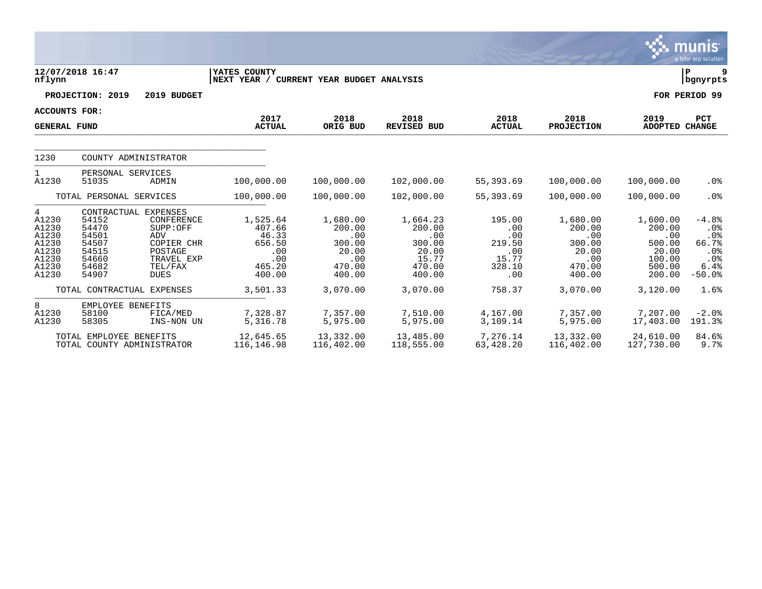|                                                                           |                                                                      |                                                                                                                        |                                                                         |                                                                         |                                                                           |                                                                 |                                                                         |                                                                            | munıs <sup>.</sup><br>a tyler erp solution                          |
|---------------------------------------------------------------------------|----------------------------------------------------------------------|------------------------------------------------------------------------------------------------------------------------|-------------------------------------------------------------------------|-------------------------------------------------------------------------|---------------------------------------------------------------------------|-----------------------------------------------------------------|-------------------------------------------------------------------------|----------------------------------------------------------------------------|---------------------------------------------------------------------|
| nflynn                                                                    | 12/07/2018 16:47                                                     |                                                                                                                        | YATES COUNTY<br>NEXT YEAR / CURRENT YEAR BUDGET ANALYSIS                |                                                                         |                                                                           |                                                                 |                                                                         |                                                                            | P.<br>9<br>  bgnyrpts                                               |
|                                                                           | PROJECTION: 2019                                                     | 2019 BUDGET                                                                                                            |                                                                         |                                                                         |                                                                           |                                                                 |                                                                         |                                                                            | FOR PERIOD 99                                                       |
| <b>ACCOUNTS FOR:</b>                                                      |                                                                      |                                                                                                                        | 2017                                                                    | 2018                                                                    | 2018                                                                      | 2018                                                            | 2018                                                                    | 2019                                                                       | PCT                                                                 |
| <b>GENERAL FUND</b>                                                       |                                                                      |                                                                                                                        | <b>ACTUAL</b>                                                           | ORIG BUD                                                                | <b>REVISED BUD</b>                                                        | <b>ACTUAL</b>                                                   | <b>PROJECTION</b>                                                       | ADOPTED CHANGE                                                             |                                                                     |
| 1230                                                                      |                                                                      | COUNTY ADMINISTRATOR                                                                                                   |                                                                         |                                                                         |                                                                           |                                                                 |                                                                         |                                                                            |                                                                     |
| $\mathbf{1}$<br>A1230                                                     | PERSONAL SERVICES<br>51035                                           | ADMIN                                                                                                                  | 100,000.00                                                              | 100,000.00                                                              | 102,000.00                                                                | 55,393.69                                                       | 100,000.00                                                              | 100,000.00                                                                 | .0 <sub>8</sub>                                                     |
|                                                                           | TOTAL PERSONAL SERVICES                                              |                                                                                                                        | 100,000.00                                                              | 100,000.00                                                              | 102,000.00                                                                | 55,393.69                                                       | 100,000.00                                                              | 100,000.00                                                                 | .0%                                                                 |
| 4<br>A1230<br>A1230<br>A1230<br>A1230<br>A1230<br>A1230<br>A1230<br>A1230 | 54152<br>54470<br>54501<br>54507<br>54515<br>54660<br>54682<br>54907 | CONTRACTUAL EXPENSES<br>CONFERENCE<br>SUPP:OFF<br>ADV<br>COPIER CHR<br>POSTAGE<br>TRAVEL EXP<br>TEL/FAX<br><b>DUES</b> | 1,525.64<br>407.66<br>46.33<br>656.50<br>.00<br>.00<br>465.20<br>400.00 | 1,680.00<br>200.00<br>.00<br>300.00<br>20.00<br>.00<br>470.00<br>400.00 | 1,664.23<br>200.00<br>.00<br>300.00<br>20.00<br>15.77<br>470.00<br>400.00 | 195.00<br>.00<br>.00<br>219.50<br>.00<br>15.77<br>328.10<br>.00 | 1,680.00<br>200.00<br>.00<br>300.00<br>20.00<br>.00<br>470.00<br>400.00 | 1,600.00<br>200.00<br>.00<br>500.00<br>20.00<br>100.00<br>500.00<br>200.00 | $-4.8%$<br>$.0\%$<br>.0%<br>66.7%<br>.0%<br>.0%<br>6.4%<br>$-50.0%$ |
|                                                                           |                                                                      | TOTAL CONTRACTUAL EXPENSES                                                                                             | 3,501.33                                                                | 3,070.00                                                                | 3,070.00                                                                  | 758.37                                                          | 3,070.00                                                                | 3,120.00                                                                   | 1.6%                                                                |
| 8<br>A1230<br>A1230                                                       | EMPLOYEE BENEFITS<br>58100<br>58305                                  | FICA/MED<br>INS-NON UN                                                                                                 | 7,328.87<br>5,316.78                                                    | 7,357.00<br>5,975.00                                                    | 7,510.00<br>5,975.00                                                      | 4,167.00<br>3,109.14                                            | 7,357.00<br>5,975.00                                                    | 7,207.00<br>17,403.00                                                      | $-2.0$ %<br>191.3%                                                  |
|                                                                           | TOTAL EMPLOYEE BENEFITS<br>TOTAL COUNTY ADMINISTRATOR                |                                                                                                                        | 12,645.65<br>116,146.98                                                 | 13,332.00<br>116,402.00                                                 | 13,485.00<br>118,555.00                                                   | 7.276.14<br>63,428.20                                           | 13,332.00<br>116,402.00                                                 | 24,610.00<br>127,730.00                                                    | 84.6%<br>9.7%                                                       |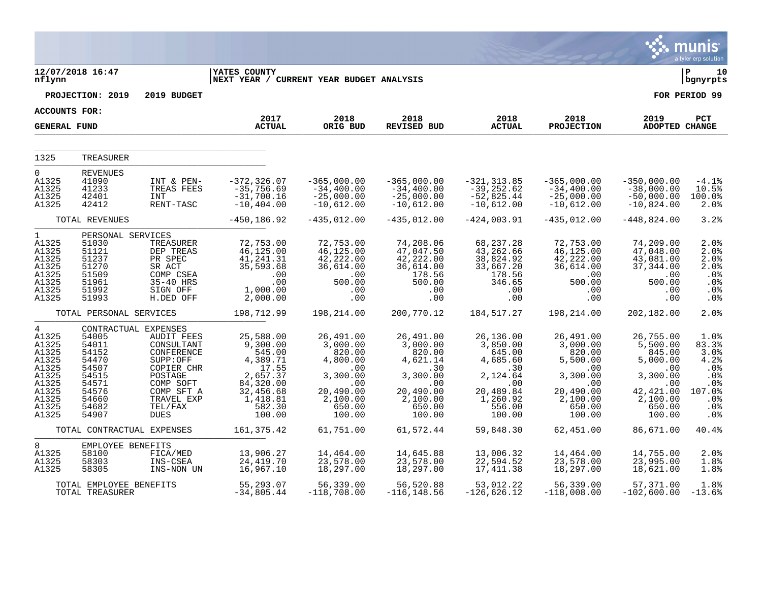|                                                                                                                    |                                                                                                                                                       |                                                                                                                                                       |                                                                                                                                           |                                                                                                                                 |                                                                                                                                 |                                                                                                                                 |                                                                                                                                 |                                                                                                                                 | <u>े.</u> munis<br>a tyler erp solution                                                    |
|--------------------------------------------------------------------------------------------------------------------|-------------------------------------------------------------------------------------------------------------------------------------------------------|-------------------------------------------------------------------------------------------------------------------------------------------------------|-------------------------------------------------------------------------------------------------------------------------------------------|---------------------------------------------------------------------------------------------------------------------------------|---------------------------------------------------------------------------------------------------------------------------------|---------------------------------------------------------------------------------------------------------------------------------|---------------------------------------------------------------------------------------------------------------------------------|---------------------------------------------------------------------------------------------------------------------------------|--------------------------------------------------------------------------------------------|
| nflynn                                                                                                             | 12/07/2018 16:47                                                                                                                                      |                                                                                                                                                       | <b>YATES COUNTY</b><br>NEXT YEAR / CURRENT YEAR BUDGET ANALYSIS                                                                           |                                                                                                                                 |                                                                                                                                 |                                                                                                                                 |                                                                                                                                 |                                                                                                                                 | l P<br>10<br>  bgnyrpts                                                                    |
|                                                                                                                    | PROJECTION: 2019                                                                                                                                      | 2019 BUDGET                                                                                                                                           |                                                                                                                                           |                                                                                                                                 |                                                                                                                                 |                                                                                                                                 |                                                                                                                                 |                                                                                                                                 | FOR PERIOD 99                                                                              |
| <b>ACCOUNTS FOR:</b>                                                                                               |                                                                                                                                                       |                                                                                                                                                       |                                                                                                                                           |                                                                                                                                 |                                                                                                                                 |                                                                                                                                 |                                                                                                                                 |                                                                                                                                 |                                                                                            |
| <b>GENERAL FUND</b>                                                                                                |                                                                                                                                                       |                                                                                                                                                       | 2017<br><b>ACTUAL</b>                                                                                                                     | 2018<br>ORIG BUD                                                                                                                | 2018<br>REVISED BUD                                                                                                             | 2018<br><b>ACTUAL</b>                                                                                                           | 2018<br><b>PROJECTION</b>                                                                                                       | 2019<br>ADOPTED CHANGE                                                                                                          | PCT                                                                                        |
| 1325                                                                                                               | TREASURER                                                                                                                                             |                                                                                                                                                       |                                                                                                                                           |                                                                                                                                 |                                                                                                                                 |                                                                                                                                 |                                                                                                                                 |                                                                                                                                 |                                                                                            |
| 0<br>A1325<br>A1325<br>A1325<br>A1325                                                                              | <b>REVENUES</b><br>41090<br>41233<br>42401<br>42412                                                                                                   | INT & PEN-<br>TREAS FEES<br>INT<br>RENT-TASC                                                                                                          | $-372, 326.07$<br>$-35,756.69$<br>$-31,700.16$<br>$-10, 404.00$                                                                           | $-365,000.00$<br>$-34,400.00$<br>$-25,000.00$<br>$-10,612.00$                                                                   | $-365,000.00$<br>$-34,400.00$<br>$-25,000.00$<br>$-10,612.00$                                                                   | $-321, 313.85$<br>$-39, 252.62$<br>$-52,825.44$<br>$-10,612.00$                                                                 | $-365,000.00$<br>$-34,400.00$<br>$-25,000.00$<br>$-10,612.00$                                                                   | -350,000.00<br>$-38,000.00$<br>$-50,000.00$<br>$-10,824.00$                                                                     | $-4.1%$<br>10.5%<br>100.0%<br>2.0%                                                         |
|                                                                                                                    | TOTAL REVENUES                                                                                                                                        |                                                                                                                                                       | $-450, 186.92$                                                                                                                            | $-435,012.00$                                                                                                                   | $-435,012.00$                                                                                                                   | $-424,003.91$                                                                                                                   | $-435,012.00$                                                                                                                   | $-448,824.00$                                                                                                                   | 3.2%                                                                                       |
| $\mathbf{1}$<br>A1325<br>A1325<br>A1325<br>A1325<br>A1325<br>A1325<br>A1325<br>A1325                               | PERSONAL SERVICES<br>51030<br>51121<br>51237<br>51270<br>51509<br>51961<br>51992<br>51993                                                             | TREASURER<br>DEP TREAS<br>PR SPEC<br>SR ACT<br>COMP CSEA<br>35-40 HRS<br>SIGN OFF<br>H.DED OFF                                                        | 72,753.00<br>46,125.00<br>41,241.31<br>35,593.68<br>.00<br>.00<br>1,000.00<br>2,000.00                                                    | 72,753.00<br>46,125.00<br>42,222.00<br>36,614.00<br>.00<br>500.00<br>.00<br>.00                                                 | 74,208.06<br>47,047.50<br>42,222.00<br>36,614.00<br>178.56<br>500.00<br>.00<br>.00                                              | 68,237.28<br>43,262.66<br>38,824.92<br>33,667.20<br>178.56<br>346.65<br>.00<br>.00                                              | 72,753.00<br>46, 125.00<br>42,222.00<br>36,614.00<br>.00<br>500.00<br>.00<br>.00                                                | 74,209.00<br>47,048.00<br>43,081.00<br>37,344.00<br>.00<br>500.00<br>.00<br>.00                                                 | 2.0%<br>2.0%<br>2.0%<br>2.0%<br>.0%<br>.0%<br>.0%<br>.0%                                   |
|                                                                                                                    | TOTAL PERSONAL SERVICES                                                                                                                               |                                                                                                                                                       | 198,712.99                                                                                                                                | 198,214.00                                                                                                                      | 200,770.12                                                                                                                      | 184,517.27                                                                                                                      | 198,214.00                                                                                                                      | 202,182.00                                                                                                                      | 2.0%                                                                                       |
| $4\overline{ }$<br>A1325<br>A1325<br>A1325<br>A1325<br>A1325<br>A1325<br>A1325<br>A1325<br>A1325<br>A1325<br>A1325 | CONTRACTUAL EXPENSES<br>54005<br>54011<br>54152<br>54470<br>54507<br>54515<br>54571<br>54576<br>54660<br>54682<br>54907<br>TOTAL CONTRACTUAL EXPENSES | <b>AUDIT FEES</b><br>CONSULTANT<br>CONFERENCE<br>SUPP:OFF<br>COPIER CHR<br>POSTAGE<br>COMP SOFT<br>COMP SFT A<br>TRAVEL EXP<br>TEL/FAX<br><b>DUES</b> | 25,588.00<br>9,300.00<br>545.00<br>4,389.71<br>17.55<br>2,657.37<br>84,320.00<br>32,456.68<br>1,418.81<br>582.30<br>100.00<br>161, 375.42 | 26,491.00<br>3,000.00<br>820.00<br>4,800.00<br>.00<br>3,300.00<br>.00<br>20,490.00<br>2,100.00<br>650.00<br>100.00<br>61,751.00 | 26,491.00<br>3,000.00<br>820.00<br>4,621.14<br>.30<br>3,300.00<br>.00<br>20,490.00<br>2,100.00<br>650.00<br>100.00<br>61,572.44 | 26,136.00<br>3,850.00<br>645.00<br>4,685.60<br>.30<br>2,124.64<br>.00<br>20,489.84<br>1,260.92<br>556.00<br>100.00<br>59,848.30 | 26,491.00<br>3,000.00<br>820.00<br>5,500.00<br>.00<br>3,300.00<br>.00<br>20,490.00<br>2,100.00<br>650.00<br>100.00<br>62,451.00 | 26,755.00<br>5,500.00<br>845.00<br>5,000.00<br>.00<br>3,300.00<br>.00<br>42,421.00<br>2,100.00<br>650.00<br>100.00<br>86,671.00 | 1.0%<br>83.3%<br>3.0%<br>4.2%<br>.0%<br>.0%<br>.0%<br>107.0%<br>.0%<br>.0%<br>.0%<br>40.4% |
| 8                                                                                                                  | EMPLOYEE BENEFITS                                                                                                                                     |                                                                                                                                                       |                                                                                                                                           |                                                                                                                                 |                                                                                                                                 |                                                                                                                                 |                                                                                                                                 |                                                                                                                                 |                                                                                            |
| A1325<br>A1325<br>A1325                                                                                            | 58100<br>58303<br>58305                                                                                                                               | FICA/MED<br>INS-CSEA<br>INS-NON UN                                                                                                                    | 13,906.27<br>24, 419. 70<br>16,967.10                                                                                                     | 14,464.00<br>23,578.00<br>18,297.00                                                                                             | 14,645.88<br>23,578.00<br>18,297.00                                                                                             | 13,006.32<br>22,594.52<br>17, 411.38                                                                                            | 14,464.00<br>23,578.00<br>18,297.00                                                                                             | 14,755.00<br>23,995.00<br>18,621.00                                                                                             | 2.0%<br>1.8%<br>1.8%                                                                       |
|                                                                                                                    | TOTAL EMPLOYEE BENEFITS<br>TOTAL TREASURER                                                                                                            |                                                                                                                                                       | 55, 293.07<br>$-34,805.44$                                                                                                                | 56,339.00<br>-118,708.00                                                                                                        | 56,520.88<br>$-116, 148.56$                                                                                                     | 53,012.22<br>$-126,626.12$                                                                                                      | 56,339.00<br>$-118,008.00$                                                                                                      | 57,371.00<br>$-102,600.00$                                                                                                      | 1.8%<br>$-13.6%$                                                                           |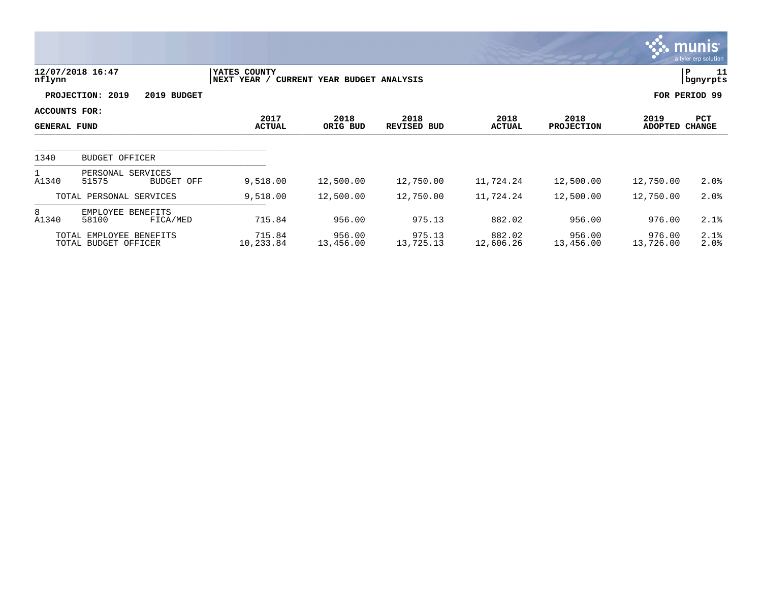|                                      |                                                 |                             |                              |                            |                       |                           |                        | <b>munis</b><br>a tyler erp solution |
|--------------------------------------|-------------------------------------------------|-----------------------------|------------------------------|----------------------------|-----------------------|---------------------------|------------------------|--------------------------------------|
| nflynn                               | 12/07/2018 16:47                                | YATES COUNTY<br>NEXT YEAR / | CURRENT YEAR BUDGET ANALYSIS |                            |                       |                           | P                      | 11<br>bgnyrpts                       |
|                                      | PROJECTION: 2019<br>2019 BUDGET                 |                             |                              |                            |                       |                           | FOR PERIOD 99          |                                      |
| ACCOUNTS FOR:<br><b>GENERAL FUND</b> |                                                 | 2017<br><b>ACTUAL</b>       | 2018<br>ORIG BUD             | 2018<br><b>REVISED BUD</b> | 2018<br><b>ACTUAL</b> | 2018<br><b>PROJECTION</b> | 2019<br>ADOPTED CHANGE | PCT                                  |
|                                      |                                                 |                             |                              |                            |                       |                           |                        |                                      |
| 1340                                 | <b>BUDGET OFFICER</b>                           |                             |                              |                            |                       |                           |                        |                                      |
| A1340                                | PERSONAL SERVICES<br>51575<br><b>BUDGET OFF</b> | 9,518.00                    | 12,500.00                    | 12,750.00                  | 11,724.24             | 12,500.00                 | 12,750.00              | 2.0%                                 |
|                                      | TOTAL PERSONAL SERVICES                         | 9,518.00                    | 12,500.00                    | 12,750.00                  | 11,724.24             | 12,500.00                 | 12,750.00              | 2.0%                                 |
| 8<br>A1340                           | EMPLOYEE BENEFITS<br>58100<br>FICA/MED          | 715.84                      | 956.00                       | 975.13                     | 882.02                | 956.00                    | 976.00                 | 2.1%                                 |
|                                      | TOTAL EMPLOYEE BENEFITS<br>TOTAL BUDGET OFFICER | 715.84<br>10,233.84         | 956.00<br>13,456.00          | 975.13<br>13,725.13        | 882.02<br>12,606.26   | 956.00<br>13,456.00       | 976.00<br>13,726.00    | 2.1%<br>2.0%                         |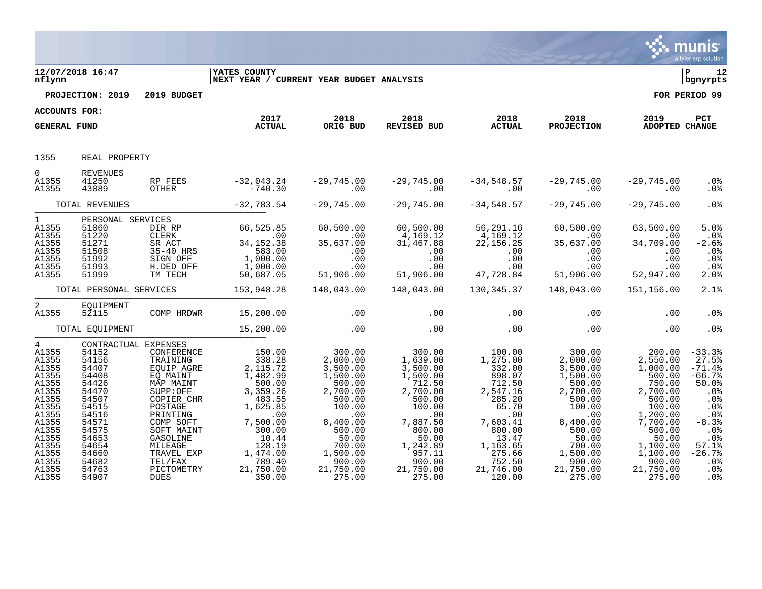|                                                                                                                                                                     |                                                                                                                                                                               |                                                                                                                                                                                                                 |                                                                                                                                                                                          |                                                                                                                                                                                   |                                                                                                                                                                                                 |                                                                                                                                                                              |                                                                                                                                                                                   |                                                                                                                                                                                        | a tyler erp solution                                                                                                                                                   |
|---------------------------------------------------------------------------------------------------------------------------------------------------------------------|-------------------------------------------------------------------------------------------------------------------------------------------------------------------------------|-----------------------------------------------------------------------------------------------------------------------------------------------------------------------------------------------------------------|------------------------------------------------------------------------------------------------------------------------------------------------------------------------------------------|-----------------------------------------------------------------------------------------------------------------------------------------------------------------------------------|-------------------------------------------------------------------------------------------------------------------------------------------------------------------------------------------------|------------------------------------------------------------------------------------------------------------------------------------------------------------------------------|-----------------------------------------------------------------------------------------------------------------------------------------------------------------------------------|----------------------------------------------------------------------------------------------------------------------------------------------------------------------------------------|------------------------------------------------------------------------------------------------------------------------------------------------------------------------|
| nflynn                                                                                                                                                              | 12/07/2018 16:47                                                                                                                                                              |                                                                                                                                                                                                                 | <b>IYATES COUNTY</b><br>NEXT YEAR / CURRENT YEAR BUDGET ANALYSIS                                                                                                                         |                                                                                                                                                                                   |                                                                                                                                                                                                 |                                                                                                                                                                              |                                                                                                                                                                                   |                                                                                                                                                                                        | P <br>12<br>bgnyrpts                                                                                                                                                   |
|                                                                                                                                                                     | PROJECTION: 2019                                                                                                                                                              | 2019 BUDGET                                                                                                                                                                                                     |                                                                                                                                                                                          |                                                                                                                                                                                   |                                                                                                                                                                                                 |                                                                                                                                                                              |                                                                                                                                                                                   |                                                                                                                                                                                        | FOR PERIOD 99                                                                                                                                                          |
| ACCOUNTS FOR:                                                                                                                                                       |                                                                                                                                                                               |                                                                                                                                                                                                                 |                                                                                                                                                                                          |                                                                                                                                                                                   |                                                                                                                                                                                                 |                                                                                                                                                                              |                                                                                                                                                                                   |                                                                                                                                                                                        |                                                                                                                                                                        |
| <b>GENERAL FUND</b>                                                                                                                                                 |                                                                                                                                                                               |                                                                                                                                                                                                                 | 2017<br><b>ACTUAL</b>                                                                                                                                                                    | 2018<br>ORIG BUD                                                                                                                                                                  | 2018<br>REVISED BUD                                                                                                                                                                             | 2018<br>ACTUAL                                                                                                                                                               | 2018<br><b>PROJECTION</b>                                                                                                                                                         | 2019<br>ADOPTED CHANGE                                                                                                                                                                 | <b>PCT</b>                                                                                                                                                             |
|                                                                                                                                                                     |                                                                                                                                                                               |                                                                                                                                                                                                                 |                                                                                                                                                                                          |                                                                                                                                                                                   |                                                                                                                                                                                                 |                                                                                                                                                                              |                                                                                                                                                                                   |                                                                                                                                                                                        |                                                                                                                                                                        |
| 1355                                                                                                                                                                | REAL PROPERTY                                                                                                                                                                 |                                                                                                                                                                                                                 |                                                                                                                                                                                          |                                                                                                                                                                                   |                                                                                                                                                                                                 |                                                                                                                                                                              |                                                                                                                                                                                   |                                                                                                                                                                                        |                                                                                                                                                                        |
| $\Omega$<br>A1355<br>A1355                                                                                                                                          | <b>REVENUES</b><br>41250<br>43089                                                                                                                                             | RP FEES<br>OTHER                                                                                                                                                                                                | $-32,043.24$<br>$-740.30$                                                                                                                                                                | $-29,745.00$<br>.00                                                                                                                                                               | −29,745.00 −34,548.57<br>00.00                                                                                                                                                                  |                                                                                                                                                                              | ںں.145,948,57 −29,745.<br>00.                                                                                                                                                     | $-29,745.00$<br>.00                                                                                                                                                                    | .0 <sub>8</sub><br>. 0 %                                                                                                                                               |
|                                                                                                                                                                     | TOTAL REVENUES                                                                                                                                                                |                                                                                                                                                                                                                 | $-32,783.54$                                                                                                                                                                             | $-29,745.00$                                                                                                                                                                      | $-29,745.00$                                                                                                                                                                                    | $-34,548.57$                                                                                                                                                                 | $-29,745.00$                                                                                                                                                                      | $-29,745.00$                                                                                                                                                                           | .0%                                                                                                                                                                    |
| 1<br>A1355<br>A1355<br>A1355<br>A1355<br>A1355<br>A1355                                                                                                             | PERSONAL SERVICES<br>51060<br>51220<br>51271<br>51508<br>51992<br>51993                                                                                                       | DIR RP<br>SIGN OFF                                                                                                                                                                                              | 66, 525.85<br>CLERK<br>SR ACT 34,152.38<br>35-40 HRS 583.00<br>1,000.00<br>1,000.00                                                                                                      | 60,500.00<br>$35,637.00$<br>$35,637.00$<br>$00$<br>$00$<br>$00$                                                                                                                   | 00,500.00<br>4,169.12<br>31,467<br>$169.$<br>$31,467.8$<br>$00$<br>$00$<br>$51$<br>51                                                                                                           | 56,291.16<br>4,169.12<br>$\begin{array}{cccc} 4,169.12 & .000 \ 22,156.25 & 35,637.00 \ 00 & .00 & .00 \ 00 & .00 & .00 \ 47,728.84 & 51,906.00 \end{array}$                 | 60,500.00                                                                                                                                                                         | 63,500.00<br>.00<br>34,709.00<br>.00<br>.00                                                                                                                                            | 5.0%<br>.0%<br>$-2.6%$<br>$.0\%$<br>.0%                                                                                                                                |
| A1355                                                                                                                                                               | 51999                                                                                                                                                                         | H.DED OFF<br>TM TECH                                                                                                                                                                                            | 50,687.05                                                                                                                                                                                | .00<br>51,906.00                                                                                                                                                                  |                                                                                                                                                                                                 |                                                                                                                                                                              |                                                                                                                                                                                   | .00<br>52,947.00                                                                                                                                                                       | .0%<br>2.0%                                                                                                                                                            |
|                                                                                                                                                                     |                                                                                                                                                                               |                                                                                                                                                                                                                 | TOTAL PERSONAL SERVICES 153,948.28                                                                                                                                                       | 148,043.00                                                                                                                                                                        | 148,043.00                                                                                                                                                                                      | 130, 345. 37 148, 043. 00                                                                                                                                                    |                                                                                                                                                                                   | 151,156.00                                                                                                                                                                             | 2.1%                                                                                                                                                                   |
| $\overline{2}$<br>A1355                                                                                                                                             | EQUIPMENT<br>52115                                                                                                                                                            |                                                                                                                                                                                                                 | COMP HRDWR 15,200.00                                                                                                                                                                     | .00                                                                                                                                                                               | .00                                                                                                                                                                                             | .00                                                                                                                                                                          | .00                                                                                                                                                                               | .00                                                                                                                                                                                    | $.0\%$                                                                                                                                                                 |
|                                                                                                                                                                     | TOTAL EQUIPMENT                                                                                                                                                               |                                                                                                                                                                                                                 | 15,200.00                                                                                                                                                                                | $\sim$ 00                                                                                                                                                                         | .00                                                                                                                                                                                             | .00                                                                                                                                                                          | .00                                                                                                                                                                               | .00                                                                                                                                                                                    | .0%                                                                                                                                                                    |
| $4\degree$<br>A1355<br>A1355<br>A1355<br>A1355<br>A1355<br>A1355<br>A1355<br>A1355<br>A1355<br>A1355<br>A1355<br>A1355<br>A1355<br>A1355<br>A1355<br>A1355<br>A1355 | CONTRACTUAL EXPENSES<br>54152<br>54156<br>54407<br>54408<br>54426<br>54470<br>54507<br>54515<br>54516<br>54571<br>54575<br>54653<br>54654<br>54660<br>54682<br>54763<br>54907 | CONFERENCE<br>TRAINING<br>EOUIP AGRE<br>EQ MAINT<br>MAP MAINT<br>SUPP:OFF<br>COPIER CHR<br>POSTAGE<br>PRINTING<br>COMP SOFT<br>SOFT MAINT<br>GASOLINE<br>MILEAGE<br>TRAVEL EXP<br>TEL/FAX<br>PICTOMETRY<br>DUES | 150.00<br>338.28<br>2, 115.72<br>1,482.99<br>500.00<br>3,359.26<br>483.55<br>1,625.85<br>$\sim$ 00<br>7,500.00<br>300.00<br>10.44<br>128.19<br>1,474.00<br>789.40<br>21,750.00<br>350.00 | 300.00<br>2,000.00<br>3,500.00<br>1,500.00<br>500.00<br>2,700.00<br>500.00<br>100.00<br>.00<br>8,400.00<br>500.00<br>50.00<br>700.00<br>1,500.00<br>900.00<br>21,750.00<br>275.00 | 300.00<br>1,639.00<br>3,500.00<br>1,500.00<br>712.50<br>$2,700.00$<br>500.00<br>100.00<br>.00<br>7,887.50<br>800.00<br>50.00<br>1,242.89<br>$^{\prime}$ 957.11<br>900.00<br>21,750.00<br>275.00 | 100.00<br>1,275.00<br>332.00<br>898.07<br>712.50<br>2,547.16<br>285.20<br>65.70<br>.00<br>7,603.41<br>800.00<br>13.47<br>1,163.65<br>275.66<br>752.50<br>21,746.00<br>120.00 | 300.00<br>2,000.00<br>3,500.00<br>1,500.00<br>500.00<br>2,700.00<br>500.00<br>100.00<br>.00<br>8,400.00<br>500.00<br>50.00<br>700.00<br>1,500.00<br>900.00<br>21,750.00<br>275.00 | 200.00<br>2,550.00<br>1,000.00<br>500.00<br>750.00<br>2,700.00<br>500.00<br>100.00<br>1,200.00<br>7,700.00<br>500.00<br>50.00<br>1,100.00<br>1,100.00<br>900.00<br>21,750.00<br>275.00 | $-33.3%$<br>27.5%<br>$-71.4%$<br>$-66.7%$<br>50.0%<br>.0%<br>$.0\%$<br>.0%<br>.0%<br>$-8.3%$<br>.0%<br>$.0\%$<br>57.1%<br>$-26.7%$<br>.0%<br>$.0\%$<br>.0 <sub>8</sub> |

 $\ddot{\mathbf{w}}$  munis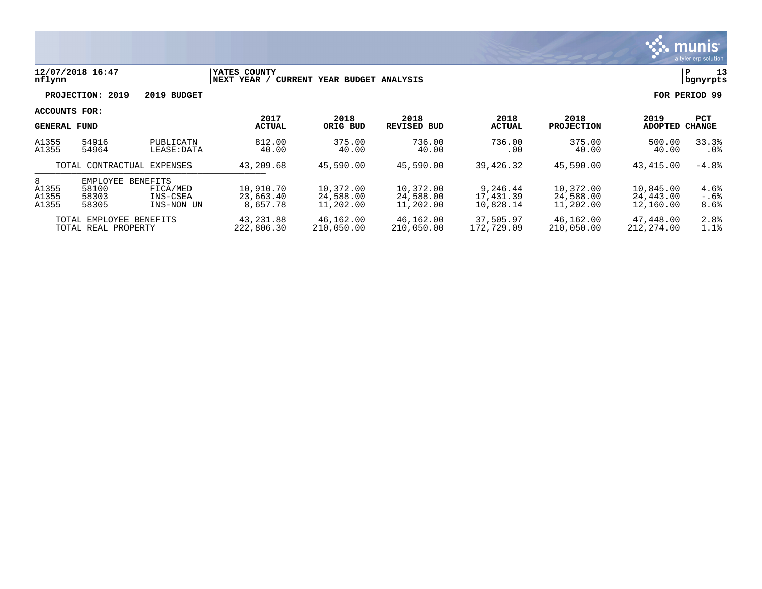

### **12/07/2018 16:47 |YATES COUNTY |P 13 nflynn |NEXT YEAR / CURRENT YEAR BUDGET ANALYSIS |bgnyrpts**

**PROJECTION: 2019 2019 BUDGET FOR PERIOD 99**

| <b>GENERAL FUND</b>                            |                                     |                                                       | 2017<br><b>ACTUAL</b>              | 2018<br>ORIG BUD                    | 2018<br>REVISED BUD                 | 2018<br><b>ACTUAL</b>              | 2018<br><b>PROJECTION</b>           | 2019<br>ADOPTED                     | <b>PCT</b><br>CHANGE |
|------------------------------------------------|-------------------------------------|-------------------------------------------------------|------------------------------------|-------------------------------------|-------------------------------------|------------------------------------|-------------------------------------|-------------------------------------|----------------------|
| A1355<br>A1355                                 | 54916<br>54964                      | PUBLICATN<br>LEASE:DATA                               | 812.00<br>40.00                    | 375.00<br>40.00                     | 736.00<br>40.00                     | 736.00<br>.00                      | 375.00<br>40.00                     | 500.00<br>40.00                     | 33.3%<br>.0%         |
| TOTAL CONTRACTUAL EXPENSES                     |                                     | 43,209.68                                             | 45,590.00                          | 45,590.00                           | 39,426.32                           | 45,590.00                          | 43,415.00                           | $-4.8%$                             |                      |
| 8<br>A1355<br>A1355<br>A1355                   | EMPLOYEE<br>58100<br>58303<br>58305 | <b>BENEFITS</b><br>FICA/MED<br>INS-CSEA<br>INS-NON UN | 10,910.70<br>23,663.40<br>8,657.78 | 10,372.00<br>24,588.00<br>11,202.00 | 10,372.00<br>24,588.00<br>11,202.00 | 9,246.44<br>17,431.39<br>10,828.14 | 10,372.00<br>24,588.00<br>11,202.00 | 10,845.00<br>24,443.00<br>12,160.00 | 4.6%<br>-.6%<br>8.6% |
| TOTAL EMPLOYEE BENEFITS<br>TOTAL REAL PROPERTY |                                     | 43,231.88<br>222,806.30                               | 46,162.00<br>210,050.00            | 46,162.00<br>210,050.00             | 37,505.97<br>172,729.09             | 46,162.00<br>210,050.00            | 47,448.00<br>212, 274, 00           | 2.8%<br>1.1%                        |                      |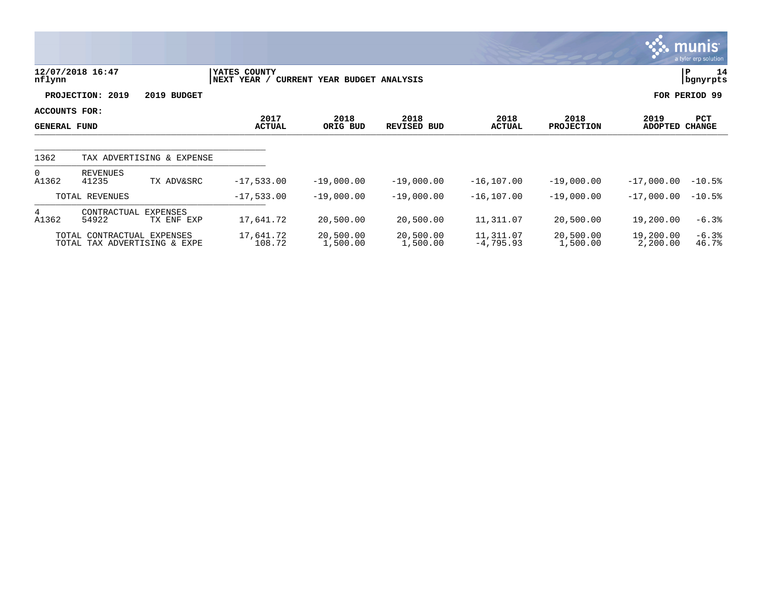|                                      |                            |                              |                             |                              |                       |                          |                           |                       | $ \mathsf{munis} $<br>a tyler erp solution |
|--------------------------------------|----------------------------|------------------------------|-----------------------------|------------------------------|-----------------------|--------------------------|---------------------------|-----------------------|--------------------------------------------|
| nflynn                               | 12/07/2018 16:47           |                              | YATES COUNTY<br>NEXT YEAR / | CURRENT YEAR BUDGET ANALYSIS |                       |                          |                           |                       | 14<br>PΡ<br>bgnyrpts                       |
|                                      | 2019<br><b>PROJECTION:</b> | 2019 BUDGET                  |                             |                              |                       |                          |                           |                       | FOR PERIOD 99                              |
| ACCOUNTS FOR:<br><b>GENERAL FUND</b> |                            |                              | 2017<br><b>ACTUAL</b>       | 2018<br>ORIG BUD             | 2018<br>REVISED BUD   | 2018<br><b>ACTUAL</b>    | 2018<br><b>PROJECTION</b> | 2019<br>ADOPTED       | PCT<br><b>CHANGE</b>                       |
| 1362                                 |                            | TAX ADVERTISING & EXPENSE    |                             |                              |                       |                          |                           |                       |                                            |
| $\Omega$<br>A1362                    | REVENUES<br>41235          | TX ADV&SRC                   | $-17,533.00$                | $-19,000.00$                 | $-19,000.00$          | $-16, 107.00$            | $-19,000.00$              | $-17,000.00$          | $-10.5%$                                   |
|                                      | TOTAL REVENUES             |                              | $-17,533.00$                | $-19,000.00$                 | $-19,000.00$          | $-16, 107.00$            | $-19,000.00$              | $-17,000.00$          | $-10.5%$                                   |
| 4<br>A1362                           | CONTRACTUAL<br>54922       | EXPENSES<br>TX ENF EXP       | 17,641.72                   | 20,500.00                    | 20,500.00             | 11,311.07                | 20,500.00                 | 19,200.00             | $-6.3%$                                    |
|                                      | TOTAL CONTRACTUAL EXPENSES | TOTAL TAX ADVERTISING & EXPE | 17,641.72<br>108.72         | 20,500.00<br>1,500.00        | 20,500.00<br>1,500.00 | 11,311.07<br>$-4,795.93$ | 20,500.00<br>1,500.00     | 19,200.00<br>2,200.00 | $-6.3%$<br>46.7%                           |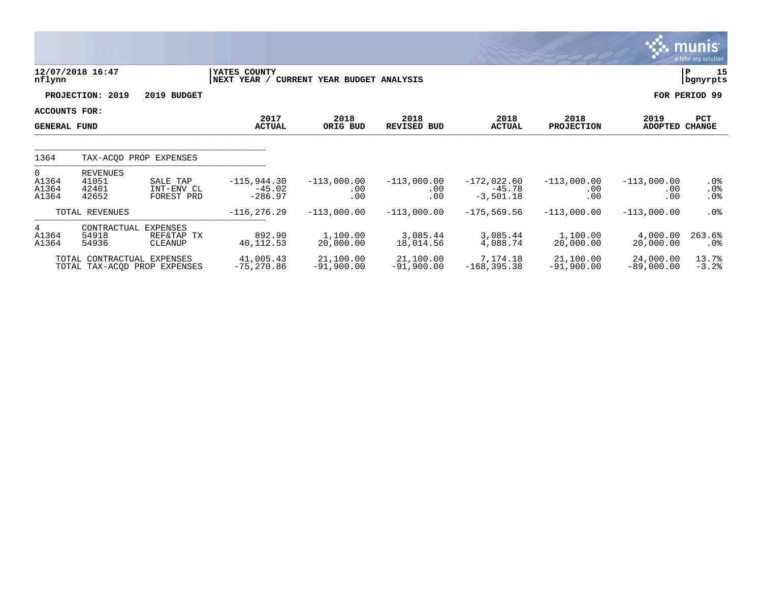|                                      |                                            |                                      |                                        |                              |                             |                                          |                             |                             | <b>munis</b><br>a tyler erp solution |
|--------------------------------------|--------------------------------------------|--------------------------------------|----------------------------------------|------------------------------|-----------------------------|------------------------------------------|-----------------------------|-----------------------------|--------------------------------------|
| nflynn                               | 12/07/2018 16:47                           |                                      | YATES COUNTY<br>NEXT YEAR /            | CURRENT YEAR BUDGET ANALYSIS |                             |                                          |                             |                             | 15<br>ΙP<br>bgnyrpts                 |
|                                      | PROJECTION: 2019                           | 2019 BUDGET                          |                                        |                              |                             |                                          |                             |                             | FOR PERIOD 99                        |
| ACCOUNTS FOR:<br><b>GENERAL FUND</b> |                                            |                                      | 2017<br><b>ACTUAL</b>                  | 2018<br>ORIG BUD             | 2018<br><b>REVISED BUD</b>  | 2018<br><b>ACTUAL</b>                    | 2018<br><b>PROJECTION</b>   | 2019<br><b>ADOPTED</b>      | PCT<br><b>CHANGE</b>                 |
| 1364                                 |                                            | TAX-ACOD PROP EXPENSES               |                                        |                              |                             |                                          |                             |                             |                                      |
| $\Omega$<br>A1364<br>A1364<br>A1364  | <b>REVENUES</b><br>41051<br>42401<br>42652 | SALE TAP<br>INT-ENV CL<br>FOREST PRD | $-115,944.30$<br>$-45.02$<br>$-286.97$ | $-113,000.00$<br>.00<br>.00  | $-113,000.00$<br>.00<br>.00 | $-172,022.60$<br>$-45.78$<br>$-3,501.18$ | $-113,000.00$<br>.00<br>.00 | $-113,000.00$<br>.00<br>.00 | $.0\%$<br>.0%<br>$.0\%$              |
|                                      | TOTAL REVENUES                             |                                      | $-116, 276.29$                         | $-113,000.00$                | $-113,000.00$               | $-175,569.56$                            | $-113,000.00$               | $-113,000.00$               | $.0\%$                               |
| 4<br>A1364<br>A1364                  | CONTRACTUAL EXPENSES<br>54918<br>54936     | REF&TAP TX<br>CLEANUP                | 892.90<br>40,112.53                    | 1,100.00<br>20,000.00        | 3,085.44<br>18,014.56       | 3,085.44<br>4,088.74                     | 1,100.00<br>20,000.00       | 4,000.00<br>20,000.00       | 263.6%<br>.0%                        |
|                                      | TOTAL CONTRACTUAL EXPENSES                 | TOTAL TAX-ACOD PROP EXPENSES         | 41,005.43<br>$-75, 270.86$             | 21,100.00<br>$-91,900.00$    | 21,100.00<br>$-91,900.00$   | 7,174.18<br>$-168, 395.38$               | 21,100.00<br>$-91,900.00$   | 24,000.00<br>$-89,000.00$   | 13.7%<br>$-3.2%$                     |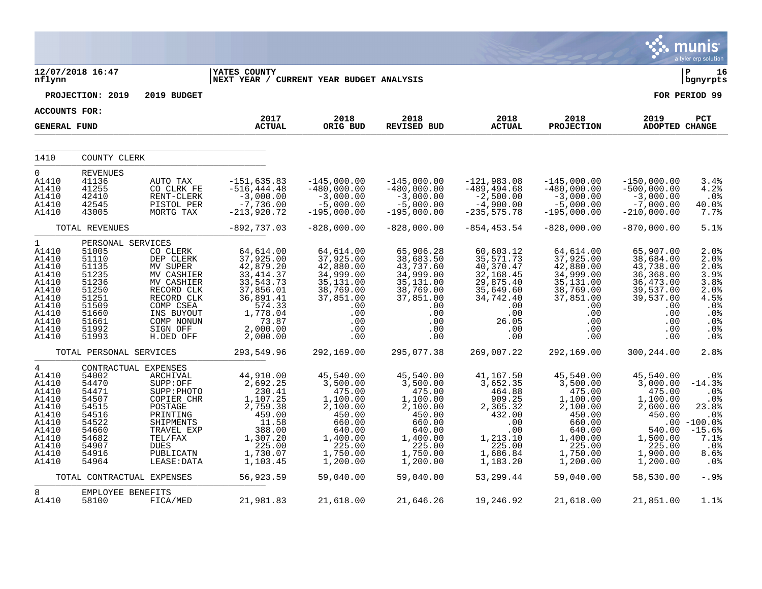|                                                                                                                          |                                                                                                                                  |                                                                                                                                                             |                                                                                                                                                 |                                                                                                                                     |                                                                                                                                     |                                                                                                                              |                                                                                                                                     |                                                                                                                                  | munis<br>a tyler erp solution                                                                                     |
|--------------------------------------------------------------------------------------------------------------------------|----------------------------------------------------------------------------------------------------------------------------------|-------------------------------------------------------------------------------------------------------------------------------------------------------------|-------------------------------------------------------------------------------------------------------------------------------------------------|-------------------------------------------------------------------------------------------------------------------------------------|-------------------------------------------------------------------------------------------------------------------------------------|------------------------------------------------------------------------------------------------------------------------------|-------------------------------------------------------------------------------------------------------------------------------------|----------------------------------------------------------------------------------------------------------------------------------|-------------------------------------------------------------------------------------------------------------------|
| nflynn                                                                                                                   | 12/07/2018 16:47                                                                                                                 |                                                                                                                                                             | <b>YATES COUNTY</b><br>NEXT YEAR / CURRENT YEAR BUDGET ANALYSIS                                                                                 |                                                                                                                                     |                                                                                                                                     |                                                                                                                              |                                                                                                                                     |                                                                                                                                  | l P<br>16<br>bgnyrpts                                                                                             |
|                                                                                                                          | PROJECTION: 2019                                                                                                                 | 2019 BUDGET                                                                                                                                                 |                                                                                                                                                 |                                                                                                                                     |                                                                                                                                     |                                                                                                                              |                                                                                                                                     |                                                                                                                                  | FOR PERIOD 99                                                                                                     |
| <b>ACCOUNTS FOR:</b>                                                                                                     |                                                                                                                                  |                                                                                                                                                             | 2017                                                                                                                                            | 2018                                                                                                                                | 2018                                                                                                                                | 2018                                                                                                                         | 2018                                                                                                                                | 2019                                                                                                                             | PCT                                                                                                               |
| <b>GENERAL FUND</b>                                                                                                      |                                                                                                                                  |                                                                                                                                                             | <b>ACTUAL</b>                                                                                                                                   | ORIG BUD                                                                                                                            | REVISED BUD                                                                                                                         | <b>ACTUAL</b>                                                                                                                | <b>PROJECTION</b>                                                                                                                   | <b>ADOPTED CHANGE</b>                                                                                                            |                                                                                                                   |
| 1410                                                                                                                     | COUNTY CLERK                                                                                                                     |                                                                                                                                                             |                                                                                                                                                 |                                                                                                                                     |                                                                                                                                     |                                                                                                                              |                                                                                                                                     |                                                                                                                                  |                                                                                                                   |
| 0<br>A1410<br>A1410<br>A1410<br>A1410<br>A1410                                                                           | <b>REVENUES</b><br>41136<br>41255<br>42410<br>42545<br>43005                                                                     | AUTO TAX<br>CO CLRK FE<br>RENT-CLERK<br>PISTOL PER<br>MORTG TAX                                                                                             | $-151,635.83$<br>$-516, 444.48$<br>$-3,000.00$<br>$-7,736.00$<br>$-213,920.72$                                                                  | $-145,000.00$<br>$-480,000.00$<br>$-3,000.00$<br>$-5,000.00$<br>$-195,000.00$                                                       | $-145,000.00$<br>$-480,000.00$<br>$-3,000.00$<br>$-5,000.00$<br>$-195,000.00$                                                       | $-121,983.08$<br>$-489, 494.68$<br>$-2,500.00$<br>$-4,900.00$<br>$-235, 575.78$                                              | $-145,000.00$<br>$-480,000.00$<br>$-3,000.00$<br>$-5,000.00$<br>$-195,000.00$                                                       | $-150,000.00$<br>$-500,000.00$<br>$-3,000.00$<br>$-7,000.00$<br>$-210,000.00$                                                    | 3.4%<br>4.2%<br>.0%<br>40.0%<br>7.7%                                                                              |
|                                                                                                                          | TOTAL REVENUES                                                                                                                   |                                                                                                                                                             | $-892,737.03$                                                                                                                                   | $-828,000.00$                                                                                                                       | $-828,000.00$                                                                                                                       | $-854, 453.54$                                                                                                               | $-828,000.00$                                                                                                                       | $-870,000.00$                                                                                                                    | 5.1%                                                                                                              |
| $\mathbf{1}$<br>A1410<br>A1410<br>A1410<br>A1410<br>A1410<br>A1410<br>A1410<br>A1410<br>A1410<br>A1410<br>A1410<br>A1410 | PERSONAL SERVICES<br>51005<br>51110<br>51135<br>51235<br>51236<br>51250<br>51251<br>51509<br>51660<br>51661<br>51992<br>51993    | CO CLERK<br>DEP CLERK<br>MV SUPER<br>MV CASHIER<br>MV CASHIER<br>RECORD CLK<br>RECORD CLK<br>COMP CSEA<br>INS BUYOUT<br>COMP NONUN<br>SIGN OFF<br>H.DED OFF | 64,614.00<br>37,925.00<br>42,879.20<br>33, 414.37<br>33,543.73<br>37,856.01<br>36,891.41<br>574.33<br>1,778.04<br>73.87<br>2,000.00<br>2,000.00 | 64,614.00<br>37,925.00<br>42,880.00<br>34,999.00<br>35,131.00<br>38,769.00<br>37,851.00<br>.00<br>.00<br>.00<br>.00<br>.00          | 65,906.28<br>38,683.50<br>43,737.60<br>34,999.00<br>35,131.00<br>38,769.00<br>37,851.00<br>.00<br>.00<br>.00<br>.00<br>.00          | 60,603.12<br>35,571.73<br>40,370.47<br>32,168.45<br>29,875.40<br>35,649.60<br>34,742.40<br>.00<br>.00<br>26.05<br>.00<br>.00 | 64,614.00<br>37,925.00<br>42,880.00<br>34,999.00<br>35,131.00<br>38,769.00<br>37,851.00<br>.00<br>.00<br>.00<br>.00<br>.00          | 65,907.00<br>38,684.00<br>43,738.00<br>36,368.00<br>36,473.00<br>39,537.00<br>39,537.00<br>.00<br>.00<br>.00<br>.00<br>.00       | 2.0%<br>2.0%<br>2.0%<br>3.9%<br>3.8%<br>2.0%<br>4.5%<br>.0%<br>.0%<br>.0%<br>.0 <sub>8</sub><br>.0%               |
|                                                                                                                          | TOTAL PERSONAL SERVICES                                                                                                          |                                                                                                                                                             | 293,549.96                                                                                                                                      | 292,169.00                                                                                                                          | 295,077.38                                                                                                                          | 269,007.22                                                                                                                   | 292,169.00                                                                                                                          | 300,244.00                                                                                                                       | 2.8%                                                                                                              |
| 4<br>A1410<br>A1410<br>A1410<br>A1410<br>A1410<br>A1410<br>A1410<br>A1410<br>A1410<br>A1410<br>A1410<br>A1410            | CONTRACTUAL EXPENSES<br>54002<br>54470<br>54471<br>54507<br>54515<br>54516<br>54522<br>54660<br>54682<br>54907<br>54916<br>54964 | ARCHIVAL<br>SUPP:OFF<br>SUPP: PHOTO<br>COPIER CHR<br>POSTAGE<br>PRINTING<br>SHIPMENTS<br>TRAVEL EXP<br>TEL/FAX<br><b>DUES</b><br>PUBLICATN<br>LEASE: DATA   | 44,910.00<br>2,692.25<br>230.41<br>1,107.25<br>2,759.38<br>459.00<br>11.58<br>388.00<br>1,307.20<br>225.00<br>1,730.07<br>1,103.45              | 45,540.00<br>3,500.00<br>475.00<br>1,100.00<br>2,100.00<br>450.00<br>660.00<br>640.00<br>1,400.00<br>225.00<br>1,750.00<br>1,200.00 | 45,540.00<br>3,500.00<br>475.00<br>1,100.00<br>2,100.00<br>450.00<br>660.00<br>640.00<br>1,400.00<br>225.00<br>1,750.00<br>1,200.00 | 41,167.50<br>3,652.35<br>464.88<br>909.25<br>2,365.32<br>432.00<br>.00<br>.00<br>1,213.10<br>225.00<br>1,686.84<br>1,183.20  | 45,540.00<br>3,500.00<br>475.00<br>1,100.00<br>2,100.00<br>450.00<br>660.00<br>640.00<br>1,400.00<br>225.00<br>1,750.00<br>1,200.00 | 45,540.00<br>3,000.00<br>475.00<br>1,100.00<br>2,600.00<br>450.00<br>.00<br>540.00<br>1,500.00<br>225.00<br>1,900.00<br>1,200.00 | .0 <sub>8</sub><br>$-14.3%$<br>.0%<br>.0%<br>23.8%<br>.0%<br>$-100.0$ %<br>$-15.6%$<br>7.1%<br>.0%<br>8.6%<br>.0% |
|                                                                                                                          | TOTAL CONTRACTUAL EXPENSES                                                                                                       |                                                                                                                                                             | 56,923.59                                                                                                                                       | 59,040.00                                                                                                                           | 59,040.00                                                                                                                           | 53,299.44                                                                                                                    | 59,040.00                                                                                                                           | 58,530.00                                                                                                                        | $-.9%$                                                                                                            |
| 8<br>A1410                                                                                                               | EMPLOYEE BENEFITS<br>58100                                                                                                       | FICA/MED                                                                                                                                                    | 21,981.83                                                                                                                                       | 21,618.00                                                                                                                           | 21,646.26                                                                                                                           | 19,246.92                                                                                                                    | 21,618.00                                                                                                                           | 21,851.00                                                                                                                        | 1.1%                                                                                                              |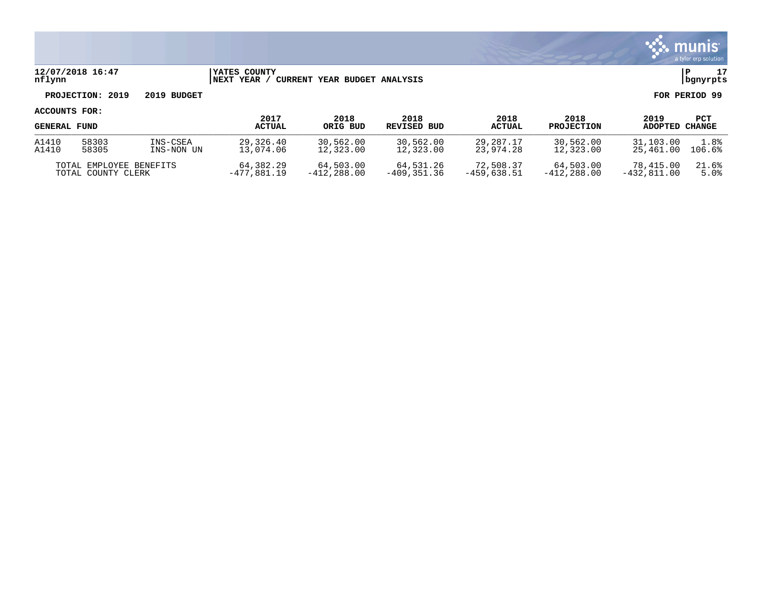

### **12/07/2018 16:47 |YATES COUNTY |P 17 nflynn |NEXT YEAR / CURRENT YEAR BUDGET ANALYSIS |bgnyrpts**

# **PROJECTION: 2019 2019 BUDGET FOR PERIOD 99**

| <b>GENERAL FUND</b>     |       |            | 2017          | 2018          | 2018          | 2018          | 2018              | 2019          | PCT           |
|-------------------------|-------|------------|---------------|---------------|---------------|---------------|-------------------|---------------|---------------|
|                         |       |            | <b>ACTUAL</b> | ORIG BUD      | REVISED BUD   | <b>ACTUAL</b> | <b>PROJECTION</b> | ADOPTED       | <b>CHANGE</b> |
| A1410                   | 58303 | INS-CSEA   | 29,326.40     | 30,562.00     | 30,562.00     | 29,287.17     | 30,562.00         | 31,103.00     | 1.8%          |
| A1410                   | 58305 | INS-NON UN | 13,074.06     | 12,323.00     | 12,323.00     | 23,974.28     | 12,323.00         | 25,461.00     | 106.6%        |
| TOTAL EMPLOYEE BENEFITS |       |            | 64,382.29     | 64,503.00     | 64,531.26     | 72,508.37     | 64,503.00         | 78,415.00     | 21.6%         |
| TOTAL COUNTY CLERK      |       |            | $-477,881.19$ | $-412.288.00$ | $-409.351.36$ | $-459.638.51$ | $-412.288.00$     | $-432.811.00$ | 5.0%          |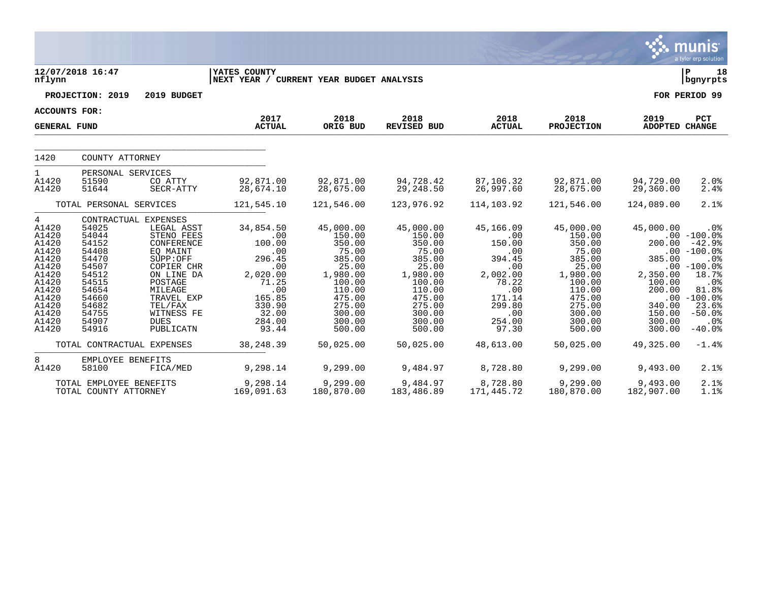|                                                                                                                                               |                                                                                                                                                                                  |                                                                                                                                                                                     |                                                                                                                                              |                                                                                                                                                          |                                                                                                                                                          |                                                                                                                                           |                                                                                                                                                          |                                                                                                                    | <b>munis</b><br>a tyler erp solution                                                                                                                                           |
|-----------------------------------------------------------------------------------------------------------------------------------------------|----------------------------------------------------------------------------------------------------------------------------------------------------------------------------------|-------------------------------------------------------------------------------------------------------------------------------------------------------------------------------------|----------------------------------------------------------------------------------------------------------------------------------------------|----------------------------------------------------------------------------------------------------------------------------------------------------------|----------------------------------------------------------------------------------------------------------------------------------------------------------|-------------------------------------------------------------------------------------------------------------------------------------------|----------------------------------------------------------------------------------------------------------------------------------------------------------|--------------------------------------------------------------------------------------------------------------------|--------------------------------------------------------------------------------------------------------------------------------------------------------------------------------|
| nflynn                                                                                                                                        | 12/07/2018 16:47                                                                                                                                                                 |                                                                                                                                                                                     | YATES COUNTY<br>NEXT YEAR / CURRENT YEAR BUDGET ANALYSIS                                                                                     |                                                                                                                                                          |                                                                                                                                                          |                                                                                                                                           |                                                                                                                                                          |                                                                                                                    | l P<br>18<br>  bgnyrpts                                                                                                                                                        |
|                                                                                                                                               | PROJECTION: 2019                                                                                                                                                                 | 2019 BUDGET                                                                                                                                                                         |                                                                                                                                              |                                                                                                                                                          |                                                                                                                                                          |                                                                                                                                           |                                                                                                                                                          |                                                                                                                    | FOR PERIOD 99                                                                                                                                                                  |
|                                                                                                                                               | <b>ACCOUNTS FOR:</b>                                                                                                                                                             |                                                                                                                                                                                     |                                                                                                                                              |                                                                                                                                                          |                                                                                                                                                          |                                                                                                                                           |                                                                                                                                                          |                                                                                                                    |                                                                                                                                                                                |
| <b>GENERAL FUND</b>                                                                                                                           |                                                                                                                                                                                  |                                                                                                                                                                                     | 2017<br><b>ACTUAL</b>                                                                                                                        | 2018<br>ORIG BUD                                                                                                                                         | 2018<br><b>REVISED BUD</b>                                                                                                                               | 2018<br><b>ACTUAL</b>                                                                                                                     | 2018<br><b>PROJECTION</b>                                                                                                                                | 2019<br>ADOPTED CHANGE                                                                                             | <b>PCT</b>                                                                                                                                                                     |
| 1420                                                                                                                                          | COUNTY ATTORNEY                                                                                                                                                                  |                                                                                                                                                                                     |                                                                                                                                              |                                                                                                                                                          |                                                                                                                                                          |                                                                                                                                           |                                                                                                                                                          |                                                                                                                    |                                                                                                                                                                                |
| $\mathbf{1}$<br>A1420<br>A1420                                                                                                                | PERSONAL SERVICES<br>51590<br>51644                                                                                                                                              | CO ATTY<br>SECR-ATTY                                                                                                                                                                | 92,871.00<br>28,674.10                                                                                                                       | 92,871.00<br>28,675.00                                                                                                                                   | 94,728.42<br>29,248.50                                                                                                                                   | 87,106.32<br>26,997.60                                                                                                                    | 92,871.00<br>28,675.00                                                                                                                                   | 94,729.00<br>29,360.00                                                                                             | 2.0%<br>2.4%                                                                                                                                                                   |
|                                                                                                                                               | TOTAL PERSONAL SERVICES                                                                                                                                                          |                                                                                                                                                                                     | 121,545.10                                                                                                                                   | 121,546.00                                                                                                                                               | 123,976.92                                                                                                                                               | 114,103.92                                                                                                                                | 121,546.00                                                                                                                                               | 124,089.00                                                                                                         | 2.1%                                                                                                                                                                           |
| $4\overline{ }$<br>A1420<br>A1420<br>A1420<br>A1420<br>A1420<br>A1420<br>A1420<br>A1420<br>A1420<br>A1420<br>A1420<br>A1420<br>A1420<br>A1420 | CONTRACTUAL EXPENSES<br>54025<br>54044<br>54152<br>54408<br>54470<br>54507<br>54512<br>54515<br>54654<br>54660<br>54682<br>54755<br>54907<br>54916<br>TOTAL CONTRACTUAL EXPENSES | LEGAL ASST<br>STENO FEES<br>CONFERENCE<br>EQ MAINT<br>SUPP:OFF<br>COPIER CHR<br>ON LINE DA<br>POSTAGE<br>MILEAGE<br>TRAVEL EXP<br>TEL/FAX<br>WITNESS FE<br><b>DUES</b><br>PUBLICATN | 34,854.50<br>.00<br>100.00<br>.00<br>296.45<br>.00<br>2,020.00<br>71.25<br>.00<br>165.85<br>330.90<br>32.00<br>284.00<br>93.44<br>38, 248.39 | 45,000.00<br>150.00<br>350.00<br>75.00<br>385.00<br>25.00<br>1,980.00<br>100.00<br>110.00<br>475.00<br>275.00<br>300.00<br>300.00<br>500.00<br>50,025.00 | 45,000.00<br>150.00<br>350.00<br>75.00<br>385.00<br>25.00<br>1,980.00<br>100.00<br>110.00<br>475.00<br>275.00<br>300.00<br>300.00<br>500.00<br>50,025.00 | 45,166.09<br>.00<br>150.00<br>.00<br>394.45<br>.00<br>2,002.00<br>78.22<br>.00<br>171.14<br>299.80<br>.00<br>254.00<br>97.30<br>48,613.00 | 45,000.00<br>150.00<br>350.00<br>75.00<br>385.00<br>25.00<br>1,980.00<br>100.00<br>110.00<br>475.00<br>275.00<br>300.00<br>300.00<br>500.00<br>50,025.00 | 45,000.00<br>200.00<br>385.00<br>2,350.00<br>100.00<br>200.00<br>340.00<br>150.00<br>300.00<br>300.00<br>49,325.00 | $.0\%$<br>$.00 - 100.0$<br>$-42.9%$<br>$.00 - 100.0$<br>.0%<br>$.00 - 100.0%$<br>18.7%<br>.0%<br>81.8%<br>$.00 - 100.0%$<br>23.6%<br>$-50.0%$<br>$.0\%$<br>$-40.0%$<br>$-1.4%$ |
| 8<br>A1420                                                                                                                                    | EMPLOYEE BENEFITS<br>58100                                                                                                                                                       | FICA/MED                                                                                                                                                                            | 9,298.14                                                                                                                                     | 9,299.00                                                                                                                                                 | 9,484.97                                                                                                                                                 | 8,728.80                                                                                                                                  | 9,299.00                                                                                                                                                 | 9,493.00                                                                                                           | 2.1%                                                                                                                                                                           |
|                                                                                                                                               | TOTAL EMPLOYEE BENEFITS<br>TOTAL COUNTY ATTORNEY                                                                                                                                 |                                                                                                                                                                                     | 9,298.14<br>169,091.63                                                                                                                       | 9,299.00<br>180,870.00                                                                                                                                   | 9,484.97<br>183,486.89                                                                                                                                   | 8,728.80<br>171,445.72                                                                                                                    | 9,299.00<br>180,870.00                                                                                                                                   | 9,493.00<br>182,907.00                                                                                             | 2.1%<br>1.1%                                                                                                                                                                   |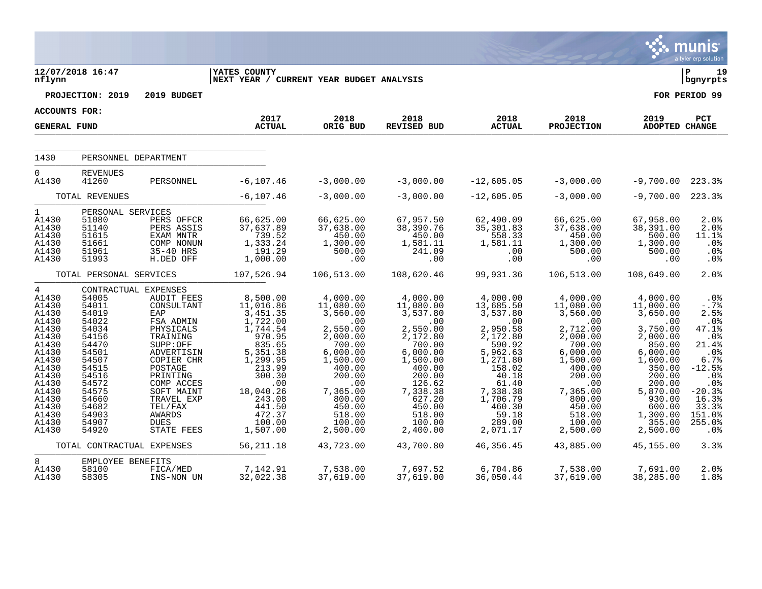|                                                                                                                                                                                  |                                                                                                                                                                                              |                                                                                                                                                                                                                                                                 |                                                                                                                                                                                                                 |                                                                                                                                                                                                            |                                                                                                                                                                                                               |                                                                                                                                                                                                              |                                                                                                                                                                                                            |                                                                                                                                                                                                                 | <b>munis</b><br>a tyler erp solution                                                                                                                                        |
|----------------------------------------------------------------------------------------------------------------------------------------------------------------------------------|----------------------------------------------------------------------------------------------------------------------------------------------------------------------------------------------|-----------------------------------------------------------------------------------------------------------------------------------------------------------------------------------------------------------------------------------------------------------------|-----------------------------------------------------------------------------------------------------------------------------------------------------------------------------------------------------------------|------------------------------------------------------------------------------------------------------------------------------------------------------------------------------------------------------------|---------------------------------------------------------------------------------------------------------------------------------------------------------------------------------------------------------------|--------------------------------------------------------------------------------------------------------------------------------------------------------------------------------------------------------------|------------------------------------------------------------------------------------------------------------------------------------------------------------------------------------------------------------|-----------------------------------------------------------------------------------------------------------------------------------------------------------------------------------------------------------------|-----------------------------------------------------------------------------------------------------------------------------------------------------------------------------|
| nflynn                                                                                                                                                                           | 12/07/2018 16:47                                                                                                                                                                             |                                                                                                                                                                                                                                                                 | <b>IYATES COUNTY</b><br>NEXT YEAR / CURRENT YEAR BUDGET ANALYSIS                                                                                                                                                |                                                                                                                                                                                                            |                                                                                                                                                                                                               |                                                                                                                                                                                                              |                                                                                                                                                                                                            |                                                                                                                                                                                                                 | ΙP<br>19<br>bgnyrpts                                                                                                                                                        |
|                                                                                                                                                                                  | PROJECTION: 2019                                                                                                                                                                             | 2019 BUDGET                                                                                                                                                                                                                                                     |                                                                                                                                                                                                                 |                                                                                                                                                                                                            |                                                                                                                                                                                                               |                                                                                                                                                                                                              |                                                                                                                                                                                                            |                                                                                                                                                                                                                 | FOR PERIOD 99                                                                                                                                                               |
| <b>ACCOUNTS FOR:</b>                                                                                                                                                             |                                                                                                                                                                                              |                                                                                                                                                                                                                                                                 | 2017                                                                                                                                                                                                            | 2018                                                                                                                                                                                                       | 2018                                                                                                                                                                                                          | 2018                                                                                                                                                                                                         | 2018                                                                                                                                                                                                       | 2019                                                                                                                                                                                                            |                                                                                                                                                                             |
| <b>GENERAL FUND</b>                                                                                                                                                              |                                                                                                                                                                                              |                                                                                                                                                                                                                                                                 | <b>ACTUAL</b>                                                                                                                                                                                                   | ORIG BUD                                                                                                                                                                                                   | <b>REVISED BUD</b>                                                                                                                                                                                            | <b>ACTUAL</b>                                                                                                                                                                                                | <b>PROJECTION</b>                                                                                                                                                                                          | ADOPTED CHANGE                                                                                                                                                                                                  | PCT                                                                                                                                                                         |
| 1430                                                                                                                                                                             |                                                                                                                                                                                              | PERSONNEL DEPARTMENT                                                                                                                                                                                                                                            |                                                                                                                                                                                                                 |                                                                                                                                                                                                            |                                                                                                                                                                                                               |                                                                                                                                                                                                              |                                                                                                                                                                                                            |                                                                                                                                                                                                                 |                                                                                                                                                                             |
|                                                                                                                                                                                  |                                                                                                                                                                                              |                                                                                                                                                                                                                                                                 |                                                                                                                                                                                                                 |                                                                                                                                                                                                            |                                                                                                                                                                                                               |                                                                                                                                                                                                              |                                                                                                                                                                                                            |                                                                                                                                                                                                                 |                                                                                                                                                                             |
| 0<br>A1430                                                                                                                                                                       | <b>REVENUES</b><br>41260                                                                                                                                                                     | PERSONNEL                                                                                                                                                                                                                                                       | $-6, 107.46$                                                                                                                                                                                                    | $-3,000.00$                                                                                                                                                                                                | $-3,000.00$                                                                                                                                                                                                   | $-12,605.05$                                                                                                                                                                                                 | $-3,000.00$                                                                                                                                                                                                | $-9,700.00$                                                                                                                                                                                                     | 223.3%                                                                                                                                                                      |
|                                                                                                                                                                                  | TOTAL REVENUES                                                                                                                                                                               |                                                                                                                                                                                                                                                                 | $-6, 107.46$                                                                                                                                                                                                    | $-3,000.00$                                                                                                                                                                                                | $-3,000.00$                                                                                                                                                                                                   | $-12,605.05$                                                                                                                                                                                                 | $-3,000.00$                                                                                                                                                                                                | $-9,700.00$                                                                                                                                                                                                     | 223.3%                                                                                                                                                                      |
| $\mathbf{1}$<br>A1430<br>A1430<br>A1430<br>A1430<br>A1430<br>A1430                                                                                                               | PERSONAL SERVICES<br>51080<br>51140<br>51615<br>51661<br>51961<br>51993                                                                                                                      | PERS OFFCR<br>PERS ASSIS<br>EXAM MNTR<br>COMP NONUN<br>35-40 HRS<br>H.DED OFF                                                                                                                                                                                   | 66,625.00<br>37,637.89<br>739.52<br>1,333.24<br>191.29<br>1,000.00                                                                                                                                              | 66,625.00<br>37,638.00<br>450.00<br>1,300.00<br>500.00<br>.00                                                                                                                                              | 67,957.50<br>38,390.76<br>450.00<br>1,581.11<br>241.09<br>.00                                                                                                                                                 | 62,490.09<br>35, 301.83<br>558.33<br>1,581.11<br>.00<br>.00                                                                                                                                                  | 66,625.00<br>37,638.00<br>450.00<br>1,300.00<br>500.00<br>.00                                                                                                                                              | 67,958.00<br>38, 391.00<br>500.00<br>1,300.00<br>500.00<br>.00                                                                                                                                                  | 2.0%<br>2.0%<br>11.1%<br>.0%<br>.0%<br>.0%                                                                                                                                  |
|                                                                                                                                                                                  | TOTAL PERSONAL SERVICES                                                                                                                                                                      |                                                                                                                                                                                                                                                                 | 107,526.94                                                                                                                                                                                                      | 106,513.00                                                                                                                                                                                                 | 108,620.46                                                                                                                                                                                                    | 99,931.36                                                                                                                                                                                                    | 106,513.00                                                                                                                                                                                                 | 108,649.00                                                                                                                                                                                                      | 2.0%                                                                                                                                                                        |
| $\overline{4}$<br>A1430<br>A1430<br>A1430<br>A1430<br>A1430<br>A1430<br>A1430<br>A1430<br>A1430<br>A1430<br>A1430<br>A1430<br>A1430<br>A1430<br>A1430<br>A1430<br>A1430<br>A1430 | 54005<br>54011<br>54019<br>54022<br>54034<br>54156<br>54470<br>54501<br>54507<br>54515<br>54516<br>54572<br>54575<br>54660<br>54682<br>54903<br>54907<br>54920<br>TOTAL CONTRACTUAL EXPENSES | CONTRACTUAL EXPENSES<br><b>AUDIT FEES</b><br>CONSULTANT<br>EAP<br>FSA ADMIN<br>PHYSICALS<br>TRAINING<br>SUPP:OFF<br>ADVERTISIN<br>COPIER CHR<br>POSTAGE<br>PRINTING<br>COMP ACCES<br>SOFT MAINT<br>TRAVEL EXP<br>TEL/FAX<br>AWARDS<br><b>DUES</b><br>STATE FEES | 8,500.00<br>11,016.86<br>3,451.35<br>1,722.00<br>1,744.54<br>970.95<br>835.65<br>5,351.38<br>1,299.95<br>213.99<br>300.30<br>.00<br>18,040.26<br>243.08<br>441.50<br>472.37<br>100.00<br>1,507.00<br>56, 211.18 | 4,000.00<br>11,080.00<br>3,560.00<br>.00<br>2,550.00<br>2,000.00<br>700.00<br>6,000.00<br>1,500.00<br>400.00<br>200.00<br>.00<br>7,365.00<br>800.00<br>450.00<br>518.00<br>100.00<br>2,500.00<br>43,723.00 | 4,000.00<br>11,080.00<br>3,537.80<br>.00<br>2,550.00<br>2,172.80<br>700.00<br>6,000.00<br>1,500.00<br>400.00<br>200.00<br>126.62<br>7,338.38<br>627.20<br>450.00<br>518.00<br>100.00<br>2,400.00<br>43,700.80 | 4,000.00<br>13,685.50<br>3,537.80<br>.00<br>2,950.58<br>2,172.80<br>590.92<br>5,962.63<br>1,271.80<br>158.02<br>40.18<br>61.40<br>7,338.38<br>1,706.79<br>460.30<br>59.18<br>289.00<br>2,071.17<br>46,356.45 | 4,000.00<br>11,080.00<br>3,560.00<br>.00<br>2,712.00<br>2,000.00<br>700.00<br>6,000.00<br>1,500.00<br>400.00<br>200.00<br>.00<br>7,365.00<br>800.00<br>450.00<br>518.00<br>100.00<br>2,500.00<br>43,885.00 | 4,000.00<br>11,000.00<br>3,650.00<br>.00<br>3,750.00<br>2,000.00<br>850.00<br>6,000.00<br>1,600.00<br>350.00<br>200.00<br>200.00<br>5,870.00<br>930.00<br>600.00<br>1,300.00<br>355.00<br>2,500.00<br>45,155.00 | .0%<br>$-.7%$<br>2.5%<br>.0%<br>47.1%<br>.0%<br>21.4%<br>.0 <sub>8</sub><br>6.7%<br>$-12.5%$<br>.0%<br>.0%<br>$-20.3%$<br>16.3%<br>33.3%<br>151.0%<br>255.0%<br>.0%<br>3.3% |
|                                                                                                                                                                                  |                                                                                                                                                                                              |                                                                                                                                                                                                                                                                 |                                                                                                                                                                                                                 |                                                                                                                                                                                                            |                                                                                                                                                                                                               |                                                                                                                                                                                                              |                                                                                                                                                                                                            |                                                                                                                                                                                                                 |                                                                                                                                                                             |
| 8<br>A1430<br>A1430                                                                                                                                                              | EMPLOYEE BENEFITS<br>58100<br>58305                                                                                                                                                          | FICA/MED<br>INS-NON UN                                                                                                                                                                                                                                          | 7,142.91<br>32,022.38                                                                                                                                                                                           | 7,538.00<br>37,619.00                                                                                                                                                                                      | 7,697.52<br>37,619.00                                                                                                                                                                                         | 6,704.86<br>36,050.44                                                                                                                                                                                        | 7,538.00<br>37,619.00                                                                                                                                                                                      | 7,691.00<br>38,285.00                                                                                                                                                                                           | 2.0%<br>1.8%                                                                                                                                                                |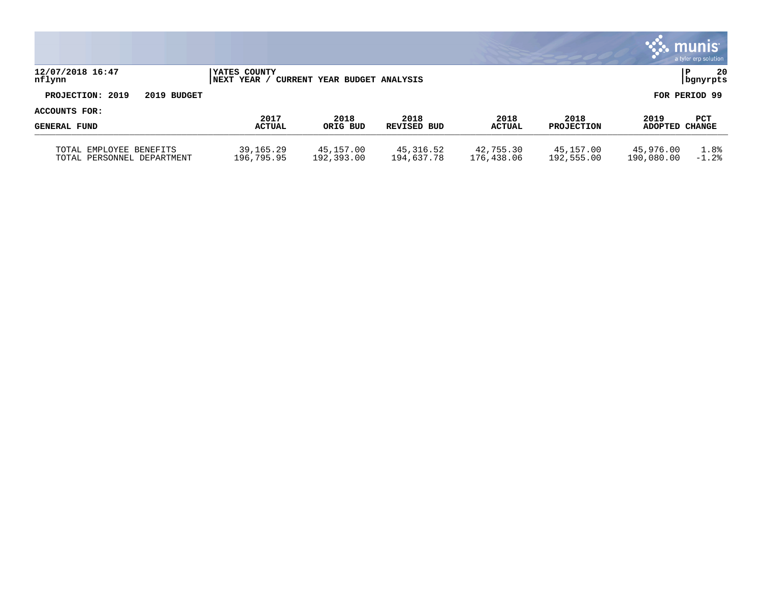|                                                          |                                  |                              |                         |                         |                           |                         | $\mathbf{\ddot{.}}\mathbf{.}$ munis<br>a tyler erp solution |
|----------------------------------------------------------|----------------------------------|------------------------------|-------------------------|-------------------------|---------------------------|-------------------------|-------------------------------------------------------------|
| 12/07/2018 16:47<br>nflynn                               | YATES COUNTY<br><b>NEXT YEAR</b> | CURRENT YEAR BUDGET ANALYSIS |                         |                         |                           |                         | -20<br>l P<br>  bgnyrpts                                    |
| PROJECTION: 2019<br>2019 BUDGET                          |                                  |                              |                         |                         |                           |                         | FOR PERIOD 99                                               |
| ACCOUNTS FOR:                                            | 2017                             | 2018                         | 2018                    | 2018                    |                           | 2019                    |                                                             |
| <b>GENERAL FUND</b>                                      | <b>ACTUAL</b>                    | ORIG BUD                     | <b>REVISED BUD</b>      | <b>ACTUAL</b>           | 2018<br><b>PROJECTION</b> | ADOPTED CHANGE          | PCT                                                         |
| EMPLOYEE BENEFITS<br>TOTAL<br>TOTAL PERSONNEL DEPARTMENT | 39,165.29<br>196,795.95          | 45,157.00<br>192,393.00      | 45,316.52<br>194,637.78 | 42,755.30<br>176,438.06 | 45,157.00<br>192,555.00   | 45,976.00<br>190,080.00 | 1.8%<br>$-1.2%$                                             |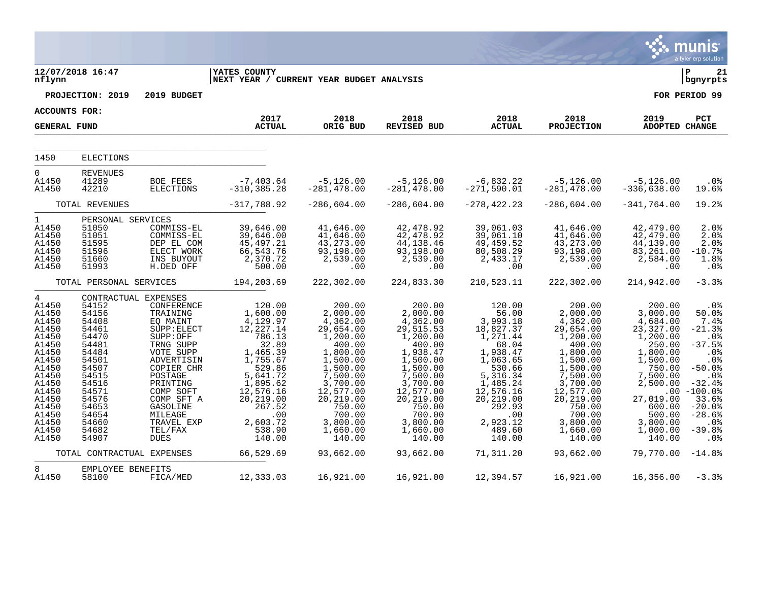|                                                                                                                                                                     |                                                                                                                                                                |                                                                                                                                                                                                                                                              |                                                                                                                                                                                                         |                                                                                                                                                                                                               |                                                                                                                                                                                                                |                                                                                                                                                                                                    |                                                                                                                                                                                                                |                                                                                                                                                                                                        | munis<br>a tyler erp solution                                                                                                                                                                    |
|---------------------------------------------------------------------------------------------------------------------------------------------------------------------|----------------------------------------------------------------------------------------------------------------------------------------------------------------|--------------------------------------------------------------------------------------------------------------------------------------------------------------------------------------------------------------------------------------------------------------|---------------------------------------------------------------------------------------------------------------------------------------------------------------------------------------------------------|---------------------------------------------------------------------------------------------------------------------------------------------------------------------------------------------------------------|----------------------------------------------------------------------------------------------------------------------------------------------------------------------------------------------------------------|----------------------------------------------------------------------------------------------------------------------------------------------------------------------------------------------------|----------------------------------------------------------------------------------------------------------------------------------------------------------------------------------------------------------------|--------------------------------------------------------------------------------------------------------------------------------------------------------------------------------------------------------|--------------------------------------------------------------------------------------------------------------------------------------------------------------------------------------------------|
| nflynn                                                                                                                                                              | 12/07/2018 16:47                                                                                                                                               |                                                                                                                                                                                                                                                              | <b>YATES COUNTY</b><br>NEXT YEAR / CURRENT YEAR BUDGET ANALYSIS                                                                                                                                         |                                                                                                                                                                                                               |                                                                                                                                                                                                                |                                                                                                                                                                                                    |                                                                                                                                                                                                                |                                                                                                                                                                                                        | ΙP<br>21<br>  bgnyrpts                                                                                                                                                                           |
|                                                                                                                                                                     | PROJECTION: 2019                                                                                                                                               | 2019 BUDGET                                                                                                                                                                                                                                                  |                                                                                                                                                                                                         |                                                                                                                                                                                                               |                                                                                                                                                                                                                |                                                                                                                                                                                                    |                                                                                                                                                                                                                |                                                                                                                                                                                                        | FOR PERIOD 99                                                                                                                                                                                    |
| <b>ACCOUNTS FOR:</b>                                                                                                                                                |                                                                                                                                                                |                                                                                                                                                                                                                                                              | 2017                                                                                                                                                                                                    | 2018                                                                                                                                                                                                          | 2018                                                                                                                                                                                                           | 2018                                                                                                                                                                                               | 2018                                                                                                                                                                                                           | 2019                                                                                                                                                                                                   | PCT                                                                                                                                                                                              |
| <b>GENERAL FUND</b>                                                                                                                                                 |                                                                                                                                                                |                                                                                                                                                                                                                                                              | <b>ACTUAL</b>                                                                                                                                                                                           | ORIG BUD                                                                                                                                                                                                      | <b>REVISED BUD</b>                                                                                                                                                                                             | <b>ACTUAL</b>                                                                                                                                                                                      | <b>PROJECTION</b>                                                                                                                                                                                              | <b>ADOPTED CHANGE</b>                                                                                                                                                                                  |                                                                                                                                                                                                  |
| 1450                                                                                                                                                                | <b>ELECTIONS</b>                                                                                                                                               |                                                                                                                                                                                                                                                              |                                                                                                                                                                                                         |                                                                                                                                                                                                               |                                                                                                                                                                                                                |                                                                                                                                                                                                    |                                                                                                                                                                                                                |                                                                                                                                                                                                        |                                                                                                                                                                                                  |
| $\mathbf 0$<br>A1450<br>A1450                                                                                                                                       | <b>REVENUES</b><br>41289<br>42210                                                                                                                              | <b>BOE FEES</b><br><b>ELECTIONS</b>                                                                                                                                                                                                                          | $-7,403.64$<br>$-310, 385.28$                                                                                                                                                                           | $-5,126.00$<br>$-281, 478.00$                                                                                                                                                                                 | $-5,126.00$<br>$-281, 478.00$                                                                                                                                                                                  | $-6,832.22$<br>$-271,590.01$                                                                                                                                                                       | $-5,126.00$<br>$-281, 478.00$                                                                                                                                                                                  | $-5,126.00$<br>$-336,638.00$                                                                                                                                                                           | .0 <sub>8</sub><br>19.6%                                                                                                                                                                         |
|                                                                                                                                                                     | TOTAL REVENUES                                                                                                                                                 |                                                                                                                                                                                                                                                              | $-317,788.92$                                                                                                                                                                                           | $-286,604.00$                                                                                                                                                                                                 | $-286,604.00$                                                                                                                                                                                                  | $-278, 422.23$                                                                                                                                                                                     | $-286,604.00$                                                                                                                                                                                                  | $-341,764.00$                                                                                                                                                                                          | 19.2%                                                                                                                                                                                            |
| $\mathbf 1$<br>A1450<br>A1450<br>A1450<br>A1450<br>A1450<br>A1450                                                                                                   | PERSONAL SERVICES<br>51050<br>51051<br>51595<br>51596<br>51660<br>51993                                                                                        | COMMISS-EL<br>COMMISS-EL<br>DEP EL COM<br>ELECT WORK<br>INS BUYOUT<br>H.DED OFF                                                                                                                                                                              | 39,646.00<br>39,646.00<br>45, 497.21<br>66,543.76<br>2,370.72<br>500.00                                                                                                                                 | 41,646.00<br>41,646.00<br>43, 273.00<br>93,198.00<br>2,539.00<br>.00                                                                                                                                          | 42,478.92<br>42, 478.92<br>44, 138.46<br>93,198.00<br>2,539.00<br>.00                                                                                                                                          | 39,061.03<br>39,061.10<br>49,459.52<br>80,508.29<br>2,433.17<br>.00                                                                                                                                | 41,646.00<br>41,646.00<br>43, 273.00<br>93,198.00<br>2,539.00<br>.00                                                                                                                                           | 42,479.00<br>42,479.00<br>44,139.00<br>83,261.00<br>2,584.00<br>.00                                                                                                                                    | 2.0%<br>2.0%<br>2.0%<br>$-10.7%$<br>1.8%<br>.0 <sub>8</sub>                                                                                                                                      |
|                                                                                                                                                                     | TOTAL PERSONAL SERVICES                                                                                                                                        |                                                                                                                                                                                                                                                              | 194,203.69                                                                                                                                                                                              | 222,302.00                                                                                                                                                                                                    | 224,833.30                                                                                                                                                                                                     | 210,523.11                                                                                                                                                                                         | 222,302.00                                                                                                                                                                                                     | 214,942.00                                                                                                                                                                                             | $-3.3%$                                                                                                                                                                                          |
| 4<br>A1450<br>A1450<br>A1450<br>A1450<br>A1450<br>A1450<br>A1450<br>A1450<br>A1450<br>A1450<br>A1450<br>A1450<br>A1450<br>A1450<br>A1450<br>A1450<br>A1450<br>A1450 | 54152<br>54156<br>54408<br>54461<br>54470<br>54481<br>54484<br>54501<br>54507<br>54515<br>54516<br>54571<br>54576<br>54653<br>54654<br>54660<br>54682<br>54907 | CONTRACTUAL EXPENSES<br>CONFERENCE<br>TRAINING<br>EQ MAINT<br>SUPP: ELECT<br>SUPP:OFF<br>TRNG SUPP<br>VOTE SUPP<br>ADVERTISIN<br>COPIER CHR<br>POSTAGE<br>PRINTING<br>COMP SOFT<br>COMP SFT A<br>GASOLINE<br>MILEAGE<br>TRAVEL EXP<br>TEL/FAX<br><b>DUES</b> | 120.00<br>1,600.00<br>$4,129.97$<br>$12,227.14$<br>786.13<br>32.89<br>1,465.39<br>1,755.67<br>529.86<br>5,641.72<br>1,895.62<br>12,576.16<br>20,219.00<br>267.52<br>.00<br>2,603.72<br>538.90<br>140.00 | 200.00<br>2,000.00<br>4,362.00<br>29,654.00<br>1,200.00<br>400.00<br>1,800.00<br>1,500.00<br>1,500.00<br>7,500.00<br>3,700.00<br>12,577.00<br>20,219.00<br>750.00<br>700.00<br>3,800.00<br>1,660.00<br>140.00 | 200.00<br>2,000.00<br>4,362.00<br>29, 515.53<br>1,200.00<br>400.00<br>1,938.47<br>1,500.00<br>1,500.00<br>7,500.00<br>3,700.00<br>12,577.00<br>20,219.00<br>750.00<br>700.00<br>3,800.00<br>1,660.00<br>140.00 | 120.00<br>56.00<br>3,993.18<br>18,827.37<br>1,271.44<br>68.04<br>1,938.47<br>1,063.65<br>530.66<br>5,316.34<br>1,485.24<br>12,576.16<br>20,219.00<br>292.93<br>.00<br>2,923.12<br>489.60<br>140.00 | 200.00<br>2,000.00<br>4,362.00<br>29,654.00<br>1,200.00<br>400.00<br>1,800.00<br>1,500.00<br>1,500.00<br>7,500.00<br>3,700.00<br>12,577.00<br>20, 219.00<br>750.00<br>700.00<br>3,800.00<br>1,660.00<br>140.00 | 200.00<br>3,000.00<br>4,684.00<br>23, 327.00<br>1,200.00<br>250.00<br>1,800.00<br>1,500.00<br>750.00<br>7,500.00<br>2,500.00<br>.00<br>27,019.00<br>600.00<br>500.00<br>3,800.00<br>1,000.00<br>140.00 | .0 <sub>8</sub><br>50.0%<br>7.4%<br>$-21.3%$<br>.0%<br>$-37.5%$<br>.0%<br>.0 <sub>8</sub><br>$-50.0%$<br>.0%<br>$-32.4%$<br>$-100.0%$<br>33.6%<br>$-20.0%$<br>$-28.6%$<br>.0%<br>$-39.8%$<br>.0% |
|                                                                                                                                                                     | TOTAL CONTRACTUAL EXPENSES                                                                                                                                     |                                                                                                                                                                                                                                                              | 66,529.69                                                                                                                                                                                               | 93,662.00                                                                                                                                                                                                     | 93,662.00                                                                                                                                                                                                      | 71,311.20                                                                                                                                                                                          | 93,662.00                                                                                                                                                                                                      | 79,770.00                                                                                                                                                                                              | $-14.8%$                                                                                                                                                                                         |
| 8<br>A1450                                                                                                                                                          | EMPLOYEE BENEFITS<br>58100                                                                                                                                     | FICA/MED                                                                                                                                                                                                                                                     | 12,333.03                                                                                                                                                                                               | 16,921.00                                                                                                                                                                                                     | 16,921.00                                                                                                                                                                                                      | 12,394.57                                                                                                                                                                                          | 16,921.00                                                                                                                                                                                                      | 16,356.00                                                                                                                                                                                              | $-3.3%$                                                                                                                                                                                          |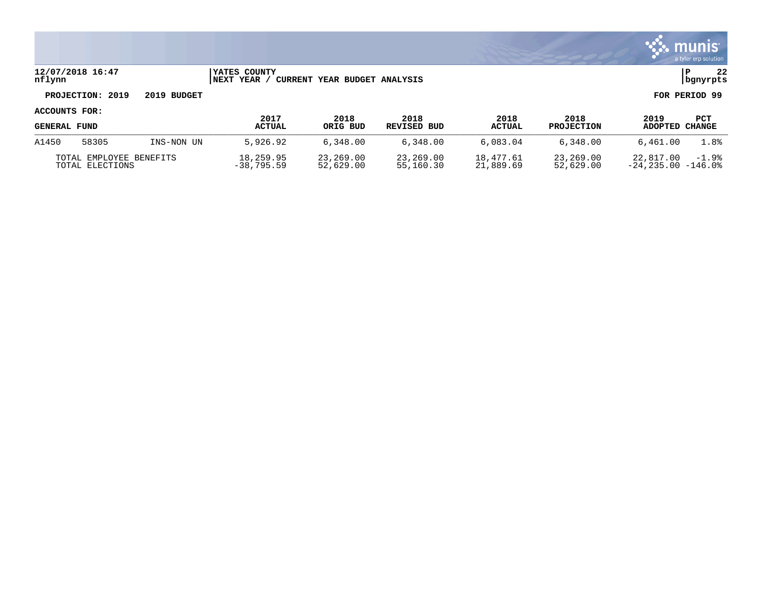

### **12/07/2018 16:47 |YATES COUNTY |P 22 nflynn |NEXT YEAR / CURRENT YEAR BUDGET ANALYSIS |bgnyrpts**

# **PROJECTION: 2019 2019 BUDGET FOR PERIOD 99**

| <b>GENERAL FUND</b>                        |       |                           | 2017<br><b>ACTUAL</b>  | 2018<br>ORIG BUD       | 2018<br>REVISED BUD    | 2018<br><b>ACTUAL</b>  | 2018<br><b>PROJECTION</b>         | 2019<br>ADOPTED CHANGE | PCT  |
|--------------------------------------------|-------|---------------------------|------------------------|------------------------|------------------------|------------------------|-----------------------------------|------------------------|------|
| A1450                                      | 58305 | INS-NON UN                | 5,926.92               | 6,348.00               | 6,348.00               | 6.083.04               | 6.348.00                          | 6,461.00               | 1.8% |
| TOTAL EMPLOYEE BENEFITS<br>TOTAL ELECTIONS |       | 18,259.95<br>$-38,795.59$ | 23,269.00<br>52,629.00 | 23,269.00<br>55,160.30 | 18,477.61<br>21,889.69 | 23,269.00<br>52,629.00 | 22,817.00<br>$-24.235.00 -146.08$ | $-1.9%$                |      |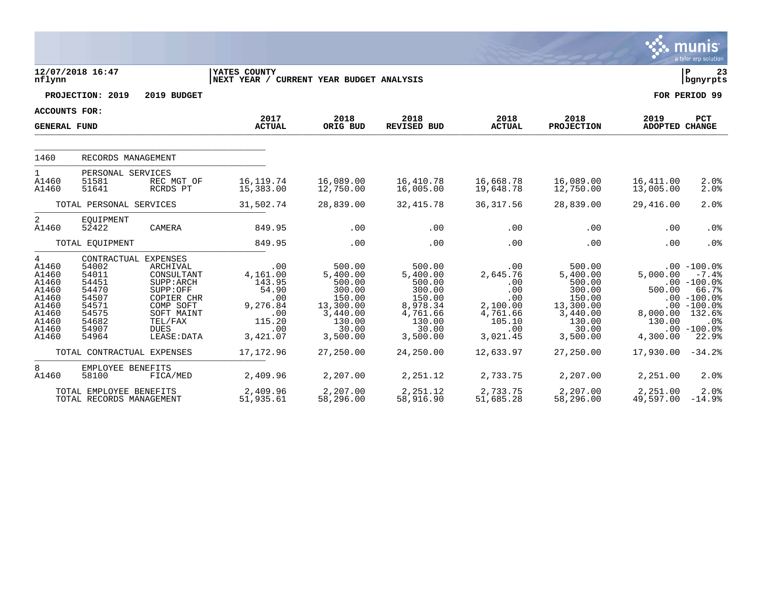|                                                                                             |                                                                                                                                                                                                                                                                                              |                                                                                                         |                                                                                                                       |                                                                                                                      |                                                                                                        |                                                                                                                       |                                                                   | <b>munis</b><br>a tyler erp solution                                                                                                         |
|---------------------------------------------------------------------------------------------|----------------------------------------------------------------------------------------------------------------------------------------------------------------------------------------------------------------------------------------------------------------------------------------------|---------------------------------------------------------------------------------------------------------|-----------------------------------------------------------------------------------------------------------------------|----------------------------------------------------------------------------------------------------------------------|--------------------------------------------------------------------------------------------------------|-----------------------------------------------------------------------------------------------------------------------|-------------------------------------------------------------------|----------------------------------------------------------------------------------------------------------------------------------------------|
| nflynn                                                                                      | 12/07/2018 16:47                                                                                                                                                                                                                                                                             | YATES COUNTY<br>NEXT YEAR / CURRENT YEAR BUDGET ANALYSIS                                                |                                                                                                                       |                                                                                                                      |                                                                                                        |                                                                                                                       |                                                                   | l P<br>23<br>  bgnyrpts                                                                                                                      |
|                                                                                             | PROJECTION: 2019<br>2019 BUDGET                                                                                                                                                                                                                                                              |                                                                                                         |                                                                                                                       |                                                                                                                      |                                                                                                        |                                                                                                                       |                                                                   | FOR PERIOD 99                                                                                                                                |
| <b>ACCOUNTS FOR:</b>                                                                        |                                                                                                                                                                                                                                                                                              |                                                                                                         |                                                                                                                       |                                                                                                                      |                                                                                                        |                                                                                                                       |                                                                   |                                                                                                                                              |
| <b>GENERAL FUND</b>                                                                         |                                                                                                                                                                                                                                                                                              | 2017<br><b>ACTUAL</b>                                                                                   | 2018<br>ORIG BUD                                                                                                      | 2018<br>REVISED BUD                                                                                                  | 2018<br><b>ACTUAL</b>                                                                                  | 2018<br><b>PROJECTION</b>                                                                                             | 2019<br>ADOPTED CHANGE                                            | PCT                                                                                                                                          |
| 1460                                                                                        | RECORDS MANAGEMENT                                                                                                                                                                                                                                                                           |                                                                                                         |                                                                                                                       |                                                                                                                      |                                                                                                        |                                                                                                                       |                                                                   |                                                                                                                                              |
| $\mathbf{1}$<br>A1460<br>A1460                                                              | PERSONAL SERVICES<br>REC MGT OF<br>51581<br>51641<br>RCRDS PT                                                                                                                                                                                                                                | 16, 119.74<br>15,383.00                                                                                 | 16,089.00<br>12,750.00                                                                                                | 16,410.78<br>16,005.00                                                                                               | 16,668.78<br>19,648.78                                                                                 | 16,089.00<br>12,750.00                                                                                                | 16,411.00<br>13,005.00                                            | 2.0%<br>2.0%                                                                                                                                 |
|                                                                                             | TOTAL PERSONAL SERVICES                                                                                                                                                                                                                                                                      | 31,502.74                                                                                               | 28,839.00                                                                                                             | 32, 415.78                                                                                                           | 36, 317.56                                                                                             | 28,839.00                                                                                                             | 29,416.00                                                         | 2.0%                                                                                                                                         |
| 2<br>A1460                                                                                  | EQUIPMENT<br>52422<br>CAMERA                                                                                                                                                                                                                                                                 | 849.95                                                                                                  | .00                                                                                                                   | .00                                                                                                                  | .00                                                                                                    | .00                                                                                                                   | .00                                                               | .0%                                                                                                                                          |
|                                                                                             | TOTAL EQUIPMENT                                                                                                                                                                                                                                                                              | 849.95                                                                                                  | .00                                                                                                                   | .00                                                                                                                  | .00                                                                                                    | .00                                                                                                                   | .00                                                               | .0%                                                                                                                                          |
| 4<br>A1460<br>A1460<br>A1460<br>A1460<br>A1460<br>A1460<br>A1460<br>A1460<br>A1460<br>A1460 | CONTRACTUAL<br><b>EXPENSES</b><br>54002<br>ARCHIVAL<br>54011<br>CONSULTANT<br>54451<br>SUPP: ARCH<br>54470<br>SUPP:OFF<br>54507<br>COPIER CHR<br>54571<br>COMP SOFT<br>54575<br>SOFT MAINT<br>54682<br>TEL/FAX<br>54907<br><b>DUES</b><br>54964<br>LEASE: DATA<br>TOTAL CONTRACTUAL EXPENSES | .00<br>4,161.00<br>143.95<br>54.90<br>.00<br>9,276.84<br>.00<br>115.20<br>.00<br>3,421.07<br>17, 172.96 | 500.00<br>5,400.00<br>500.00<br>300.00<br>150.00<br>13,300.00<br>3,440.00<br>130.00<br>30.00<br>3,500.00<br>27,250.00 | 500.00<br>5,400.00<br>500.00<br>300.00<br>150.00<br>8,978.34<br>4,761.66<br>130.00<br>30.00<br>3,500.00<br>24,250.00 | .00<br>2,645.76<br>.00<br>.00<br>.00<br>2,100.00<br>4,761.66<br>105.10<br>.00<br>3,021.45<br>12,633.97 | 500.00<br>5,400.00<br>500.00<br>300.00<br>150.00<br>13,300.00<br>3,440.00<br>130.00<br>30.00<br>3,500.00<br>27,250.00 | 5,000.00<br>500.00<br>8,000.00<br>130.00<br>4,300.00<br>17,930.00 | $.00 - 100.0$<br>$-7.4%$<br>$.00 - 100.0$<br>66.7%<br>$.00 - 100.0$<br>$.00 - 100.0%$<br>132.6%<br>.0%<br>$.00 - 100.0$<br>22.9%<br>$-34.2%$ |
| 8<br>A1460                                                                                  | EMPLOYEE BENEFITS<br>58100<br>FICA/MED                                                                                                                                                                                                                                                       | 2,409.96                                                                                                | 2,207.00                                                                                                              | 2,251.12                                                                                                             | 2,733.75                                                                                               | 2,207.00                                                                                                              | 2,251.00                                                          | 2.0%                                                                                                                                         |
|                                                                                             | TOTAL EMPLOYEE BENEFITS<br>TOTAL RECORDS MANAGEMENT                                                                                                                                                                                                                                          | 2,409.96<br>51,935.61                                                                                   | 2,207.00<br>58,296.00                                                                                                 | 2,251.12<br>58,916.90                                                                                                | 2,733.75<br>51,685.28                                                                                  | 2,207.00<br>58,296.00                                                                                                 | 2,251.00<br>49,597.00                                             | 2.0%<br>$-14.9%$                                                                                                                             |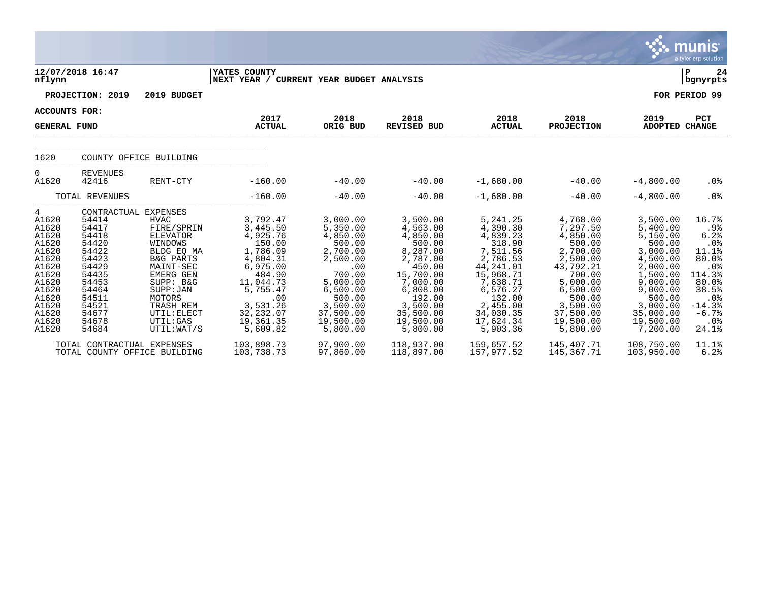|                                                                                                                                          |                                                                                                                                                             |                                                                                                                                                                                                                     |                                                                                                                                                                             |                                                                                                                                                                         |                                                                                                                                                                               |                                                                                                                                                                                  |                                                                                                                                                                               |                                                                                                                                                                                | munis <sup>®</sup><br>a tyler erp solution                                                                                                    |
|------------------------------------------------------------------------------------------------------------------------------------------|-------------------------------------------------------------------------------------------------------------------------------------------------------------|---------------------------------------------------------------------------------------------------------------------------------------------------------------------------------------------------------------------|-----------------------------------------------------------------------------------------------------------------------------------------------------------------------------|-------------------------------------------------------------------------------------------------------------------------------------------------------------------------|-------------------------------------------------------------------------------------------------------------------------------------------------------------------------------|----------------------------------------------------------------------------------------------------------------------------------------------------------------------------------|-------------------------------------------------------------------------------------------------------------------------------------------------------------------------------|--------------------------------------------------------------------------------------------------------------------------------------------------------------------------------|-----------------------------------------------------------------------------------------------------------------------------------------------|
| nflynn                                                                                                                                   | 12/07/2018 16:47                                                                                                                                            |                                                                                                                                                                                                                     | YATES COUNTY<br>NEXT YEAR / CURRENT YEAR BUDGET ANALYSIS                                                                                                                    |                                                                                                                                                                         |                                                                                                                                                                               |                                                                                                                                                                                  |                                                                                                                                                                               |                                                                                                                                                                                | ΙP<br>24<br>bgnyrpts                                                                                                                          |
|                                                                                                                                          | PROJECTION: 2019                                                                                                                                            | 2019 BUDGET                                                                                                                                                                                                         |                                                                                                                                                                             |                                                                                                                                                                         |                                                                                                                                                                               |                                                                                                                                                                                  |                                                                                                                                                                               |                                                                                                                                                                                | FOR PERIOD 99                                                                                                                                 |
| <b>ACCOUNTS FOR:</b>                                                                                                                     |                                                                                                                                                             |                                                                                                                                                                                                                     |                                                                                                                                                                             |                                                                                                                                                                         |                                                                                                                                                                               |                                                                                                                                                                                  |                                                                                                                                                                               |                                                                                                                                                                                |                                                                                                                                               |
| <b>GENERAL FUND</b>                                                                                                                      |                                                                                                                                                             |                                                                                                                                                                                                                     | 2017<br><b>ACTUAL</b>                                                                                                                                                       | 2018<br>ORIG BUD                                                                                                                                                        | 2018<br><b>REVISED BUD</b>                                                                                                                                                    | 2018<br><b>ACTUAL</b>                                                                                                                                                            | 2018<br><b>PROJECTION</b>                                                                                                                                                     | 2019<br>ADOPTED CHANGE                                                                                                                                                         | PCT                                                                                                                                           |
| 1620                                                                                                                                     |                                                                                                                                                             | COUNTY OFFICE BUILDING                                                                                                                                                                                              |                                                                                                                                                                             |                                                                                                                                                                         |                                                                                                                                                                               |                                                                                                                                                                                  |                                                                                                                                                                               |                                                                                                                                                                                |                                                                                                                                               |
| $\Omega$<br>A1620                                                                                                                        | <b>REVENUES</b><br>42416                                                                                                                                    | RENT-CTY                                                                                                                                                                                                            | $-160.00$                                                                                                                                                                   | $-40.00$                                                                                                                                                                | $-40.00$                                                                                                                                                                      | $-1,680.00$                                                                                                                                                                      | $-40.00$                                                                                                                                                                      | $-4,800.00$                                                                                                                                                                    | .0 <sub>8</sub>                                                                                                                               |
|                                                                                                                                          | TOTAL REVENUES                                                                                                                                              |                                                                                                                                                                                                                     | $-160.00$                                                                                                                                                                   | $-40.00$                                                                                                                                                                | $-40.00$                                                                                                                                                                      | $-1,680.00$                                                                                                                                                                      | $-40.00$                                                                                                                                                                      | $-4,800.00$                                                                                                                                                                    | .0 <sub>8</sub>                                                                                                                               |
| 4<br>A1620<br>A1620<br>A1620<br>A1620<br>A1620<br>A1620<br>A1620<br>A1620<br>A1620<br>A1620<br>A1620<br>A1620<br>A1620<br>A1620<br>A1620 | CONTRACTUAL EXPENSES<br>54414<br>54417<br>54418<br>54420<br>54422<br>54423<br>54429<br>54435<br>54453<br>54464<br>54511<br>54521<br>54677<br>54678<br>54684 | <b>HVAC</b><br>FIRE/SPRIN<br>ELEVATOR<br>WINDOWS<br>BLDG EQ MA<br><b>B&amp;G PARTS</b><br>MAINT-SEC<br><b>EMERG GEN</b><br>SUPP: B&G<br>SUPP : JAN<br>MOTORS<br>TRASH REM<br>UTIL: ELECT<br>UTIL:GAS<br>UTIL: WAT/S | 3,792.47<br>3,445.50<br>4,925.76<br>150.00<br>1,786.09<br>4,804.31<br>6,975.00<br>484.90<br>11,044.73<br>5,755.47<br>.00<br>3,531.26<br>32, 232.07<br>19,361.35<br>5,609.82 | 3,000.00<br>5,350.00<br>4,850.00<br>500.00<br>2,700.00<br>2,500.00<br>.00<br>700.00<br>5,000.00<br>6,500.00<br>500.00<br>3,500.00<br>37,500.00<br>19,500.00<br>5,800.00 | 3,500.00<br>4,563.00<br>4,850.00<br>500.00<br>8,287.00<br>2,787.00<br>450.00<br>15,700.00<br>7,000.00<br>6,808.00<br>192.00<br>3,500.00<br>35,500.00<br>19,500.00<br>5,800.00 | 5,241.25<br>4,390.30<br>4,839.23<br>318.90<br>7,511.56<br>2,786.53<br>44,241.01<br>15,968.71<br>7,638.71<br>6,576.27<br>132.00<br>2,455.00<br>34,030.35<br>17,624.34<br>5,903.36 | 4,768.00<br>7,297.50<br>4,850.00<br>500.00<br>2,700.00<br>2,500.00<br>43,792.21<br>700.00<br>5,000.00<br>6,500.00<br>500.00<br>3,500.00<br>37,500.00<br>19,500.00<br>5,800.00 | 3,500.00<br>5,400.00<br>5,150.00<br>500.00<br>3,000.00<br>4,500.00<br>2,000.00<br>1,500.00<br>9,000.00<br>9,000.00<br>500.00<br>3,000.00<br>35,000.00<br>19,500.00<br>7,200.00 | 16.7%<br>.9%<br>6.2%<br>.0%<br>11.1%<br>80.0%<br>.0 <sub>8</sub><br>114.3%<br>80.0%<br>38.5%<br>$.0\%$<br>$-14.3%$<br>$-6.7%$<br>.0%<br>24.1% |
|                                                                                                                                          | TOTAL CONTRACTUAL EXPENSES<br>TOTAL COUNTY OFFICE BUILDING                                                                                                  |                                                                                                                                                                                                                     | 103,898.73<br>103,738.73                                                                                                                                                    | 97,900.00<br>97,860.00                                                                                                                                                  | 118,937.00<br>118,897.00                                                                                                                                                      | 159,657.52<br>157,977.52                                                                                                                                                         | 145,407.71<br>145,367.71                                                                                                                                                      | 108,750.00<br>103,950.00                                                                                                                                                       | 11.1%<br>6.2%                                                                                                                                 |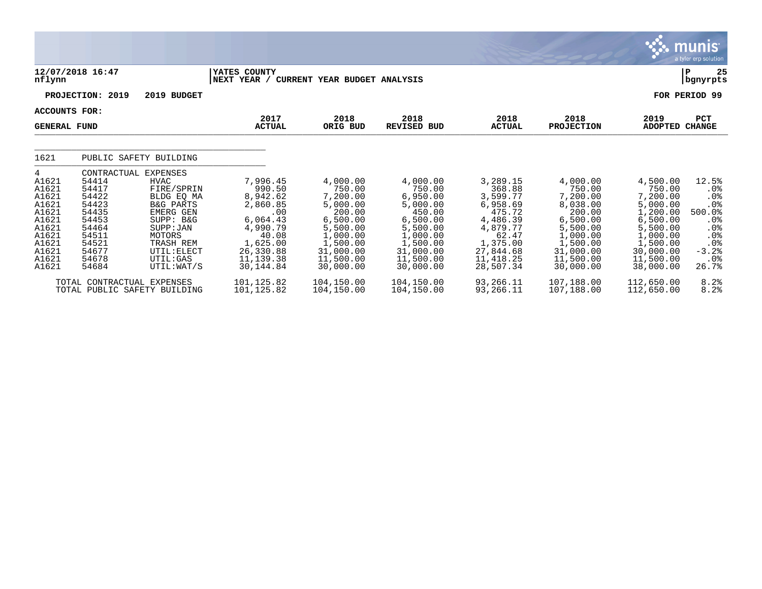|                                                                                                               |                                                                                                                                                                                                                                                                                                                       |                                                                                                                                        |                                                                                                                                             |                                                                                                                                             |                                                                                                                                          |                                                                                                                                             |                                                                                                                                               | a tyler erp solution                                                                              |
|---------------------------------------------------------------------------------------------------------------|-----------------------------------------------------------------------------------------------------------------------------------------------------------------------------------------------------------------------------------------------------------------------------------------------------------------------|----------------------------------------------------------------------------------------------------------------------------------------|---------------------------------------------------------------------------------------------------------------------------------------------|---------------------------------------------------------------------------------------------------------------------------------------------|------------------------------------------------------------------------------------------------------------------------------------------|---------------------------------------------------------------------------------------------------------------------------------------------|-----------------------------------------------------------------------------------------------------------------------------------------------|---------------------------------------------------------------------------------------------------|
| nflynn                                                                                                        | 12/07/2018 16:47                                                                                                                                                                                                                                                                                                      | YATES COUNTY<br>NEXT YEAR /                                                                                                            | CURRENT YEAR BUDGET ANALYSIS                                                                                                                |                                                                                                                                             |                                                                                                                                          |                                                                                                                                             |                                                                                                                                               | 25<br>P<br>  bgnyrpts                                                                             |
|                                                                                                               | PROJECTION: 2019<br>2019 BUDGET                                                                                                                                                                                                                                                                                       |                                                                                                                                        |                                                                                                                                             |                                                                                                                                             |                                                                                                                                          |                                                                                                                                             |                                                                                                                                               | FOR PERIOD 99                                                                                     |
| <b>ACCOUNTS FOR:</b><br><b>GENERAL FUND</b>                                                                   |                                                                                                                                                                                                                                                                                                                       | 2017<br><b>ACTUAL</b>                                                                                                                  | 2018<br>ORIG BUD                                                                                                                            | 2018<br><b>REVISED BUD</b>                                                                                                                  | 2018<br><b>ACTUAL</b>                                                                                                                    | 2018<br><b>PROJECTION</b>                                                                                                                   | 2019<br><b>ADOPTED</b>                                                                                                                        | PCT<br><b>CHANGE</b>                                                                              |
| 1621                                                                                                          | PUBLIC SAFETY BUILDING                                                                                                                                                                                                                                                                                                |                                                                                                                                        |                                                                                                                                             |                                                                                                                                             |                                                                                                                                          |                                                                                                                                             |                                                                                                                                               |                                                                                                   |
| 4<br>A1621<br>A1621<br>A1621<br>A1621<br>A1621<br>A1621<br>A1621<br>A1621<br>A1621<br>A1621<br>A1621<br>A1621 | CONTRACTUAL<br><b>EXPENSES</b><br>54414<br>HVAC<br>54417<br>FIRE/SPRIN<br>54422<br>BLDG EQ MA<br>54423<br><b>B&amp;G PARTS</b><br>54435<br><b>EMERG GEN</b><br>54453<br>SUPP: B&G<br>54464<br>SUPP: JAN<br>54511<br>MOTORS<br>54521<br>TRASH REM<br>54677<br>UTIL: ELECT<br>54678<br>UTIL:GAS<br>54684<br>UTIL: WAT/S | 7,996.45<br>990.50<br>8,942.62<br>2,860.85<br>.00<br>6,064.43<br>4,990.79<br>40.08<br>1,625.00<br>26,330.88<br>11, 139.38<br>30,144.84 | 4,000.00<br>750.00<br>7,200.00<br>5,000.00<br>200.00<br>6,500.00<br>5,500.00<br>1,000.00<br>1,500.00<br>31,000.00<br>11,500.00<br>30,000.00 | 4,000.00<br>750.00<br>6,950.00<br>5.000.00<br>450.00<br>6,500.00<br>5,500.00<br>1,000.00<br>1,500.00<br>31,000.00<br>11,500.00<br>30,000.00 | 3,289.15<br>368.88<br>3,599.77<br>6,958.69<br>475.72<br>4,486.39<br>4,879.77<br>62.47<br>1,375.00<br>27,844.68<br>11,418.25<br>28,507.34 | 4,000.00<br>750.00<br>7,200.00<br>8,038.00<br>200.00<br>6,500.00<br>5,500.00<br>1,000.00<br>1,500.00<br>31,000.00<br>11,500.00<br>30,000.00 | 4,500.00<br>750.00<br>7,200.00<br>5,000.00<br>1,200.00<br>6,500.00<br>5,500.00<br>1,000.00<br>1,500.00<br>30,000.00<br>11,500.00<br>38,000.00 | 12.5%<br>$.0\%$<br>.0%<br>.0%<br>500.0%<br>.0%<br>.0%<br>.0%<br>.0%<br>$-3.2%$<br>$.0\%$<br>26.7% |
|                                                                                                               | TOTAL CONTRACTUAL EXPENSES<br>TOTAL PUBLIC SAFETY BUILDING                                                                                                                                                                                                                                                            | 101,125.82<br>101,125.82                                                                                                               | 104,150.00<br>104,150.00                                                                                                                    | 104,150.00<br>104,150.00                                                                                                                    | 93,266.11<br>93,266.11                                                                                                                   | 107,188.00<br>107,188.00                                                                                                                    | 112,650.00<br>112,650.00                                                                                                                      | 8.2%<br>8.2%                                                                                      |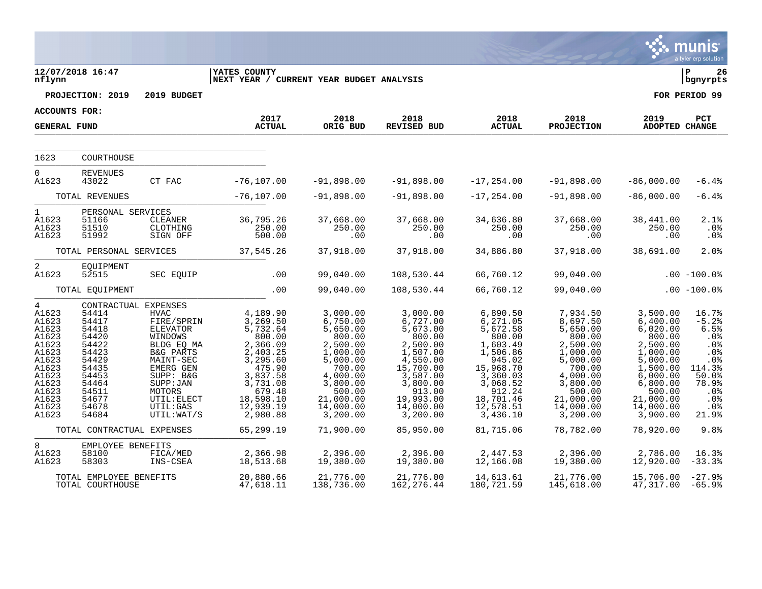|                                                                                                                                               |                                                                                                                            |                                                                                                                                                                                                                                 |                                                                                                                                                                  |                                                                                                                                                                  |                                                                                                                                                                     |                                                                                                                                                                   |                                                                                                                                                                  |                                                                                                                                                                    | munis<br>a tyler erp solution                                                                                                             |
|-----------------------------------------------------------------------------------------------------------------------------------------------|----------------------------------------------------------------------------------------------------------------------------|---------------------------------------------------------------------------------------------------------------------------------------------------------------------------------------------------------------------------------|------------------------------------------------------------------------------------------------------------------------------------------------------------------|------------------------------------------------------------------------------------------------------------------------------------------------------------------|---------------------------------------------------------------------------------------------------------------------------------------------------------------------|-------------------------------------------------------------------------------------------------------------------------------------------------------------------|------------------------------------------------------------------------------------------------------------------------------------------------------------------|--------------------------------------------------------------------------------------------------------------------------------------------------------------------|-------------------------------------------------------------------------------------------------------------------------------------------|
| nflynn                                                                                                                                        | 12/07/2018 16:47                                                                                                           |                                                                                                                                                                                                                                 | <b>YATES COUNTY</b><br>NEXT YEAR / CURRENT YEAR BUDGET ANALYSIS                                                                                                  |                                                                                                                                                                  |                                                                                                                                                                     |                                                                                                                                                                   |                                                                                                                                                                  |                                                                                                                                                                    | ΙP<br>26<br>bgnyrpts                                                                                                                      |
|                                                                                                                                               | PROJECTION: 2019                                                                                                           | 2019 BUDGET                                                                                                                                                                                                                     |                                                                                                                                                                  |                                                                                                                                                                  |                                                                                                                                                                     |                                                                                                                                                                   |                                                                                                                                                                  |                                                                                                                                                                    | FOR PERIOD 99                                                                                                                             |
| ACCOUNTS FOR:                                                                                                                                 |                                                                                                                            |                                                                                                                                                                                                                                 | 2017                                                                                                                                                             | 2018                                                                                                                                                             | 2018                                                                                                                                                                | 2018                                                                                                                                                              | 2018                                                                                                                                                             | 2019                                                                                                                                                               | PCT                                                                                                                                       |
| <b>GENERAL FUND</b>                                                                                                                           |                                                                                                                            |                                                                                                                                                                                                                                 | <b>ACTUAL</b>                                                                                                                                                    | ORIG BUD                                                                                                                                                         | <b>REVISED BUD</b>                                                                                                                                                  | <b>ACTUAL</b>                                                                                                                                                     | <b>PROJECTION</b>                                                                                                                                                | ADOPTED CHANGE                                                                                                                                                     |                                                                                                                                           |
| 1623                                                                                                                                          | COURTHOUSE                                                                                                                 |                                                                                                                                                                                                                                 |                                                                                                                                                                  |                                                                                                                                                                  |                                                                                                                                                                     |                                                                                                                                                                   |                                                                                                                                                                  |                                                                                                                                                                    |                                                                                                                                           |
| $\overline{0}$                                                                                                                                | <b>REVENUES</b>                                                                                                            |                                                                                                                                                                                                                                 |                                                                                                                                                                  |                                                                                                                                                                  |                                                                                                                                                                     |                                                                                                                                                                   |                                                                                                                                                                  |                                                                                                                                                                    |                                                                                                                                           |
| A1623                                                                                                                                         | 43022                                                                                                                      | CT FAC                                                                                                                                                                                                                          | $-76, 107.00$                                                                                                                                                    | $-91,898.00$                                                                                                                                                     | $-91,898.00$                                                                                                                                                        | $-17, 254.00$                                                                                                                                                     | $-91,898.00$                                                                                                                                                     | $-86,000.00$                                                                                                                                                       | $-6.4%$                                                                                                                                   |
|                                                                                                                                               | TOTAL REVENUES                                                                                                             |                                                                                                                                                                                                                                 | $-76, 107.00$                                                                                                                                                    | $-91,898.00$                                                                                                                                                     | $-91,898.00$                                                                                                                                                        | $-17, 254.00$                                                                                                                                                     | $-91,898.00$                                                                                                                                                     | $-86,000.00$                                                                                                                                                       | $-6.4%$                                                                                                                                   |
| $\mathbf 1$<br>A1623<br>A1623<br>A1623                                                                                                        | PERSONAL SERVICES<br>51166<br>51510<br>51992                                                                               | CLEANER<br>CLOTHING<br>SIGN OFF                                                                                                                                                                                                 | 36,795.26<br>250.00<br>500.00                                                                                                                                    | 37,668.00<br>250.00<br>.00                                                                                                                                       | 37,668.00<br>250.00<br>.00                                                                                                                                          | 34,636.80<br>250.00<br>.00                                                                                                                                        | 37,668.00<br>250.00<br>.00                                                                                                                                       | 38,441.00<br>250.00<br>.00                                                                                                                                         | 2.1%<br>.0 <sub>8</sub><br>.0 <sub>8</sub>                                                                                                |
|                                                                                                                                               | TOTAL PERSONAL SERVICES                                                                                                    |                                                                                                                                                                                                                                 | 37,545.26                                                                                                                                                        | 37,918.00                                                                                                                                                        | 37,918.00                                                                                                                                                           | 34,886.80                                                                                                                                                         | 37,918.00                                                                                                                                                        | 38,691.00                                                                                                                                                          | 2.0%                                                                                                                                      |
| 2<br>A1623                                                                                                                                    | EQUIPMENT<br>52515                                                                                                         | SEC EQUIP                                                                                                                                                                                                                       | .00                                                                                                                                                              | 99,040.00                                                                                                                                                        | 108,530.44                                                                                                                                                          | 66,760.12                                                                                                                                                         | 99,040.00                                                                                                                                                        |                                                                                                                                                                    | $.00 - 100.0$                                                                                                                             |
|                                                                                                                                               | TOTAL EQUIPMENT                                                                                                            |                                                                                                                                                                                                                                 | .00                                                                                                                                                              | 99,040.00                                                                                                                                                        | 108,530.44                                                                                                                                                          | 66,760.12                                                                                                                                                         | 99,040.00                                                                                                                                                        |                                                                                                                                                                    | $.00 - 100.0%$                                                                                                                            |
| $4\overline{ }$<br>A1623<br>A1623<br>A1623<br>A1623<br>A1623<br>A1623<br>A1623<br>A1623<br>A1623<br>A1623<br>A1623<br>A1623<br>A1623<br>A1623 | 54414<br>54417<br>54418<br>54420<br>54422<br>54423<br>54429<br>54435<br>54453<br>54464<br>54511<br>54677<br>54678<br>54684 | CONTRACTUAL EXPENSES<br><b>HVAC</b><br>FIRE/SPRIN<br><b>ELEVATOR</b><br>WINDOWS<br>BLDG EQ MA<br><b>B&amp;G PARTS</b><br>MAINT-SEC<br>EMERG GEN<br>SUPP: B&G<br>SUPP : JAN<br>MOTORS<br>UTIL: ELECT<br>UTIL: GAS<br>UTIL: WAT/S | 4,189.90<br>3,269.50<br>5,732.64<br>800.00<br>2,366.09<br>2,403.25<br>3,295.60<br>475.90<br>3,837.58<br>3,731.08<br>679.48<br>18,598.10<br>12,939.19<br>2,980.88 | 3,000.00<br>6,750.00<br>5,650.00<br>800.00<br>2,500.00<br>1,000.00<br>5,000.00<br>700.00<br>4,000.00<br>3,800.00<br>500.00<br>21,000.00<br>14,000.00<br>3,200.00 | 3,000.00<br>6,727.00<br>5,673.00<br>800.00<br>2,500.00<br>1,507.00<br>4,550.00<br>15,700.00<br>3,587.00<br>3,800.00<br>913.00<br>19,993.00<br>14,000.00<br>3,200.00 | 6,890.50<br>6,271.05<br>5,672.58<br>800.00<br>1,603.49<br>1,506.86<br>945.02<br>15,968.70<br>3,360.03<br>3,068.52<br>912.24<br>18,701.46<br>12,578.51<br>3,436.10 | 7,934.50<br>8,697.50<br>5,650.00<br>800.00<br>2,500.00<br>1,000.00<br>5,000.00<br>700.00<br>4,000.00<br>3,800.00<br>500.00<br>21,000.00<br>14,000.00<br>3,200.00 | 3,500.00<br>6,400.00<br>6,020.00<br>800.00<br>2,500.00<br>1,000.00<br>5,000.00<br>1,500.00<br>6,000.00<br>6,800.00<br>500.00<br>21,000.00<br>14,000.00<br>3,900.00 | 16.7%<br>$-5.2%$<br>6.5%<br>.0 <sub>8</sub><br>.0 <sub>8</sub><br>.0%<br>.0%<br>114.3%<br>50.0%<br>78.9%<br>.0%<br>.0%<br>$.0\%$<br>21.9% |
|                                                                                                                                               | TOTAL CONTRACTUAL EXPENSES                                                                                                 |                                                                                                                                                                                                                                 | 65,299.19                                                                                                                                                        | 71,900.00                                                                                                                                                        | 85,950.00                                                                                                                                                           | 81,715.06                                                                                                                                                         | 78,782.00                                                                                                                                                        | 78,920.00                                                                                                                                                          | 9.8%                                                                                                                                      |
| 8<br>A1623<br>A1623                                                                                                                           | EMPLOYEE BENEFITS<br>58100<br>58303                                                                                        | FICA/MED<br>INS-CSEA                                                                                                                                                                                                            | 2,366.98<br>18,513.68                                                                                                                                            | 2,396.00<br>19,380.00                                                                                                                                            | 2,396.00<br>19,380.00                                                                                                                                               | 2,447.53<br>12,166.08                                                                                                                                             | 2,396.00<br>19,380.00                                                                                                                                            | 2,786.00<br>12,920.00                                                                                                                                              | 16.3%<br>$-33.3%$                                                                                                                         |
|                                                                                                                                               | TOTAL EMPLOYEE BENEFITS<br>TOTAL COURTHOUSE                                                                                |                                                                                                                                                                                                                                 | 20,880.66<br>47,618.11                                                                                                                                           | 21,776.00<br>138,736.00                                                                                                                                          | 21,776.00<br>162, 276.44                                                                                                                                            | 14,613.61<br>180,721.59                                                                                                                                           | 21,776.00<br>145,618.00                                                                                                                                          | 15,706.00<br>47,317.00                                                                                                                                             | $-27.9%$<br>$-65.9%$                                                                                                                      |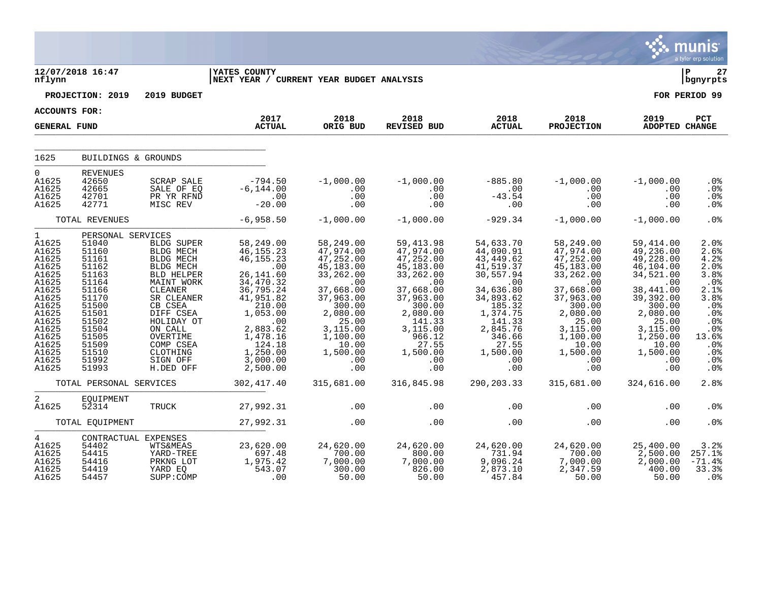|                                                                                                                                                                       |                                                                                                                                                                                                       |                                                                                                                                                                                                                       |                                                                                                                                                                                                                         |                                                                                                                                                                                                                                                       |                                                                                                                                                                                                                      |                                                                                                                                                                                                                   |                                                                                                                                                                                                                                                                             |                                                                                                                                                                                                         | munis<br>a tyler erp solution                                                                                                                       |
|-----------------------------------------------------------------------------------------------------------------------------------------------------------------------|-------------------------------------------------------------------------------------------------------------------------------------------------------------------------------------------------------|-----------------------------------------------------------------------------------------------------------------------------------------------------------------------------------------------------------------------|-------------------------------------------------------------------------------------------------------------------------------------------------------------------------------------------------------------------------|-------------------------------------------------------------------------------------------------------------------------------------------------------------------------------------------------------------------------------------------------------|----------------------------------------------------------------------------------------------------------------------------------------------------------------------------------------------------------------------|-------------------------------------------------------------------------------------------------------------------------------------------------------------------------------------------------------------------|-----------------------------------------------------------------------------------------------------------------------------------------------------------------------------------------------------------------------------------------------------------------------------|---------------------------------------------------------------------------------------------------------------------------------------------------------------------------------------------------------|-----------------------------------------------------------------------------------------------------------------------------------------------------|
| nflynn                                                                                                                                                                | 12/07/2018 16:47                                                                                                                                                                                      |                                                                                                                                                                                                                       | <b>YATES COUNTY</b><br>NEXT YEAR / CURRENT YEAR BUDGET ANALYSIS                                                                                                                                                         |                                                                                                                                                                                                                                                       |                                                                                                                                                                                                                      |                                                                                                                                                                                                                   |                                                                                                                                                                                                                                                                             |                                                                                                                                                                                                         | l P<br>27<br>  bgnyrpts                                                                                                                             |
|                                                                                                                                                                       | PROJECTION: 2019                                                                                                                                                                                      | 2019 BUDGET                                                                                                                                                                                                           |                                                                                                                                                                                                                         |                                                                                                                                                                                                                                                       |                                                                                                                                                                                                                      |                                                                                                                                                                                                                   |                                                                                                                                                                                                                                                                             |                                                                                                                                                                                                         | FOR PERIOD 99                                                                                                                                       |
| ACCOUNTS FOR:                                                                                                                                                         |                                                                                                                                                                                                       |                                                                                                                                                                                                                       |                                                                                                                                                                                                                         |                                                                                                                                                                                                                                                       |                                                                                                                                                                                                                      |                                                                                                                                                                                                                   |                                                                                                                                                                                                                                                                             |                                                                                                                                                                                                         |                                                                                                                                                     |
| <b>GENERAL FUND</b>                                                                                                                                                   |                                                                                                                                                                                                       |                                                                                                                                                                                                                       | 2017<br><b>ACTUAL</b>                                                                                                                                                                                                   | 2018<br>ORIG BUD                                                                                                                                                                                                                                      | 2018<br>REVISED BUD                                                                                                                                                                                                  | 2018<br><b>ACTUAL</b>                                                                                                                                                                                             | 2018<br><b>PROJECTION</b>                                                                                                                                                                                                                                                   | 2019<br>ADOPTED CHANGE                                                                                                                                                                                  | PCT                                                                                                                                                 |
| 1625                                                                                                                                                                  | BUILDINGS & GROUNDS                                                                                                                                                                                   |                                                                                                                                                                                                                       |                                                                                                                                                                                                                         |                                                                                                                                                                                                                                                       |                                                                                                                                                                                                                      |                                                                                                                                                                                                                   |                                                                                                                                                                                                                                                                             |                                                                                                                                                                                                         |                                                                                                                                                     |
|                                                                                                                                                                       |                                                                                                                                                                                                       |                                                                                                                                                                                                                       |                                                                                                                                                                                                                         |                                                                                                                                                                                                                                                       |                                                                                                                                                                                                                      |                                                                                                                                                                                                                   |                                                                                                                                                                                                                                                                             |                                                                                                                                                                                                         |                                                                                                                                                     |
| $\Omega$<br>A1625<br>A1625<br>A1625<br>A1625                                                                                                                          | <b>REVENUES</b><br>42650<br>42665<br>42701<br>42771                                                                                                                                                   | SCRAP SALE<br>SALE OF EQ<br>PR YR RFND<br>MISC REV                                                                                                                                                                    | $-794.50$<br>$-6, 144.00$<br>$-20.00$                                                                                                                                                                                   | $-1,000.00$<br>$\begin{array}{c} . & 0 & 0 \\ 0 & 0 & 0 \end{array}$<br>.00<br>.00                                                                                                                                                                    | $-1,000.00$<br>$\begin{array}{c} \cdot \\ \cdot \\ \cdot \\ \cdot \end{array}$<br>.00<br>.00                                                                                                                         | $-885.80$<br>$-42.50$<br>.00                                                                                                                                                                                      | $-1,000.00$<br>.00<br>.00<br>.00                                                                                                                                                                                                                                            | $-1,000.00$<br>.00<br>.00<br>.00                                                                                                                                                                        | . 0 %<br>.0 <sub>8</sub><br>.0%<br>.0%                                                                                                              |
|                                                                                                                                                                       | TOTAL REVENUES                                                                                                                                                                                        |                                                                                                                                                                                                                       | $-6,958.50$                                                                                                                                                                                                             | $-1,000.00$                                                                                                                                                                                                                                           | $-1,000.00$                                                                                                                                                                                                          | $-929.34$                                                                                                                                                                                                         | $-1,000.00$                                                                                                                                                                                                                                                                 | $-1,000.00$                                                                                                                                                                                             | .0%                                                                                                                                                 |
| $\mathbf{1}$<br>A1625<br>A1625<br>A1625<br>A1625<br>A1625<br>A1625<br>A1625<br>A1625<br>A1625<br>A1625<br>A1625<br>A1625<br>A1625<br>A1625<br>A1625<br>A1625<br>A1625 | PERSONAL SERVICES<br>51040<br>51160<br>51161<br>51162<br>51163<br>51164<br>51166<br>51170<br>51500<br>51501<br>51502<br>51504<br>51505<br>51509<br>51510<br>51992<br>51993<br>TOTAL PERSONAL SERVICES | BLDG SUPER<br>BLDG MECH<br>BLDG MECH<br>BLDG MECH<br>BLD HELPER<br>MAINT WORK<br>CLEANER<br>SR CLEANER<br>CB CSEA<br>DIFF CSEA<br>HOLIDAY OT<br>ON CALL<br>OVERTIME<br>COMP CSEA<br>CLOTHING<br>SIGN OFF<br>H.DED OFF | 58,249.00<br>46, 155.23<br>46, 155.23<br>.00<br>26, 141.60<br>34,470.32<br>36,795.24<br>41,951.82<br>210.00<br>1,053.00<br>.00<br>2,883.62<br>$1,478.16$<br>$124.18$<br>1,250.00<br>3,000.00<br>2,500.00<br>302, 417.40 | 58,249.00<br>47,974.00<br>47, 252.00<br>45, 183.00<br>33,262.00<br>$\sim$ 00<br>37,668.00<br>37,963.00<br>300.00<br>2,080.00<br>25.00<br>3,115.00<br>1,100.00<br>$\begin{array}{r} -1.10000 \\ 1000 \\ 1.500 \end{array}$<br>.00<br>.00<br>315,681.00 | 59, 413.98<br>47, 974.00<br>47,252.00<br>45, 183.00<br>33, 262.00<br>.00<br>37,668.00<br>37,963.00<br>300.00<br>2,080.00<br>141.33<br>3, 115.00<br>966.12<br>27.55<br>1,500.00<br>$\ddotsc{00}$<br>.00<br>316,845.98 | 54,633.70<br>44,090.91<br>43,449.62<br>$41, 519.37$<br>30, 557.94<br>$\sim$ 00<br>34,636.80<br>34,893.62<br>185.32<br>1,374.75<br>$141.33$<br>2,845.76<br>346.66<br>27.55<br>1,500.00<br>.00<br>.00<br>290,203.33 | 58,249.00<br>47,974.00<br>47, 252.00<br>45,183.00<br>33,262.00<br>.00<br>37,668.00<br>37,963.00<br>300.00<br>$76$<br>$76$<br>$76$<br>$1,115.0$<br>$1,10$<br>$25.00$<br>$3,115.0$<br>$\begin{array}{c} -10.00 \\ 10.00 \\ 1,500.00 \\ 0.00 \end{array}$<br>.00<br>315,681.00 | 59,414.00<br>49,236.00<br>49,228.00<br>46,104.00<br>34,521.00<br>.00<br>38,441.00<br>39, 392.00<br>300.00<br>2,080.00<br>25.00<br>3,115.00<br>1,250.00<br>10.00<br>1,500.00<br>.00<br>.00<br>324,616.00 | 2.0%<br>2.6%<br>4.2%<br>2.0%<br>3.8%<br>.0%<br>2.1%<br>3.8%<br>.0%<br>.0%<br>.0%<br>.0%<br>13.6%<br>.0%<br>$.0\%$<br>.0%<br>.0 <sub>8</sub><br>2.8% |
|                                                                                                                                                                       |                                                                                                                                                                                                       |                                                                                                                                                                                                                       |                                                                                                                                                                                                                         |                                                                                                                                                                                                                                                       |                                                                                                                                                                                                                      |                                                                                                                                                                                                                   |                                                                                                                                                                                                                                                                             |                                                                                                                                                                                                         |                                                                                                                                                     |
| $\overline{a}$<br>A1625                                                                                                                                               | EOUIPMENT<br>52314                                                                                                                                                                                    | TRUCK                                                                                                                                                                                                                 | 27,992.31                                                                                                                                                                                                               | .00                                                                                                                                                                                                                                                   | .00                                                                                                                                                                                                                  | $.00 \,$                                                                                                                                                                                                          | .00                                                                                                                                                                                                                                                                         | .00                                                                                                                                                                                                     | .0 <sub>8</sub>                                                                                                                                     |
|                                                                                                                                                                       | TOTAL EQUIPMENT                                                                                                                                                                                       |                                                                                                                                                                                                                       | 27,992.31                                                                                                                                                                                                               | .00                                                                                                                                                                                                                                                   | .00                                                                                                                                                                                                                  | .00                                                                                                                                                                                                               | .00                                                                                                                                                                                                                                                                         | .00                                                                                                                                                                                                     | .0 <sup>8</sup>                                                                                                                                     |
| $4\overline{ }$<br>A1625<br>A1625<br>A1625<br>A1625<br>A1625                                                                                                          | CONTRACTUAL EXPENSES<br>54402<br>54415<br>54416<br>54419<br>54457                                                                                                                                     | <b>WTS&amp;MEAS</b><br>YARD-TREE<br>PRKNG LOT<br>YARD EQ<br>SUPP: COMP                                                                                                                                                | 23,620.00<br>697.48<br>1,975.42<br>543.07<br>$\sim 00$                                                                                                                                                                  | 24,620.00<br>700.00<br>7,000.00<br>300.00<br>50.00                                                                                                                                                                                                    | 24,620.00<br>$\begin{array}{r} 800.000 \\ 7,000.00 \end{array}$<br>826.00<br>50.00                                                                                                                                   | 24,620.00<br>$731.94$<br>9,096.24<br>2,873.10<br>457.84                                                                                                                                                           | 24,620.00<br>$700.00$<br>$7,000.00$<br>2,347.59<br>50.00                                                                                                                                                                                                                    | 25,400.00<br>$2,500.00$<br>$2,000.00$<br>400.00<br>50.00                                                                                                                                                | 3.2%<br>257.1%<br>$-71.4%$<br>33.3%<br>.0 <sup>8</sup>                                                                                              |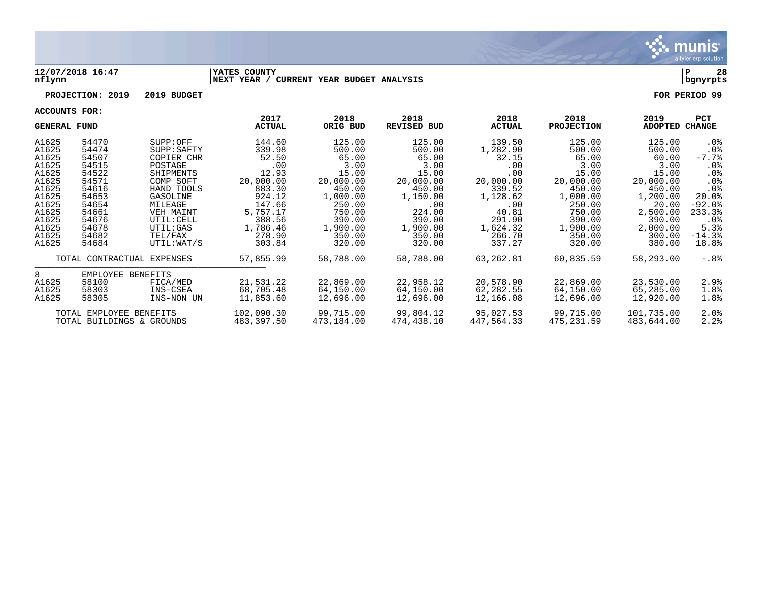

#### **12/07/2018 16:47 |YATES COUNTY |P 28 nflynn |NEXT YEAR / CURRENT YEAR BUDGET ANALYSIS |bgnyrpts**

## **PROJECTION: 2019 2019 BUDGET FOR PERIOD 99**

| <b>GENERAL FUND</b> |                           |                            | 2017<br><b>ACTUAL</b> | 2018<br>ORIG BUD | 2018<br><b>REVISED BUD</b> | 2018<br><b>ACTUAL</b> | 2018<br><b>PROJECTION</b> | 2019<br>ADOPTED CHANGE | <b>PCT</b>      |
|---------------------|---------------------------|----------------------------|-----------------------|------------------|----------------------------|-----------------------|---------------------------|------------------------|-----------------|
| A1625               | 54470                     | SUPP:OFF                   | 144.60                | 125.00           | 125.00                     | 139.50                | 125.00                    | 125.00                 | . 0%            |
| A1625               | 54474                     | SUPP: SAPTY                | 339.98                | 500.00           | 500.00                     | 1,282.90              | 500.00                    | 500.00                 | . 0%            |
| A1625               | 54507                     | COPIER CHR                 | 52.50                 | 65.00            | 65.00                      | 32.15                 | 65.00                     | 60.00                  | $-7.7%$         |
| A1625               | 54515                     | POSTAGE                    | .00                   | 3.00             | 3.00                       | .00                   | 3.00                      | 3.00                   | $.0\%$          |
| A1625               | 54522                     | SHIPMENTS                  | 12.93                 | 15.00            | 15.00                      | .00                   | 15.00                     | 15.00                  | .0 <sub>8</sub> |
| A1625               | 54571                     | COMP SOFT                  | 20,000.00             | 20,000.00        | 20,000.00                  | 20,000.00             | 20,000.00                 | 20,000.00              | $.0\%$          |
| A1625               | 54616                     | HAND TOOLS                 | 883.30                | 450.00           | 450.00                     | 339.52                | 450.00                    | 450.00                 | .0%             |
| A1625               | 54653                     | GASOLINE                   | 924.12                | 1,000.00         | 1,150.00                   | 1,128.62              | 1,000.00                  | 1,200.00               | 20.0%           |
| A1625               | 54654                     | MILEAGE                    | 147.66                | 250.00           | .00                        | .00                   | 250.00                    | 20.00                  | $-92.0$ °       |
| A1625               | 54661                     | VEH MAINT                  | 5,757.17              | 750.00           | 224.00                     | 40.81                 | 750.00                    | 2,500.00               | 233.3%          |
| A1625               | 54676                     | UTIL: CELL                 | 388.56                | 390.00           | 390.00                     | 291.90                | 390.00                    | 390.00                 | $.0\%$          |
| A1625               | 54678                     | UTIL:GAS                   | 1,786.46              | 1,900.00         | 1,900.00                   | 1,624.32              | 1,900.00                  | 2,000.00               | 5.3%            |
| A1625               | 54682                     | TEL/FAX                    | 278.90                | 350.00           | 350.00                     | 266.70                | 350.00                    | 300.00                 | $-14.3%$        |
| A1625               | 54684                     | UTIL:WAT/S                 | 303.84                | 320.00           | 320.00                     | 337.27                | 320.00                    | 380.00                 | 18.8%           |
|                     |                           | TOTAL CONTRACTUAL EXPENSES | 57,855.99             | 58,788.00        | 58,788.00                  | 63,262.81             | 60,835.59                 | 58,293.00              | -.8%            |
| 8                   | EMPLOYEE BENEFITS         |                            |                       |                  |                            |                       |                           |                        |                 |
| A1625               | 58100                     | FICA/MED                   | 21,531.22             | 22,869.00        | 22,958.12                  | 20,578.90             | 22,869.00                 | 23,530.00              | 2.9%            |
| A1625               | 58303                     | INS-CSEA                   | 68,705.48             | 64,150.00        | 64,150.00                  | 62,282.55             | 64,150.00                 | 65,285.00              | 1.8%            |
| A1625               | 58305                     | INS-NON UN                 | 11,853.60             | 12,696.00        | 12,696.00                  | 12,166.08             | 12,696.00                 | 12,920.00              | 1.8%            |
|                     | TOTAL EMPLOYEE BENEFITS   |                            | 102,090.30            | 99,715.00        | 99,804.12                  | 95,027.53             | 99,715.00                 | 101,735.00             | $2.0\%$         |
|                     | TOTAL BUILDINGS & GROUNDS |                            | 483,397.50            | 473,184.00       | 474,438.10                 | 447,564.33            | 475,231.59                | 483,644.00             | 2.2%            |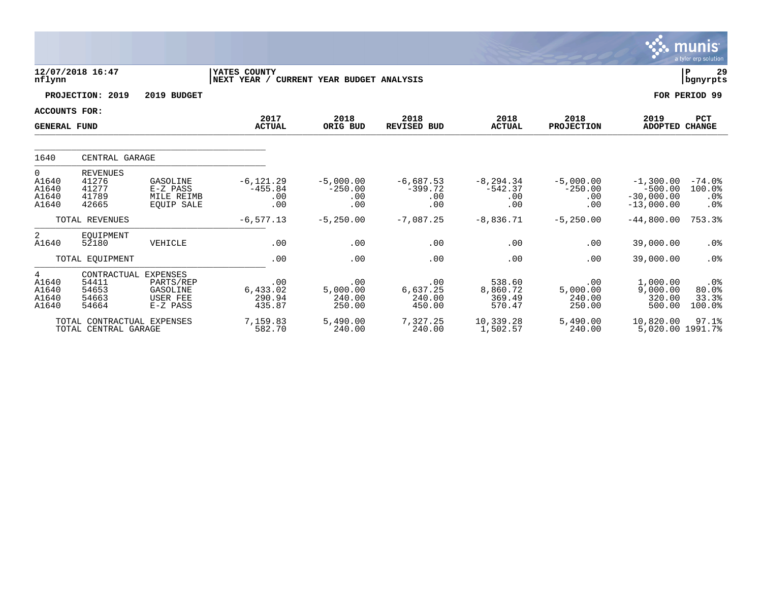|                                             |                                                          |                                                         |                                         |                                        |                                        |                                         |                                             |                                                          | <u>munis</u><br>a tyler erp solution         |
|---------------------------------------------|----------------------------------------------------------|---------------------------------------------------------|-----------------------------------------|----------------------------------------|----------------------------------------|-----------------------------------------|---------------------------------------------|----------------------------------------------------------|----------------------------------------------|
| nflynn                                      | 12/07/2018 16:47                                         |                                                         | YATES COUNTY<br>NEXT YEAR /             | CURRENT YEAR BUDGET ANALYSIS           |                                        |                                         |                                             |                                                          | l P<br>29<br>  bgnyrpts                      |
|                                             | PROJECTION: 2019                                         | 2019 BUDGET                                             |                                         |                                        |                                        |                                         |                                             |                                                          | FOR PERIOD 99                                |
| <b>ACCOUNTS FOR:</b><br><b>GENERAL FUND</b> |                                                          |                                                         | 2017<br><b>ACTUAL</b>                   | 2018<br>ORIG BUD                       | 2018<br><b>REVISED BUD</b>             | 2018<br><b>ACTUAL</b>                   | 2018<br><b>PROJECTION</b>                   | 2019<br><b>ADOPTED</b>                                   | <b>PCT</b><br><b>CHANGE</b>                  |
| 1640                                        | CENTRAL GARAGE                                           |                                                         |                                         |                                        |                                        |                                         |                                             |                                                          |                                              |
| 0<br>A1640<br>A1640<br>A1640<br>A1640       | <b>REVENUES</b><br>41276<br>41277<br>41789<br>42665      | GASOLINE<br>E-Z PASS<br>MILE REIMB<br><b>EOUIP SALE</b> | $-6, 121.29$<br>$-455.84$<br>.00<br>.00 | $-5,000.00$<br>$-250.00$<br>.00<br>.00 | $-6,687.53$<br>$-399.72$<br>.00<br>.00 | $-8, 294.34$<br>$-542.37$<br>.00<br>.00 | $-5,000.00$<br>$-250.00$<br>.00<br>.00      | $-1,300.00$<br>$-500.00$<br>$-30,000,00$<br>$-13,000.00$ | $-74.0%$<br>100.0%<br>.0 <sub>8</sub><br>.0% |
|                                             | TOTAL REVENUES                                           |                                                         | $-6, 577.13$                            | $-5, 250.00$                           | $-7,087.25$                            | $-8,836.71$                             | $-5,250.00$                                 | $-44,800.00$                                             | 753.3%                                       |
| 2<br>A1640                                  | EOUIPMENT<br>52180                                       | VEHICLE                                                 | .00                                     | .00                                    | .00                                    | .00                                     | .00                                         | 39,000.00                                                | .0 <sub>8</sub>                              |
|                                             | TOTAL EQUIPMENT                                          |                                                         | .00                                     | .00                                    | .00                                    | .00                                     | .00                                         | 39,000.00                                                | .0%                                          |
| 4<br>A1640<br>A1640<br>A1640<br>A1640       | CONTRACTUAL EXPENSES<br>54411<br>54653<br>54663<br>54664 | PARTS/REP<br>GASOLINE<br><b>USER FEE</b><br>E-Z PASS    | .00<br>6,433.02<br>290.94<br>435.87     | .00<br>5,000.00<br>240.00<br>250.00    | .00<br>6,637.25<br>240.00<br>450.00    | 538.60<br>8,860.72<br>369.49<br>570.47  | $.00 \ \rm$<br>5,000.00<br>240.00<br>250.00 | 1,000.00<br>9,000.00<br>320.00<br>500.00                 | .0%<br>80.0%<br>33.3%<br>100.0%              |
|                                             | TOTAL CONTRACTUAL EXPENSES<br>TOTAL CENTRAL GARAGE       |                                                         | 7.159.83<br>582.70                      | 5,490.00<br>240.00                     | 7.327.25<br>240.00                     | 10,339.28<br>1,502.57                   | 5,490.00<br>240.00                          | 10,820.00<br>5,020.00 1991.7%                            | 97.1%                                        |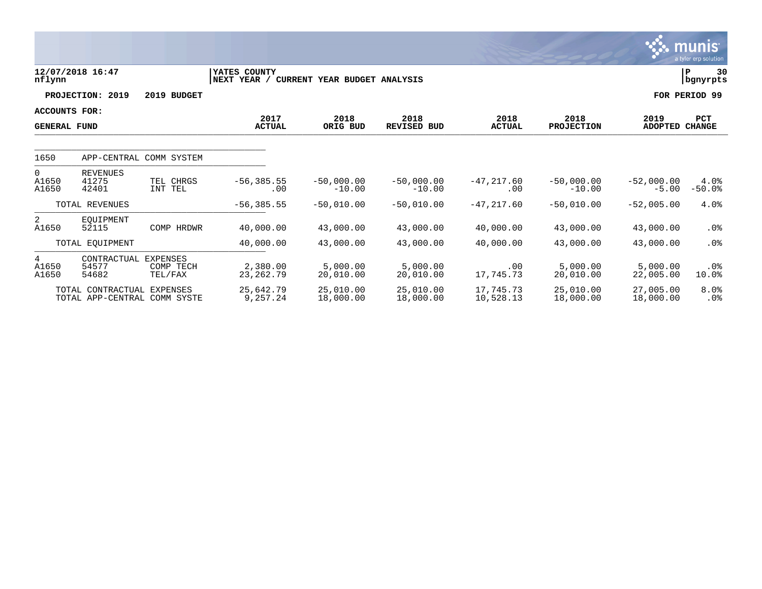|                                             |                                                   |                                         |                             |                              |                            |                        |                           |                         | <b>munis</b><br>a tyler erp solution |
|---------------------------------------------|---------------------------------------------------|-----------------------------------------|-----------------------------|------------------------------|----------------------------|------------------------|---------------------------|-------------------------|--------------------------------------|
| nflynn                                      | 12/07/2018 16:47                                  |                                         | YATES COUNTY<br>NEXT YEAR / | CURRENT YEAR BUDGET ANALYSIS |                            |                        |                           |                         | 30<br>P<br>  bgnyrpts                |
|                                             | PROJECTION: 2019                                  | 2019 BUDGET                             |                             |                              |                            |                        |                           |                         | FOR PERIOD 99                        |
| <b>ACCOUNTS FOR:</b><br><b>GENERAL FUND</b> |                                                   |                                         | 2017<br><b>ACTUAL</b>       | 2018<br>ORIG BUD             | 2018<br><b>REVISED BUD</b> | 2018<br><b>ACTUAL</b>  | 2018<br><b>PROJECTION</b> | 2019<br>ADOPTED CHANGE  | <b>PCT</b>                           |
| 1650                                        |                                                   | APP-CENTRAL COMM SYSTEM                 |                             |                              |                            |                        |                           |                         |                                      |
| 0<br>A1650<br>A1650                         | <b>REVENUES</b><br>41275<br>42401                 | TEL CHRGS<br>INT TEL                    | $-56, 385.55$<br>.00        | $-50,000.00$<br>$-10.00$     | $-50,000.00$<br>$-10.00$   | $-47, 217.60$<br>.00   | $-50,000.00$<br>$-10.00$  | $-52,000.00$<br>$-5.00$ | 4.0%<br>$-50.0%$                     |
|                                             | TOTAL REVENUES                                    |                                         | $-56, 385.55$               | $-50,010.00$                 | $-50,010.00$               | $-47, 217.60$          | $-50,010.00$              | $-52,005.00$            | 4.0%                                 |
| 2<br>A1650                                  | EOUIPMENT<br>52115                                | COMP HRDWR                              | 40,000.00                   | 43,000.00                    | 43,000.00                  | 40,000.00              | 43,000.00                 | 43,000.00               | $.0\%$                               |
|                                             | TOTAL EQUIPMENT                                   |                                         | 40,000.00                   | 43,000.00                    | 43,000.00                  | 40,000.00              | 43,000.00                 | 43,000.00               | $.0\%$                               |
| 4<br>A1650<br>A1650                         | CONTRACTUAL<br>54577<br>54682                     | <b>EXPENSES</b><br>COMP TECH<br>TEL/FAX | 2,380.00<br>23, 262. 79     | 5,000.00<br>20,010.00        | 5.000.00<br>20,010.00      | .00<br>17,745.73       | 5.000.00<br>20,010.00     | 5,000.00<br>22,005.00   | .0%<br>10.0%                         |
|                                             | TOTAL CONTRACTUAL<br>TOTAL APP-CENTRAL COMM SYSTE | EXPENSES                                | 25,642.79<br>9,257.24       | 25,010.00<br>18,000.00       | 25,010.00<br>18,000.00     | 17,745.73<br>10,528.13 | 25,010.00<br>18,000.00    | 27,005.00<br>18,000.00  | 8.0%<br>$.0\%$                       |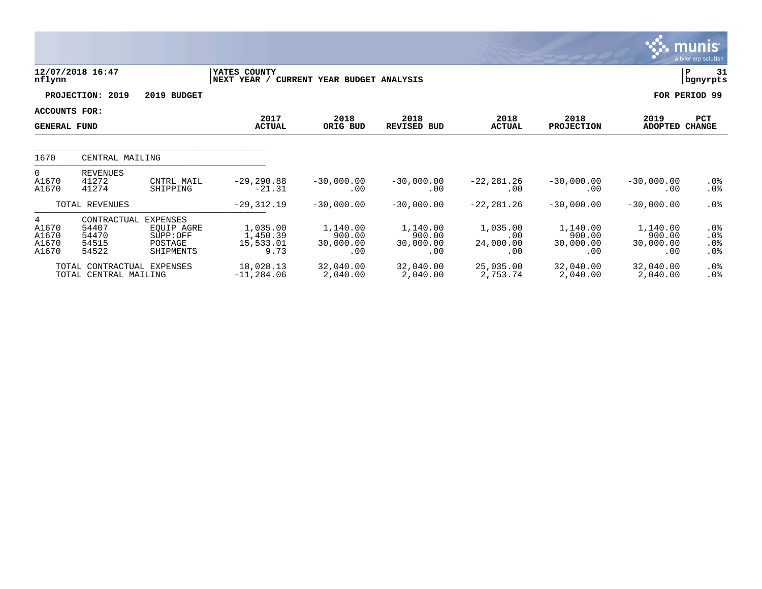|                                       |                                                     |                                                                   |                                           |                                        |                                        |                                     |                                        |                                        | <b>munis</b><br>a tyler erp solution   |
|---------------------------------------|-----------------------------------------------------|-------------------------------------------------------------------|-------------------------------------------|----------------------------------------|----------------------------------------|-------------------------------------|----------------------------------------|----------------------------------------|----------------------------------------|
| nflynn                                | 12/07/2018 16:47                                    |                                                                   | YATES COUNTY<br>NEXT YEAR /               | CURRENT YEAR BUDGET ANALYSIS           |                                        |                                     |                                        |                                        | 31<br>IΡ<br>  bgnyrpts                 |
|                                       | PROJECTION: 2019                                    | 2019 BUDGET                                                       |                                           |                                        |                                        |                                     |                                        |                                        | FOR PERIOD 99                          |
| ACCOUNTS FOR:<br><b>GENERAL FUND</b>  |                                                     |                                                                   | 2017<br><b>ACTUAL</b>                     | 2018<br>ORIG BUD                       | 2018<br><b>REVISED BUD</b>             | 2018<br><b>ACTUAL</b>               | 2018<br><b>PROJECTION</b>              | 2019<br><b>ADOPTED</b>                 | PCT<br><b>CHANGE</b>                   |
| 1670                                  | CENTRAL MAILING                                     |                                                                   |                                           |                                        |                                        |                                     |                                        |                                        |                                        |
| $\Omega$<br>A1670<br>A1670            | <b>REVENUES</b><br>41272<br>41274                   | CNTRL MAIL<br>SHIPPING                                            | $-29, 290.88$<br>$-21.31$                 | $-30,000.00$<br>.00                    | $-30,000.00$<br>.00.                   | $-22, 281.26$<br>.00                | $-30,000.00$<br>.00                    | $-30,000.00$<br>.00                    | $.0\%$<br>$.0\%$                       |
|                                       | TOTAL REVENUES                                      |                                                                   | $-29, 312.19$                             | $-30,000.00$                           | $-30,000.00$                           | $-22, 281.26$                       | $-30,000.00$                           | $-30,000.00$                           | $.0\%$                                 |
| 4<br>A1670<br>A1670<br>A1670<br>A1670 | CONTRACTUAL<br>54407<br>54470<br>54515<br>54522     | <b>EXPENSES</b><br>EOUIP AGRE<br>SUPP:OFF<br>POSTAGE<br>SHIPMENTS | 1,035.00<br>1,450.39<br>15,533.01<br>9.73 | 1,140.00<br>900.00<br>30,000.00<br>.00 | 1,140.00<br>900.00<br>30,000.00<br>.00 | 1,035.00<br>.00<br>24,000.00<br>.00 | 1,140.00<br>900.00<br>30,000.00<br>.00 | 1,140.00<br>900.00<br>30,000.00<br>.00 | . 0 %<br>.0%<br>.0%<br>.0 <sub>8</sub> |
|                                       | TOTAL CONTRACTUAL EXPENSES<br>TOTAL CENTRAL MAILING |                                                                   | 18,028.13<br>$-11, 284.06$                | 32,040.00<br>2,040.00                  | 32,040.00<br>2,040.00                  | 25,035.00<br>2,753.74               | 32,040.00<br>2,040.00                  | 32,040.00<br>2,040.00                  | .0%<br>.0 <sub>8</sub>                 |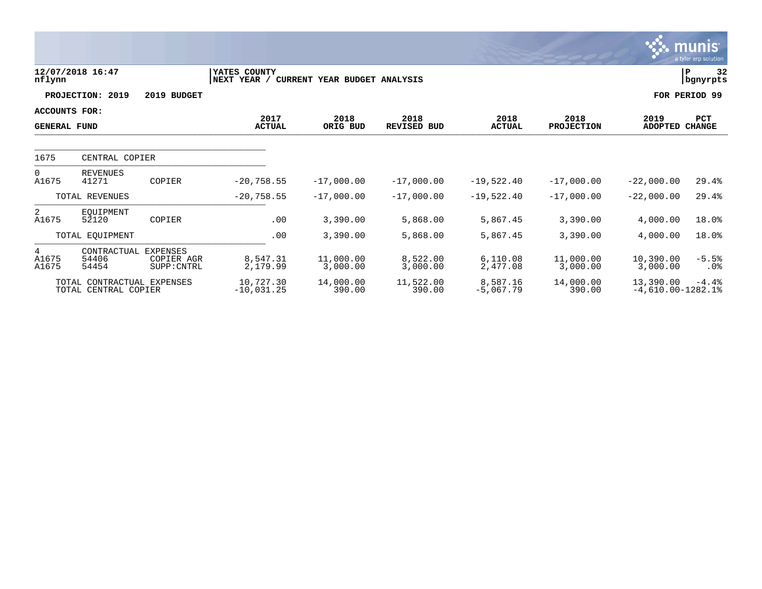|                                             |                                                    |                                       |                             |                              |                            |                         |                           |                                   | munis<br>a tyler erp solution |
|---------------------------------------------|----------------------------------------------------|---------------------------------------|-----------------------------|------------------------------|----------------------------|-------------------------|---------------------------|-----------------------------------|-------------------------------|
| nflynn                                      | 12/07/2018 16:47                                   |                                       | YATES COUNTY<br>NEXT YEAR / | CURRENT YEAR BUDGET ANALYSIS |                            |                         |                           |                                   | $\mathbf P$<br>32<br>bgnyrpts |
|                                             | PROJECTION: 2019                                   | 2019 BUDGET                           |                             |                              |                            |                         |                           |                                   | FOR PERIOD 99                 |
| <b>ACCOUNTS FOR:</b><br><b>GENERAL FUND</b> |                                                    |                                       | 2017<br><b>ACTUAL</b>       | 2018<br>ORIG BUD             | 2018<br><b>REVISED BUD</b> | 2018<br><b>ACTUAL</b>   | 2018<br><b>PROJECTION</b> | 2019<br><b>ADOPTED</b>            | <b>PCT</b><br><b>CHANGE</b>   |
| 1675<br>CENTRAL COPIER                      |                                                    |                                       |                             |                              |                            |                         |                           |                                   |                               |
| $\Omega$<br>A1675                           | <b>REVENUES</b><br>41271                           | COPIER                                | $-20,758.55$                | $-17,000.00$                 | $-17,000.00$               | $-19,522.40$            | $-17,000.00$              | $-22,000.00$                      | 29.4%                         |
|                                             | TOTAL REVENUES                                     |                                       | $-20,758.55$                | $-17,000.00$                 | $-17,000.00$               | $-19,522.40$            | $-17,000.00$              | $-22,000.00$                      | 29.4%                         |
| 2<br>A1675                                  | EOUIPMENT<br>52120                                 | COPIER                                | .00                         | 3,390.00                     | 5,868.00                   | 5,867.45                | 3,390.00                  | 4,000.00                          | 18.0%                         |
|                                             | TOTAL EQUIPMENT                                    |                                       | .00                         | 3,390.00                     | 5,868.00                   | 5,867.45                | 3,390.00                  | 4,000.00                          | 18.0%                         |
| 4<br>A1675<br>A1675                         | CONTRACTUAL<br>54406<br>54454                      | EXPENSES<br>COPIER AGR<br>SUPP: CNTRL | 8,547.31<br>2,179.99        | 11,000.00<br>3,000.00        | 8,522.00<br>3,000.00       | 6,110.08<br>2,477.08    | 11,000.00<br>3,000.00     | 10,390.00<br>3,000.00             | $-5.5%$<br>$.0\%$             |
|                                             | TOTAL CONTRACTUAL EXPENSES<br>TOTAL CENTRAL COPIER |                                       | 10,727.30<br>$-10,031.25$   | 14,000.00<br>390.00          | 11,522.00<br>390.00        | 8,587.16<br>$-5,067.79$ | 14,000.00<br>390.00       | 13,390.00<br>$-4,610.00 - 1282.1$ | $-4.4%$                       |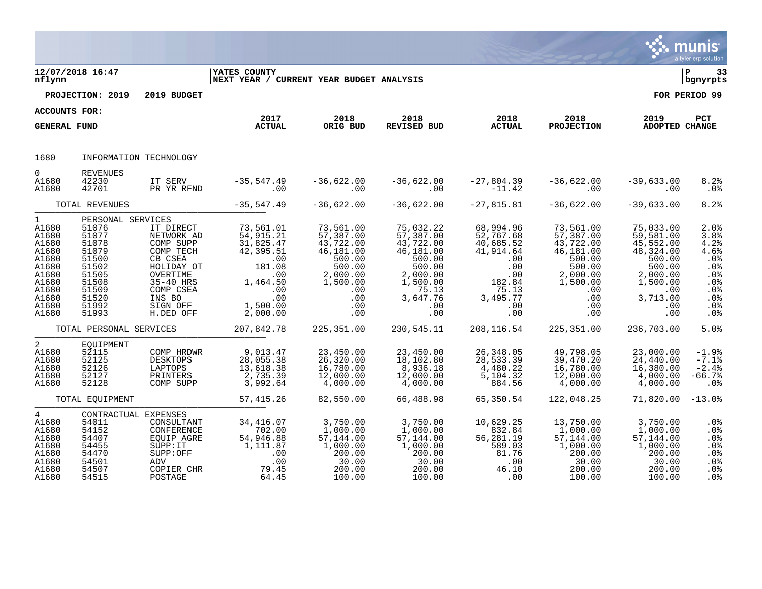|                                                                                                                          |                                                                                                                               |                                                                                                                                                     |                                                                                                                            |                                                                                                                          |                                                                                                                                 |                                                                                                                      |                                                                                                                          |                                                                                                                               | munis<br>a tyler erp solution                                                        |
|--------------------------------------------------------------------------------------------------------------------------|-------------------------------------------------------------------------------------------------------------------------------|-----------------------------------------------------------------------------------------------------------------------------------------------------|----------------------------------------------------------------------------------------------------------------------------|--------------------------------------------------------------------------------------------------------------------------|---------------------------------------------------------------------------------------------------------------------------------|----------------------------------------------------------------------------------------------------------------------|--------------------------------------------------------------------------------------------------------------------------|-------------------------------------------------------------------------------------------------------------------------------|--------------------------------------------------------------------------------------|
| nflynn                                                                                                                   | 12/07/2018 16:47                                                                                                              |                                                                                                                                                     | <b>YATES COUNTY</b><br>NEXT YEAR / CURRENT YEAR BUDGET ANALYSIS                                                            |                                                                                                                          |                                                                                                                                 |                                                                                                                      |                                                                                                                          |                                                                                                                               | ΙP<br>33<br>bgnyrpts                                                                 |
|                                                                                                                          | PROJECTION: 2019                                                                                                              | 2019 BUDGET                                                                                                                                         |                                                                                                                            |                                                                                                                          |                                                                                                                                 |                                                                                                                      |                                                                                                                          |                                                                                                                               | FOR PERIOD 99                                                                        |
| <b>ACCOUNTS FOR:</b>                                                                                                     |                                                                                                                               |                                                                                                                                                     | 2017                                                                                                                       | 2018                                                                                                                     | 2018                                                                                                                            | 2018                                                                                                                 | 2018                                                                                                                     | 2019                                                                                                                          | PCT                                                                                  |
| <b>GENERAL FUND</b>                                                                                                      |                                                                                                                               |                                                                                                                                                     | <b>ACTUAL</b>                                                                                                              | ORIG BUD                                                                                                                 | <b>REVISED BUD</b>                                                                                                              | <b>ACTUAL</b>                                                                                                        | <b>PROJECTION</b>                                                                                                        | <b>ADOPTED CHANGE</b>                                                                                                         |                                                                                      |
| 1680                                                                                                                     |                                                                                                                               | INFORMATION TECHNOLOGY                                                                                                                              |                                                                                                                            |                                                                                                                          |                                                                                                                                 |                                                                                                                      |                                                                                                                          |                                                                                                                               |                                                                                      |
| $\mathbf 0$<br>A1680<br>A1680                                                                                            | <b>REVENUES</b><br>42230<br>42701                                                                                             | IT SERV<br>PR YR RFND                                                                                                                               | $-35, 547.49$<br>.00                                                                                                       | $-36,622.00$<br>.00                                                                                                      | $-36,622.00$<br>.00                                                                                                             | $-27,804.39$<br>$-11.42$                                                                                             | $-36,622.00$<br>.00                                                                                                      | $-39,633.00$<br>.00                                                                                                           | 8.2%<br>.0%                                                                          |
|                                                                                                                          | TOTAL REVENUES                                                                                                                |                                                                                                                                                     | $-35, 547.49$                                                                                                              | $-36,622.00$                                                                                                             | $-36,622.00$                                                                                                                    | $-27,815.81$                                                                                                         | $-36,622.00$                                                                                                             | $-39,633.00$                                                                                                                  | 8.2%                                                                                 |
| $\mathbf{1}$<br>A1680<br>A1680<br>A1680<br>A1680<br>A1680<br>A1680<br>A1680<br>A1680<br>A1680<br>A1680<br>A1680<br>A1680 | PERSONAL SERVICES<br>51076<br>51077<br>51078<br>51079<br>51500<br>51502<br>51505<br>51508<br>51509<br>51520<br>51992<br>51993 | IT DIRECT<br>NETWORK AD<br>COMP SUPP<br>COMP TECH<br>CB CSEA<br>HOLIDAY OT<br>OVERTIME<br>35-40 HRS<br>COMP CSEA<br>INS BO<br>SIGN OFF<br>H.DED OFF | 73,561.01<br>54,915.21<br>31,825.47<br>42,395.51<br>.00<br>181.08<br>.00<br>1,464.50<br>.00<br>.00<br>1,500.00<br>2,000.00 | 73,561.00<br>57,387.00<br>43,722.00<br>46,181.00<br>500.00<br>500.00<br>2,000.00<br>1,500.00<br>.00<br>.00<br>.00<br>.00 | 75,032.22<br>57,387.00<br>43,722.00<br>46,181.00<br>500.00<br>500.00<br>2,000.00<br>1,500.00<br>75.13<br>3,647.76<br>.00<br>.00 | 68,994.96<br>52,767.68<br>40,685.52<br>41,914.64<br>.00<br>.00<br>$.00$<br>182.84<br>75.13<br>3,495.77<br>.00<br>.00 | 73,561.00<br>57,387.00<br>43,722.00<br>46,181.00<br>500.00<br>500.00<br>2,000.00<br>1,500.00<br>.00<br>.00<br>.00<br>.00 | 75,033.00<br>59,581.00<br>45,552.00<br>48,324.00<br>500.00<br>500.00<br>2,000.00<br>1,500.00<br>.00<br>3,713.00<br>.00<br>.00 | 2.0%<br>3.8%<br>4.2%<br>4.6%<br>.0%<br>.0%<br>.0%<br>.0%<br>.0%<br>.0%<br>.0%<br>.0% |
|                                                                                                                          | TOTAL PERSONAL SERVICES                                                                                                       |                                                                                                                                                     | 207,842.78                                                                                                                 | 225, 351.00                                                                                                              | 230,545.11                                                                                                                      | 208, 116.54                                                                                                          | 225, 351.00                                                                                                              | 236,703.00                                                                                                                    | 5.0%                                                                                 |
| $\overline{2}$<br>A1680<br>A1680<br>A1680<br>A1680<br>A1680                                                              | EQUIPMENT<br>52115<br>52125<br>52126<br>52127<br>52128                                                                        | COMP HRDWR<br><b>DESKTOPS</b><br>LAPTOPS<br>PRINTERS<br>COMP SUPP                                                                                   | 9,013.47<br>28,055.38<br>13,618.38<br>2,735.39<br>3,992.64                                                                 | 23,450.00<br>26,320.00<br>16,780.00<br>12,000.00<br>4,000.00                                                             | 23,450.00<br>18,102.80<br>8,936.18<br>12,000.00<br>4,000.00                                                                     | 26,348.05<br>28,533.39<br>4,480.22<br>5,104.32<br>884.56                                                             | 49,798.05<br>39,470.20<br>16,780.00<br>12,000.00<br>4,000.00                                                             | 23,000.00<br>24,440.00<br>16,380.00<br>4,000.00<br>4,000.00                                                                   | $-1.9%$<br>$-7.1%$<br>$-2.4%$<br>$-66.7%$<br>.0%                                     |
|                                                                                                                          | TOTAL EQUIPMENT                                                                                                               |                                                                                                                                                     | 57, 415.26                                                                                                                 | 82,550.00                                                                                                                | 66,488.98                                                                                                                       | 65,350.54                                                                                                            | 122,048.25                                                                                                               | 71,820.00                                                                                                                     | $-13.0%$                                                                             |
| $4\overline{ }$<br>A1680<br>A1680<br>A1680<br>A1680<br>A1680<br>A1680<br>A1680<br>A1680                                  | 54011<br>54152<br>54407<br>54455<br>54470<br>54501<br>54507<br>54515                                                          | CONTRACTUAL EXPENSES<br>CONSULTANT<br>CONFERENCE<br>EQUIP AGRE<br>SUPP: IT<br>SUPP:OFF<br>ADV<br>COPIER CHR<br>POSTAGE                              | 34, 416.07<br>702.00<br>54,946.88<br>1,111.87<br>.00<br>.00<br>79.45<br>64.45                                              | 3,750.00<br>1,000.00<br>57,144.00<br>1,000.00<br>200.00<br>30.00<br>200.00<br>100.00                                     | 3,750.00<br>1,000.00<br>57,144.00<br>1,000.00<br>200.00<br>30.00<br>200.00<br>100.00                                            | 10,629.25<br>832.84<br>56,281.19<br>589.03<br>81.76<br>.00<br>46.10<br>.00                                           | 13,750.00<br>1,000.00<br>57,144.00<br>1,000.00<br>200.00<br>30.00<br>200.00<br>100.00                                    | 3,750.00<br>1,000.00<br>57,144.00<br>1,000.00<br>200.00<br>30.00<br>200.00<br>100.00                                          | .0%<br>.0%<br>.0%<br>.0%<br>.0%<br>.0%<br>.0%<br>.0 <sub>8</sub>                     |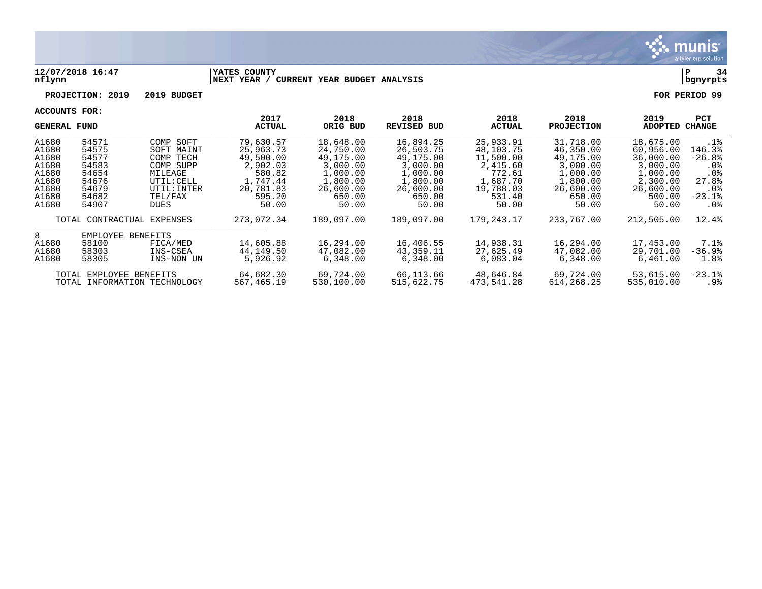

#### **12/07/2018 16:47 |YATES COUNTY |P 34 nflynn |NEXT YEAR / CURRENT YEAR BUDGET ANALYSIS |bgnyrpts**

**PROJECTION: 2019 2019 BUDGET FOR PERIOD 99**

| GENERAL FUND |                         |                              | 2017<br><b>ACTUAL</b> | 2018<br>ORIG BUD | 2018<br>REVISED BUD | 2018<br><b>ACTUAL</b> | 2018<br><b>PROJECTION</b> | 2019<br><b>ADOPTED</b> | <b>PCT</b><br><b>CHANGE</b> |
|--------------|-------------------------|------------------------------|-----------------------|------------------|---------------------|-----------------------|---------------------------|------------------------|-----------------------------|
| A1680        | 54571                   | COMP SOFT                    | 79,630.57             | 18,648.00        | 16,894.25           | 25,933.91             | 31,718.00                 | 18,675.00              | $.1\%$                      |
| A1680        | 54575                   | SOFT MAINT                   | 25,963.73             | 24,750.00        | 26,503.75           | 48,103.75             | 46,350.00                 | 60,956.00              | 146.3%                      |
| A1680        | 54577                   | COMP<br>TECH                 | 49,500.00             | 49,175.00        | 49,175.00           | 11,500.00             | 49,175.00                 | 36,000.00              | $-26.8%$                    |
| A1680        | 54583                   | COMP SUPP                    | 2,902.03              | 3,000.00         | 3,000.00            | 2,415.60              | 3,000.00                  | 3,000.00               | . 0 %                       |
| A1680        | 54654                   | MILEAGE                      | 580.82                | 1,000.00         | 1,000.00            | 772.61                | 1,000.00                  | 1,000.00               | .0 <sub>8</sub>             |
| A1680        | 54676                   | UTIL: CELL                   | 1,747.44              | 1,800.00         | 1,800.00            | 1,687.70              | 1,800.00                  | 2,300.00               | 27.8%                       |
| A1680        | 54679                   | UTIL: INTER                  | 20,781.83             | 26,600.00        | 26,600.00           | 19,788.03             | 26,600.00                 | 26,600.00              | $.0\%$                      |
| A1680        | 54682                   | TEL/FAX                      | 595.20                | 650.00           | 650.00              | 531.40                | 650.00                    | 500.00                 | $-23.1$ °                   |
| A1680        | 54907                   | DUES                         | 50.00                 | 50.00            | 50.00               | 50.00                 | 50.00                     | 50.00                  | $.0\%$                      |
|              |                         | TOTAL CONTRACTUAL EXPENSES   | 273,072.34            | 189,097.00       | 189,097.00          | 179,243.17            | 233,767.00                | 212,505.00             | 12.4%                       |
| 8            | EMPLOYEE                | <b>BENEFITS</b>              |                       |                  |                     |                       |                           |                        |                             |
| A1680        | 58100                   | FICA/MED                     | 14,605.88             | 16,294.00        | 16,406.55           | 14,938.31             | 16,294.00                 | 17,453.00              | 7.1%                        |
| A1680        | 58303                   | INS-CSEA                     | 44,149.50             | 47,082.00        | 43,359.11           | 27,625.49             | 47,082.00                 | 29,701.00              | $-36.9%$                    |
| A1680        | 58305                   | INS-NON UN                   | 5,926.92              | 6,348.00         | 6,348.00            | 6,083.04              | 6,348.00                  | 6,461.00               | 1.8%                        |
|              | TOTAL EMPLOYEE BENEFITS |                              | 64,682.30             | 69,724.00        | 66,113.66           | 48,646.84             | 69,724.00                 | 53,615.00              | $-23.1$ $8$                 |
|              |                         | TOTAL INFORMATION TECHNOLOGY | 567,465.19            | 530,100.00       | 515,622.75          | 473,541.28            | 614, 268. 25              | 535,010.00             | .9%                         |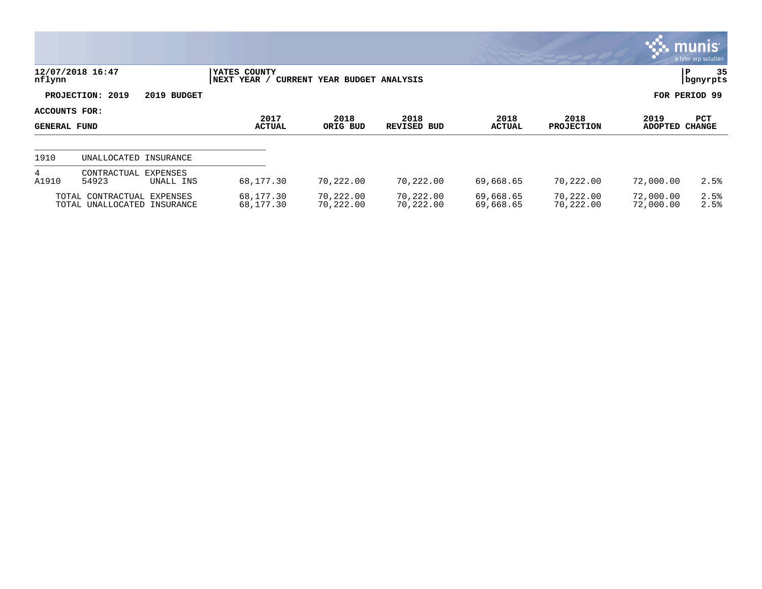|                                      |                                                           |                             |                              |                            |                        |                           |                        | <b>munis</b><br>a tyler erp solution |
|--------------------------------------|-----------------------------------------------------------|-----------------------------|------------------------------|----------------------------|------------------------|---------------------------|------------------------|--------------------------------------|
| nflynn                               | 12/07/2018 16:47                                          | YATES COUNTY<br>NEXT YEAR / | CURRENT YEAR BUDGET ANALYSIS |                            |                        |                           |                        | 35<br>P<br>  bgnyrpts                |
|                                      | PROJECTION: 2019<br>2019 BUDGET                           |                             |                              |                            |                        |                           |                        | FOR PERIOD 99                        |
| ACCOUNTS FOR:<br><b>GENERAL FUND</b> |                                                           | 2017<br><b>ACTUAL</b>       | 2018<br>ORIG BUD             | 2018<br><b>REVISED BUD</b> | 2018<br><b>ACTUAL</b>  | 2018<br><b>PROJECTION</b> | 2019<br><b>ADOPTED</b> | <b>PCT</b><br><b>CHANGE</b>          |
| 1910                                 | UNALLOCATED INSURANCE                                     |                             |                              |                            |                        |                           |                        |                                      |
| 4<br>A1910                           | CONTRACTUAL<br>EXPENSES<br>54923<br>UNALL INS             | 68,177.30                   | 70,222.00                    | 70,222.00                  | 69,668.65              | 70,222.00                 | 72,000.00              | 2.5%                                 |
|                                      | TOTAL CONTRACTUAL EXPENSES<br>TOTAL UNALLOCATED INSURANCE | 68,177.30<br>68,177.30      | 70,222.00<br>70,222.00       | 70,222.00<br>70,222.00     | 69,668.65<br>69,668.65 | 70,222.00<br>70,222.00    | 72,000.00<br>72,000.00 | 2.5%<br>2.5%                         |

 $\bullet$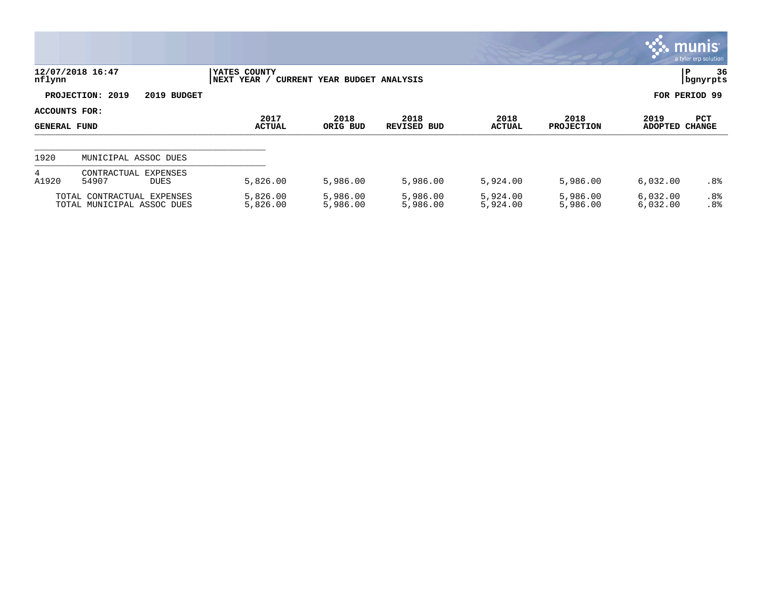|                               |                                                          |                                |                              |                            |                      |                           |                        | $\mathsf{m}$ unıs $\mathsf{m}$<br>a tyler erp solution |
|-------------------------------|----------------------------------------------------------|--------------------------------|------------------------------|----------------------------|----------------------|---------------------------|------------------------|--------------------------------------------------------|
| nflynn                        | 12/07/2018 16:47                                         | YATES COUNTY<br>YEAR /<br>NEXT | CURRENT YEAR BUDGET ANALYSIS |                            |                      |                           |                        | 36<br>P<br>  bgnyrpts                                  |
|                               | PROJECTION: 2019<br>2019 BUDGET                          |                                |                              |                            |                      |                           |                        | FOR PERIOD 99                                          |
| ACCOUNTS FOR:<br>GENERAL FUND |                                                          | 2017<br><b>ACTUAL</b>          | 2018<br>ORIG BUD             | 2018<br><b>REVISED BUD</b> | 2018<br>ACTUAL       | 2018<br><b>PROJECTION</b> | 2019<br><b>ADOPTED</b> | PCT<br><b>CHANGE</b>                                   |
| 1920                          | MUNICIPAL ASSOC DUES                                     |                                |                              |                            |                      |                           |                        |                                                        |
| 4<br>A1920                    | CONTRACTUAL<br>EXPENSES<br>54907<br><b>DUES</b>          | 5,826.00                       | 5,986.00                     | 5,986.00                   | 5,924.00             | 5,986.00                  | 6,032.00               | .8%                                                    |
|                               | TOTAL CONTRACTUAL EXPENSES<br>TOTAL MUNICIPAL ASSOC DUES | 5,826.00<br>5,826.00           | 5,986.00<br>5,986.00         | 5,986.00<br>5,986.00       | 5,924.00<br>5,924.00 | 5,986.00<br>5,986.00      | 6,032.00<br>6,032.00   | .8%<br>.8 <sup>°</sup>                                 |

**Section**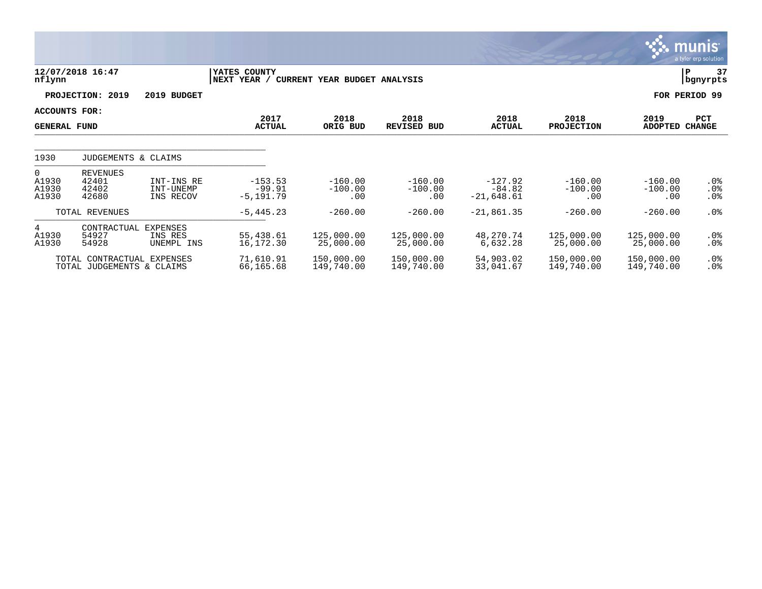|                                           |                                                         |                                          |                                       |                               |                               |                                       |                               |                               | munis <sup>®</sup><br>a tyler erp solution |
|-------------------------------------------|---------------------------------------------------------|------------------------------------------|---------------------------------------|-------------------------------|-------------------------------|---------------------------------------|-------------------------------|-------------------------------|--------------------------------------------|
| nflynn                                    | 12/07/2018 16:47                                        |                                          | YATES COUNTY<br>NEXT YEAR /           | CURRENT YEAR BUDGET ANALYSIS  |                               |                                       |                               |                               | 37<br>P<br>bgnyrpts                        |
|                                           | PROJECTION: 2019                                        | 2019 BUDGET                              |                                       |                               |                               |                                       |                               |                               | FOR PERIOD 99                              |
| ACCOUNTS FOR:<br><b>GENERAL FUND</b>      |                                                         |                                          | 2017<br><b>ACTUAL</b>                 | 2018<br>ORIG BUD              | 2018<br><b>REVISED BUD</b>    | 2018<br><b>ACTUAL</b>                 | 2018<br><b>PROJECTION</b>     | 2019<br>ADOPTED CHANGE        | PCT                                        |
| 1930                                      | JUDGEMENTS & CLAIMS                                     |                                          |                                       |                               |                               |                                       |                               |                               |                                            |
| $\overline{0}$<br>A1930<br>A1930<br>A1930 | REVENUES<br>42401<br>42402<br>42680                     | INT-INS RE<br>INT-UNEMP<br>INS RECOV     | $-153.53$<br>$-99.91$<br>$-5, 191.79$ | $-160.00$<br>$-100.00$<br>.00 | $-160.00$<br>$-100.00$<br>.00 | $-127.92$<br>$-84.82$<br>$-21,648.61$ | $-160.00$<br>$-100.00$<br>.00 | $-160.00$<br>$-100.00$<br>.00 | .0%<br>$.0\%$<br>$.0\%$                    |
|                                           | TOTAL REVENUES                                          |                                          | $-5, 445.23$                          | $-260.00$                     | $-260.00$                     | $-21,861.35$                          | $-260.00$                     | $-260.00$                     | $.0\%$                                     |
| $4\overline{ }$<br>A1930<br>A1930         | CONTRACTUAL<br>54927<br>54928                           | <b>EXPENSES</b><br>INS RES<br>UNEMPL INS | 55,438.61<br>16,172.30                | 125,000.00<br>25,000.00       | 125,000.00<br>25,000.00       | 48,270.74<br>6,632.28                 | 125,000.00<br>25,000.00       | 125,000.00<br>25,000.00       | $.0\%$<br>.0%                              |
|                                           | TOTAL CONTRACTUAL EXPENSES<br>TOTAL JUDGEMENTS & CLAIMS |                                          | 71,610.91<br>66,165.68                | 150,000.00<br>149,740.00      | 150,000.00<br>149,740.00      | 54,903.02<br>33,041.67                | 150,000.00<br>149,740.00      | 150,000.00<br>149,740.00      | .0%<br>$.0\%$                              |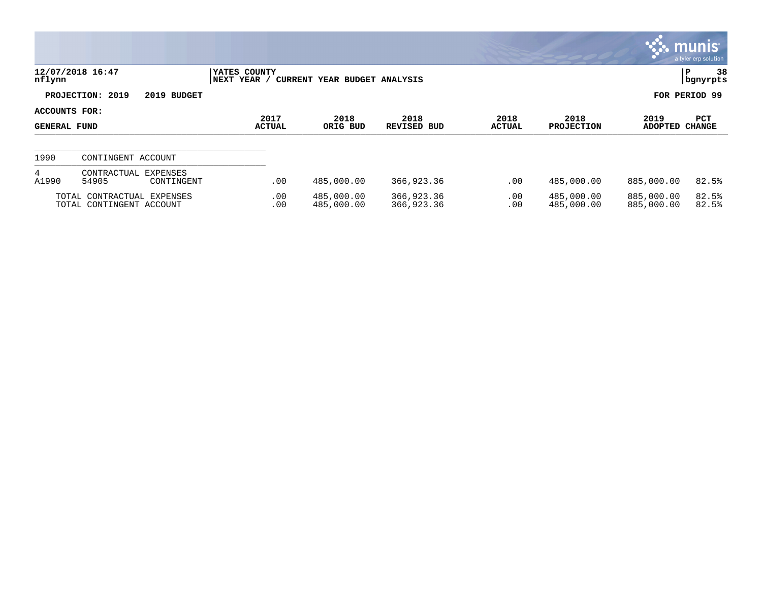|                                             |                                                        |                             |                              |                            |                       |                           |                          | $\mathbb{C}$ munis $\mathbb{C}^{\mathbb{N}}$<br>a tyler erp solution |
|---------------------------------------------|--------------------------------------------------------|-----------------------------|------------------------------|----------------------------|-----------------------|---------------------------|--------------------------|----------------------------------------------------------------------|
| nflynn                                      | 12/07/2018 16:47                                       | YATES COUNTY<br>NEXT YEAR / | CURRENT YEAR BUDGET ANALYSIS |                            |                       |                           |                          | 38<br>P<br>  bgnyrpts                                                |
|                                             | PROJECTION: 2019<br>2019 BUDGET                        |                             |                              |                            |                       |                           |                          | FOR PERIOD 99                                                        |
| <b>ACCOUNTS FOR:</b><br><b>GENERAL FUND</b> |                                                        | 2017<br><b>ACTUAL</b>       | 2018<br>ORIG BUD             | 2018<br><b>REVISED BUD</b> | 2018<br><b>ACTUAL</b> | 2018<br><b>PROJECTION</b> | 2019<br><b>ADOPTED</b>   | PCT<br><b>CHANGE</b>                                                 |
| 1990                                        | CONTINGENT ACCOUNT                                     |                             |                              |                            |                       |                           |                          |                                                                      |
| 4<br>A1990                                  | CONTRACTUAL<br>EXPENSES<br>54905<br>CONTINGENT         | .00                         | 485,000.00                   | 366,923.36                 | .00                   | 485,000.00                | 885,000.00               | 82.5%                                                                |
|                                             | TOTAL CONTRACTUAL EXPENSES<br>TOTAL CONTINGENT ACCOUNT | .00<br>.00                  | 485,000.00<br>485,000.00     | 366,923.36<br>366,923.36   | .00<br>.00            | 485,000.00<br>485,000.00  | 885,000.00<br>885,000.00 | 82.5%<br>82.5%                                                       |

and the control of the control of the control of the control of the control of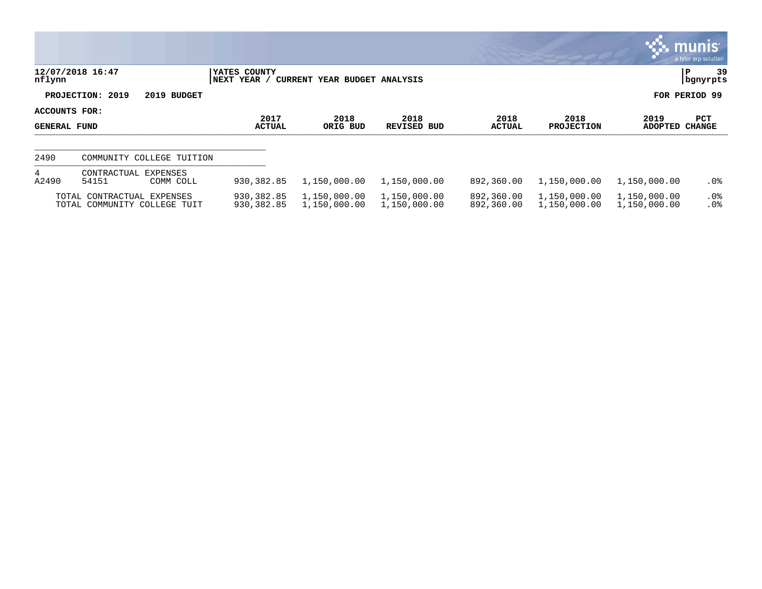|                               |                                                            |                              |                                     |                              |                          |                              |                              | $\mathbb{C}$ munis<br>a tyler erp solution |
|-------------------------------|------------------------------------------------------------|------------------------------|-------------------------------------|------------------------------|--------------------------|------------------------------|------------------------------|--------------------------------------------|
| nflynn                        | 12/07/2018 16:47                                           | YATES COUNTY<br> NEXT YEAR / | <b>CURRENT YEAR BUDGET ANALYSIS</b> |                              |                          |                              |                              | 39<br>P<br>  bgnyrpts                      |
|                               | PROJECTION: 2019<br>2019 BUDGET                            |                              |                                     |                              |                          |                              |                              | FOR PERIOD 99                              |
| ACCOUNTS FOR:<br>GENERAL FUND |                                                            | 2017<br><b>ACTUAL</b>        | 2018<br>ORIG BUD                    | 2018<br>REVISED BUD          | 2018<br><b>ACTUAL</b>    | 2018<br><b>PROJECTION</b>    | 2019<br>ADOPTED              | PCT<br><b>CHANGE</b>                       |
| 2490                          | COMMUNITY COLLEGE TUITION                                  |                              |                                     |                              |                          |                              |                              |                                            |
| 4<br>A2490                    | CONTRACTUAL EXPENSES<br>54151<br>COMM COLL                 | 930, 382.85                  | 1,150,000.00                        | 1,150,000.00                 | 892,360.00               | 1,150,000.00                 | 1,150,000.00                 | $.0\%$                                     |
|                               | TOTAL CONTRACTUAL EXPENSES<br>TOTAL COMMUNITY COLLEGE TUIT | 930,382.85<br>930, 382.85    | 1,150,000.00<br>1,150,000.00        | 1,150,000.00<br>1,150,000.00 | 892,360.00<br>892,360.00 | 1,150,000.00<br>1,150,000.00 | 1,150,000.00<br>1,150,000.00 | $.0\%$<br>.0%                              |

**CO**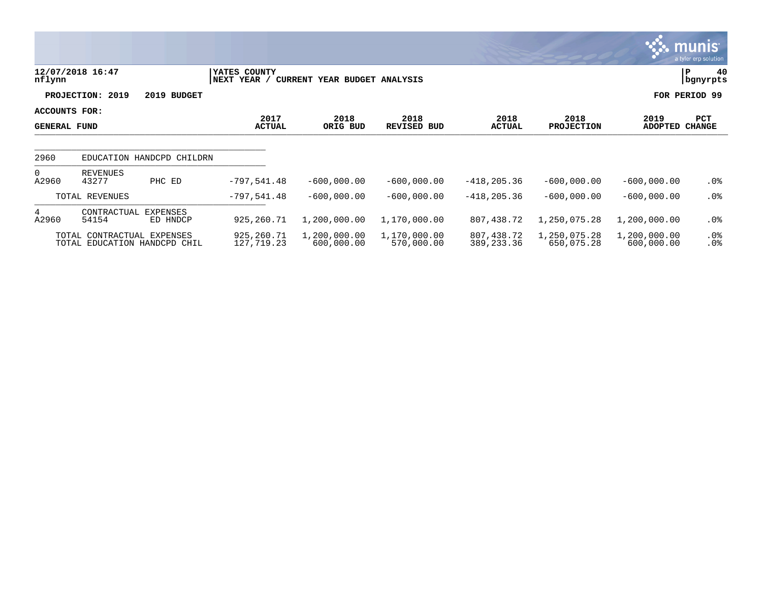|                                      |                                                            |                           |                             |                              |                            |                            |                            |                            | munis'<br>a tyler erp solution |
|--------------------------------------|------------------------------------------------------------|---------------------------|-----------------------------|------------------------------|----------------------------|----------------------------|----------------------------|----------------------------|--------------------------------|
| nflynn                               | 12/07/2018 16:47                                           |                           | YATES COUNTY<br>NEXT YEAR / | CURRENT YEAR BUDGET ANALYSIS |                            |                            |                            |                            | 40<br>P<br>bgnyrpts            |
|                                      | PROJECTION: 2019                                           | 2019 BUDGET               |                             |                              |                            |                            |                            |                            | FOR PERIOD 99                  |
| ACCOUNTS FOR:<br><b>GENERAL FUND</b> |                                                            |                           | 2017<br><b>ACTUAL</b>       | 2018<br>ORIG BUD             | 2018<br><b>REVISED BUD</b> | 2018<br><b>ACTUAL</b>      | 2018<br><b>PROJECTION</b>  | 2019<br><b>ADOPTED</b>     | PCT<br><b>CHANGE</b>           |
| 2960                                 |                                                            | EDUCATION HANDCPD CHILDRN |                             |                              |                            |                            |                            |                            |                                |
| $\overline{0}$<br>A2960              | <b>REVENUES</b><br>43277                                   | PHC ED                    | $-797,541.48$               | $-600,000.00$                | $-600,000.00$              | $-418, 205.36$             | $-600,000.00$              | $-600,000.00$              | $.0\%$                         |
|                                      | TOTAL REVENUES                                             |                           | $-797,541.48$               | $-600,000.00$                | $-600,000.00$              | $-418, 205.36$             | $-600,000.00$              | $-600,000.00$              | $.0\%$                         |
| 4<br>A2960                           | CONTRACTUAL<br>54154                                       | EXPENSES<br>ED HNDCP      | 925,260.71                  | 1,200,000.00                 | 1,170,000.00               | 807,438.72                 | 1,250,075.28               | 1,200,000.00               | $.0\%$                         |
|                                      | TOTAL CONTRACTUAL EXPENSES<br>TOTAL EDUCATION HANDCPD CHIL |                           | 925,260.71<br>127,719.23    | 1,200,000.00<br>600,000.00   | 1,170,000.00<br>570,000.00 | 807,438.72<br>389, 233. 36 | 1,250,075.28<br>650,075.28 | 1,200,000.00<br>600,000.00 | $.0\%$<br>. 0%                 |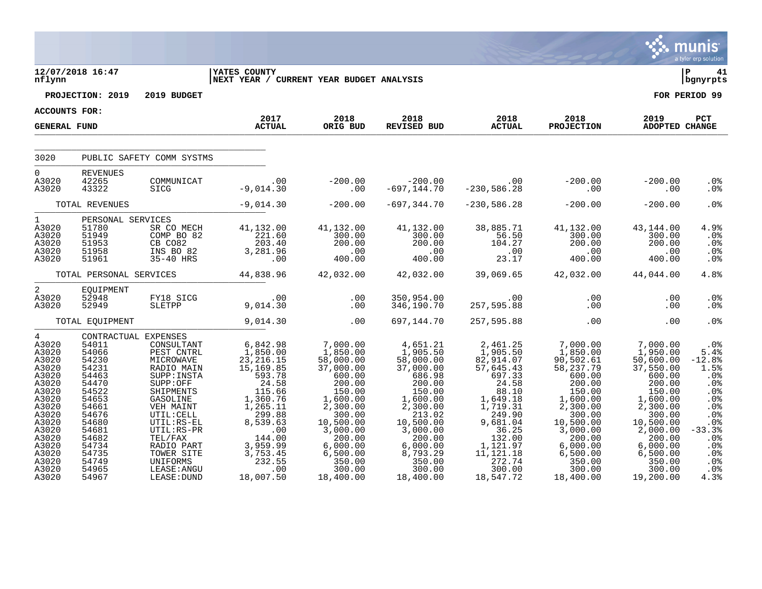|                                                                                                                                                                     |                                                                                                                                                                                        |                                                                                                                                                                                                                                                            |                                                                                                                                                                                                                                                            |                                                                                                                                                                                                                                                                                                           |                                                                                                                                                                               |                                                                                                                                                                                                                                                                 |                                                                                                                                                                                                                         |                                                                                                                                                                                                                                                           | a tyler erp solution                                                                                                                       |
|---------------------------------------------------------------------------------------------------------------------------------------------------------------------|----------------------------------------------------------------------------------------------------------------------------------------------------------------------------------------|------------------------------------------------------------------------------------------------------------------------------------------------------------------------------------------------------------------------------------------------------------|------------------------------------------------------------------------------------------------------------------------------------------------------------------------------------------------------------------------------------------------------------|-----------------------------------------------------------------------------------------------------------------------------------------------------------------------------------------------------------------------------------------------------------------------------------------------------------|-------------------------------------------------------------------------------------------------------------------------------------------------------------------------------|-----------------------------------------------------------------------------------------------------------------------------------------------------------------------------------------------------------------------------------------------------------------|-------------------------------------------------------------------------------------------------------------------------------------------------------------------------------------------------------------------------|-----------------------------------------------------------------------------------------------------------------------------------------------------------------------------------------------------------------------------------------------------------|--------------------------------------------------------------------------------------------------------------------------------------------|
|                                                                                                                                                                     | $\frac{12}{12}$<br>-firm                                                                                                                                                               |                                                                                                                                                                                                                                                            | <b>IYATES COUNTY</b><br>NEXT YEAR / CURRENT YEAR BUDGET ANALYSIS                                                                                                                                                                                           |                                                                                                                                                                                                                                                                                                           |                                                                                                                                                                               |                                                                                                                                                                                                                                                                 |                                                                                                                                                                                                                         |                                                                                                                                                                                                                                                           | $ P $ 41<br>bgnyrpts                                                                                                                       |
|                                                                                                                                                                     | PROJECTION: 2019                                                                                                                                                                       | 2019 BUDGET                                                                                                                                                                                                                                                |                                                                                                                                                                                                                                                            |                                                                                                                                                                                                                                                                                                           |                                                                                                                                                                               |                                                                                                                                                                                                                                                                 |                                                                                                                                                                                                                         |                                                                                                                                                                                                                                                           | FOR PERIOD 99                                                                                                                              |
| <b>ACCOUNTS FOR:</b>                                                                                                                                                |                                                                                                                                                                                        |                                                                                                                                                                                                                                                            |                                                                                                                                                                                                                                                            |                                                                                                                                                                                                                                                                                                           |                                                                                                                                                                               |                                                                                                                                                                                                                                                                 |                                                                                                                                                                                                                         |                                                                                                                                                                                                                                                           |                                                                                                                                            |
| <b>GENERAL FUND</b>                                                                                                                                                 |                                                                                                                                                                                        |                                                                                                                                                                                                                                                            | 2017<br><b>ACTUAL</b>                                                                                                                                                                                                                                      | 2018<br>ORIG BUD                                                                                                                                                                                                                                                                                          | 2018<br>REVISED BUD                                                                                                                                                           | 2018<br>ACTUAL                                                                                                                                                                                                                                                  | 2018<br><b>PROJECTION</b>                                                                                                                                                                                               | 2019<br>ADOPTED CHANGE                                                                                                                                                                                                                                    | PCT                                                                                                                                        |
| 3020                                                                                                                                                                |                                                                                                                                                                                        | PUBLIC SAFETY COMM SYSTMS                                                                                                                                                                                                                                  |                                                                                                                                                                                                                                                            |                                                                                                                                                                                                                                                                                                           |                                                                                                                                                                               |                                                                                                                                                                                                                                                                 |                                                                                                                                                                                                                         |                                                                                                                                                                                                                                                           |                                                                                                                                            |
| $0 \qquad \qquad$<br>A3020                                                                                                                                          | <b>REVENUES</b><br>42265                                                                                                                                                               | COMMUNICAT                                                                                                                                                                                                                                                 | 00.<br>9,014.30-                                                                                                                                                                                                                                           | $-200.00$                                                                                                                                                                                                                                                                                                 |                                                                                                                                                                               |                                                                                                                                                                                                                                                                 | $0.00$ $-200.00$<br>$0.00$ $0.00$                                                                                                                                                                                       | $-200.00$                                                                                                                                                                                                                                                 | .0%                                                                                                                                        |
| A3020                                                                                                                                                               | 43322                                                                                                                                                                                  | SICG                                                                                                                                                                                                                                                       |                                                                                                                                                                                                                                                            |                                                                                                                                                                                                                                                                                                           |                                                                                                                                                                               |                                                                                                                                                                                                                                                                 |                                                                                                                                                                                                                         | $\overline{00}$                                                                                                                                                                                                                                           | $.0\%$                                                                                                                                     |
|                                                                                                                                                                     | TOTAL REVENUES                                                                                                                                                                         |                                                                                                                                                                                                                                                            |                                                                                                                                                                                                                                                            | $-9,014.30$ $-200.00$                                                                                                                                                                                                                                                                                     | $-697, 344.70$                                                                                                                                                                | $-230,586.28$                                                                                                                                                                                                                                                   | $-200.00$                                                                                                                                                                                                               | $-200.00$                                                                                                                                                                                                                                                 | .0%                                                                                                                                        |
| $1 \quad \blacksquare$<br>A3020<br>A3020<br>A3020<br>A3020<br>A3020                                                                                                 | PERSONAL SERVICES<br>51780<br>51949<br>51953<br>51958<br>51961                                                                                                                         |                                                                                                                                                                                                                                                            | RVICES<br>SR CO MECH<br>COMP BO 82<br>CB CO82<br>203.40<br>INS BO 82<br>35-40 HRS<br>35-40 HRS<br>203.281.96                                                                                                                                               | 41,132.00<br>300.00<br>$\begin{array}{r} 200.000 \\ -0.00 \\ 400.00 \end{array}$                                                                                                                                                                                                                          | 41,132.00<br>300.00<br>$200.00$<br>0.00<br>400.00                                                                                                                             | 38,885.71<br>56.50<br>$104.27$<br>$00$<br>$23.17$                                                                                                                                                                                                               | 41,132.00<br>300.00<br>200.00<br>00.00<br>400.00                                                                                                                                                                        | 43,144.00<br>300.00<br>200.00<br>200.00<br>00.00<br>00.00                                                                                                                                                                                                 | 4.9%<br>.0%<br>.0%<br>.0%<br>.0%                                                                                                           |
|                                                                                                                                                                     |                                                                                                                                                                                        |                                                                                                                                                                                                                                                            | TOTAL PERSONAL SERVICES 44,838.96                                                                                                                                                                                                                          |                                                                                                                                                                                                                                                                                                           |                                                                                                                                                                               |                                                                                                                                                                                                                                                                 | $42,032.00$ $42,032.00$ $39,069.65$ $42,032.00$ $44,044.00$                                                                                                                                                             |                                                                                                                                                                                                                                                           | 4.8%                                                                                                                                       |
| $2 \left( \frac{1}{2} \right)$<br>A3020<br>A3020                                                                                                                    | EQUIPMENT<br>52948<br>52949                                                                                                                                                            |                                                                                                                                                                                                                                                            | FY18 SICG 00<br>SLETPP 9,014.30                                                                                                                                                                                                                            | .00<br>.00                                                                                                                                                                                                                                                                                                |                                                                                                                                                                               | 00. 00. 00.<br>346,190.70 057,595.88 00.00.00                                                                                                                                                                                                                   |                                                                                                                                                                                                                         | .00<br>.00                                                                                                                                                                                                                                                | .0%<br>.0%                                                                                                                                 |
|                                                                                                                                                                     | TOTAL EQUIPMENT                                                                                                                                                                        |                                                                                                                                                                                                                                                            | 9,014.30                                                                                                                                                                                                                                                   | .00                                                                                                                                                                                                                                                                                                       | 697,144.70                                                                                                                                                                    | 257,595.88                                                                                                                                                                                                                                                      | .00                                                                                                                                                                                                                     | .00                                                                                                                                                                                                                                                       | .0 <sub>8</sub>                                                                                                                            |
| 4<br>A3020<br>A3020<br>A3020<br>A3020<br>A3020<br>A3020<br>A3020<br>A3020<br>A3020<br>A3020<br>A3020<br>A3020<br>A3020<br>A3020<br>A3020<br>A3020<br>A3020<br>A3020 | CONTRACTUAL EXPENSES<br>54011<br>54066<br>54230<br>54231<br>54463<br>54470<br>54522<br>54653<br>54661<br>54676<br>54680<br>54681<br>54682<br>54734<br>54735<br>54749<br>54965<br>54967 | CONSULTANT<br>PEST CNTRL<br>MICROWAVE<br>RADIO MAIN<br>SUPP: INSTA<br>$\texttt{SUPP:OFF}$<br>SHIPMENTS<br>GASOLINE<br>VEH MAINT<br>UTIL: CELL<br>UTIL:RS-EL<br>UTIL:RS-PR<br>TEL/FAX<br>RADIO PART<br>TOWER SITE<br>UNIFORMS<br>LEASE: ANGU<br>LEASE: DUND | 6,842.98<br>1,850.00<br>23,216.15<br>15,169.85<br>593.78<br>24.58<br>$\begin{array}{r} 115.66 \\ 1,360.76 \\ 1,265.11 \\ 2,200.88 \end{array}$<br>$299.88$<br>8,539.63<br>$00$<br>144.00<br>144.00<br>3,959.99<br>$3,753.45$<br>232.55<br>.00<br>18,007.50 | 7,000.00<br>1,850.00<br>58,000.00<br>37,000.00<br>$600.00$<br>$600.00$<br>150.00<br>1,600.00<br>2,300.00<br>300.00<br>10,500.00<br>3,000.00<br>$\begin{array}{r} 3\, , 000\, .00\ 200\, .00\ 6\, , 000\, .00\ 6\, , 500\, .00\ 6\, , 550\, .00\ 350\, .00\ 300\, .00\ \end{array}$<br>300.00<br>18,400.00 | 4,651.21<br>1,905.50<br>58,000.00<br>37,000.00<br>37,000.00<br>686.98<br>200.00<br>150.00<br>$1,600.00$<br>2,300.00<br>213.02<br>10,500.00<br>3,000.00<br>300.00<br>18,400.00 | 2,461.25<br>$1,905.50$<br>$82,914.07$<br>$57,645.43$<br>697.33<br>24.58<br>88.10<br>$\begin{array}{r} 88.10 \\ 1,649.18 \\ 1,719.31 \\ 240.02 \end{array}$<br>$249.90$<br>9,681.04<br>36.25<br>132.00<br>1,121.97<br>11,121.18<br>272.74<br>300.00<br>18,547.72 | 7,000.00<br>$1,850.00$<br>90,502.61<br>58,237.79<br>600.00<br>200.00<br>150.00<br>1,600.00<br>2,300.00<br>300.00<br>$300.00$<br>$3,000.00$<br>$3,000.00$<br>$6,000.00$<br>$6,500.00$<br>$350.00$<br>300.00<br>18,400.00 | 7,000.00<br>1,950.00<br>50,600.00<br>37,550.00<br>600.00<br>200.00<br>150.00<br>1,600.00<br>2,300.00<br>300.00<br>10,500.00<br>2,000.00<br>$\begin{array}{r} -200.56 \\ 6,000.00 \\ 6,500.00 \\ 350.00 \\ 300.00 \\ -20.00 \\ 0 \end{array}$<br>19,200.00 | $.0\%$<br>5.4%<br>$-12.8%$<br>1.5%<br>.0%<br>.0%<br>.0%<br>.0%<br>.0%<br>.0%<br>.0%<br>$-33.3%$<br>.0%<br>.0%<br>.0%<br>.0%<br>.0%<br>4.3% |

 $\ddot{\ddot{\mathbf{u}}}$  munis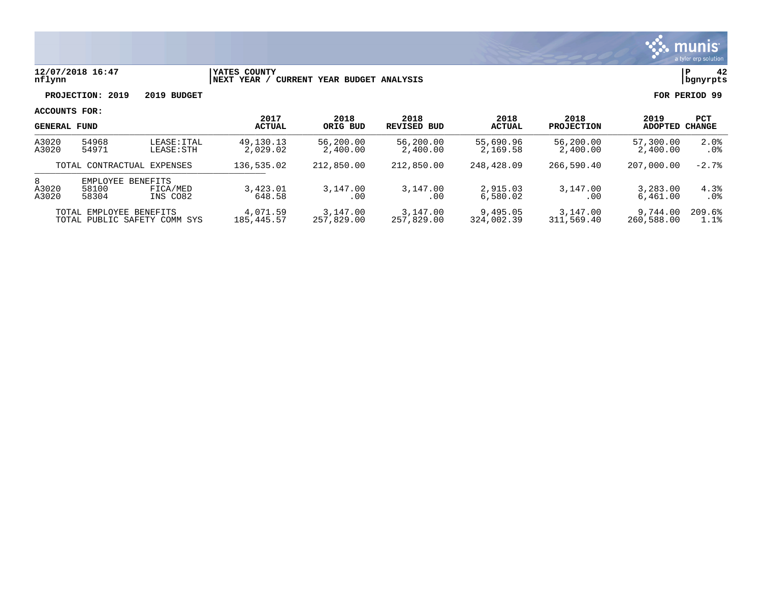

### **12/07/2018 16:47 |YATES COUNTY |P 42 nflynn |NEXT YEAR / CURRENT YEAR BUDGET ANALYSIS |bgnyrpts**

**PROJECTION: 2019 2019 BUDGET FOR PERIOD 99**

|                     | <b>GENERAL FUND</b>                                     |                           | 2017<br><b>ACTUAL</b>  | 2018<br>ORIG BUD                                                   | 2018<br><b>REVISED BUD</b> | 2018<br><b>ACTUAL</b>  | 2018<br><b>PROJECTION</b> | 2019<br>ADOPTED        | PCT<br>CHANGE  |
|---------------------|---------------------------------------------------------|---------------------------|------------------------|--------------------------------------------------------------------|----------------------------|------------------------|---------------------------|------------------------|----------------|
| A3020<br>A3020      | 54968<br>54971                                          | LEASE: ITAL<br>LEASE: STH | 49,130.13<br>2,029.02  | 56,200.00<br>2,400.00                                              | 56,200.00<br>2,400.00      | 55,690.96<br>2,169.58  | 56,200.00<br>2,400.00     | 57,300.00<br>2,400.00  | 2.0%<br>. 0%   |
|                     | TOTAL CONTRACTUAL EXPENSES                              |                           | 136,535.02             | 212,850.00<br>212,850.00<br>248,428.09<br>266,590.40<br>207,000.00 |                            | $-2.7%$                |                           |                        |                |
| 8<br>A3020<br>A3020 | EMPLOYEE BENEFITS<br>58100<br>58304                     | FICA/MED<br>INS CO82      | 3,423.01<br>648.58     | 3,147.00<br>. 00                                                   | 3,147.00<br>. 00           | 2,915.03<br>6,580.02   | 3,147.00<br>.00           | 3,283.00<br>6,461.00   | 4.3%<br>. 0%   |
|                     | TOTAL EMPLOYEE BENEFITS<br>TOTAL PUBLIC SAFETY COMM SYS |                           | 4,071.59<br>185,445.57 | 3,147.00<br>257,829.00                                             | 3,147.00<br>257,829.00     | 9,495.05<br>324,002.39 | 3,147.00<br>311,569.40    | 9,744.00<br>260,588.00 | 209.6%<br>1.1% |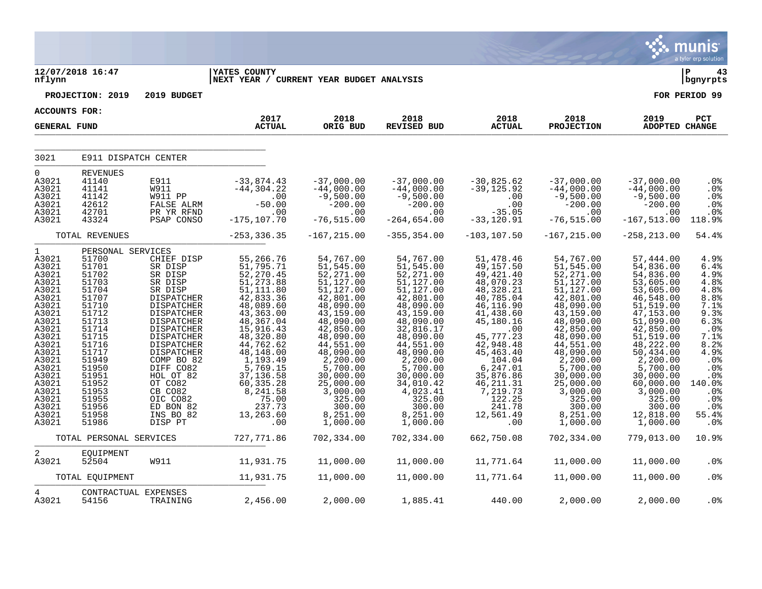|                                                                                                                                                                                                         |                                                                                                                                                                                                                         |                                                                                                                                                                                                                                                                                                                   |                                                                                                                                                                                                                                                                                           |                                                                                                                                                                                                                                                                                  |                                                                                                                                                                                                                                                                                       |                                                                                                                                                                                                                                                                       |                                                                                                                                                                                                                                                                                      |                                                                                                                                                                                                                                                                                   | <b>munis</b><br>a tyler erp solution                                                                                                                                                            |
|---------------------------------------------------------------------------------------------------------------------------------------------------------------------------------------------------------|-------------------------------------------------------------------------------------------------------------------------------------------------------------------------------------------------------------------------|-------------------------------------------------------------------------------------------------------------------------------------------------------------------------------------------------------------------------------------------------------------------------------------------------------------------|-------------------------------------------------------------------------------------------------------------------------------------------------------------------------------------------------------------------------------------------------------------------------------------------|----------------------------------------------------------------------------------------------------------------------------------------------------------------------------------------------------------------------------------------------------------------------------------|---------------------------------------------------------------------------------------------------------------------------------------------------------------------------------------------------------------------------------------------------------------------------------------|-----------------------------------------------------------------------------------------------------------------------------------------------------------------------------------------------------------------------------------------------------------------------|--------------------------------------------------------------------------------------------------------------------------------------------------------------------------------------------------------------------------------------------------------------------------------------|-----------------------------------------------------------------------------------------------------------------------------------------------------------------------------------------------------------------------------------------------------------------------------------|-------------------------------------------------------------------------------------------------------------------------------------------------------------------------------------------------|
| nflynn                                                                                                                                                                                                  | 12/07/2018 16:47                                                                                                                                                                                                        |                                                                                                                                                                                                                                                                                                                   | <b>YATES COUNTY</b><br>NEXT YEAR / CURRENT YEAR BUDGET ANALYSIS                                                                                                                                                                                                                           |                                                                                                                                                                                                                                                                                  |                                                                                                                                                                                                                                                                                       |                                                                                                                                                                                                                                                                       |                                                                                                                                                                                                                                                                                      |                                                                                                                                                                                                                                                                                   | Þ<br>43<br>  bgnyrpts                                                                                                                                                                           |
|                                                                                                                                                                                                         | PROJECTION: 2019                                                                                                                                                                                                        | 2019 BUDGET                                                                                                                                                                                                                                                                                                       |                                                                                                                                                                                                                                                                                           |                                                                                                                                                                                                                                                                                  |                                                                                                                                                                                                                                                                                       |                                                                                                                                                                                                                                                                       |                                                                                                                                                                                                                                                                                      |                                                                                                                                                                                                                                                                                   | FOR PERIOD 99                                                                                                                                                                                   |
| <b>ACCOUNTS FOR:</b>                                                                                                                                                                                    |                                                                                                                                                                                                                         |                                                                                                                                                                                                                                                                                                                   |                                                                                                                                                                                                                                                                                           |                                                                                                                                                                                                                                                                                  |                                                                                                                                                                                                                                                                                       |                                                                                                                                                                                                                                                                       |                                                                                                                                                                                                                                                                                      |                                                                                                                                                                                                                                                                                   |                                                                                                                                                                                                 |
| <b>GENERAL FUND</b>                                                                                                                                                                                     |                                                                                                                                                                                                                         |                                                                                                                                                                                                                                                                                                                   | 2017<br><b>ACTUAL</b>                                                                                                                                                                                                                                                                     | 2018<br>ORIG BUD                                                                                                                                                                                                                                                                 | 2018<br>REVISED BUD                                                                                                                                                                                                                                                                   | 2018<br><b>ACTUAL</b>                                                                                                                                                                                                                                                 | 2018<br><b>PROJECTION</b>                                                                                                                                                                                                                                                            | 2019<br>ADOPTED CHANGE                                                                                                                                                                                                                                                            | PCT                                                                                                                                                                                             |
| 3021                                                                                                                                                                                                    | E911 DISPATCH CENTER                                                                                                                                                                                                    |                                                                                                                                                                                                                                                                                                                   |                                                                                                                                                                                                                                                                                           |                                                                                                                                                                                                                                                                                  |                                                                                                                                                                                                                                                                                       |                                                                                                                                                                                                                                                                       |                                                                                                                                                                                                                                                                                      |                                                                                                                                                                                                                                                                                   |                                                                                                                                                                                                 |
| $\mathbf{0}$<br>A3021<br>A3021<br>A3021<br>A3021<br>A3021<br>A3021                                                                                                                                      | <b>REVENUES</b><br>41140<br>41141<br>41142<br>42612<br>42701<br>43324                                                                                                                                                   | E911<br>W911<br>W911 PP<br>FALSE ALRM<br>PR YR RFND<br>PSAP CONSO                                                                                                                                                                                                                                                 | $-33,874.43$<br>$-44, 304.22$<br>$-50.00$<br>.00<br>$-175, 107.70$                                                                                                                                                                                                                        | $-37,000.00$<br>$-44,000.00$<br>$-9,500.00$<br>$-200.00$<br>.00<br>$-76, 515.00$                                                                                                                                                                                                 | $-37,000.00$<br>$-44,000.00$<br>$-9,500.00$<br>$-200.00$<br>.00<br>$-264, 654.00$                                                                                                                                                                                                     | -30,825.62<br>-39,125.92<br>.00<br>.00<br>$-35.05$<br>$-33,120.91$                                                                                                                                                                                                    | $-37,000.00$<br>$-44,000.00$<br>$-9,500.00$<br>$-200.00$<br>.00<br>$-76, 515.00$                                                                                                                                                                                                     | $-37,000.00$<br>$-44,000.00$<br>$-9,500.00$<br>$-200.00$<br>.00<br>$-167, 513.00$                                                                                                                                                                                                 | .0%<br>.0%<br>.0%<br>.0%<br>.0%<br>118.9%                                                                                                                                                       |
|                                                                                                                                                                                                         | TOTAL REVENUES                                                                                                                                                                                                          |                                                                                                                                                                                                                                                                                                                   | $-253, 336.35$                                                                                                                                                                                                                                                                            | $-167, 215.00$                                                                                                                                                                                                                                                                   | $-355, 354.00$                                                                                                                                                                                                                                                                        | $-103, 107.50$                                                                                                                                                                                                                                                        | $-167, 215.00$                                                                                                                                                                                                                                                                       | $-258, 213.00$                                                                                                                                                                                                                                                                    | 54.4%                                                                                                                                                                                           |
| 1<br>A3021<br>A3021<br>A3021<br>A3021<br>A3021<br>A3021<br>A3021<br>A3021<br>A3021<br>A3021<br>A3021<br>A3021<br>A3021<br>A3021<br>A3021<br>A3021<br>A3021<br>A3021<br>A3021<br>A3021<br>A3021<br>A3021 | PERSONAL SERVICES<br>51700<br>51701<br>51702<br>51703<br>51704<br>51707<br>51710<br>51712<br>51713<br>51714<br>51715<br>51716<br>51717<br>51949<br>51950<br>51951<br>51952<br>51953<br>51955<br>51956<br>51958<br>51986 | CHIEF DISP<br>SR DISP<br>SR DISP<br>SR DISP<br>SR DISP<br>DISPATCHER<br><b>DISPATCHER</b><br><b>DISPATCHER</b><br><b>DISPATCHER</b><br>DISPATCHER<br><b>DISPATCHER</b><br>DISPATCHER<br>DISPATCHER<br>COMP BO 82<br>DIFF CO82<br>HOL OT 82<br>OT CO82<br>CB CO82<br>OIC CO82<br>ED BON 82<br>INS BO 82<br>DISP PT | 55,266.76<br>51,795.71<br>52, 270.45<br>51, 273.88<br>51, 111.80<br>42,833.36<br>48,089.60<br>43,363.00<br>48,367.04<br>15,916.43<br>48,320.80<br>44,762.62<br>48,148.00<br>1,193.49<br>$\frac{5}{769}.15$<br>37, 136.58<br>60, 335.28<br>8,241.58<br>75.00<br>237.73<br>13,263.60<br>.00 | 54,767.00<br>51,545.00<br>52, 271.00<br>51,127.00<br>51,127.00<br>42,801.00<br>48,090.00<br>43,159.00<br>48,090.00<br>42,850.00<br>48,090.00<br>44,551.00<br>48,090.00<br>2,200.00<br>5,700.00<br>30,000.00<br>25,000.00<br>3,000.00<br>325.00<br>300.00<br>8,251.00<br>1,000.00 | 54,767.00<br>51, 545.00<br>52, 271.00<br>$51,127.00$<br>$51,127.00$<br>42,801.00<br>48,090.00<br>43,159.00<br>48,090.00<br>32,816.17<br>48,090.00<br>44,551.00<br>48,090.00<br>2,200.00<br>5,700.00<br>30,000.00<br>34,010.42<br>4,023.41<br>325.00<br>300.00<br>8,251.00<br>1,000.00 | 51,478.46<br>49,157.50<br>49, 421.40<br>48,070.23<br>48,328.21<br>40,785.04<br>46,116.90<br>41,438.60<br>45,180.16<br>.00<br>45,777.23<br>42,948.48<br>45,463.40<br>104.04<br>6,247.01<br>35,876.86<br>46, 211.31<br>7,219.73<br>122.25<br>241.78<br>12,561.49<br>.00 | 54,767.00<br>51,545.00<br>52, 271.00<br>$51,127.00$<br>$51,127.00$<br>42,801.00<br>48,090.00<br>43,159.00<br>48,090.00<br>42,850.00<br>48,090.00<br>44,551.00<br>48,090.00<br>2,200.00<br>5,700.00<br>30,000.00<br>25,000.00<br>3,000.00<br>325.00<br>300.00<br>8,251.00<br>1,000.00 | 57,444.00<br>54,836.00<br>54,836.00<br>53,605.00<br>53,605.00<br>46,548.00<br>51,519.00<br>47,153.00<br>51,099.00<br>42,850.00<br>51, 519.00<br>48,222.00<br>50,434.00<br>2,200.00<br>5,700.00<br>30,000.00<br>60,000.00<br>3,000.00<br>325.00<br>300.00<br>12,818.00<br>1,000.00 | 4.9%<br>6.4%<br>4.9%<br>4.8%<br>4.8%<br>8.8%<br>7.1%<br>9.3%<br>6.3%<br>.0%<br>7.1%<br>8.2%<br>4.9%<br>.0 <sup>8</sup><br>.0 <sub>8</sub><br>.0%<br>140.0%<br>.0%<br>.0%<br>.0%<br>55.4%<br>.0% |
|                                                                                                                                                                                                         | TOTAL PERSONAL SERVICES                                                                                                                                                                                                 |                                                                                                                                                                                                                                                                                                                   | 727, 771.86                                                                                                                                                                                                                                                                               | 702,334.00                                                                                                                                                                                                                                                                       | 702,334.00                                                                                                                                                                                                                                                                            | 662,750.08                                                                                                                                                                                                                                                            | 702,334.00                                                                                                                                                                                                                                                                           | 779,013.00                                                                                                                                                                                                                                                                        | 10.9%                                                                                                                                                                                           |
| $\overline{a}$<br>A3021                                                                                                                                                                                 | EQUIPMENT<br>52504                                                                                                                                                                                                      | W911                                                                                                                                                                                                                                                                                                              | 11,931.75                                                                                                                                                                                                                                                                                 | 11,000.00                                                                                                                                                                                                                                                                        | 11,000.00                                                                                                                                                                                                                                                                             | 11,771.64                                                                                                                                                                                                                                                             | 11,000.00                                                                                                                                                                                                                                                                            | 11,000.00                                                                                                                                                                                                                                                                         | .0 <sub>8</sub>                                                                                                                                                                                 |
|                                                                                                                                                                                                         | TOTAL EQUIPMENT                                                                                                                                                                                                         |                                                                                                                                                                                                                                                                                                                   | 11,931.75                                                                                                                                                                                                                                                                                 | 11,000.00                                                                                                                                                                                                                                                                        | 11,000.00                                                                                                                                                                                                                                                                             | 11,771.64                                                                                                                                                                                                                                                             | 11,000.00                                                                                                                                                                                                                                                                            | 11,000.00                                                                                                                                                                                                                                                                         | .0%                                                                                                                                                                                             |
| $4\overline{ }$<br>A3021                                                                                                                                                                                | CONTRACTUAL EXPENSES<br>54156                                                                                                                                                                                           | TRAINING                                                                                                                                                                                                                                                                                                          | 2,456.00                                                                                                                                                                                                                                                                                  | 2,000.00                                                                                                                                                                                                                                                                         | 1,885.41                                                                                                                                                                                                                                                                              | 440.00                                                                                                                                                                                                                                                                | 2,000.00                                                                                                                                                                                                                                                                             | 2,000.00                                                                                                                                                                                                                                                                          | .0%                                                                                                                                                                                             |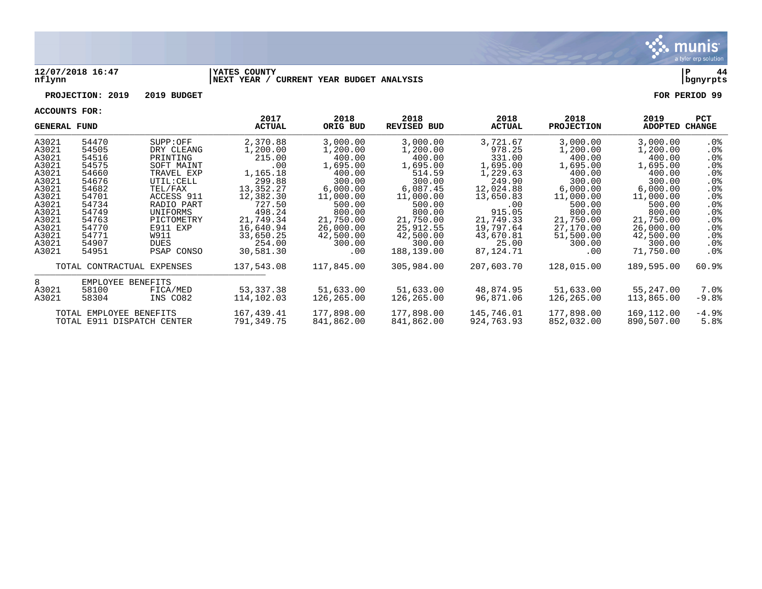

### **12/07/2018 16:47 |YATES COUNTY |P 44 nflynn |NEXT YEAR / CURRENT YEAR BUDGET ANALYSIS |bgnyrpts**

**PROJECTION: 2019 2019 BUDGET FOR PERIOD 99**

| <b>GENERAL FUND</b> |                            |                          | 2017<br>ACTUAL  | 2018<br>ORIG BUD   | 2018<br><b>REVISED BUD</b> | 2018<br><b>ACTUAL</b> | 2018<br><b>PROJECTION</b> | 2019<br>ADOPTED    | <b>PCT</b><br>CHANGE |
|---------------------|----------------------------|--------------------------|-----------------|--------------------|----------------------------|-----------------------|---------------------------|--------------------|----------------------|
| A3021               | 54470                      | SUPP:OFF                 | 2,370.88        | 3,000.00           | 3,000.00                   | 3,721.67              | 3,000.00                  | 3,000.00           | .0%                  |
| A3021               | 54505                      | DRY CLEANG               | 1,200.00        | 1,200.00           | 1,200.00<br>400.00         | 978.25                | 1,200.00                  | 1,200.00           | .0%                  |
| A3021               | 54516                      | PRINTING                 | 215.00          | 400.00             |                            | 331.00                | 400.00                    | 400.00             | .0%                  |
| A3021<br>A3021      | 54575<br>54660             | SOFT MAINT<br>TRAVEL EXP | .00<br>1,165.18 | 1,695.00<br>400.00 | 1,695.00<br>514.59         | 1,695.00<br>1,229.63  | 1,695.00<br>400.00        | 1,695.00<br>400.00 | .0%<br>.0%           |
| A3021               | 54676                      | UTIL: CELL               | 299.88          | 300.00             | 300.00                     | 249.90                | 300.00                    | 300.00             | .0%                  |
| A3021               | 54682                      | TEL/FAX                  | 13,352.27       | 6,000.00           | 6,087.45                   | 12,024.88             | 6,000.00                  | 6,000.00           | .0%                  |
| A3021               | 54701                      | ACCESS 911               | 12,382.30       | 11,000.00          | 11,000.00                  | 13,650.83             | 11,000.00                 | 11,000.00          | $.0\%$               |
| A3021               | 54734                      | RADIO PART               | 727.50          | 500.00             | 500.00                     | .00.                  | 500.00                    | 500.00             | .0%                  |
| A3021               | 54749                      | UNIFORMS                 | 498.24          | 800.00             | 800.00                     | 915.05                | 800.00                    | 800.00             | .0%                  |
| A3021               | 54763                      | PICTOMETRY               | 21,749.34       | 21,750.00          | 21,750.00                  | 21,749.33             | 21,750.00                 | 21,750.00          | .0%                  |
| A3021               | 54770                      | E911 EXP                 | 16,640.94       | 26,000.00          | 25,912.55                  | 19,797.64             | 27,170.00                 | 26,000.00          | $.0\%$               |
| A3021               | 54771                      | W911                     | 33,650.25       | 42,500.00          | 42,500.00                  | 43,670.81             | 51,500.00                 | 42,500.00          | $.0\%$               |
| A3021               | 54907                      | DUES                     | 254.00          | 300.00             | 300.00                     | 25.00                 | 300.00                    | 300.00             | .0%                  |
| A3021               | 54951                      | PSAP CONSO               | 30,581.30       | .00                | 188,139.00                 | 87,124.71             | $.00 \,$                  | 71,750.00          | . 0%                 |
|                     | TOTAL CONTRACTUAL EXPENSES |                          | 137,543.08      | 117,845.00         | 305,984.00                 | 207,603.70            | 128,015.00                | 189,595.00         | 60.9%                |
| 8                   | EMPLOYEE BENEFITS          |                          |                 |                    |                            |                       |                           |                    |                      |
| A3021               | 58100                      | FICA/MED                 | 53,337.38       | 51,633.00          | 51,633.00                  | 48,874.95             | 51,633.00                 | 55,247.00          | 7.0%                 |
| A3021               | 58304                      | INS CO82                 | 114,102.03      | 126,265.00         | 126,265.00                 | 96,871.06             | 126,265.00                | 113,865.00         | -9.8%                |
|                     | TOTAL EMPLOYEE BENEFITS    |                          | 167,439.41      | 177,898.00         | 177,898.00                 | 145,746.01            | 177,898.00                | 169,112.00         | $-4.9%$              |
|                     | TOTAL E911 DISPATCH CENTER |                          | 791,349.75      | 841,862.00         | 841,862.00                 | 924,763.93            | 852,032.00                | 890,507.00         | 5.8%                 |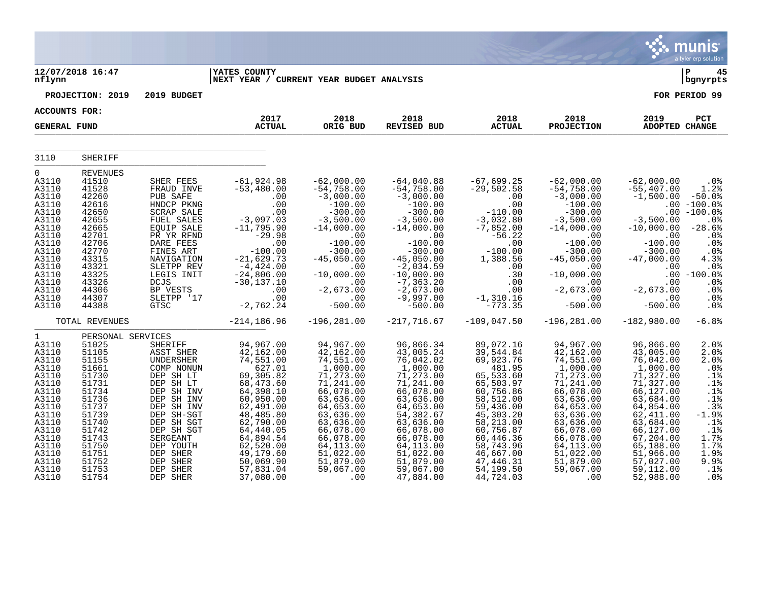|                                                                                                                                                                                |                                                                                                                                                                                     |                                                                                                                                                                                                                                        |                                                                                                                                                                                                                                     |                                                                                                                                                                                                                                 |                                                                                                                                                                                                                                                 |                                                                                                                                                                                                                                     |                                                                                                                                                                                                                                  |                                                                                                                                                                                                                                       | munis<br>a tyler erp solution                                                                                                                                               |
|--------------------------------------------------------------------------------------------------------------------------------------------------------------------------------|-------------------------------------------------------------------------------------------------------------------------------------------------------------------------------------|----------------------------------------------------------------------------------------------------------------------------------------------------------------------------------------------------------------------------------------|-------------------------------------------------------------------------------------------------------------------------------------------------------------------------------------------------------------------------------------|---------------------------------------------------------------------------------------------------------------------------------------------------------------------------------------------------------------------------------|-------------------------------------------------------------------------------------------------------------------------------------------------------------------------------------------------------------------------------------------------|-------------------------------------------------------------------------------------------------------------------------------------------------------------------------------------------------------------------------------------|----------------------------------------------------------------------------------------------------------------------------------------------------------------------------------------------------------------------------------|---------------------------------------------------------------------------------------------------------------------------------------------------------------------------------------------------------------------------------------|-----------------------------------------------------------------------------------------------------------------------------------------------------------------------------|
| nflynn                                                                                                                                                                         | 12/07/2018 16:47                                                                                                                                                                    |                                                                                                                                                                                                                                        | <b>IYATES COUNTY</b><br>NEXT YEAR / CURRENT YEAR BUDGET ANALYSIS                                                                                                                                                                    |                                                                                                                                                                                                                                 |                                                                                                                                                                                                                                                 |                                                                                                                                                                                                                                     |                                                                                                                                                                                                                                  |                                                                                                                                                                                                                                       | ∣ P<br>45<br>bgnyrpts                                                                                                                                                       |
|                                                                                                                                                                                | PROJECTION: 2019                                                                                                                                                                    | 2019 BUDGET                                                                                                                                                                                                                            |                                                                                                                                                                                                                                     |                                                                                                                                                                                                                                 |                                                                                                                                                                                                                                                 |                                                                                                                                                                                                                                     |                                                                                                                                                                                                                                  |                                                                                                                                                                                                                                       | FOR PERIOD 99                                                                                                                                                               |
| <b>ACCOUNTS FOR:</b>                                                                                                                                                           |                                                                                                                                                                                     |                                                                                                                                                                                                                                        | 2017                                                                                                                                                                                                                                | 2018                                                                                                                                                                                                                            | 2018                                                                                                                                                                                                                                            | 2018                                                                                                                                                                                                                                | 2018                                                                                                                                                                                                                             | 2019                                                                                                                                                                                                                                  | PCT                                                                                                                                                                         |
| <b>GENERAL FUND</b>                                                                                                                                                            |                                                                                                                                                                                     |                                                                                                                                                                                                                                        | <b>ACTUAL</b>                                                                                                                                                                                                                       | ORIG BUD                                                                                                                                                                                                                        | <b>REVISED BUD</b>                                                                                                                                                                                                                              | <b>ACTUAL</b>                                                                                                                                                                                                                       | <b>PROJECTION</b>                                                                                                                                                                                                                | ADOPTED CHANGE                                                                                                                                                                                                                        |                                                                                                                                                                             |
| 3110                                                                                                                                                                           | <b>SHERIFF</b>                                                                                                                                                                      |                                                                                                                                                                                                                                        |                                                                                                                                                                                                                                     |                                                                                                                                                                                                                                 |                                                                                                                                                                                                                                                 |                                                                                                                                                                                                                                     |                                                                                                                                                                                                                                  |                                                                                                                                                                                                                                       |                                                                                                                                                                             |
| $\Omega$<br>A3110<br>A3110<br>A3110<br>A3110<br>A3110<br>A3110<br>A3110<br>A3110<br>A3110<br>A3110<br>A3110<br>A3110<br>A3110<br>A3110<br>A3110<br>A3110<br>A3110              | <b>REVENUES</b><br>41510<br>41528<br>42260<br>42616<br>42650<br>42655<br>42665<br>42701<br>42706<br>42770<br>43315<br>43321<br>43325<br>43326<br>44306<br>44307<br>44388            | SHER FEES<br>FRAUD INVE<br>PUB SAFE<br>HNDCP PKNG<br>SCRAP SALE<br>FUEL SALES<br>EQUIP SALE<br>PR YR RFND<br>DARE FEES<br>FINES ART<br>NAVIGATION<br>SLETPP REV<br>LEGIS INIT<br><b>DCJS</b><br>BP VESTS<br>SLETPP '17<br>GTSC         | $-61,924.98$<br>$-53,480.00$<br>.00<br>.00<br>.00<br>$-3,097.03$<br>$-11,795.90$<br>$-29.98$<br>.00<br>$-100.00$<br>$-21,629.73$<br>$-4,424.00$<br>$-24,806.00$<br>$-30, 137.10$<br>.00<br>.00<br>$-2,762.24$                       | $-62,000.00$<br>$-54,758.00$<br>$-3,000.00$<br>$-100.00$<br>$-300.00$<br>$-3,500.00$<br>$-14,000.00$<br>.00<br>$-100.00$<br>$-300.00$<br>$-45,050.00$<br>.00<br>$-10,000.00$<br>.00<br>$-2,673.00$<br>.00<br>$-500.00$          | $-64,040.88$<br>$-54,758.00$<br>$-3,000.00$<br>$-100.00$<br>$-300.00$<br>$-3,500.00$<br>$-14,000.00$<br>.00<br>$-100.00$<br>$-300.00$<br>$-45,050.00$<br>$-2,034.59$<br>$-10,000.00$<br>$-7, 363.20$<br>$-2,673.00$<br>$-9,997.00$<br>$-500.00$ | $-67,699.25$<br>$-29,502.58$<br>.00<br>.00<br>$-110.00$<br>$-3,032.80$<br>$-7,852.00$<br>$-56.22$<br>.00<br>$-100.00$<br>1,388.56<br>.00<br>.30<br>.00<br>.00<br>$-1, 310.16$<br>$-773.35$                                          | $-62,000.00$<br>$-54,758.00$<br>$-3,000.00$<br>$-100.00$<br>$-300.00$<br>$-3,500.00$<br>$-14,000.00$<br>.00<br>$-100.00$<br>$-300.00$<br>$-45,050.00$<br>.00<br>$-10,000.00$<br>.00<br>$-2,673.00$<br>.00<br>$-500.00$           | $-62,000.00$<br>$-55,407.00$<br>$-1,500.00$<br>$-3,500.00$<br>$-10,000.00$<br>.00<br>$-100.00$<br>$-300.00$<br>$-47,000.00$<br>.00<br>.00<br>$-2,673.00$<br>.00<br>$-500.00$                                                          | .0%<br>1.2%<br>$-50.0%$<br>$.00 - 100.0%$<br>$.00 - 100.0%$<br>.0%<br>$-28.6%$<br>.0%<br>.0%<br>.0 <sub>8</sub><br>4.3%<br>.0%<br>$.00 - 100.0$<br>.0%<br>.0%<br>.0%<br>.0% |
|                                                                                                                                                                                | TOTAL REVENUES                                                                                                                                                                      |                                                                                                                                                                                                                                        | $-214, 186.96$                                                                                                                                                                                                                      | $-196, 281.00$                                                                                                                                                                                                                  | $-217,716.67$                                                                                                                                                                                                                                   | $-109,047.50$                                                                                                                                                                                                                       | $-196, 281.00$                                                                                                                                                                                                                   | $-182,980.00$                                                                                                                                                                                                                         | $-6.8%$                                                                                                                                                                     |
| $\mathbf{1}$<br>A3110<br>A3110<br>A3110<br>A3110<br>A3110<br>A3110<br>A3110<br>A3110<br>A3110<br>A3110<br>A3110<br>A3110<br>A3110<br>A3110<br>A3110<br>A3110<br>A3110<br>A3110 | PERSONAL SERVICES<br>51025<br>51105<br>51155<br>51661<br>51730<br>51731<br>51734<br>51736<br>51737<br>51739<br>51740<br>51742<br>51743<br>51750<br>51751<br>51752<br>51753<br>51754 | SHERIFF<br>ASST SHER<br>UNDERSHER<br>COMP NONUN<br>DEP SH LT<br>DEP SH LT<br>DEP SH INV<br>DEP SH INV<br>DEP SH INV<br>DEP SH-SGT<br>DEP SH SGT<br>DEP SH SGT<br>SERGEANT<br>DEP YOUTH<br>DEP SHER<br>DEP SHER<br>DEP SHER<br>DEP SHER | 94,967.00<br>42,162.00<br>74,551.00<br>627.01<br>69,305.82<br>68,473.60<br>64,398.10<br>60,950.00<br>62,491.00<br>48,485.80<br>62,790.00<br>64,440.05<br>64,894.54<br>62,520.00<br>49,179.60<br>50,069.90<br>57,831.04<br>37,080.00 | 94,967.00<br>42,162.00<br>74,551.00<br>1,000.00<br>71,273.00<br>71,241.00<br>66,078.00<br>63,636.00<br>64,653.00<br>63,636.00<br>63,636.00<br>66,078.00<br>66,078.00<br>64,113.00<br>51,022.00<br>51,879.00<br>59,067.00<br>.00 | 96,866.34<br>43,005.24<br>76,042.02<br>1,000.00<br>71,273.00<br>71,241.00<br>66,078.00<br>63,636.00<br>64,653.00<br>54, 382.67<br>63,636.00<br>66,078.00<br>66,078.00<br>64,113.00<br>51,022.00<br>51,879.00<br>59,067.00<br>47,884.00          | 89,072.16<br>39,544.84<br>69,923.76<br>481.95<br>65,533.60<br>65,503.97<br>60,756.86<br>58,512.00<br>59,436.00<br>45,303.20<br>58,213.00<br>60,756.87<br>60,446.36<br>58,743.96<br>46,667.00<br>47,446.31<br>54,199.50<br>44,724.03 | 94,967.00<br>42,162.00<br>74,551.00<br>1,000.00<br>71,273.00<br>71,241.00<br>66,078.00<br>63,636.00<br>64,653.00<br>63,636.00<br>63,636.00<br>66,078.00<br>66,078.00<br>64, 113.00<br>51,022.00<br>51,879.00<br>59,067.00<br>.00 | 96,866.00<br>43,005.00<br>76,042.00<br>1,000.00<br>71,327.00<br>71,327.00<br>66,127.00<br>63,684.00<br>64,854.00<br>62,411.00<br>63,684.00<br>66,127.00<br>67,204.00<br>65,188.00<br>51,966.00<br>57,027.00<br>59,112.00<br>52,988.00 | 2.0%<br>2.0%<br>2.0%<br>.0%<br>.1%<br>.1%<br>.1%<br>.1%<br>.3%<br>$-1.9%$<br>.1%<br>.1%<br>1.7%<br>1.7%<br>1.9%<br>9.9%<br>.1%<br>.0 <sub>8</sub>                           |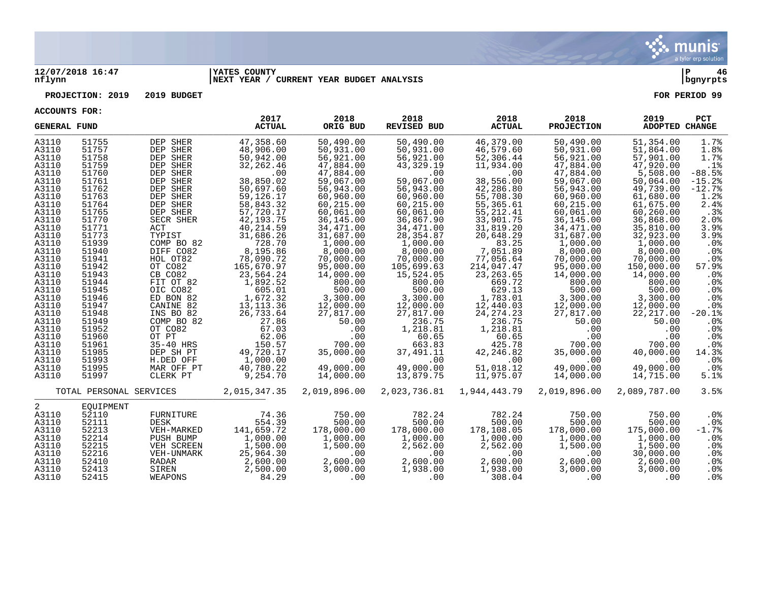

### **12/07/2018 16:47 |YATES COUNTY |P 46 nflynn |NEXT YEAR / CURRENT YEAR BUDGET ANALYSIS |bgnyrpts**

**PROJECTION: 2019 2019 BUDGET FOR PERIOD 99**

| <b>GENERAL FUND</b> |                         |                         | 2017<br><b>ACTUAL</b> | 2018<br>ORIG BUD   | 2018<br><b>REVISED BUD</b> | 2018<br><b>ACTUAL</b> | 2018<br><b>PROJECTION</b> | 2019<br>ADOPTED CHANGE | <b>PCT</b>                |
|---------------------|-------------------------|-------------------------|-----------------------|--------------------|----------------------------|-----------------------|---------------------------|------------------------|---------------------------|
| A3110               | 51755                   | DEP SHER                | 47,358.60             | 50,490.00          | 50,490.00                  | 46,379.00             | 50,490.00                 | 51,354.00              | 1.7%                      |
| A3110               | 51757                   | DEP SHER                | 48,906.00             | 50,931.00          | 50,931.00                  | 46,579.60             | 50,931.00                 | 51,864.00              | 1.8%                      |
| A3110               | 51758                   | DEP SHER                | 50,942.00             | 56,921.00          | 56,921.00                  | 52,306.44             | 56,921.00                 | 57,901.00              | 1.7%                      |
| A3110               | 51759                   | DEP SHER                | 32, 262.46            | 47,884.00          | 43,329.19                  | 11,934.00             | 47,884.00                 | 47,920.00              | .1%                       |
| A3110               | 51760                   | DEP SHER                | .00                   | 47,884.00          | .00                        | .00                   | 47,884.00                 | 5,508.00               | $-88.5%$                  |
| A3110               | 51761                   | DEP SHER                | 38,850.02             | 59,067.00          | 59,067.00                  | 38,556.00             | 59,067.00                 | 50,064.00              | $-15.2%$                  |
| A3110               | 51762                   | DEP SHER                | 50,697.60             | 56,943.00          | 56,943.00                  | 42,286.80             | 56,943.00                 | 49,739.00              | $-12.7%$                  |
| A3110               | 51763                   | DEP SHER                | 59,126.17             | 60,960.00          | 60,960.00                  | 55,708.30             | 60,960.00                 | 61,680.00              | 1.2%                      |
| A3110               | 51764                   | DEP SHER                | 58,843.32             | 60,215.00          | 60,215.00                  | 55,365.61             | 60,215.00                 | 61,675.00              | 2.4%                      |
| A3110               | 51765                   | DEP SHER                | 57,720.17             | 60,061.00          | 60,061.00                  | 55, 212.41            | 60,061.00                 | 60,260.00              | .3%                       |
| A3110               | 51770                   | SECR SHER               | 42,193.75             | 36,145.00          | 36,867.90                  | 33,901.75             | 36,145.00                 | 36,868.00              | 2.0%                      |
| A3110               | 51771                   | ACT                     | 40,214.59             | 34,471.00          | 34,471.00                  | 31,819.20             | 34,471.00                 | 35,810.00              | 3.9%                      |
| A3110               | 51773                   | TYPIST                  | 31,686.26             | 31,687.00          | 28,354.87                  | 20,648.29             | 31,687.00                 | 32,923.00              | 3.9%                      |
| A3110               | 51939                   | COMP BO 82              | 728.70                | 1,000.00           | 1,000.00                   | 83.25                 | 1,000.00                  | 1,000.00               | .0%                       |
| A3110               | 51940                   | DIFF CO82               | 8,195.86              | 8,000.00           | 8,000.00                   | 7,051.89              | 8,000.00                  | 8,000.00               | $.0\%$                    |
| A3110               | 51941                   | HOL OT82                | 78,090.72             | 70,000.00          | 70,000.00                  | 77,056.64             | 70,000.00                 | 70,000.00              | .0%                       |
| A3110               | 51942                   | OT CO82                 | 165,670.97            | 95,000.00          | 105,699.63                 | 214,047.47            | 95,000.00                 | 150,000.00             | 57.9%                     |
| A3110               | 51943                   | CB CO82                 | 23,564.24             | 14,000.00          | 15,524.05                  | 23, 263.65            | 14,000.00                 | 14,000.00              | $.0\%$                    |
| A3110               | 51944                   | FIT OT 82               | 1,892.52              | 800.00             | 800.00                     | 669.72                | 800.00                    | 800.00                 | .0%                       |
| A3110               | 51945                   | OIC CO82                | 605.01                | 500.00             | 500.00                     | 629.13                | 500.00                    | 500.00                 | .0%                       |
| A3110               | 51946                   | ED BON 82               | 1,672.32              | 3,300.00           | 3,300.00                   | 1,783.01              | 3,300.00                  | 3,300.00               | .0%                       |
| A3110<br>A3110      | 51947<br>51948          | CANINE 82               | 13, 113. 36           | 12,000.00          | 12,000.00                  | 12,440.03             | 12,000.00                 | 12,000.00              | $.0\%$                    |
| A3110               | 51949                   | INS BO 82<br>COMP BO 82 | 26,733.64<br>27.86    | 27,817.00<br>50.00 | 27,817.00                  | 24, 274. 23<br>236.75 | 27,817.00                 | 22,217.00              | $-20.1%$                  |
| A3110               | 51952                   | OT CO82                 | 67.03                 | .00                | 236.75<br>1,218.81         | 1,218.81              | 50.00<br>.00              | 50.00<br>.00           | .0 <sub>8</sub><br>$.0\%$ |
| A3110               | 51960                   | OT PT                   | 62.06                 | .00                | 60.65                      | 60.65                 | .00                       | .00                    | .0%                       |
| A3110               | 51961                   | 35-40 HRS               | 150.57                | 700.00             | 663.83                     | 425.78                | 700.00                    | 700.00                 | .0%                       |
| A3110               | 51985                   | DEP SH PT               | 49,720.17             | 35,000.00          | 37,491.11                  | 42,246.82             | 35,000.00                 | 40,000.00              | 14.3%                     |
| A3110               | 51993                   | H.DED OFF               | 1,000.00              | .00                | .00                        | .00                   | .00                       | .00                    | .0%                       |
| A3110               | 51995                   | MAR OFF PT              | 40,780.22             | 49,000.00          | 49,000.00                  | 51,018.12             | 49,000.00                 | 49,000.00              | $.0\%$                    |
| A3110               | 51997                   | CLERK PT                | 9,254.70              | 14,000.00          | 13,879.75                  | 11,975.07             | 14,000.00                 | 14,715.00              | 5.1%                      |
|                     |                         |                         |                       |                    |                            |                       |                           |                        |                           |
|                     | TOTAL PERSONAL SERVICES |                         | 2,015,347.35          | 2,019,896.00       | 2,023,736.81               | 1,944,443.79          | 2,019,896.00              | 2,089,787.00           | 3.5%                      |
| 2                   | EOUIPMENT               |                         |                       |                    |                            |                       |                           |                        |                           |
| A3110               | 52110                   | FURNITURE               | 74.36                 | 750.00             | 782.24                     | 782.24                | 750.00                    | 750.00                 | .0%                       |
| A3110               | 52111                   | DESK                    | 554.39                | 500.00             | 500.00                     | 500.00                | 500.00                    | 500.00                 | $.0\%$                    |
| A3110               | 52213                   | VEH-MARKED              | 141,659.72            | 178,000.00         | 178,000.00                 | 178,108.05            | 178,000.00                | 175,000.00             | $-1.7%$                   |
| A3110               | 52214                   | PUSH BUMP               | 1,000.00              | 1,000.00           | 1,000.00                   | 1,000.00              | 1,000.00                  | 1,000.00               | $.0\%$                    |
| A3110               | 52215                   | VEH SCREEN              | 1,500.00              | 1,500.00           | 2,562.00                   | 2,562.00              | 1,500.00                  | 1,500.00               | $.0\%$                    |
| A3110               | 52216                   | VEH-UNMARK              | 25,964.30             | .00                | .00                        | .00                   | $.00 \,$                  | 30,000.00              | $.0\%$                    |
| A3110               | 52410                   | RADAR                   | 2,600.00              | 2,600.00           | 2,600.00                   | 2,600.00              | 2,600.00                  | 2,600.00               | $.0\%$                    |
| A3110               | 52413                   | SIREN                   | 2,500.00              | 3,000.00           | 1,938.00                   | 1,938.00              | 3,000.00                  | 3,000.00               | $.0\%$                    |
| A3110               | 52415                   | WEAPONS                 | 84.29                 | .00                | .00                        | 308.04                | .00                       | $\sim 00$              | $.0\%$                    |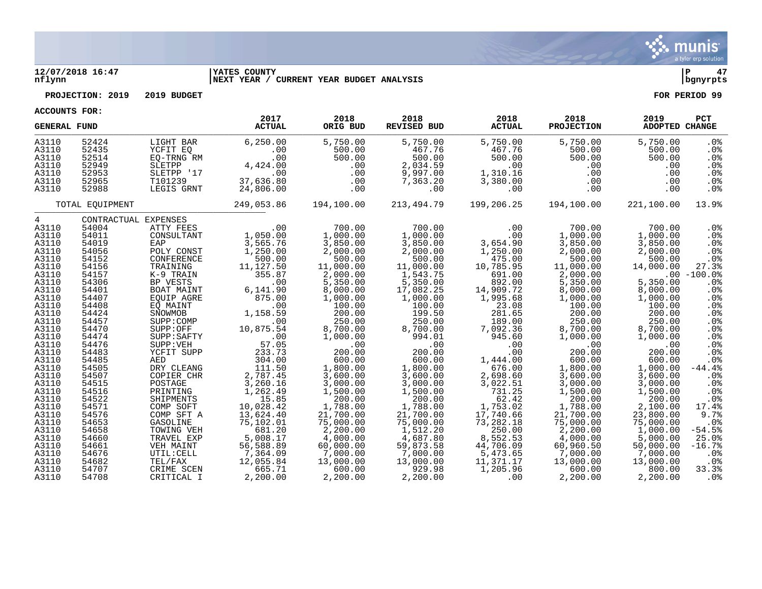

### **12/07/2018 16:47 |YATES COUNTY |P 47 nflynn |NEXT YEAR / CURRENT YEAR BUDGET ANALYSIS |bgnyrpts**

**PROJECTION: 2019 2019 BUDGET FOR PERIOD 99**

| <b>GENERAL FUND</b> |                 |                      | 2017<br><b>ACTUAL</b> | 2018<br>ORIG BUD | 2018<br><b>REVISED BUD</b> | 2018<br><b>ACTUAL</b> | 2018<br><b>PROJECTION</b> | 2019<br>ADOPTED CHANGE | PCT             |
|---------------------|-----------------|----------------------|-----------------------|------------------|----------------------------|-----------------------|---------------------------|------------------------|-----------------|
| A3110               | 52424           | LIGHT BAR            | 6, 250.00             | 5,750.00         | 5,750.00                   | 5,750.00              | 5,750.00                  | 5,750.00               | .0%             |
| A3110               | 52435           | YCFIT EQ             | .00                   | 500.00           | 467.76                     | 467.76                | 500.00                    | 500.00                 | .0 <sub>8</sub> |
| A3110               | 52514           | EO-TRNG RM           | .00                   | 500.00           | 500.00                     | 500.00                | 500.00                    | 500.00                 | .0 <sub>8</sub> |
| A3110               | 52949           | SLETPP               | 4,424.00              | .00              | 2,034.59                   | .00                   | .00                       | .00                    | .0%             |
| A3110               | 52953           | SLETPP '17           | .00                   | .00              | 9,997.00                   | 1,310.16              | .00                       | .00                    | .0 <sub>8</sub> |
| A3110               | 52965           | T101239              | 37,636.80             | .00              | 7,363.20                   | 3,380.00              | .00                       | .00                    | $.0\%$          |
| A3110               | 52988           | LEGIS GRNT           | 24,806.00             | .00              | .00                        | .00                   | $.00 \ \rm$               | .00                    | . 0 %           |
|                     | TOTAL EOUIPMENT |                      | 249,053.86            | 194,100.00       | 213,494.79                 | 199,206.25            | 194,100.00                | 221,100.00             | 13.9%           |
| $4\degree$          |                 | CONTRACTUAL EXPENSES |                       |                  |                            |                       |                           |                        |                 |
| A3110               | 54004           | ATTY FEES            | .00                   | 700.00           | 700.00                     | .00                   | 700.00                    | 700.00                 | .0%             |
| A3110               | 54011           | CONSULTANT           | 1,050.00              | 1,000.00         | 1,000.00                   | .00                   | 1,000.00                  | 1,000.00               | .0%             |
| A3110               | 54019           | EAP                  | 3,565.76              | 3,850.00         | 3,850.00                   | 3,654.90              | 3,850.00                  | 3,850.00               | .0%             |
| A3110               | 54056           | POLY CONST           | 1,250.00              | 2,000.00         | 2,000.00                   | 1,250.00              | 2,000.00                  | 2,000.00               | .0%             |
| A3110               | 54152           | CONFERENCE           | 500.00                | 500.00           | 500.00                     | 475.00                | 500.00                    | 500.00                 | .0%             |
| A3110               | 54156           | TRAINING             | 11,127.50             | 11,000.00        | 11,000.00                  | 10,785.95             | 11,000.00                 | 14,000.00              | 27.3%           |
| A3110               | 54157           | K-9 TRAIN            | 355.87                | 2,000.00         | 1,543.75                   | 691.00                | 2,000.00                  |                        | $.00 - 100.0%$  |
| A3110               | 54306           | BP VESTS             | .00                   | 5,350.00         | 5,350.00                   | 892.00                | 5,350.00                  | 5,350.00               | .0%             |
| A3110               | 54401           | BOAT MAINT           | 6,141.90              | 8,000.00         | 17,082.25                  | 14,909.72             | 8,000.00                  | 8,000.00               | .0 <sub>8</sub> |
| A3110               | 54407           | EOUIP AGRE           | 875.00                | 1,000.00         | 1,000.00                   | 1,995.68              | 1,000.00                  | 1,000.00               | .0%             |
| A3110               | 54408           | EQ MAINT             | .00                   | 100.00           | 100.00                     | 23.08                 | 100.00                    | 100.00                 | .0 <sub>8</sub> |
| A3110               | 54424           | SNOWMOB              | 1,158.59              | 200.00           | 199.50                     | 281.65                | 200.00                    | 200.00                 | .0%             |
| A3110               | 54457           | SUPP:COMP            | .00                   | 250.00           | 250.00                     | 189.00                | 250.00                    | 250.00                 | .0%             |
| A3110               | 54470           | SUPP:OFF             | 10,875.54             | 8,700.00         | 8,700.00                   | 7,092.36              | 8,700.00                  | 8,700.00               | .0%             |
| A3110               | 54474           | SUPP:SAFTY           | .00                   | 1,000.00         | 994.01                     | 945.60                | 1,000.00                  | 1,000.00               | .0%             |
| A3110               | 54476           | SUPP: VEH            | 57.05                 | .00              | .00                        | .00                   | .00                       | .00                    | .0%             |
| A3110               | 54483           | YCFIT SUPP           | 233.73                | 200.00           | 200.00                     | .00                   | 200.00                    | 200.00                 | .0%             |
| A3110               | 54485           | AED                  | 304.00                | 600.00           | 600.00                     | 1,444.00              | 600.00                    | 600.00                 | .0 <sub>8</sub> |
| A3110               | 54505           | DRY CLEANG           | 111.50                | 1,800.00         | 1,800.00                   | 676.00                | 1,800.00                  | 1,000.00               | $-44.4$         |
| A3110               | 54507           | COPIER CHR           | 2,787.45              | 3,600.00         | 3,600.00                   | 2,698.60              | 3,600.00                  | 3,600.00               | .0%             |
| A3110               | 54515           | POSTAGE              | 3,260.16              | 3,000.00         | 3,000.00                   | 3,022.51              | 3,000.00                  | 3,000.00               | $.0\%$          |
| A3110               | 54516           | PRINTING             | 1,262.49              | 1,500.00         | 1,500.00                   | 731.25                | 1,500.00                  | 1,500.00               | .0%             |
| A3110               | 54522           | SHIPMENTS            | 15.85                 | 200.00           | 200.00                     | 62.42                 | 200.00                    | 200.00                 | .0%             |
| A3110               | 54571           | COMP SOFT            | 10,028.42             | 1,788.00         | 1,788.00                   | 1,753.02              | 1,788.00                  | 2,100.00               | 17.4%           |
| A3110               | 54576           | COMP SFT A           | 13,624.40             | 21,700.00        | 21,700.00                  | 17,740.66             | 21,700.00                 | 23,800.00              | 9.7%            |
| A3110               | 54653           | <b>GASOLINE</b>      | 75,102.01             | 75,000.00        | 75,000.00                  | 73,282.18             | 75,000.00                 | 75,000.00              | $.0\%$          |
| A3110               | 54658           | TOWING VEH           | 681.20                | 2,200.00         | 1,512.20                   | 250.00                | 2,200.00                  | 1,000.00               | $-54.5%$        |
| A3110               | 54660           | TRAVEL EXP           | 5,008.17              | 4,000.00         | 4,687.80                   | 8,552.53              | 4,000.00                  | 5,000.00               | 25.0%           |
| A3110               | 54661           | VEH MAINT            | 56,588.89             | 60,000.00        | 59,873.58                  | 44,706.09             | 60,960.50                 | 50,000.00              | $-16.7%$        |
| A3110               | 54676           | UTIL: CELL           | 7,364.09              | 7,000.00         | 7,000.00                   | 5,473.65              | 7,000.00                  | 7,000.00               | .0%             |
| A3110               | 54682           | TEL/FAX              | 12,055.84             | 13,000.00        | 13,000.00                  | 11,371.17             | 13,000.00                 | 13,000.00              | .0%             |
| A3110               | 54707           | CRIME SCEN           | 665.71                | 600.00           | 929.98                     | 1,205.96              | 600.00                    | 800.00                 | 33.3%           |
| A3110               | 54708           | CRITICAL I           | 2,200.00              | 2,200.00         | 2,200.00                   | 00 <sub>1</sub>       | 2,200.00                  | 2,200.00               | .0%             |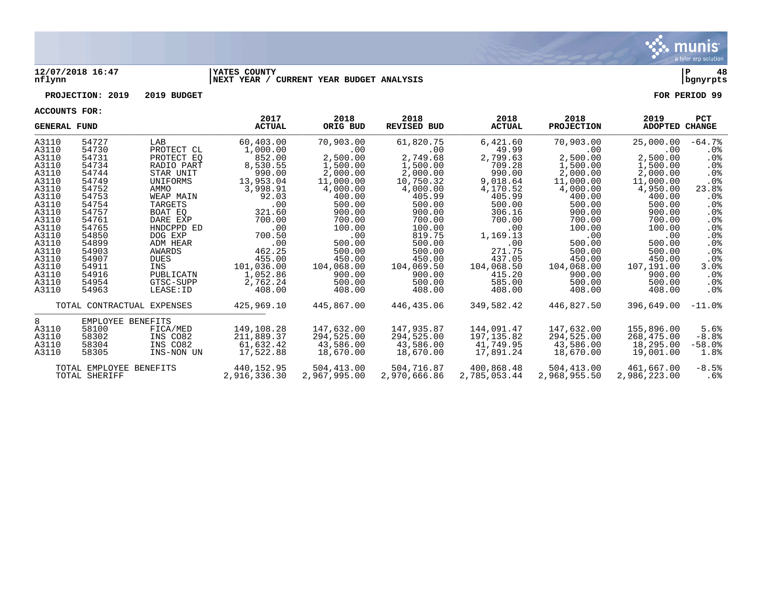

### **12/07/2018 16:47 |YATES COUNTY |P 48 nflynn |NEXT YEAR / CURRENT YEAR BUDGET ANALYSIS |bgnyrpts**

# **PROJECTION: 2019 2019 BUDGET FOR PERIOD 99**

| <b>GENERAL FUND</b> |                            |             | 2017<br><b>ACTUAL</b> | 2018<br>ORIG BUD | 2018<br><b>REVISED BUD</b> | 2018<br><b>ACTUAL</b> | 2018<br><b>PROJECTION</b> | 2019<br><b>ADOPTED</b> | <b>PCT</b><br><b>CHANGE</b> |
|---------------------|----------------------------|-------------|-----------------------|------------------|----------------------------|-----------------------|---------------------------|------------------------|-----------------------------|
| A3110               | 54727                      | LAB         | 60,403.00             | 70,903.00        | 61,820.75                  | 6,421.60              | 70,903.00                 | 25,000.00              | $-64.7%$                    |
| A3110               | 54730                      | PROTECT CL  | 1,000.00              | .00              | .00                        | 49.99                 | $.00 \,$                  | .00                    | .0%                         |
| A3110               | 54731                      | PROTECT EQ  | 852.00                | 2,500.00         | 2,749.68                   | 2,799.63              | 2,500.00                  | 2,500.00               | $.0\%$                      |
| A3110               | 54734                      | RADIO PART  | 8,530.55              | 1,500.00         | 1,500.00                   | 709.28                | 1,500.00                  | 1,500.00               | $.0\%$                      |
| A3110               | 54744                      | STAR UNIT   | 990.00                | 2,000.00         | 2,000.00                   | 990.00                | 2,000.00                  | 2,000.00               | $.0\%$                      |
| A3110               | 54749                      | UNIFORMS    | 13,953.04             | 11,000.00        | 10,750.32                  | 9,018.64              | 11,000.00                 | 11,000.00              | $.0\%$                      |
| A3110               | 54752                      | AMMO        | 3,998.91              | 4,000.00         | 4,000.00                   | 4,170.52              | 4,000.00                  | 4,950.00               | 23.8%                       |
| A3110               | 54753                      | WEAP MAIN   | 92.03                 | 400.00           | 405.99                     | 405.99                | 400.00                    | 400.00                 | $.0\%$                      |
| A3110               | 54754                      | TARGETS     | .00                   | 500.00           | 500.00                     | 500.00                | 500.00                    | 500.00                 | $.0\%$                      |
| A3110               | 54757                      | BOAT EQ     | 321.60                | 900.00           | 900.00                     | 306.16                | 900.00                    | 900.00                 | $.0\%$                      |
| A3110               | 54761                      | DARE EXP    | 700.00                | 700.00           | 700.00                     | 700.00                | 700.00                    | 700.00                 | $.0\%$                      |
| A3110               | 54765                      | HNDCPPD ED  | .00                   | 100.00           | 100.00                     | .00                   | 100.00                    | 100.00                 | .0%                         |
| A3110               | 54850                      | DOG EXP     | 700.50                | .00              | 819.75                     | 1,169.13              | $.00 \,$                  | .00                    | $.0\%$                      |
| A3110               | 54899                      | ADM HEAR    | .00                   | 500.00           | 500.00                     | .00                   | 500.00                    | 500.00                 | $.0\%$                      |
| A3110               | 54903                      | AWARDS      | 462.25                | 500.00           | 500.00                     | 271.75                | 500.00                    | 500.00                 | $.0\%$                      |
| A3110               | 54907                      | <b>DUES</b> | 455.00                | 450.00           | 450.00                     | 437.05                | 450.00                    | 450.00                 | $.0\%$                      |
| A3110               | 54911                      | INS         | 101,036.00            | 104,068.00       | 104,069.50                 | 104,068.50            | 104,068.00                | 107,191.00             | 3.0%                        |
| A3110               | 54916                      | PUBLICATN   | 1,052.86              | 900.00           | 900.00                     | 415.20                | 900.00                    | 900.00                 | $.0\%$                      |
| A3110               | 54954                      | GTSC-SUPP   | 2,762.24              | 500.00           | 500.00                     | 585.00                | 500.00                    | 500.00                 | $.0\%$                      |
| A3110               | 54963                      | LEASE: ID   | 408.00                | 408.00           | 408.00                     | 408.00                | 408.00                    | 408.00                 | $.0\%$                      |
|                     | TOTAL CONTRACTUAL EXPENSES |             | 425,969.10            | 445,867.00       | 446,435.06                 | 349,582.42            | 446,827.50                | 396,649.00             | $-11.0\%$                   |
| 8                   | EMPLOYEE BENEFITS          |             |                       |                  |                            |                       |                           |                        |                             |
| A3110               | 58100                      | FICA/MED    | 149,108.28            | 147,632.00       | 147,935.87                 | 144,091.47            | 147,632.00                | 155,896.00             | 5.6%                        |
| A3110               | 58302                      | INS CO82    | 211,889.37            | 294,525.00       | 294,525.00                 | 197,135.82            | 294,525.00                | 268,475.00             | $-8.8%$                     |
| A3110               | 58304                      | INS CO82    | 61,632.42             | 43,586.00        | 43,586.00                  | 41,749.95             | 43,586.00                 | 18,295.00              | $-58.0$ .                   |
| A3110               | 58305                      | INS-NON UN  | 17,522.88             | 18,670.00        | 18,670.00                  | 17,891.24             | 18,670.00                 | 19,001.00              | 1.8%                        |
|                     | TOTAL EMPLOYEE BENEFITS    |             | 440,152.95            | 504,413.00       | 504,716.87                 | 400,868.48            | 504,413.00                | 461,667.00             | $-8.5%$                     |
|                     | TOTAL SHERIFF              |             | 2,916,336.30          | 2,967,995.00     | 2,970,666.86               | 2,785,053.44          | 2,968,955.50              | 2,986,223.00           | .6%                         |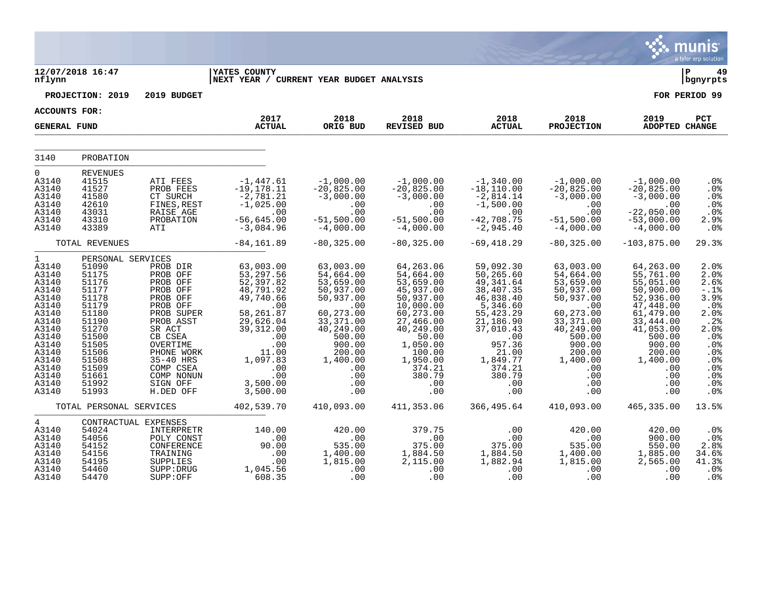|                                                                                                                                                                      |                                                                                                                                                                            |                                                                                                                                                                                                                 |                                                                                                                                                                                         |                                                                                                                                                                                     |                                                                                                                                                                                                 |                                                                                                                                                                                           |                                                                                                                                                                                      |                                                                                                                                                                                          | munis<br>a tyler erp solution                                                                                                                             |
|----------------------------------------------------------------------------------------------------------------------------------------------------------------------|----------------------------------------------------------------------------------------------------------------------------------------------------------------------------|-----------------------------------------------------------------------------------------------------------------------------------------------------------------------------------------------------------------|-----------------------------------------------------------------------------------------------------------------------------------------------------------------------------------------|-------------------------------------------------------------------------------------------------------------------------------------------------------------------------------------|-------------------------------------------------------------------------------------------------------------------------------------------------------------------------------------------------|-------------------------------------------------------------------------------------------------------------------------------------------------------------------------------------------|--------------------------------------------------------------------------------------------------------------------------------------------------------------------------------------|------------------------------------------------------------------------------------------------------------------------------------------------------------------------------------------|-----------------------------------------------------------------------------------------------------------------------------------------------------------|
| nflynn                                                                                                                                                               | 12/07/2018 16:47                                                                                                                                                           |                                                                                                                                                                                                                 | <b>IYATES COUNTY</b><br> NEXT YEAR / CURRENT YEAR BUDGET ANALYSIS                                                                                                                       |                                                                                                                                                                                     |                                                                                                                                                                                                 |                                                                                                                                                                                           |                                                                                                                                                                                      |                                                                                                                                                                                          | ΙP<br>49<br>bgnyrpts                                                                                                                                      |
|                                                                                                                                                                      | PROJECTION: 2019                                                                                                                                                           | 2019 BUDGET                                                                                                                                                                                                     |                                                                                                                                                                                         |                                                                                                                                                                                     |                                                                                                                                                                                                 |                                                                                                                                                                                           |                                                                                                                                                                                      |                                                                                                                                                                                          | FOR PERIOD 99                                                                                                                                             |
| <b>ACCOUNTS FOR:</b>                                                                                                                                                 |                                                                                                                                                                            |                                                                                                                                                                                                                 |                                                                                                                                                                                         |                                                                                                                                                                                     |                                                                                                                                                                                                 |                                                                                                                                                                                           |                                                                                                                                                                                      |                                                                                                                                                                                          |                                                                                                                                                           |
| <b>GENERAL FUND</b>                                                                                                                                                  |                                                                                                                                                                            |                                                                                                                                                                                                                 | 2017<br><b>ACTUAL</b>                                                                                                                                                                   | 2018<br>ORIG BUD                                                                                                                                                                    | 2018<br><b>REVISED BUD</b>                                                                                                                                                                      | 2018<br><b>ACTUAL</b>                                                                                                                                                                     | 2018<br><b>PROJECTION</b>                                                                                                                                                            | 2019<br>ADOPTED CHANGE                                                                                                                                                                   | PCT                                                                                                                                                       |
| 3140                                                                                                                                                                 | PROBATION                                                                                                                                                                  |                                                                                                                                                                                                                 |                                                                                                                                                                                         |                                                                                                                                                                                     |                                                                                                                                                                                                 |                                                                                                                                                                                           |                                                                                                                                                                                      |                                                                                                                                                                                          |                                                                                                                                                           |
| $\mathbf 0$<br>A3140<br>A3140<br>A3140<br>A3140<br>A3140<br>A3140<br>A3140                                                                                           | <b>REVENUES</b><br>41515<br>41527<br>41580<br>42610<br>43031<br>43310<br>43389                                                                                             | ATI FEES<br>PROB FEES<br>CT SURCH<br>FINES, REST<br>RAISE AGE<br>PROBATION<br>ATI                                                                                                                               | $-1,447.61$<br>$-19, 178.11$<br>$-2,781.21$<br>$-1,025.00$<br>.00<br>$-56,645.00$<br>$-3,084.96$                                                                                        | $-1,000.00$<br>$-20,825.00$<br>$-3,000.00$<br>.00<br>.00<br>$-51,500.00$<br>$-4,000.00$                                                                                             | $-1,000.00$<br>$-20,825.00$<br>$-3,000.00$<br>.00<br>.00<br>$-51,500.00$<br>$-4,000.00$                                                                                                         | $-1,340.00$<br>$-18, 110.00$<br>$-2,814.14$<br>$-1,500.00$<br>.00<br>$-42,708.75$<br>$-2,945.40$                                                                                          | $-1,000.00$<br>$-20,825.00$<br>$-3,000.00$<br>.00<br>.00<br>$-51,500.00$<br>$-4,000.00$                                                                                              | $-1,000.00$<br>$-20,825.00$<br>$-3,000.00$<br>.00<br>$-22,050.00$<br>$-53,000.00$<br>$-4,000.00$                                                                                         | .0%<br>.0%<br>.0%<br>.0%<br>.0%<br>2.9%<br>.0%                                                                                                            |
|                                                                                                                                                                      | TOTAL REVENUES                                                                                                                                                             |                                                                                                                                                                                                                 | $-84, 161.89$                                                                                                                                                                           | $-80, 325.00$                                                                                                                                                                       | $-80, 325.00$                                                                                                                                                                                   | $-69, 418.29$                                                                                                                                                                             | $-80, 325.00$                                                                                                                                                                        | $-103,875.00$                                                                                                                                                                            | 29.3%                                                                                                                                                     |
| $\mathbf 1$<br>A3140<br>A3140<br>A3140<br>A3140<br>A3140<br>A3140<br>A3140<br>A3140<br>A3140<br>A3140<br>A3140<br>A3140<br>A3140<br>A3140<br>A3140<br>A3140<br>A3140 | PERSONAL SERVICES<br>51090<br>51175<br>51176<br>51177<br>51178<br>51179<br>51180<br>51190<br>51270<br>51500<br>51505<br>51506<br>51508<br>51509<br>51661<br>51992<br>51993 | PROB DIR<br>PROB OFF<br>PROB OFF<br>PROB OFF<br>PROB OFF<br>PROB OFF<br>PROB SUPER<br>PROB ASST<br>SR ACT<br>CB CSEA<br>OVERTIME<br>PHONE WORK<br>35-40 HRS<br>COMP CSEA<br>COMP NONUN<br>SIGN OFF<br>H.DED OFF | 63,003.00<br>53, 297.56<br>52,397.82<br>48,791.92<br>49,740.66<br>.00<br>58, 261.87<br>29,626.04<br>39, 312.00<br>.00<br>.00<br>11.00<br>1,097.83<br>.00<br>.00<br>3,500.00<br>3,500.00 | 63,003.00<br>54,664.00<br>53,659.00<br>50,937.00<br>50,937.00<br>.00<br>60,273.00<br>33, 371.00<br>40, 249.00<br>500.00<br>900.00<br>200.00<br>1,400.00<br>.00<br>.00<br>.00<br>.00 | 64, 263.06<br>54,664.00<br>53,659.00<br>45,937.00<br>50,937.00<br>10,000.00<br>60,273.00<br>27,466.00<br>40,249.00<br>50.00<br>1,050.00<br>100.00<br>1,950.00<br>374.21<br>380.79<br>.00<br>.00 | 59,092.30<br>50,265.60<br>49, 341.64<br>38,407.35<br>46,838.40<br>5,346.60<br>55,423.29<br>21,186.90<br>37,010.43<br>.00<br>957.36<br>21.00<br>1,849.77<br>374.21<br>380.79<br>.00<br>.00 | 63,003.00<br>54,664.00<br>53,659.00<br>50,937.00<br>50,937.00<br>.00<br>60, 273.00<br>33, 371.00<br>40, 249.00<br>500.00<br>900.00<br>200.00<br>1,400.00<br>.00<br>.00<br>.00<br>.00 | 64,263.00<br>55,761.00<br>55,051.00<br>50,900.00<br>52,936.00<br>47,448.00<br>61,479.00<br>33, 444.00<br>41,053.00<br>500.00<br>900.00<br>200.00<br>1,400.00<br>.00<br>.00<br>.00<br>.00 | 2.0%<br>2.0%<br>2.6%<br>$-.1$ %<br>3.9%<br>.0%<br>2.0%<br>$.2%$<br>$2.0%$<br>.0%<br>.0%<br>.0%<br>.0 <sub>8</sub><br>.0%<br>.0%<br>.0%<br>.0 <sub>8</sub> |
|                                                                                                                                                                      | TOTAL PERSONAL SERVICES                                                                                                                                                    |                                                                                                                                                                                                                 | 402,539.70                                                                                                                                                                              | 410,093.00                                                                                                                                                                          | 411,353.06                                                                                                                                                                                      | 366,495.64                                                                                                                                                                                | 410,093.00                                                                                                                                                                           | 465,335.00                                                                                                                                                                               | 13.5%                                                                                                                                                     |
| 4<br>A3140<br>A3140<br>A3140<br>A3140<br>A3140<br>A3140<br>A3140                                                                                                     | CONTRACTUAL EXPENSES<br>54024<br>54056<br>54152<br>54156<br>54195<br>54460<br>54470                                                                                        | INTERPRETR<br>POLY CONST<br>CONFERENCE<br>TRAINING<br>SUPPLIES<br>SUPP: DRUG<br>SUPP:OFF                                                                                                                        | 140.00<br>$\ldots$<br>90.00<br>.00<br>.00<br>1,045.56<br>608.35                                                                                                                         | 420.00<br>.00<br>535.00<br>1,400.00<br>1,815.00<br>.00<br>.00                                                                                                                       | 379.75<br>.00<br>375.00<br>1,884.50<br>2,115.00<br>.00<br>.00                                                                                                                                   | .00<br>.00<br>375.00<br>1,884.50<br>1,882.94<br>.00<br>.00                                                                                                                                | 420.00<br>.00<br>535.00<br>1,400.00<br>1,815.00<br>.00<br>.00                                                                                                                        | 420.00<br>900.00<br>550.00<br>1,885.00<br>$\overline{2}$ , 565.00<br>.00<br>.00                                                                                                          | .0 <sub>8</sub><br>.0%<br>2.8%<br>34.6%<br>41.3%<br>.0%<br>.0%                                                                                            |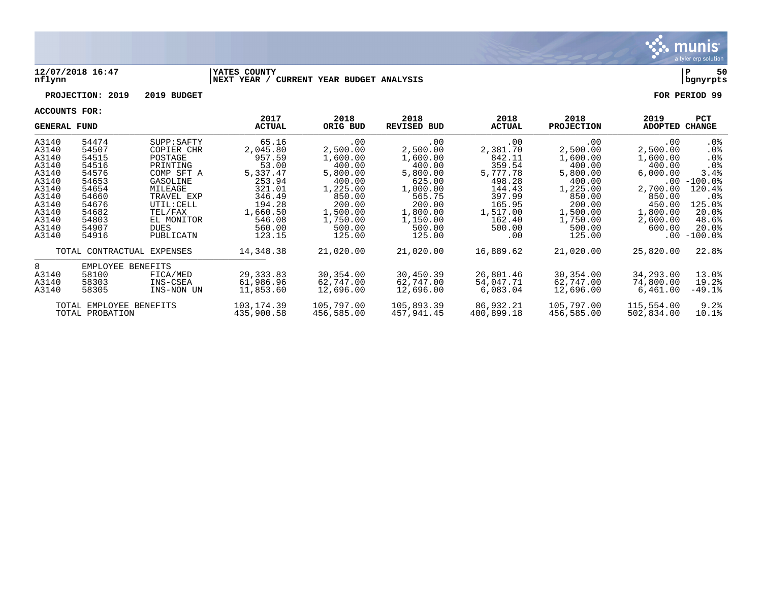

### **12/07/2018 16:47 |YATES COUNTY |P 50 nflynn |NEXT YEAR / CURRENT YEAR BUDGET ANALYSIS |bgnyrpts**

# **PROJECTION: 2019 2019 BUDGET FOR PERIOD 99**

| <b>GENERAL FUND</b> |                         | 2017<br><b>ACTUAL</b>      | 2018<br>ORIG BUD | 2018<br><b>REVISED BUD</b> | 2018<br><b>ACTUAL</b> | 2018<br><b>PROJECTION</b> | 2019<br>ADOPTED | <b>PCT</b><br>CHANGE |                       |
|---------------------|-------------------------|----------------------------|------------------|----------------------------|-----------------------|---------------------------|-----------------|----------------------|-----------------------|
| A3140               | 54474                   | SUPP : SAPTY               | 65.16            | .00                        | .00                   | .00                       | .00             | $.00 \,$             | $.0\%$                |
| A3140               | 54507                   | COPIER CHR                 | 2,045.80         | 2,500.00                   | 2,500.00              | 2,381.70                  | 2,500.00        | 2,500.00             | $.0\%$                |
| A3140               | 54515                   | POSTAGE                    | 957.59           | 1,600.00                   | 1,600.00              | 842.11                    | 1,600.00        | 1,600.00             | .0 <sub>8</sub>       |
| A3140               | 54516                   | PRINTING                   | 53.00            | 400.00                     | 400.00                | 359.54                    | 400.00          | 400.00               | .0 <sub>8</sub>       |
| A3140               | 54576                   | COMP SFT A                 | 5,337.47         | 5,800.00                   | 5,800.00              | 5,777.78                  | 5,800.00        | 6,000.00             | 3.4%                  |
| A3140               | 54653                   | GASOLINE                   | 253.94           | 400.00                     | 625.00                | 498.28                    | 400.00          | $.00\,$              | $-100.0\%$            |
| A3140               | 54654                   | MILEAGE                    | 321.01           | 1,225.00                   | 1,000.00              | 144.43                    | 1,225.00        | 2,700.00             | 120.4%                |
| A3140               | 54660                   | TRAVEL EXP                 | 346.49           | 850.00                     | 565.75                | 397.99                    | 850.00          | 850.00               | . 0 %                 |
| A3140               | 54676                   | UTIL: CELL                 | 194.28           | 200.00                     | 200.00                | 165.95                    | 200.00          | 450.00               | 125.0%                |
| A3140               | 54682                   | TEL/FAX                    | 1,660.50         | 1,500.00                   | 1,800.00              | 1,517.00                  | 1,500.00        | 1,800.00             | 20.0%                 |
| A3140               | 54803                   | EL MONITOR                 | 546.08           | 1,750.00                   | 1,150.00              | 162.40                    | 1,750.00        | 2,600.00             | 48.6%                 |
| A3140               | 54907                   | <b>DUES</b>                | 560.00           | 500.00                     | 500.00                | 500.00                    | 500.00          | 600.00               | 20.0%                 |
| A3140               | 54916                   | PUBLICATN                  | 123.15           | 125.00                     | 125.00                | $.00 \,$                  | 125.00          | .00                  | $-100.0$ $^{\circ}\,$ |
|                     |                         | TOTAL CONTRACTUAL EXPENSES | 14,348.38        | 21,020.00                  | 21,020.00             | 16,889.62                 | 21,020.00       | 25,820.00            | 22.8%                 |
| 8                   | EMPLOYEE BENEFITS       |                            |                  |                            |                       |                           |                 |                      |                       |
| A3140               | 58100                   | FICA/MED                   | 29, 333.83       | 30,354.00                  | 30,450.39             | 26,801.46                 | 30,354.00       | 34,293.00            | 13.0%                 |
| A3140               | 58303                   | INS-CSEA                   | 61,986.96        | 62,747.00                  | 62,747.00             | 54,047.71                 | 62,747.00       | 74,800.00            | 19.2%                 |
| A3140               | 58305                   | INS-NON UN                 | 11,853.60        | 12,696.00                  | 12,696.00             | 6,083.04                  | 12,696.00       | 6,461.00             | $-49.1$ $8$           |
|                     | TOTAL EMPLOYEE BENEFITS |                            | 103, 174.39      | 105,797.00                 | 105,893.39            | 86,932.21                 | 105,797.00      | 115,554.00           | 9.2%                  |
|                     | TOTAL PROBATION         |                            | 435,900.58       | 456,585.00                 | 457,941.45            | 400,899.18                | 456,585.00      | 502,834.00           | 10.1%                 |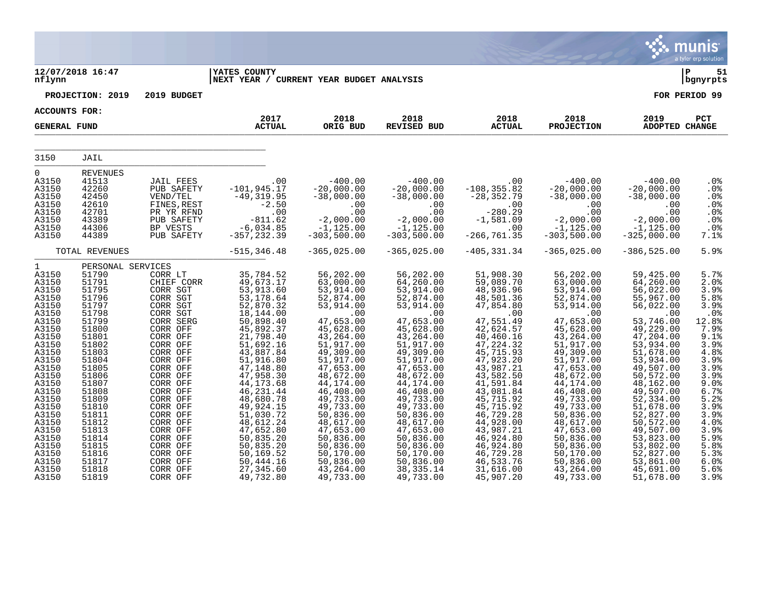| <b>IYATES COUNTY</b>                                                                                                                                                                                                                                                                                       |                                                                                                                                                                                                                                                                                                                                                                                                                                                                                                                |                                                                                                                                                                                                                                                                                                   |                                                                                                                                                                                                                                                                                                   |                                                                                                                                                                                                                                                                                                   |                                                                                                                                                                                                                                                                                                    |                                                                                                                                                                                                      |
|------------------------------------------------------------------------------------------------------------------------------------------------------------------------------------------------------------------------------------------------------------------------------------------------------------|----------------------------------------------------------------------------------------------------------------------------------------------------------------------------------------------------------------------------------------------------------------------------------------------------------------------------------------------------------------------------------------------------------------------------------------------------------------------------------------------------------------|---------------------------------------------------------------------------------------------------------------------------------------------------------------------------------------------------------------------------------------------------------------------------------------------------|---------------------------------------------------------------------------------------------------------------------------------------------------------------------------------------------------------------------------------------------------------------------------------------------------|---------------------------------------------------------------------------------------------------------------------------------------------------------------------------------------------------------------------------------------------------------------------------------------------------|----------------------------------------------------------------------------------------------------------------------------------------------------------------------------------------------------------------------------------------------------------------------------------------------------|------------------------------------------------------------------------------------------------------------------------------------------------------------------------------------------------------|
|                                                                                                                                                                                                                                                                                                            | NEXT YEAR / CURRENT YEAR BUDGET ANALYSIS                                                                                                                                                                                                                                                                                                                                                                                                                                                                       |                                                                                                                                                                                                                                                                                                   |                                                                                                                                                                                                                                                                                                   |                                                                                                                                                                                                                                                                                                   |                                                                                                                                                                                                                                                                                                    |                                                                                                                                                                                                      |
| 2019 BUDGET                                                                                                                                                                                                                                                                                                |                                                                                                                                                                                                                                                                                                                                                                                                                                                                                                                |                                                                                                                                                                                                                                                                                                   |                                                                                                                                                                                                                                                                                                   |                                                                                                                                                                                                                                                                                                   |                                                                                                                                                                                                                                                                                                    | FOR PERIOD 99                                                                                                                                                                                        |
|                                                                                                                                                                                                                                                                                                            |                                                                                                                                                                                                                                                                                                                                                                                                                                                                                                                |                                                                                                                                                                                                                                                                                                   |                                                                                                                                                                                                                                                                                                   |                                                                                                                                                                                                                                                                                                   |                                                                                                                                                                                                                                                                                                    |                                                                                                                                                                                                      |
| <b>ACTUAL</b>                                                                                                                                                                                                                                                                                              | ORIG BUD                                                                                                                                                                                                                                                                                                                                                                                                                                                                                                       | REVISED BUD                                                                                                                                                                                                                                                                                       | <b>ACTUAL</b>                                                                                                                                                                                                                                                                                     | <b>PROJECTION</b>                                                                                                                                                                                                                                                                                 | ADOPTED CHANGE                                                                                                                                                                                                                                                                                     | PCT                                                                                                                                                                                                  |
|                                                                                                                                                                                                                                                                                                            |                                                                                                                                                                                                                                                                                                                                                                                                                                                                                                                |                                                                                                                                                                                                                                                                                                   |                                                                                                                                                                                                                                                                                                   |                                                                                                                                                                                                                                                                                                   |                                                                                                                                                                                                                                                                                                    |                                                                                                                                                                                                      |
| .00<br>$-101, 945.17$<br>$-49, 319.95$<br>$-2.50$<br>.00<br>$-811.62$<br>811.62<br>6,034.85–<br>357,232.39–                                                                                                                                                                                                | $-400.00$<br>$-20,000.00$<br>$-38,000.00$<br>$.00$<br>nn<br>$-2,000.00$<br>$-1,125.00$<br>$-303,500.00$                                                                                                                                                                                                                                                                                                                                                                                                        | $-400.00$<br>$-20,000.00$<br>$-38,000.00$<br>$00$<br>00.00<br>-2,000.00<br>-1,125.00<br>$-303,500.00$                                                                                                                                                                                             | $\overline{00}$<br>$-108, 355.82$<br>$-28, 352.79$<br>$-280.20$<br>$-280.29$<br>$-1,581.09$<br>.00<br>$-266, 761.35$                                                                                                                                                                              | $-400.00$<br>$-38,000.00$<br>$\begin{array}{c} . & 0 & 0 \\ 0 & 0 & 0 \\ 0 & 0 & 0 \end{array}$<br>.00<br>$-2,000.00$<br>$-1,125.00$<br>$-303,500.00$                                                                                                                                             | $-400.00$<br>$-20,000.00$<br>$-38,000.00$<br>.00<br>.00<br>$-2,000.00$<br>$-1,125.00$<br>$-325,000.00$                                                                                                                                                                                             | .0%<br>$.0\%$<br>$.0\%$<br>.0%<br>.0%<br>.0%<br>.0%<br>7.1%                                                                                                                                          |
| $-515, 346.48$                                                                                                                                                                                                                                                                                             | $-365,025.00$                                                                                                                                                                                                                                                                                                                                                                                                                                                                                                  | $-365,025.00$                                                                                                                                                                                                                                                                                     | $-405, 331.34$                                                                                                                                                                                                                                                                                    | $-365,025.00$                                                                                                                                                                                                                                                                                     | $-386, 525.00$                                                                                                                                                                                                                                                                                     | 5.9%                                                                                                                                                                                                 |
| 35,784.52<br>49,673.17<br>53,913.60<br>53, 178.64<br>52,870.32<br>18,144.00<br>50,898.40<br>45,892.37<br>21,798.40<br>51,692.16<br>43,887.84<br>51,916.80<br>47,148.80<br>47,958.30<br>44, 173.68<br>46, 231.44<br>48,680.78<br>49,924.15<br>51,030.72<br>48,612.24<br>47,652.80<br>50,835.20<br>50,835.20 | 56,202.00<br>63,000.00<br>53,914.00<br>52,874.00<br>53,914.00<br>.00<br>47,653.00<br>45,628.00<br>43,264.00<br>51,917.00<br>49,309.00<br>51,917.00<br>47,653.00<br>48,672.00<br>44,174.00<br>46,408.00<br>49,733.00<br>49,733.00<br>50,836.00<br>48,617.00<br>47,653.00<br>50,836.00<br>50,836.00                                                                                                                                                                                                              | 56,202.00<br>64,260.00<br>53,914.00<br>52,874.00<br>53,914.00<br>.00<br>47,653.00<br>45,628.00<br>43,264.00<br>51,917.00<br>49,309.00<br>51,917.00<br>47,653.00<br>48,672.00<br>44,174.00<br>46,408.00<br>49,733.00<br>49,733.00<br>50,836.00<br>48,617.00<br>47,653.00<br>50,836.00<br>50,836.00 | 51,908.30<br>59,089.70<br>48,936.96<br>48,501.36<br>47,854.80<br>.00<br>47,551.49<br>42,624.57<br>40,460.16<br>47,224.32<br>45,715.93<br>47,923.20<br>43,987.21<br>43,582.50<br>41,591.84<br>43,081.84<br>45,715.92<br>45,715.92<br>46,729.28<br>44,928.00<br>43,987.21<br>46,924.80<br>46,924.80 | 56,202.00<br>63,000.00<br>53,914.00<br>52,874.00<br>53,914.00<br>.00<br>47,653.00<br>45,628.00<br>43,264.00<br>51,917.00<br>49,309.00<br>51,917.00<br>47,653.00<br>48,672.00<br>44,174.00<br>46,408.00<br>49,733.00<br>49,733.00<br>50,836.00<br>48,617.00<br>47,653.00<br>50,836.00<br>50,836.00 | 59,425.00<br>64,260.00<br>56,022.00<br>55,967.00<br>56,022.00<br>.00<br>53,746.00<br>49,229.00<br>47, 204.00<br>53,934.00<br>51,678.00<br>53,934.00<br>49,507.00<br>50,572.00<br>48,162.00<br>49,507.00<br>52,334.00<br>51,678.00<br>52,827.00<br>50,572.00<br>49,507.00<br>53,823.00<br>53,802.00 | 5.7%<br>2.0%<br>3.9%<br>5.8%<br>3.9%<br>.0%<br>12.8%<br>7.9%<br>9.1%<br>3.9%<br>4.8%<br>$3.9%$<br>$3.9%$<br>3.9%<br>9.0%<br>6.7%<br>5.2%<br>3.9%<br>3.9%<br>4.0%<br>3.9%<br>$5.9%$<br>$5.8%$<br>5.3% |
|                                                                                                                                                                                                                                                                                                            | 2017<br>JAIL FEES<br>PUB SAFETY<br>VEND/TEL<br>FINES, REST<br>PR YR RFND<br>PUB SAFETY<br>BP VESTS<br>PUB SAFETY<br>CORR LT<br>CHIEF CORR<br>CORR SGT<br>CORR SGT<br>CORR SGT<br>CORR SGT<br>CORR SERG<br>CORR OFF<br>CORR OFF<br>CORR OFF<br>CORR OFF<br>CORR OFF<br>CORR OFF<br>CORR OFF<br>CORR OFF<br>CORR OFF<br>CORR OFF<br>CORR OFF<br>CORR OFF<br>CORR OFF<br>CORR OFF<br>CORR OFF<br>CORR OFF<br>$50, 169.52$<br>50, 444.16<br>CORR OFF<br>CORR OFF<br>CORR OFF<br>27,345.60<br>CORR OFF<br>49,732.80 | 2018<br>50,170.00<br>50,836.00<br>43,264.00<br>49,733.00                                                                                                                                                                                                                                          | 2018<br>50, 170.00<br>50,836.00<br>38, 335. 14<br>49,733.00                                                                                                                                                                                                                                       | 2018<br>46,729.28<br>46,533.76<br>31,616.00<br>45,907.20                                                                                                                                                                                                                                          | 2018<br>$-20$ , $\bar{0}\,\bar{0}\,\bar{0}\,\bar{0}\,\bar{0}$<br>$-38$ , 000 . 00<br>50,170.00<br>50,836.00<br>43,264.00                                                                                                                                                                           | 2019<br>52,827.00<br>53,861.00<br>45,691.00<br>49,733.00<br>51,678.00                                                                                                                                |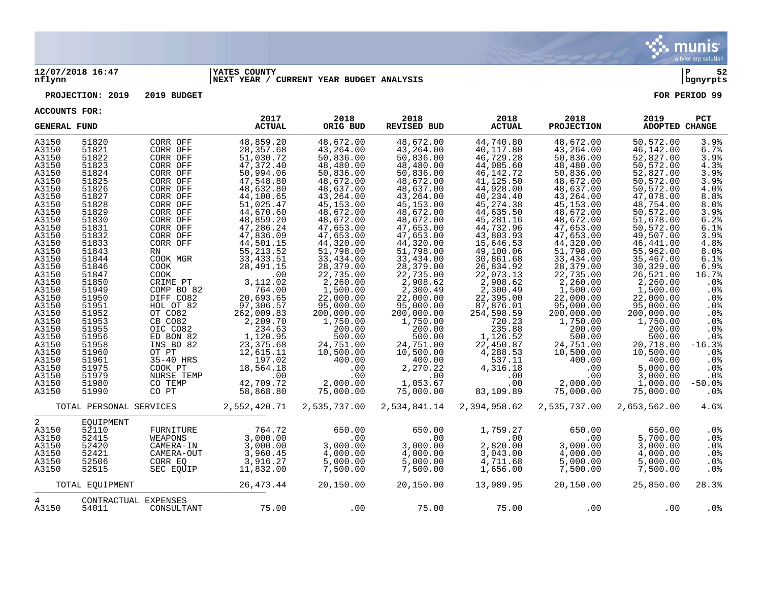

### **12/07/2018 16:47 |YATES COUNTY |P 52 nflynn |NEXT YEAR / CURRENT YEAR BUDGET ANALYSIS |bgnyrpts**

**PROJECTION: 2019 2019 BUDGET FOR PERIOD 99**

| <b>GENERAL FUND</b> |                         |                      | 2017<br><b>ACTUAL</b> | 2018<br>ORIG BUD | 2018<br><b>REVISED BUD</b> | 2018<br><b>ACTUAL</b> | 2018<br><b>PROJECTION</b> | 2019<br>ADOPTED CHANGE | PCT             |
|---------------------|-------------------------|----------------------|-----------------------|------------------|----------------------------|-----------------------|---------------------------|------------------------|-----------------|
| A3150               | 51820                   | CORR OFF             | 48,859.20             | 48,672.00        | 48,672.00                  | 44,740.80             | 48,672.00                 | 50,572.00              | 3.9%            |
| A3150               | 51821                   | CORR OFF             | 28,357.68             | 43,264.00        | 43,264.00                  | 40,117.80             | 43,264.00                 | 46,142.00              | 6.7%            |
| A3150               | 51822                   | CORR OFF             | 51,030.72             | 50,836.00        | 50,836.00                  | 46,729.28             | 50,836.00                 | 52,827.00              | 3.9%            |
| A3150               | 51823                   | CORR OFF             | 47,372.40             | 48,480.00        | 48,480.00                  | 44,085.60             | 48,480.00                 | 50,572.00              | 4.3%            |
| A3150               | 51824                   | CORR OFF             | 50,994.06             | 50,836.00        | 50,836.00                  | 46, 142. 72           | 50,836.00                 | 52,827.00              | 3.9%            |
| A3150               | 51825                   | CORR OFF             | 47,548.80             | 48,672.00        | 48,672.00                  | 41,125.50             | 48,672.00                 | 50,572.00              | 3.9%            |
| A3150               | 51826                   | CORR OFF             | 48,632.80             | 48,637.00        | 48,637.00                  | 44,928.00             | 48,637.00                 | 50,572.00              | 4.0%            |
| A3150               | 51827                   | CORR OFF             | 44,100.65             | 43,264.00        | 43,264.00                  | 40,234.40             | 43,264.00                 | 47,078.00              | 8.8%            |
| A3150               | 51828                   | CORR OFF             | 51,025.47             | 45,153.00        | 45,153.00                  | 45, 274.38            | 45,153.00                 | 48,754.00              | 8.0%            |
| A3150               | 51829                   | CORR OFF             | 44,670.60             | 48,672.00        | 48,672.00                  | 44,635.50             | 48,672.00                 | 50,572.00              | 3.9%            |
| A3150               | 51830                   | CORR OFF             | 48,859.20             | 48,672.00        | 48,672.00                  | 45,281.16             | 48,672.00                 | 51,678.00              | 6.2%            |
| A3150               | 51831                   | CORR OFF             | 47,286.24             | 47,653.00        | 47,653.00                  | 44,732.96             | 47,653.00                 | 50,572.00              | 6.1%            |
| A3150               | 51832                   | CORR OFF             | 47,836.09             | 47,653.00        | 47,653.00                  | 43,803.93             | 47,653.00                 | 49,507.00              | 3.9%            |
| A3150               | 51833                   | CORR OFF             | 44,501.15             | 44,320.00        | 44,320.00                  | 15,646.53             | 44,320.00                 | 46, 441.00             | 4.8%            |
| A3150               | 51843                   | <b>RN</b>            | 55, 213.52            | 51,798.00        | 51,798.00                  | 49,100.06             | 51,798.00                 | 55,962.00              | 8.0%            |
| A3150               | 51844                   | COOK MGR             | 33, 433.51            | 33,434.00        | 33,434.00                  | 30,861.68             | 33,434.00                 | 35,467.00              | 6.1%            |
| A3150               | 51846                   | <b>COOK</b>          | 28, 491. 15           | 28,379.00        | 28,379.00                  | 26,834.92             | 28,379.00                 | 30,329.00              | 6.9%            |
| A3150               | 51847                   | <b>COOK</b>          | .00                   | 22,735.00        | 22,735.00                  | 22,073.13             | 22,735.00                 | 26,521.00              | 16.7%           |
| A3150               | 51850                   | CRIME PT             | 3,112.02              | 2,260.00         | 2,908.62                   | 2,908.62              | 2,260.00                  | 2,260.00               | .0%             |
| A3150               | 51949                   | COMP BO 82           | 764.00                | 1,500.00         | 2,300.49                   | 2,300.49              | 1,500.00                  | 1,500.00               | .0%             |
| A3150               | 51950                   | DIFF CO82            | 20,693.65             | 22,000.00        | 22,000.00                  | 22,395.00             | 22,000.00                 | 22,000.00              | .0%             |
| A3150               | 51951                   | HOL OT 82            | 97,306.57             | 95,000.00        | 95,000.00                  | 87,876.01             | 95,000.00                 | 95,000.00              | .0%             |
| A3150               | 51952                   | OT CO82              | 262,009.83            | 200,000.00       | 200,000.00                 | 254,598.59            | 200,000.00                | 200,000.00             | .0%             |
| A3150               | 51953                   | CB CO82              | 2,209.70              | 1,750.00         | 1,750.00                   | 720.23                | 1,750.00                  | 1,750.00               | .0%             |
| A3150               | 51955                   | OIC CO82             | 234.63                | 200.00           | 200.00                     | 235.88                | 200.00                    | 200.00                 | .0 <sub>8</sub> |
| A3150               | 51956                   | ED BON 82            | 1,120.95              | 500.00           | 500.00                     | 1,126.52              | 500.00                    | 500.00                 | .0%             |
| A3150               | 51958                   | INS BO 82            | 23, 375.68            | 24,751.00        | 24,751.00                  | 22,450.87             | 24,751.00                 | 20,718.00              | $-16.3%$        |
| A3150               | 51960                   | OT PT                | 12,615.11             | 10,500.00        | 10,500.00                  | 4,288.53              | 10,500.00                 | 10,500.00              | .0%             |
| A3150               | 51961                   | 35-40 HRS            | 197.02                | 400.00           | 400.00                     | 537.11                | 400.00                    | 400.00                 | .0%             |
| A3150               | 51975                   | COOK PT              | 18,564.18             | .00              | 2,270.22                   | 4,316.18              | .00                       | 5,000.00               | .0%             |
| A3150               | 51979                   | NURSE TEMP           | .00                   | .00              | .00                        | .00                   | .00                       | 3,000.00               | .0%             |
| A3150               | 51980                   | CO TEMP              | 42,709.72             | 2,000.00         | 1,053.67                   | .00                   | 2,000.00                  | 1,000.00               | $-50.0%$        |
| A3150               | 51990                   | CO PT                | 58,868.80             | 75,000.00        | 75,000.00                  | 83,109.89             | 75,000.00                 | 75,000.00              | .0%             |
|                     | TOTAL PERSONAL SERVICES |                      | 2,552,420.71          | 2,535,737.00     | 2,534,841.14               | 2,394,958.62          | 2,535,737.00              | 2,653,562.00           | 4.6%            |
| 2                   | EQUIPMENT               |                      |                       |                  |                            |                       |                           |                        |                 |
| A3150               | 52110                   | FURNITURE            | 764.72                | 650.00           | 650.00                     | 1,759.27              | 650.00                    | 650.00                 | .0%             |
| A3150               | 52415                   | WEAPONS              | 3,000.00              | .00              | .00                        | .00                   | .00                       | 5,700.00               | .0%             |
| A3150               | 52420                   | CAMERA-IN            | 3,000.00              | 3,000.00         | 3,000.00                   | 2,820.00              | 3,000.00                  | 3,000.00               | .0%             |
| A3150               | 52421                   | CAMERA-OUT           | 3,960.45              | 4,000.00         | 4,000.00                   | 3,043.00              | 4,000.00                  | 4,000.00               | .0 <sub>8</sub> |
| A3150               | 52506                   | CORR EO              | 3,916.27              | 5,000.00         | 5,000.00                   | 4,711.68              | 5,000.00                  | 5,000.00               | .0 <sub>8</sub> |
| A3150               | 52515                   | SEC EOUIP            | 11,832.00             | 7,500.00         | 7,500.00                   | 1,656.00              | 7,500.00                  | 7,500.00               | .0%             |
|                     | TOTAL EQUIPMENT         |                      | 26, 473. 44           | 20,150.00        | 20,150.00                  | 13,989.95             | 20,150.00                 | 25,850.00              | 28.3%           |
| 4                   |                         | CONTRACTUAL EXPENSES |                       |                  |                            |                       |                           |                        |                 |
| A3150               | 54011                   | CONSULTANT           | 75.00                 | .00              | 75.00                      | 75.00                 | $.00 \,$                  | $.00 \,$               | $.0\%$          |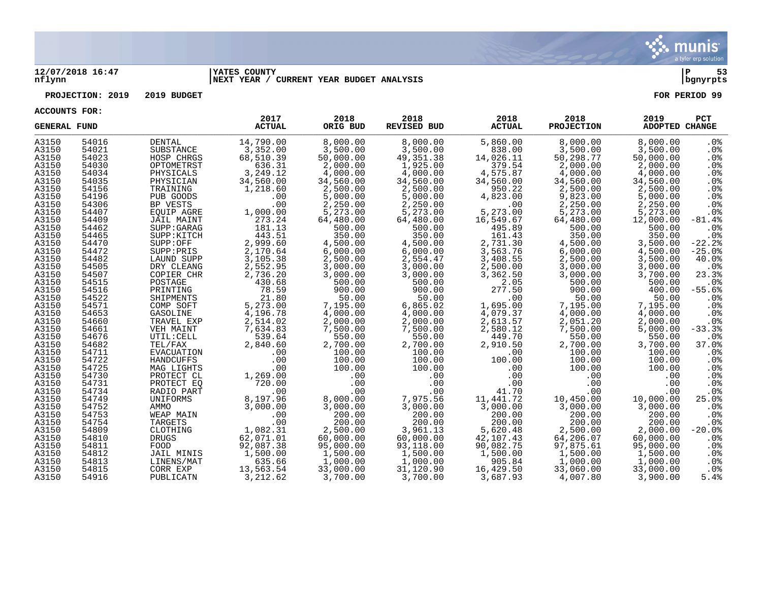

### **12/07/2018 16:47 |YATES COUNTY |P 53 nflynn |NEXT YEAR / CURRENT YEAR BUDGET ANALYSIS |bgnyrpts**

## **PROJECTION: 2019 2019 BUDGET FOR PERIOD 99**

| <b>GENERAL FUND</b> |                |                         | 2017<br><b>ACTUAL</b> | 2018<br>ORIG BUD   | 2018<br><b>REVISED BUD</b> | 2018<br><b>ACTUAL</b> | 2018<br><b>PROJECTION</b> | 2019<br><b>ADOPTED CHANGE</b> | PCT                    |
|---------------------|----------------|-------------------------|-----------------------|--------------------|----------------------------|-----------------------|---------------------------|-------------------------------|------------------------|
| A3150               | 54016          | DENTAL                  | 14,790.00             | 8,000.00           | 8,000.00                   | 5,860.00              | 8,000.00                  | 8,000.00                      | $.0\%$                 |
| A3150               | 54021          | SUBSTANCE               | 3,352.00              | 3,500.00           | 3,500.00                   | 838.00                | 3,500.00                  | 3,500.00                      | .0%                    |
| A3150               | 54023          | HOSP CHRGS              | 68,510.39             | 50,000.00          | 49, 351.38                 | 14,026.11             | 50,298.77                 | 50,000.00                     | .0%                    |
| A3150               | 54030          | OPTOMETRST              | 636.31                | 2,000.00           | 1,925.00                   | 379.54                | 2,000.00                  | 2,000.00                      | .0%                    |
| A3150               | 54034          | PHYSICALS               | 3,249.12              | 4,000.00           | 4,000.00                   | 4,575.87              | 4,000.00                  | 4,000.00                      | .0%                    |
| A3150               | 54035          | PHYSICIAN               | 34,560.00             | 34,560.00          | 34,560.00                  | 34,560.00             | 34,560.00                 | 34,560.00                     | .0%                    |
| A3150               | 54156          | TRAINING                | 1,218.60              | 2,500.00           | 2,500.00                   | 950.22                | 2,500.00                  | 2,500.00                      | .0%                    |
| A3150               | 54196          | PUB GOODS               | .00                   | 5,000.00           | 5,000.00                   | 4,823.00              | 9,823.00                  | 5,000.00                      | .0%                    |
| A3150               | 54306          | BP VESTS                | .00                   | 2,250.00           | 2,250.00                   | .00                   | 2,250.00                  | 2,250.00                      | .0%                    |
| A3150               | 54407          | EQUIP AGRE              | 1,000.00              | 5,273.00           | 5,273.00                   | 5,273.00              | 5,273.00                  | 5,273.00                      | .0%                    |
| A3150               | 54409          | JAIL MAINT              | 273.24                | 64,480.00          | 64,480.00                  | 16,549.67             | 64,480.00                 | 12,000.00                     | $-81.4%$               |
| A3150               | 54462          | SUPP: GARAG             | 181.13                | 500.00             | 500.00                     | 495.89                | 500.00                    | 500.00                        | .0%                    |
| A3150               | 54465          | SUPP: KITCH             | 443.51                | 350.00             | 350.00                     | 161.43                | 350.00                    | 350.00                        | .0%                    |
| A3150               | 54470          | SUPP:OFF                | 2,999.60              | 4,500.00           | 4,500.00                   | 2,731.30              | 4,500.00                  | 3,500.00                      | $-22.2$                |
| A3150               | 54472          | SUPP: PRIS              | 2,170.64              | 6,000.00           | 6,000.00                   | 3,563.76              | 6,000.00                  | 4,500.00                      | $-25.0%$               |
| A3150               | 54482          | LAUND SUPP              | 3,105.38              | 2,500.00           | 2,554.47                   | 3,408.55              | 2,500.00                  | 3,500.00                      | 40.0%                  |
| A3150               | 54505          | DRY CLEANG              | 2,552.95              | 3,000.00           | 3,000.00                   | 2,500.00              | 3,000.00                  | 3,000.00                      | .0%                    |
| A3150               | 54507          | COPIER CHR              | 2,736.20              | 3,000.00           | 3,000.00                   | 3,362.50              | 3,000.00                  | 3,700.00                      | 23.3%                  |
| A3150               | 54515          | POSTAGE                 | 430.68                | 500.00             | 500.00                     | 2.05                  | 500.00                    | 500.00                        | .0%                    |
| A3150               | 54516          | PRINTING                | 78.59                 | 900.00             | 900.00                     | 277.50                | 900.00                    | 400.00                        | $-55.6%$               |
| A3150               | 54522          | SHIPMENTS               | 21.80                 | 50.00              | 50.00                      | .00                   | 50.00                     | 50.00                         | .0%                    |
| A3150               | 54571          | COMP SOFT               | 5,273.00              | 7,195.00           | 6,865.02                   | 1,695.00              | 7,195.00                  | 7,195.00                      | .0%                    |
| A3150               | 54653          | GASOLINE                | 4,196.78              | 4,000.00           | 4,000.00                   | 4,079.37              | 4,000.00                  | 4,000.00                      | .0%                    |
| A3150               | 54660          | TRAVEL EXP              | 2,514.02              | 2,000.00           | 2,000.00                   | 2,613.57              | 2,051.20                  | 2,000.00                      | .0%                    |
| A3150               | 54661          | VEH MAINT               | 7,634.83              | 7,500.00           | 7,500.00                   | 2,580.12              | 7,500.00                  | 5,000.00                      | $-33.3$                |
| A3150<br>A3150      | 54676<br>54682 | UTIL: CELL<br>TEL/FAX   | 539.64<br>2,840.60    | 550.00<br>2,700.00 | 550.00<br>2,700.00         | 449.70<br>2,910.50    | 550.00                    | 550.00<br>3,700.00            | .0%<br>37.0%           |
|                     |                |                         |                       |                    | 100.00                     |                       | 2,700.00                  |                               |                        |
| A3150               | 54711          | EVACUATION              | .00                   | 100.00<br>100.00   | 100.00                     | .00<br>100.00         | 100.00                    | 100.00<br>100.00              | .0%                    |
| A3150<br>A3150      | 54722<br>54725 | HANDCUFFS<br>MAG LIGHTS | .00<br>.00            | 100.00             | 100.00                     | .00                   | 100.00<br>100.00          | 100.00                        | .0 <sub>8</sub>        |
| A3150               | 54730          | PROTECT CL              | 1,269.00              | .00                | .00                        | .00                   | .00                       | .00                           | .0%<br>.0 <sub>8</sub> |
| A3150               | 54731          | PROTECT EO              | 720.00                | .00                | .00                        | .00                   | .00                       | .00                           | .0%                    |
| A3150               | 54734          | RADIO PART              | .00                   | .00                | .00                        | 41.70                 | .00                       | .00                           | .0 <sub>8</sub>        |
| A3150               | 54749          | UNIFORMS                | 8,197.96              | 8,000.00           | 7,975.56                   | 11,441.72             | 10,450.00                 | 10,000.00                     | 25.0%                  |
| A3150               | 54752          | AMMO                    | 3,000.00              | 3,000.00           | 3,000.00                   | 3,000.00              | 3,000.00                  | 3,000.00                      | .0%                    |
| A3150               | 54753          | WEAP MAIN               | .00                   | 200.00             | 200.00                     | 200.00                | 200.00                    | 200.00                        | .0%                    |
| A3150               | 54754          | TARGETS                 | .00                   | 200.00             | 200.00                     | 200.00                | 200.00                    | 200.00                        | .0%                    |
| A3150               | 54809          | CLOTHING                | 1,082.31              | 2,500.00           | 3,961.13                   | 5,620.48              | 2,500.00                  | 2,000.00                      | $-20.0%$               |
| A3150               | 54810          | <b>DRUGS</b>            | 62,071.01             | 60,000.00          | 60,000.00                  | 42,107.43             | 64,206.07                 | 60,000.00                     | .0 <sub>8</sub>        |
| A3150               | 54811          | FOOD                    | 92,087.38             | 95,000.00          | 93,118.00                  | 90,082.75             | 97,875.61                 | 95,000.00                     | .0%                    |
| A3150               | 54812          | JAIL MINIS              | 1,500.00              | 1,500.00           | 1,500.00                   | 1,500.00              | 1,500.00                  | 1,500.00                      | .0%                    |
| A3150               | 54813          | LINENS/MAT              | 635.66                | 1,000.00           | 1,000.00                   | 905.84                | 1,000.00                  | 1,000.00                      | $.0\%$                 |
| A3150               | 54815          | CORR EXP                | 13,563.54             | 33,000.00          | 31,120.90                  | 16,429.50             | 33,060.00                 | 33,000.00                     | $.0\%$                 |
| A3150               | 54916          | PUBLICATN               | 3,212.62              | 3,700.00           | 3,700.00                   | 3,687.93              | 4,007.80                  | 3,900.00                      | 5.4%                   |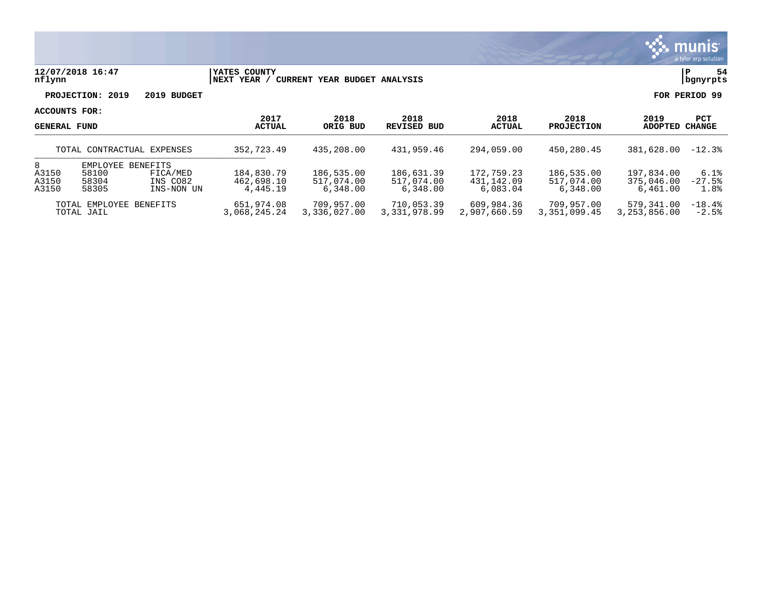

### **12/07/2018 16:47 |YATES COUNTY |P 54 nflynn |NEXT YEAR / CURRENT YEAR BUDGET ANALYSIS |bgnyrpts**

**PROJECTION: 2019 2019 BUDGET FOR PERIOD 99**

| <b>GENERAL FUND</b>                   |                                              |                                    | 2017<br><b>ACTUAL</b>                | 2018<br>ORIG BUD                     | 2018<br>REVISED BUD                  | 2018<br>ACTUAL                       | 2018<br><b>PROJECTION</b>            | 2019<br><b>ADOPTED</b>               | <b>PCT</b><br>CHANGE     |
|---------------------------------------|----------------------------------------------|------------------------------------|--------------------------------------|--------------------------------------|--------------------------------------|--------------------------------------|--------------------------------------|--------------------------------------|--------------------------|
|                                       |                                              | TOTAL CONTRACTUAL EXPENSES         | 352,723.49                           | 435,208,00                           | 431,959.46                           | 294,059.00                           | 450,280.45                           | 381,628.00                           | $-12.3%$                 |
| 8<br>A3150<br>A3150<br>A3150          | EMPLOYEE BENEFITS<br>58100<br>58304<br>58305 | FICA/MED<br>INS CO82<br>INS-NON UN | 184,830.79<br>462,698.10<br>4,445.19 | 186,535.00<br>517,074.00<br>6,348.00 | 186,631.39<br>517,074.00<br>6,348.00 | 172,759.23<br>431,142.09<br>6,083.04 | 186,535.00<br>517,074.00<br>6,348.00 | 197,834.00<br>375,046.00<br>6,461.00 | 6.1%<br>$-27.5%$<br>1.8% |
| TOTAL EMPLOYEE BENEFITS<br>TOTAL JAIL |                                              |                                    | 651,974.08<br>3,068,245.24           | 709,957.00<br>3,336,027.00           | 710,053.39<br>3,331,978.99           | 609,984.36<br>2,907,660.59           | 709,957.00<br>3,351,099.45           | 579,341.00<br>3,253,856.00           | $-18.4%$<br>$-2.5%$      |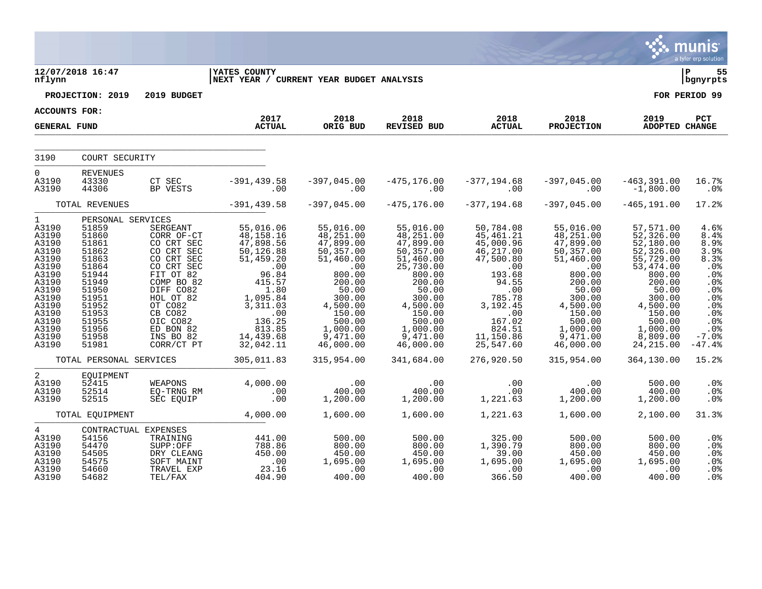|                                                                                                                                                              |                                                                                                                                                                   |                                                                                                                                                                                                               |                                                                                                                                                                                 |                                                                                                                                                                                   |                                                                                                                                                                                         |                                                                                                                                                                               |                                                                                                                                                                                  |                                                                                                                                                                                         | <b>munis</b><br>a tyler erp solution                                                                                       |
|--------------------------------------------------------------------------------------------------------------------------------------------------------------|-------------------------------------------------------------------------------------------------------------------------------------------------------------------|---------------------------------------------------------------------------------------------------------------------------------------------------------------------------------------------------------------|---------------------------------------------------------------------------------------------------------------------------------------------------------------------------------|-----------------------------------------------------------------------------------------------------------------------------------------------------------------------------------|-----------------------------------------------------------------------------------------------------------------------------------------------------------------------------------------|-------------------------------------------------------------------------------------------------------------------------------------------------------------------------------|----------------------------------------------------------------------------------------------------------------------------------------------------------------------------------|-----------------------------------------------------------------------------------------------------------------------------------------------------------------------------------------|----------------------------------------------------------------------------------------------------------------------------|
| nflynn                                                                                                                                                       | 12/07/2018 16:47                                                                                                                                                  |                                                                                                                                                                                                               | <b>YATES COUNTY</b><br>NEXT YEAR / CURRENT YEAR BUDGET ANALYSIS                                                                                                                 |                                                                                                                                                                                   |                                                                                                                                                                                         |                                                                                                                                                                               |                                                                                                                                                                                  |                                                                                                                                                                                         | l P<br>55<br>  bgnyrpts                                                                                                    |
|                                                                                                                                                              | PROJECTION: 2019                                                                                                                                                  | 2019 BUDGET                                                                                                                                                                                                   |                                                                                                                                                                                 |                                                                                                                                                                                   |                                                                                                                                                                                         |                                                                                                                                                                               |                                                                                                                                                                                  |                                                                                                                                                                                         | FOR PERIOD 99                                                                                                              |
| ACCOUNTS FOR:                                                                                                                                                |                                                                                                                                                                   |                                                                                                                                                                                                               | 2017                                                                                                                                                                            | 2018                                                                                                                                                                              | 2018                                                                                                                                                                                    | 2018                                                                                                                                                                          | 2018                                                                                                                                                                             | 2019                                                                                                                                                                                    | PCT                                                                                                                        |
| <b>GENERAL FUND</b>                                                                                                                                          |                                                                                                                                                                   |                                                                                                                                                                                                               | <b>ACTUAL</b>                                                                                                                                                                   | ORIG BUD                                                                                                                                                                          | REVISED BUD                                                                                                                                                                             | <b>ACTUAL</b>                                                                                                                                                                 | <b>PROJECTION</b>                                                                                                                                                                | <b>ADOPTED CHANGE</b>                                                                                                                                                                   |                                                                                                                            |
| 3190                                                                                                                                                         | COURT SECURITY                                                                                                                                                    |                                                                                                                                                                                                               |                                                                                                                                                                                 |                                                                                                                                                                                   |                                                                                                                                                                                         |                                                                                                                                                                               |                                                                                                                                                                                  |                                                                                                                                                                                         |                                                                                                                            |
| $\Omega$<br>A3190<br>A3190                                                                                                                                   | <b>REVENUES</b><br>43330<br>44306                                                                                                                                 | CT SEC<br>BP VESTS                                                                                                                                                                                            | $-391, 439.58$<br>.00                                                                                                                                                           | $-397,045.00$<br>.00                                                                                                                                                              | $-475, 176.00$<br>.00                                                                                                                                                                   | $-377, 194.68$<br>.00                                                                                                                                                         | $-397,045.00$<br>.00                                                                                                                                                             | $-463,391.00$<br>$-1,800.00$                                                                                                                                                            | 16.7%<br>.0%                                                                                                               |
|                                                                                                                                                              | TOTAL REVENUES                                                                                                                                                    |                                                                                                                                                                                                               | $-391, 439.58$                                                                                                                                                                  | $-397,045.00$                                                                                                                                                                     | $-475, 176.00$                                                                                                                                                                          | $-377, 194.68$                                                                                                                                                                | $-397,045.00$                                                                                                                                                                    | $-465, 191.00$                                                                                                                                                                          | 17.2%                                                                                                                      |
| $\mathbf{1}$<br>A3190<br>A3190<br>A3190<br>A3190<br>A3190<br>A3190<br>A3190<br>A3190<br>A3190<br>A3190<br>A3190<br>A3190<br>A3190<br>A3190<br>A3190<br>A3190 | PERSONAL SERVICES<br>51859<br>51860<br>51861<br>51862<br>51863<br>51864<br>51944<br>51949<br>51950<br>51951<br>51952<br>51953<br>51955<br>51956<br>51958<br>51981 | SERGEANT<br>CORR OF-CT<br>CO CRT SEC<br>CO CRT SEC<br>CO CRT SEC<br>CO CRT SEC<br>FIT OT 82<br>COMP BO 82<br>DIFF CO82<br>HOL OT 82<br>OT CO82<br>CB CO82<br>OIC CO82<br>ED BON 82<br>INS BO 82<br>CORR/CT PT | 55,016.06<br>48,158.16<br>$47,898.56$<br>50,126.88<br>51,459.20<br>96.84<br>415.57<br>1.80<br>1,095.84<br>3,311.03<br>$.00$<br>$136.25$<br>$813.85$<br>14, 439.68<br>32, 042.11 | 55,016.00<br>48,251.00<br>47,899.00<br>50,357.00<br>51,460.00<br>$00$<br>800.00<br>200.00<br>50.00<br>300.00<br>4,500.00<br>150.00<br>500.00<br>1,000.00<br>9,471.00<br>46,000.00 | 55,016.00<br>48,251.00<br>47,899.00<br>50, 357.00<br>51,460.00<br>25,730.00<br>800.00<br>200.00<br>50.00<br>300.00<br>4,500.00<br>150.00<br>500.00<br>1,000.00<br>9,471.00<br>46,000.00 | 50,784.08<br>45, 461.21<br>45,000.96<br>46, 217.00<br>47,500.80<br>.00<br>193.68<br>94.55<br>.00<br>785.78<br>3, 192. 45<br>.00<br>167.02<br>824.51<br>11,150.86<br>25,547.60 | 55,016.00<br>48,251.00<br>47,899.00<br>50,357.00<br>51,460.00<br>.00<br>800.00<br>200.00<br>50.00<br>300.00<br>4,500.00<br>150.00<br>500.00<br>1,000.00<br>9,471.00<br>46,000.00 | 57,571.00<br>52,326.00<br>52,180.00<br>52,326.00<br>55,729.00<br>53,474.00<br>800.00<br>200.00<br>50.00<br>300.00<br>4,500.00<br>150.00<br>500.00<br>1,000.00<br>8,809.00<br>24, 215.00 | 4.6%<br>8.4%<br>8.9%<br>3.9%<br>8.3%<br>.0%<br>.0%<br>.0%<br>.0%<br>.0%<br>.0%<br>.0%<br>.0%<br>.0%<br>$-7.0%$<br>$-47.4%$ |
|                                                                                                                                                              | TOTAL PERSONAL SERVICES                                                                                                                                           |                                                                                                                                                                                                               | 305,011.83                                                                                                                                                                      | 315,954.00                                                                                                                                                                        | 341,684.00                                                                                                                                                                              | 276,920.50                                                                                                                                                                    | 315,954.00                                                                                                                                                                       | 364,130.00                                                                                                                                                                              | 15.2%                                                                                                                      |
| 2<br>A3190<br>A3190<br>A3190                                                                                                                                 | EQUIPMENT<br>52415<br>52514<br>52515                                                                                                                              | WEAPONS<br>EQ-TRNG RM<br>SEC EQUIP                                                                                                                                                                            | 4,000.00<br>00 .<br>00 .                                                                                                                                                        | .00<br>400.00<br>1,200.00                                                                                                                                                         | .00<br>400.00<br>1,200.00                                                                                                                                                               | .00<br>.00<br>1,221.63                                                                                                                                                        | .00<br>400.00<br>1,200.00                                                                                                                                                        | 500.00<br>400.00<br>1,200.00                                                                                                                                                            | .0%<br>.0%<br>.0 <sub>8</sub>                                                                                              |
|                                                                                                                                                              | TOTAL EQUIPMENT                                                                                                                                                   |                                                                                                                                                                                                               | 4,000.00                                                                                                                                                                        | 1,600.00                                                                                                                                                                          | 1,600.00                                                                                                                                                                                | 1,221.63                                                                                                                                                                      | 1,600.00                                                                                                                                                                         | 2,100.00                                                                                                                                                                                | 31.3%                                                                                                                      |
| $4\overline{ }$<br>A3190<br>A3190<br>A3190<br>A3190<br>A3190<br>A3190                                                                                        | CONTRACTUAL EXPENSES<br>54156<br>54470<br>54505<br>54575<br>54660<br>54682                                                                                        | TRAINING<br>SUPP:OFF<br>DRY CLEANG<br>SOFT MAINT<br>TRAVEL EXP<br>TEL/FAX                                                                                                                                     | 441.00<br>788.86<br>450.00<br>.00<br>23.16<br>404.90                                                                                                                            | 500.00<br>800.00<br>450.00<br>1,695.00<br>.00<br>400.00                                                                                                                           | 500.00<br>800.00<br>450.00<br>1,695.00<br>$\begin{array}{c}\n 00 \\  \hline\n 00 \\  \hline\n 400\n \end{array}$                                                                        | 325.00<br>1,390.79<br>39.00<br>1,695.00<br>.00<br>366.50                                                                                                                      | 500.00<br>800.00<br>450.00<br>1,695.00<br>$.00$<br>400.00                                                                                                                        | 500.00<br>800.00<br>450.00<br>1,695.00<br>.00<br>00.<br>400.00                                                                                                                          | .0 <sub>8</sub><br>.0%<br>.0%<br>.0%<br>.0%<br>.0 <sub>8</sub>                                                             |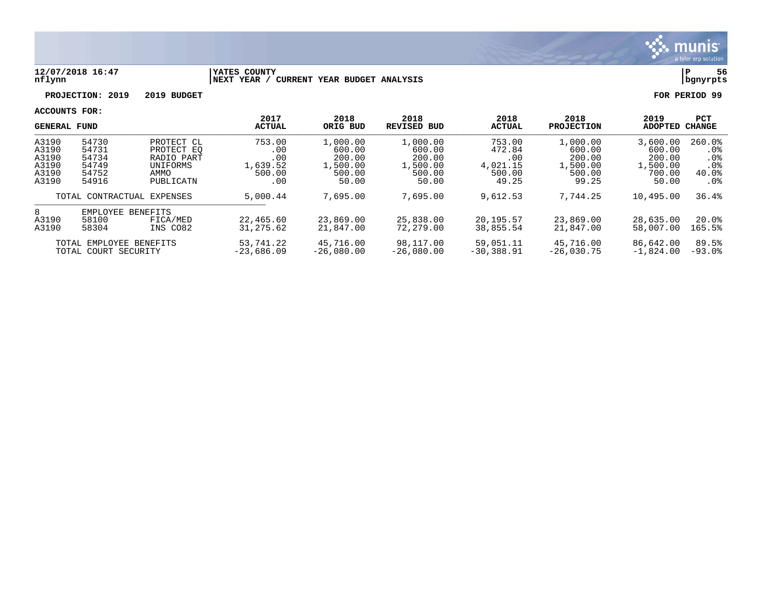

### **12/07/2018 16:47 |YATES COUNTY |P 56 nflynn |NEXT YEAR / CURRENT YEAR BUDGET ANALYSIS |bgnyrpts**

# **PROJECTION: 2019 2019 BUDGET FOR PERIOD 99**

|                                                    | <b>GENERAL FUND</b>                                            |                                                                         | 2017<br><b>ACTUAL</b>                             | 2018<br>ORIG BUD                                            | 2018<br><b>REVISED BUD</b>                                  | 2018<br><b>ACTUAL</b>                                  | 2018<br><b>PROJECTION</b>                                   | 2019<br><b>ADOPTED</b>                                     | <b>PCT</b><br><b>CHANGE</b>                              |
|----------------------------------------------------|----------------------------------------------------------------|-------------------------------------------------------------------------|---------------------------------------------------|-------------------------------------------------------------|-------------------------------------------------------------|--------------------------------------------------------|-------------------------------------------------------------|------------------------------------------------------------|----------------------------------------------------------|
| A3190<br>A3190<br>A3190<br>A3190<br>A3190<br>A3190 | 54730<br>54731<br>54734<br>54749<br>54752<br>54916             | PROTECT CL<br>PROTECT EO<br>RADIO PART<br>UNIFORMS<br>AMMO<br>PUBLICATN | 753.00<br>.00<br>.00<br>1,639.52<br>500.00<br>.00 | 1,000.00<br>600.00<br>200.00<br>1,500.00<br>500.00<br>50.00 | 1,000.00<br>600.00<br>200.00<br>1,500.00<br>500.00<br>50.00 | 753.00<br>472.84<br>.00<br>4,021.15<br>500.00<br>49.25 | 1,000.00<br>600.00<br>200.00<br>1,500.00<br>500.00<br>99.25 | 3,600.00<br>600.00<br>200.00<br>,500.00<br>700.00<br>50.00 | 260.0%<br>. 0%<br>.0 <sub>8</sub><br>.0%<br>40.0%<br>.0% |
|                                                    | TOTAL CONTRACTUAL EXPENSES                                     |                                                                         | 5,000.44                                          | 7,695.00                                                    | 7,695.00                                                    | 9,612.53                                               | 7.744.25                                                    | 10,495.00                                                  | 36.4%                                                    |
| 8<br>A3190<br>A3190                                | BENEFITS<br>EMPLOYEE<br>58100<br>FICA/MED<br>58304<br>INS CO82 |                                                                         | 22,465.60<br>31, 275.62                           | 23,869.00<br>21,847.00                                      | 25,838.00<br>72,279.00                                      | 20,195.57<br>38,855.54                                 | 23,869.00<br>21,847.00                                      | 28,635.00<br>58,007.00                                     | 20.0%<br>165.5%                                          |
| TOTAL EMPLOYEE BENEFITS<br>TOTAL COURT SECURITY    |                                                                | 53,741.22<br>$-23,686.09$                                               | 45,716.00<br>$-26,080,00$                         | 98,117.00<br>$-26.080.00$                                   | 59,051.11<br>$-30,388.91$                                   | 45,716.00<br>$-26.030.75$                              | 86,642.00<br>$-1,824.00$                                    | 89.5%<br>$-93.0$ .                                         |                                                          |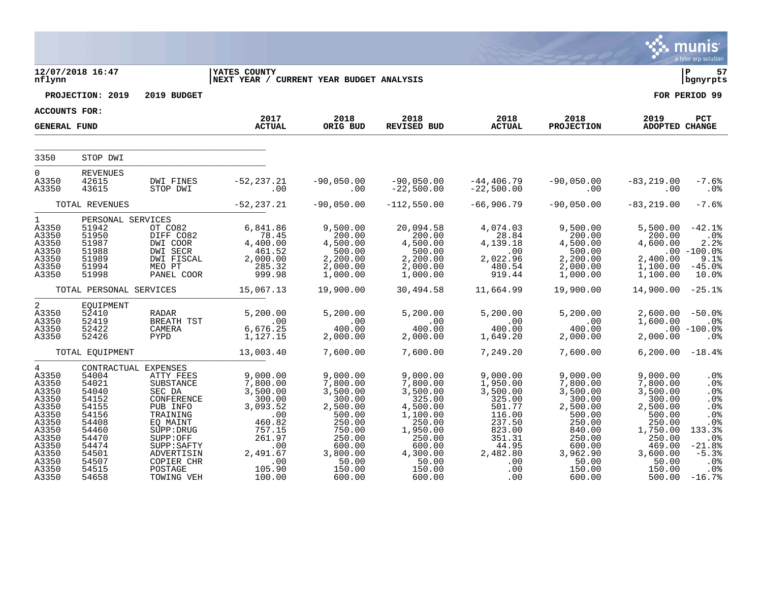|                                                                                                                                          |                                                                                                                                                    |                                                                                                                                                                                  |                                                                                                                                                       |                                                                                                                                                   |                                                                                                                                                         |                                                                                                                                        |                                                                                                                                                   |                                                                                                                                                     | munis<br>a tyler erp solution                                                                                                     |
|------------------------------------------------------------------------------------------------------------------------------------------|----------------------------------------------------------------------------------------------------------------------------------------------------|----------------------------------------------------------------------------------------------------------------------------------------------------------------------------------|-------------------------------------------------------------------------------------------------------------------------------------------------------|---------------------------------------------------------------------------------------------------------------------------------------------------|---------------------------------------------------------------------------------------------------------------------------------------------------------|----------------------------------------------------------------------------------------------------------------------------------------|---------------------------------------------------------------------------------------------------------------------------------------------------|-----------------------------------------------------------------------------------------------------------------------------------------------------|-----------------------------------------------------------------------------------------------------------------------------------|
| nflynn                                                                                                                                   | 12/07/2018 16:47                                                                                                                                   |                                                                                                                                                                                  | <b>IYATES COUNTY</b><br>NEXT YEAR / CURRENT YEAR BUDGET ANALYSIS                                                                                      |                                                                                                                                                   |                                                                                                                                                         |                                                                                                                                        |                                                                                                                                                   |                                                                                                                                                     | ∣ P<br>57<br>  bgnyrpts                                                                                                           |
|                                                                                                                                          | PROJECTION: 2019                                                                                                                                   | 2019 BUDGET                                                                                                                                                                      |                                                                                                                                                       |                                                                                                                                                   |                                                                                                                                                         |                                                                                                                                        |                                                                                                                                                   |                                                                                                                                                     | FOR PERIOD 99                                                                                                                     |
| ACCOUNTS FOR:                                                                                                                            |                                                                                                                                                    |                                                                                                                                                                                  | 2017                                                                                                                                                  | 2018                                                                                                                                              | 2018                                                                                                                                                    |                                                                                                                                        | 2018                                                                                                                                              | 2019                                                                                                                                                | PCT                                                                                                                               |
| <b>GENERAL FUND</b>                                                                                                                      |                                                                                                                                                    |                                                                                                                                                                                  | <b>ACTUAL</b>                                                                                                                                         | ORIG BUD                                                                                                                                          | REVISED BUD                                                                                                                                             |                                                                                                                                        | PROJECTION                                                                                                                                        | ADOPTED CHANGE                                                                                                                                      |                                                                                                                                   |
| 3350                                                                                                                                     | STOP DWI                                                                                                                                           |                                                                                                                                                                                  |                                                                                                                                                       |                                                                                                                                                   |                                                                                                                                                         |                                                                                                                                        |                                                                                                                                                   |                                                                                                                                                     |                                                                                                                                   |
| $\overline{0}$<br>A3350<br>A3350                                                                                                         | <b>REVENUES</b><br>42615<br>43615                                                                                                                  | DWI FINES<br>STOP DWI                                                                                                                                                            | $-52, 237.21$<br>.00                                                                                                                                  | $-90,050.00$<br>.00                                                                                                                               | -90,050.00<br>-22,500.00                                                                                                                                | -44,406.79<br>-22,500.00                                                                                                               | $-90,050.00$<br>$\sim$ 00                                                                                                                         | $-83, 219.00$<br>.00                                                                                                                                | $-7.6%$<br>.0%                                                                                                                    |
|                                                                                                                                          | TOTAL REVENUES                                                                                                                                     |                                                                                                                                                                                  | $-52, 237.21$                                                                                                                                         | $-90,050.00$                                                                                                                                      | $-112,550.00$                                                                                                                                           | $-66,906.79$                                                                                                                           | $-90,050.00$                                                                                                                                      | $-83, 219.00$                                                                                                                                       | $-7.6%$                                                                                                                           |
| $1 \quad$<br>A3350<br>A3350<br>A3350<br>A3350<br>A3350<br>A3350<br>A3350                                                                 | PERSONAL SERVICES<br>51942<br>51950<br>51987<br>51988<br>51989<br>51994<br>51998                                                                   | OT CO82<br>DIFF CO82<br>DWI COOR<br>DWI SECR<br>DWI FISCAL<br>MEO PT<br>PANEL COOR                                                                                               | 6,841.86<br>$78.45$<br>4,400.00<br>461.52<br>2,000.00<br>$285.32$<br>999.98                                                                           | 9,500.00<br>200.00<br>4,500.00<br>500.00<br>2,200.00<br>2,000.00<br>1,000.00                                                                      | 20,094.58<br>200.00<br>$4, 500.00$<br>500.00<br>2,200.00<br>2,000.00<br>1,000.00                                                                        | 4,074.03<br>28.84<br>4,139.18<br>$\sim$ 00<br>2,022.96<br>480.54<br>919.44                                                             | 9,500.00<br>200.00<br>$4,500.00$<br>$500.00$<br>$200.00$<br>2,000.00<br>1,000.00                                                                  | 5,500.00<br>200.00<br>4,600.00<br>2,400.00<br>1,100.00<br>1,100.00                                                                                  | $-42.1%$<br>.0%<br>2.2%<br>$.00 - 100.0$ $^{\circ}$<br>9.1%<br>$-45.0%$<br>10.0%                                                  |
|                                                                                                                                          | TOTAL PERSONAL SERVICES                                                                                                                            |                                                                                                                                                                                  | 15,067.13                                                                                                                                             | 19,900.00                                                                                                                                         | 30,494.58                                                                                                                                               | 11,664.99                                                                                                                              | 19,900.00                                                                                                                                         | 14,900.00                                                                                                                                           | $-25.1%$                                                                                                                          |
| 2<br>A3350<br>A3350<br>A3350<br>A3350                                                                                                    | EQUIPMENT<br>52410<br>52419<br>52422<br>52426                                                                                                      | RADAR<br>BREATH TST<br>CAMERA<br>PYPD                                                                                                                                            | 5,200.00<br>$00$<br>6,676.25<br>1,127.15                                                                                                              | 5,200.00<br>$.00$<br>400.00<br>2,000.00                                                                                                           | 5,200.00<br>$.00$<br>400.00<br>2,000.00                                                                                                                 | 5,200.00<br>400.00<br>1,649.20                                                                                                         | 5,200.00<br>$\begin{array}{c} 00 \ 400.00 \end{array}$<br>2,000.00                                                                                | $2,600.00 - 50.0$<br>1,600.00<br>2,000.00                                                                                                           | .0%<br>$.00 - 100.0$<br>.0%                                                                                                       |
|                                                                                                                                          | TOTAL EQUIPMENT                                                                                                                                    |                                                                                                                                                                                  | 13,003.40                                                                                                                                             | 7,600.00                                                                                                                                          | 7,600.00                                                                                                                                                | 7,249.20                                                                                                                               | 7,600.00                                                                                                                                          | $6,200.00 - 18.4%$                                                                                                                                  |                                                                                                                                   |
| $4\degree$<br>A3350<br>A3350<br>A3350<br>A3350<br>A3350<br>A3350<br>A3350<br>A3350<br>A3350<br>A3350<br>A3350<br>A3350<br>A3350<br>A3350 | CONTRACTUAL EXPENSES<br>54004<br>54021<br>54040<br>54152<br>54155<br>54156<br>54408<br>54460<br>54470<br>54474<br>54501<br>54507<br>54515<br>54658 | ATTY FEES<br>SUBSTANCE<br>SEC DA<br>CONFERENCE<br>PUB INFO<br>TRAINING<br>EQ MAINT<br>SUPP: DRUG<br>SUPP:OFF<br>SUPP: SAFTY<br>ADVERTISIN<br>COPIER CHR<br>POSTAGE<br>TOWING VEH | 9,000.00<br>7,800.00<br>3,500.00<br>300.00<br>3,093.52<br>$\overline{00}$<br>460.82<br>757.15<br>261.97<br>.00<br>2,491.67<br>.00<br>105.90<br>100.00 | 9,000.00<br>7,800.00<br>3,500.00<br>300.00<br>2,500.00<br>500.00<br>250.00<br>750.00<br>250.00<br>600.00<br>3,800.00<br>50.00<br>150.00<br>600.00 | 9,000.00<br>7,800.00<br>3,500.00<br>325.00<br>4,500.00<br>$1,100.00$<br>250.00<br>1,950.00<br>250.00<br>600.00<br>4,300.00<br>50.00<br>150.00<br>600.00 | 9,000.00<br>1,950.00<br>3,500.00<br>325.00<br>501.77<br>116.00<br>237.50<br>823.00<br>351.31<br>44.95<br>2,482.80<br>.00<br>.00<br>.00 | 9,000.00<br>7,800.00<br>3,500.00<br>300.00<br>2,500.00<br>500.00<br>250.00<br>840.00<br>250.00<br>600.00<br>3,962.90<br>50.00<br>150.00<br>600.00 | 9,000.00<br>7,800.00<br>3,500.00<br>300.00<br>2,500.00<br>500.00<br>250.00<br>1,750.00<br>250.00<br>469.00<br>3,600.00<br>50.00<br>150.00<br>500.00 | .0%<br>.0%<br>.0%<br>.0%<br>.0%<br>.0%<br>.0 <sub>8</sub><br>133.3%<br>$.0\%$<br>$-21.8%$<br>$-5.3%$<br>$.0\%$<br>.0%<br>$-16.7%$ |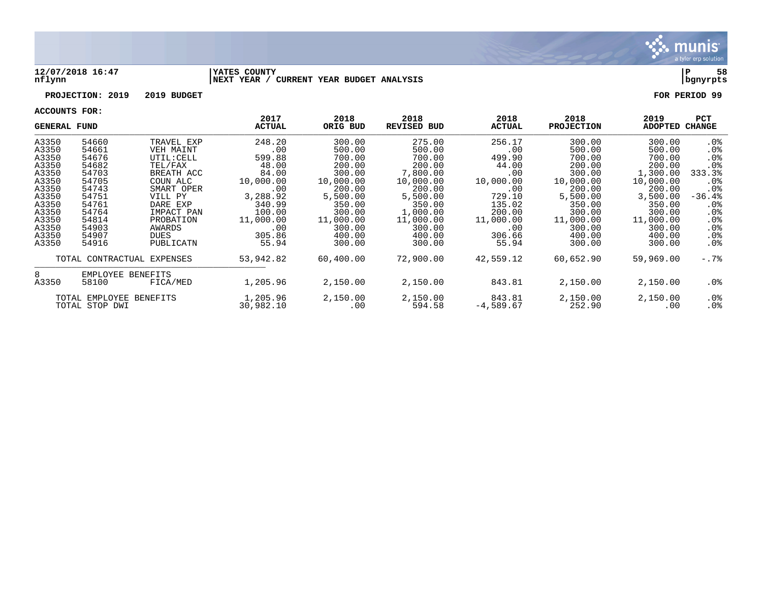

### **12/07/2018 16:47 |YATES COUNTY |P 58 nflynn |NEXT YEAR / CURRENT YEAR BUDGET ANALYSIS |bgnyrpts**

## **PROJECTION: 2019 2019 BUDGET FOR PERIOD 99**

| <b>GENERAL FUND</b> |                            |            | 2017<br><b>ACTUAL</b> | 2018<br>ORIG BUD | 2018<br><b>REVISED BUD</b> | 2018<br><b>ACTUAL</b> | 2018<br><b>PROJECTION</b> | 2019<br><b>ADOPTED</b> | <b>PCT</b><br>CHANGE |
|---------------------|----------------------------|------------|-----------------------|------------------|----------------------------|-----------------------|---------------------------|------------------------|----------------------|
| A3350               | 54660                      | TRAVEL EXP | 248.20                | 300.00           | 275.00                     | 256.17                | 300.00                    | 300.00                 | $.0\%$               |
| A3350               | 54661                      | VEH MAINT  | .00                   | 500.00           | 500.00                     | .00                   | 500.00                    | 500.00                 | $.0\%$               |
| A3350               | 54676                      | UTIL: CELL | 599.88                | 700.00           | 700.00                     | 499.90                | 700.00                    | 700.00                 | .0 <sub>8</sub>      |
| A3350               | 54682                      | TEL/FAX    | 48.00                 | 200.00           | 200.00                     | 44.00                 | 200.00                    | 200.00                 | .0 <sub>8</sub>      |
| A3350               | 54703                      | BREATH ACC | 84.00                 | 300.00           | 7,800.00                   | .00                   | 300.00                    | 1,300.00               | 333.3%               |
| A3350               | 54705                      | COUN ALC   | 10,000.00             | 10,000.00        | 10,000.00                  | 10,000.00             | 10,000.00                 | 10,000.00              | $.0\%$               |
| A3350               | 54743                      | SMART OPER | .00                   | 200.00           | 200.00                     | .00                   | 200.00                    | 200.00                 | .0 <sub>8</sub>      |
| A3350               | 54751                      | VILL PY    | 3,288.92              | 5,500.00         | 5,500.00                   | 729.10                | 5,500.00                  | 3,500.00               | $-36.4%$             |
| A3350               | 54761                      | DARE EXP   | 340.99                | 350.00           | 350.00                     | 135.02                | 350.00                    | 350.00                 | $.0\%$               |
| A3350               | 54764                      | IMPACT PAN | 100.00                | 300.00           | 1,000.00                   | 200.00                | 300.00                    | 300.00                 | $.0\%$               |
| A3350               | 54814                      | PROBATION  | 11,000.00             | 11,000.00        | 11,000.00                  | 11,000.00             | 11,000.00                 | 11,000.00              | $.0\%$               |
| A3350               | 54903                      | AWARDS     | .00                   | 300.00           | 300.00                     | .00                   | 300.00                    | 300.00                 | .0%                  |
| A3350               | 54907                      | DUES       | 305.86                | 400.00           | 400.00                     | 306.66                | 400.00                    | 400.00                 | $.0\%$               |
| A3350               | 54916                      | PUBLICATN  | 55.94                 | 300.00           | 300.00                     | 55.94                 | 300.00                    | 300.00                 | $.0\%$               |
|                     | TOTAL CONTRACTUAL EXPENSES |            | 53,942.82             | 60,400.00        | 72,900.00                  | 42,559.12             | 60,652.90                 | 59,969.00              | $-.7\$               |
| 8                   | EMPLOYEE BENEFITS          |            |                       |                  |                            |                       |                           |                        |                      |
| A3350               | 58100                      | FICA/MED   | 1,205.96              | 2,150.00         | 2,150.00                   | 843.81                | 2,150.00                  | 2,150.00               | .0%                  |
|                     | TOTAL EMPLOYEE BENEFITS    |            | 1,205.96              | 2,150.00         | 2,150.00                   | 843.81                | 2,150.00                  | 2,150.00               | $.0\%$               |
|                     | TOTAL STOP DWI             |            | 30,982.10             | .00              | 594.58                     | $-4,589.67$           | 252.90                    | .00                    | $.0\%$               |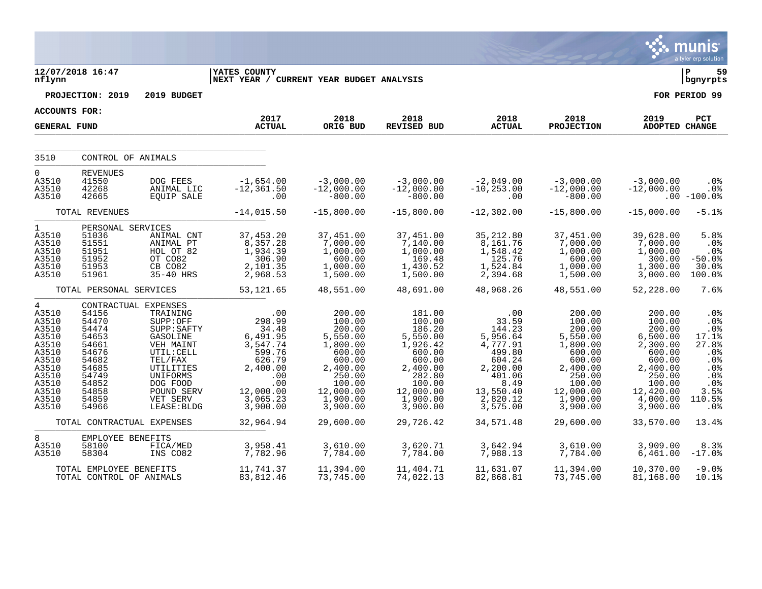|                                                                                                                                      |                                                                                                                   |                                                                                                                                                                                             |                                                                                                                                   |                                                                                                                                             |                                                                                                                                             |                                                                                                                                       |                                                                                                                                             |                                                                                                                                             | munis<br>a tyler erp solution                                                                                              |
|--------------------------------------------------------------------------------------------------------------------------------------|-------------------------------------------------------------------------------------------------------------------|---------------------------------------------------------------------------------------------------------------------------------------------------------------------------------------------|-----------------------------------------------------------------------------------------------------------------------------------|---------------------------------------------------------------------------------------------------------------------------------------------|---------------------------------------------------------------------------------------------------------------------------------------------|---------------------------------------------------------------------------------------------------------------------------------------|---------------------------------------------------------------------------------------------------------------------------------------------|---------------------------------------------------------------------------------------------------------------------------------------------|----------------------------------------------------------------------------------------------------------------------------|
| nflynn                                                                                                                               | 12/07/2018 16:47                                                                                                  |                                                                                                                                                                                             | <b>YATES COUNTY</b><br>NEXT YEAR / CURRENT YEAR BUDGET ANALYSIS                                                                   |                                                                                                                                             |                                                                                                                                             |                                                                                                                                       |                                                                                                                                             |                                                                                                                                             | ΙP<br>59<br>bgnyrpts                                                                                                       |
|                                                                                                                                      | PROJECTION: 2019                                                                                                  | 2019 BUDGET                                                                                                                                                                                 |                                                                                                                                   |                                                                                                                                             |                                                                                                                                             |                                                                                                                                       |                                                                                                                                             |                                                                                                                                             | FOR PERIOD 99                                                                                                              |
| ACCOUNTS FOR:                                                                                                                        |                                                                                                                   |                                                                                                                                                                                             |                                                                                                                                   |                                                                                                                                             |                                                                                                                                             |                                                                                                                                       |                                                                                                                                             |                                                                                                                                             |                                                                                                                            |
| <b>GENERAL FUND</b>                                                                                                                  |                                                                                                                   |                                                                                                                                                                                             | 2017<br><b>ACTUAL</b>                                                                                                             | 2018<br>ORIG BUD                                                                                                                            | 2018<br><b>REVISED BUD</b>                                                                                                                  | 2018<br><b>ACTUAL</b>                                                                                                                 | 2018<br><b>PROJECTION</b>                                                                                                                   | 2019<br>ADOPTED CHANGE                                                                                                                      | PCT                                                                                                                        |
| 3510                                                                                                                                 | CONTROL OF ANIMALS                                                                                                |                                                                                                                                                                                             |                                                                                                                                   |                                                                                                                                             |                                                                                                                                             |                                                                                                                                       |                                                                                                                                             |                                                                                                                                             |                                                                                                                            |
| $\Omega$<br>A3510<br>A3510<br>A3510                                                                                                  | <b>REVENUES</b><br>41550<br>42268<br>42665                                                                        | DOG FEES<br>ANIMAL LIC<br><b>EQUIP SALE</b>                                                                                                                                                 | $-1,654.00$<br>$-12, 361.50$<br>.00                                                                                               | $-3,000.00$<br>$-12,000.00$<br>$-800.00$                                                                                                    | $-3,000.00$<br>$-12,000.00$<br>$-800.00$                                                                                                    | $-2,049.00$<br>$-10, 253.00$<br>.00                                                                                                   | $-3,000.00$<br>$-12,000.00$<br>$-800.00$                                                                                                    | $-3,000.00$<br>$-12,000.00$                                                                                                                 | .0%<br>$.0\%$<br>$.00 - 100.0$                                                                                             |
|                                                                                                                                      | TOTAL REVENUES                                                                                                    |                                                                                                                                                                                             | $-14,015.50$                                                                                                                      | $-15,800.00$                                                                                                                                | $-15,800.00$                                                                                                                                | $-12, 302.00$                                                                                                                         | $-15,800.00$                                                                                                                                | $-15,000.00$                                                                                                                                | $-5.1%$                                                                                                                    |
| $\mathbf{1}$<br>A3510<br>A3510<br>A3510<br>A3510<br>A3510<br>A3510                                                                   | PERSONAL SERVICES<br>51036<br>51551<br>51951<br>51952<br>51953<br>51961                                           | ANIMAL CNT<br>ANIMAL PT<br>HOL OT 82<br>OT CO82<br>CB CO82<br>35-40 HRS                                                                                                                     | 37,453.20<br>8,357.28<br>1,934.39<br>306.90<br>2,101.35<br>2,968.53                                                               | 37,451.00<br>7,000.00<br>1,000.00<br>600.00<br>1,000.00<br>1,500.00                                                                         | 37,451.00<br>7,140.00<br>1,000.00<br>169.48<br>1,430.52<br>1,500.00                                                                         | 35,212.80<br>8,161.76<br>1,548.42<br>125.76<br>1,524.84<br>2,394.68                                                                   | 37,451.00<br>7,000.00<br>1,000.00<br>600.00<br>1,000.00<br>1,500.00                                                                         | 39,628.00<br>7,000.00<br>1,000.00<br>300.00<br>1,300.00<br>3,000.00                                                                         | 5.8%<br>.0%<br>.0 <sub>8</sub><br>$-50.0%$<br>30.0%<br>100.0%                                                              |
|                                                                                                                                      | TOTAL PERSONAL SERVICES                                                                                           |                                                                                                                                                                                             | 53, 121.65                                                                                                                        | 48,551.00                                                                                                                                   | 48,691.00                                                                                                                                   | 48,968.26                                                                                                                             | 48,551.00                                                                                                                                   | 52,228.00                                                                                                                                   | 7.6%                                                                                                                       |
| $4\overline{ }$<br>A3510<br>A3510<br>A3510<br>A3510<br>A3510<br>A3510<br>A3510<br>A3510<br>A3510<br>A3510<br>A3510<br>A3510<br>A3510 | 54156<br>54470<br>54474<br>54653<br>54661<br>54676<br>54682<br>54685<br>54749<br>54852<br>54858<br>54859<br>54966 | CONTRACTUAL EXPENSES<br>TRAINING<br>SUPP:OFF<br>SUPP: SAFTY<br>GASOLINE<br>VEH MAINT<br>UTIL: CELL<br>TEL/FAX<br>UTILITIES<br>UNIFORMS<br>DOG FOOD<br>POUND SERV<br>VET SERV<br>LEASE: BLDG | .00<br>298.99<br>34.48<br>6,491.95<br>3,547.74<br>599.76<br>626.79<br>2,400.00<br>.00<br>.00<br>12,000.00<br>3,065.23<br>3,900.00 | 200.00<br>100.00<br>200.00<br>5,550.00<br>1,800.00<br>600.00<br>600.00<br>2,400.00<br>250.00<br>100.00<br>12,000.00<br>1,900.00<br>3,900.00 | 181.00<br>100.00<br>186.20<br>5,550.00<br>1,926.42<br>600.00<br>600.00<br>2,400.00<br>282.80<br>100.00<br>12,000.00<br>1,900.00<br>3,900.00 | .00<br>33.59<br>144.23<br>5,956.64<br>4,777.91<br>499.80<br>604.24<br>2,200.00<br>401.06<br>8.49<br>13,550.40<br>2,820.12<br>3,575.00 | 200.00<br>100.00<br>200.00<br>5,550.00<br>1,800.00<br>600.00<br>600.00<br>2,400.00<br>250.00<br>100.00<br>12,000.00<br>1,900.00<br>3,900.00 | 200.00<br>100.00<br>200.00<br>6,500.00<br>2,300.00<br>600.00<br>600.00<br>2,400.00<br>250.00<br>100.00<br>12,420.00<br>4,000.00<br>3,900.00 | .0%<br>.0%<br>.0%<br>17.1%<br>27.8%<br>.0%<br>.0 <sub>8</sub><br>.0 <sub>8</sub><br>.0%<br>$.0\%$<br>3.5%<br>110.5%<br>.0% |
|                                                                                                                                      | TOTAL CONTRACTUAL EXPENSES                                                                                        |                                                                                                                                                                                             | 32,964.94                                                                                                                         | 29,600.00                                                                                                                                   | 29,726.42                                                                                                                                   | 34,571.48                                                                                                                             | 29,600.00                                                                                                                                   | 33,570.00                                                                                                                                   | 13.4%                                                                                                                      |
| 8<br>A3510<br>A3510                                                                                                                  | EMPLOYEE BENEFITS<br>58100<br>58304                                                                               | FICA/MED<br>INS CO82                                                                                                                                                                        | 3,958.41<br>7,782.96                                                                                                              | 3,610.00<br>7,784.00                                                                                                                        | 3,620.71<br>7,784.00                                                                                                                        | 3,642.94<br>7,988.13                                                                                                                  | 3,610.00<br>7,784.00                                                                                                                        | 3,909.00<br>6,461.00                                                                                                                        | 8.3%<br>$-17.0$ $%$                                                                                                        |
|                                                                                                                                      | TOTAL EMPLOYEE BENEFITS<br>TOTAL CONTROL OF ANIMALS                                                               |                                                                                                                                                                                             | 11,741.37<br>83,812.46                                                                                                            | 11,394.00<br>73,745.00                                                                                                                      | 11,404.71<br>74,022.13                                                                                                                      | 11,631.07<br>82,868.81                                                                                                                | 11,394.00<br>73,745.00                                                                                                                      | 10,370.00<br>81,168.00                                                                                                                      | $-9.0%$<br>10.1%                                                                                                           |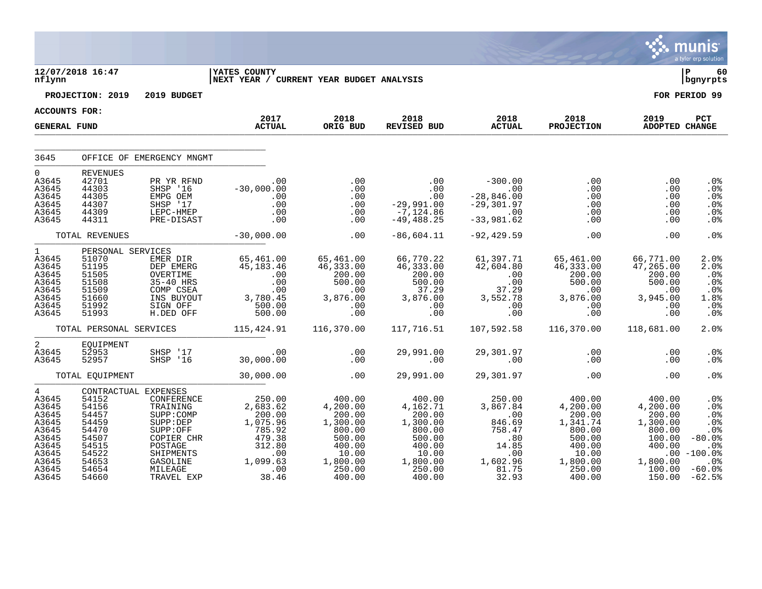|                                                                                                      |                                                                                                                         |                                                                                                                                         |                                                                                                                    |                                                                                                                 |                                                                                                                 |                                                                                                                             |                                                                                                                   |                                                                                                        | munis<br>a tyler erp solution                                                                                                  |
|------------------------------------------------------------------------------------------------------|-------------------------------------------------------------------------------------------------------------------------|-----------------------------------------------------------------------------------------------------------------------------------------|--------------------------------------------------------------------------------------------------------------------|-----------------------------------------------------------------------------------------------------------------|-----------------------------------------------------------------------------------------------------------------|-----------------------------------------------------------------------------------------------------------------------------|-------------------------------------------------------------------------------------------------------------------|--------------------------------------------------------------------------------------------------------|--------------------------------------------------------------------------------------------------------------------------------|
| nflynn                                                                                               | 12/07/2018 16:47                                                                                                        |                                                                                                                                         | <b>IYATES COUNTY</b>                                                                                               | NEXT YEAR / CURRENT YEAR BUDGET ANALYSIS                                                                        |                                                                                                                 |                                                                                                                             |                                                                                                                   |                                                                                                        | 60<br>bgnyrpts                                                                                                                 |
|                                                                                                      | PROJECTION: 2019                                                                                                        | 2019 BUDGET                                                                                                                             |                                                                                                                    |                                                                                                                 |                                                                                                                 |                                                                                                                             |                                                                                                                   |                                                                                                        | FOR PERIOD 99                                                                                                                  |
| <b>ACCOUNTS FOR:</b>                                                                                 |                                                                                                                         |                                                                                                                                         |                                                                                                                    |                                                                                                                 |                                                                                                                 |                                                                                                                             |                                                                                                                   |                                                                                                        |                                                                                                                                |
| <b>GENERAL FUND</b>                                                                                  |                                                                                                                         |                                                                                                                                         | 2017<br><b>ACTUAL</b>                                                                                              | 2018<br>ORIG BUD                                                                                                | 2018<br>REVISED BUD                                                                                             | 2018<br><b>ACTUAL</b>                                                                                                       | 2018<br><b>PROJECTION</b>                                                                                         | 2019<br>ADOPTED CHANGE                                                                                 | PCT                                                                                                                            |
| 3645                                                                                                 |                                                                                                                         | OFFICE OF EMERGENCY MNGMT                                                                                                               |                                                                                                                    |                                                                                                                 |                                                                                                                 |                                                                                                                             |                                                                                                                   |                                                                                                        |                                                                                                                                |
| $\Omega$<br>A3645<br>A3645<br>A3645<br>A3645<br>A3645<br>A3645                                       | <b>REVENUES</b><br>42701<br>44303<br>44305<br>44307<br>44309<br>44311                                                   | PR YR RFND<br>SHSP '16<br>EMPG OEM<br>SHSP '17<br>LEPC-HMEP<br>PRE-DISAST                                                               | $\sim$ 00<br>$-30,000.00$<br>$\frac{0}{2}$ .<br>.00<br>.00<br>.00                                                  | .00<br>.00<br>.00<br>.00<br>.00<br>.00                                                                          | .00<br>00.<br>00.<br>29.991.00 -<br>$-7,124.86$<br>$-49, 488.25$                                                | $-300.00$<br>$\ddotsc 00$<br>$-28,846.00$<br>$-29,301.97$<br>$\sim 00$<br>$-33,981.62$                                      | .00<br>$.00 \,$<br>.00<br>$0.00$<br>.00<br>.00                                                                    | .00<br>.00<br>.00<br>.00<br>.00<br>.00                                                                 | .0%<br>.0%<br>.0%<br>.0%<br>.0%<br>.0%                                                                                         |
|                                                                                                      | TOTAL REVENUES                                                                                                          |                                                                                                                                         | $-30,000.00$                                                                                                       | .00                                                                                                             | $-86,604.11$                                                                                                    | $-92, 429.59$                                                                                                               | .00                                                                                                               | .00                                                                                                    | .0%                                                                                                                            |
| $1 \quad \blacksquare$<br>A3645<br>A3645<br>A3645<br>A3645<br>A3645<br>A3645<br>A3645<br>A3645       | PERSONAL SERVICES<br>51070<br>51195<br>51505<br>51508<br>51509<br>51660<br>51992<br>51993                               | EMER DIR<br>DEP EMERG<br>OVERTIME<br>35-40 HRS<br>COMP CSEA<br>INS BUYOUT<br>SIGN OFF<br>H.DED OFF                                      | 65,461.00<br>45,183.46<br>$\begin{array}{c} .00 \\ .00 \\ .00 \end{array}$<br>3,780.45<br>1500.00<br>500.00        | 65,461.00<br>46,333.00<br>200.00<br>200.00<br>500.00<br>00.<br>.00<br>3,876.00<br>.00<br>.00                    | 66,770.22<br>46,333.00<br>200.00<br>500.00<br>37.29<br>3,876.00<br>$\ddotsc$<br>.00                             | 61,397.71<br>42,604.80<br>$\begin{array}{r} .00 \\ .00 \\ .00 \\ .37.29 \end{array}$<br>37.29<br>3,552.78<br>.00<br>.00     | 65,461.00<br>46,333.00<br>200.00<br>500.00<br>.00<br>3,876.00<br>.00<br>.00                                       | 66,771.00<br>47,265.00<br>200.00<br>500.00<br>.00<br>3,945.00<br>.00<br>.00                            | 2.0%<br>2.0%<br>$.0\%$<br>.0%<br>.0%<br>1.8%<br>.0%<br>.0%                                                                     |
|                                                                                                      | TOTAL PERSONAL SERVICES                                                                                                 |                                                                                                                                         | 115,424.91                                                                                                         | 116,370.00                                                                                                      | 117,716.51                                                                                                      | 107,592.58                                                                                                                  | 116,370.00                                                                                                        | 118,681.00                                                                                             | 2.0%                                                                                                                           |
| $\overline{a}$<br>A3645<br>A3645                                                                     | EQUIPMENT<br>52953<br>52957                                                                                             | SHSP '17<br>SHSP '16                                                                                                                    | 00.<br>30,000.00                                                                                                   | .00<br>.00                                                                                                      | 29,991.00<br>$\sim$ 00                                                                                          | 29,301.97<br>.00                                                                                                            | .00<br>.00                                                                                                        | .00<br>.00                                                                                             | .0%<br>.0 <sub>8</sub>                                                                                                         |
|                                                                                                      | TOTAL EQUIPMENT                                                                                                         |                                                                                                                                         | 30,000.00                                                                                                          | .00                                                                                                             | 29,991.00                                                                                                       | 29,301.97                                                                                                                   | .00                                                                                                               | .00                                                                                                    | .0%                                                                                                                            |
| 4<br>A3645<br>A3645<br>A3645<br>A3645<br>A3645<br>A3645<br>A3645<br>A3645<br>A3645<br>A3645<br>A3645 | CONTRACTUAL EXPENSES<br>54152<br>54156<br>54457<br>54459<br>54470<br>54507<br>54515<br>54522<br>54653<br>54654<br>54660 | CONFERENCE<br>TRAINING<br>SUPP:COMP<br>SUPP: DEP<br>SUPP:OFF<br>COPIER CHR<br>POSTAGE<br>SHIPMENTS<br>GASOLINE<br>MILEAGE<br>TRAVEL EXP | 250.00<br>2,683.62<br>200.00<br>1,075.96<br>785.92<br>$479.38$<br>$312.80$<br>$00$<br>1,099.63<br>$38.00$<br>38.46 | 400.00<br>4,200.00<br>200.00<br>1,300.00<br>800.00<br>500.00<br>400.00<br>10.00<br>1,800.00<br>250.00<br>400.00 | 400.00<br>4,162.71<br>200.00<br>1,300.00<br>800.00<br>500.00<br>400.00<br>10.00<br>1,800.00<br>250.00<br>400.00 | 250.00<br>3,867.84<br>$\overline{\phantom{0}}$ .00<br>846.69<br>758.47<br>.80<br>14.85<br>.00<br>1,602.96<br>81.75<br>32.93 | $400.00$<br>4,200.00<br>200.00<br>1,341.74<br>800.00<br>500.00<br>400.00<br>10.00<br>1,800.00<br>250.00<br>400.00 | 400.00<br>4,200.00<br>200.00<br>1,300.00<br>800.00<br>100.00<br>400.00<br>1,800.00<br>100.00<br>150.00 | .0%<br>.0%<br>.0%<br>.0 <sub>8</sub><br>.0%<br>$-80.0%$<br>.0 <sub>8</sub><br>$.00 - 100.0$<br>$.0\%$<br>$-60.0$ °<br>$-62.5%$ |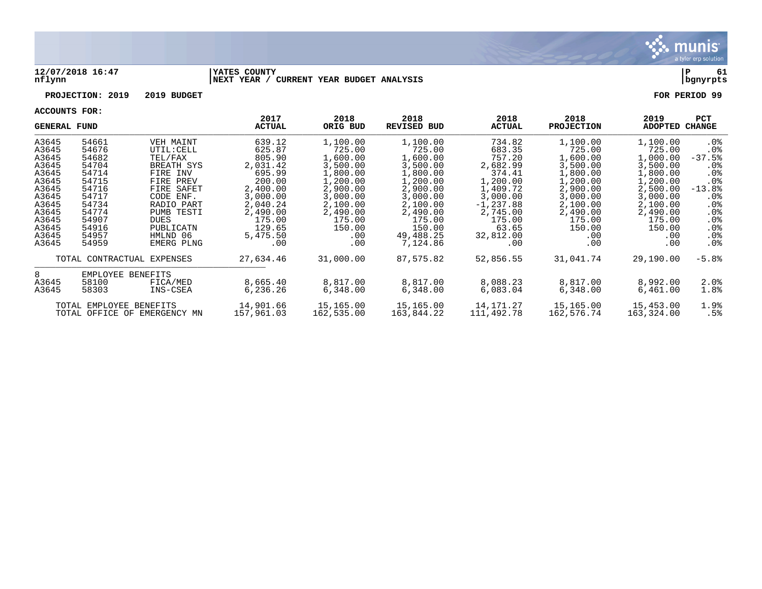

### **12/07/2018 16:47 |YATES COUNTY |P 61 nflynn |NEXT YEAR / CURRENT YEAR BUDGET ANALYSIS |bgnyrpts**

# **PROJECTION: 2019 2019 BUDGET FOR PERIOD 99**

| <b>GENERAL FUND</b> |                              |             | 2017<br><b>ACTUAL</b> | 2018<br>ORIG BUD | 2018<br><b>REVISED BUD</b> | 2018<br><b>ACTUAL</b> | 2018<br><b>PROJECTION</b> | 2019<br>ADOPTED | <b>PCT</b><br>CHANGE |
|---------------------|------------------------------|-------------|-----------------------|------------------|----------------------------|-----------------------|---------------------------|-----------------|----------------------|
| A3645               | 54661                        | VEH MAINT   | 639.12                | 1,100.00         | 1,100.00                   | 734.82                | 1,100.00                  | 1,100.00        | $.0\%$               |
| A3645               | 54676                        | UTIL: CELL  | 625.87                | 725.00           | 725.00                     | 683.35                | 725.00                    | 725.00          | . 0 %                |
| A3645               | 54682                        | TEL/FAX     | 805.90                | 1,600.00         | 1,600.00                   | 757.20                | 1,600.00                  | 1,000.00        | $-37.5%$             |
| A3645               | 54704                        | BREATH SYS  | 2,031.42              | 3,500.00         | 3,500.00                   | 2,682.99              | 3,500.00                  | 3,500.00        | $.0\%$               |
| A3645               | 54714                        | FIRE INV    | 695.99                | 1,800.00         | 1,800.00                   | 374.41                | 1,800.00                  | 1,800.00        | $.0\%$               |
| A3645               | 54715                        | FIRE PREV   | 200.00                | 1,200.00         | 1,200.00                   | 1,200.00              | 1,200.00                  | 1,200.00        | .0 <sub>8</sub>      |
| A3645               | 54716                        | FIRE SAFET  | 2,400.00              | 2,900.00         | 2,900.00                   | 1,409.72              | 2,900.00                  | 2,500.00        | $-13.8%$             |
| A3645               | 54717                        | CODE ENF.   | 3,000.00              | 3,000.00         | 3,000.00                   | 3,000.00              | 3,000.00                  | 3,000.00        | $.0\%$               |
| A3645               | 54734                        | RADIO PART  | 2,040.24              | 2,100.00         | 2,100.00                   | $-1, 237.88$          | 2,100.00                  | 2,100.00        | $.0\%$               |
| A3645               | 54774                        | PUMB TESTI  | 2,490.00              | 2,490.00         | 2,490.00                   | 2,745.00              | 2,490.00                  | 2,490.00        | .0%                  |
| A3645               | 54907                        | <b>DUES</b> | 175.00                | 175.00           | 175.00                     | 175.00                | 175.00                    | 175.00          | .0%                  |
| A3645               | 54916                        | PUBLICATN   | 129.65                | 150.00           | 150.00                     | 63.65                 | 150.00                    | 150.00          | .0%                  |
| A3645               | 54957                        | HMLND 06    | 5,475.50              | .00              | 49,488.25                  | 32,812.00             | .00                       | .00             | .0%                  |
| A3645               | 54959                        | EMERG PLNG  | .00                   | .00              | 7,124.86                   | .00                   | .00                       | .00             | $.0\%$               |
|                     |                              |             |                       |                  |                            |                       |                           |                 |                      |
|                     | TOTAL CONTRACTUAL EXPENSES   |             | 27,634.46             | 31,000.00        | 87,575.82                  | 52,856.55             | 31,041.74                 | 29,190.00       | $-5.8%$              |
| 8                   | EMPLOYEE BENEFITS            |             |                       |                  |                            |                       |                           |                 |                      |
| A3645               | 58100                        | FICA/MED    | 8,665.40              | 8,817.00         | 8,817.00                   | 8,088.23              | 8,817.00                  | 8,992.00        | 2.0%                 |
| A3645               | 58303                        | INS-CSEA    | 6,236.26              | 6,348.00         | 6,348.00                   | 6,083.04              | 6,348.00                  | 6,461.00        | 1.8%                 |
|                     | TOTAL EMPLOYEE BENEFITS      |             | 14,901.66             | 15,165.00        | 15,165.00                  | 14,171.27             | 15,165.00                 | 15,453.00       | 1.9%                 |
|                     | TOTAL OFFICE OF EMERGENCY MN |             | 157,961.03            | 162,535.00       | 163,844.22                 | 111,492.78            | 162,576.74                | 163,324.00      | .5%                  |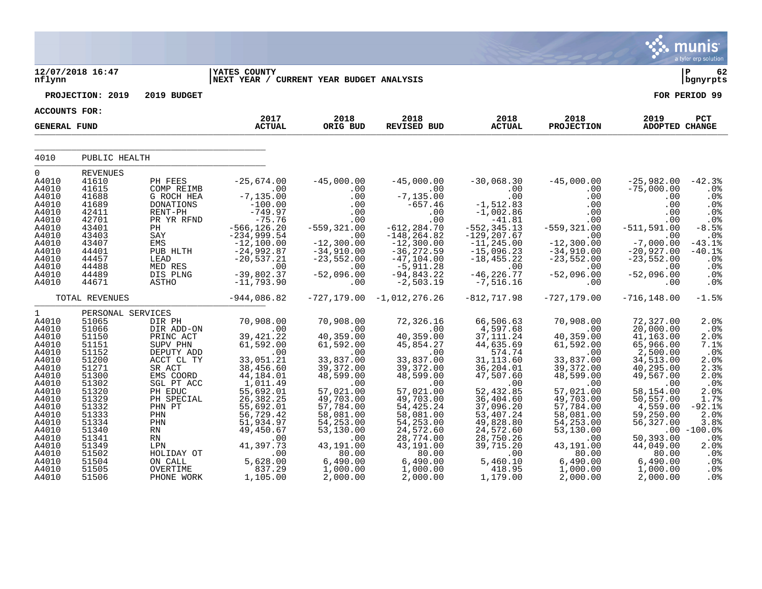|                                                 |                                                     |                                                         |                                                                  |                                                      |                                                               |                                                             |                                                     |                                                    | <b>munis</b><br>a tyler erp solution            |
|-------------------------------------------------|-----------------------------------------------------|---------------------------------------------------------|------------------------------------------------------------------|------------------------------------------------------|---------------------------------------------------------------|-------------------------------------------------------------|-----------------------------------------------------|----------------------------------------------------|-------------------------------------------------|
| nflynn                                          | 12/07/2018 16:47                                    |                                                         | <b>IYATES COUNTY</b><br>NEXT YEAR / CURRENT YEAR BUDGET ANALYSIS |                                                      |                                                               |                                                             |                                                     |                                                    | ∣ P<br>62<br>  bgnyrpts                         |
|                                                 | PROJECTION: 2019                                    | 2019 BUDGET                                             |                                                                  |                                                      |                                                               |                                                             |                                                     |                                                    | FOR PERIOD 99                                   |
| <b>ACCOUNTS FOR:</b>                            |                                                     |                                                         |                                                                  |                                                      |                                                               |                                                             |                                                     |                                                    |                                                 |
| <b>GENERAL FUND</b>                             |                                                     |                                                         | 2017<br><b>ACTUAL</b>                                            | 2018<br>ORIG BUD                                     | 2018<br><b>REVISED BUD</b>                                    | 2018<br><b>ACTUAL</b>                                       | 2018<br><b>PROJECTION</b>                           | 2019<br><b>ADOPTED CHANGE</b>                      | PCT                                             |
| 4010                                            | PUBLIC HEALTH                                       |                                                         |                                                                  |                                                      |                                                               |                                                             |                                                     |                                                    |                                                 |
|                                                 |                                                     |                                                         |                                                                  |                                                      |                                                               |                                                             |                                                     |                                                    |                                                 |
| $\mathbf 0$<br>A4010<br>A4010<br>A4010<br>A4010 | <b>REVENUES</b><br>41610<br>41615<br>41688<br>41689 | PH FEES<br>COMP REIMB<br>G ROCH HEA<br><b>DONATIONS</b> | $-25,674.00$<br>.00<br>$-7, 135.00$<br>$-100.00$                 | $-45,000.00$<br>.00<br>.00<br>.00                    | $-45,000.00$<br>.00<br>$-7, 135.00$<br>$-657.46$              | $-30,068.30$<br>.00<br>.00<br>$-1,512.83$                   | $-45,000.00$<br>$.00 \,$<br>$.00 \,$<br>.00         | $-25,982.00$<br>$-75,000.00$<br>.00<br>.00         | $-42.3%$<br>$.0\%$<br>.0%<br>.0%                |
| A4010<br>A4010<br>A4010<br>A4010                | 42411<br>42701<br>43401<br>43403                    | RENT-PH<br>PR YR RFND<br>PH<br>SAY                      | $-749.97$<br>$-75.76$<br>$-566, 126.20$<br>$-234,999.54$         | .00<br>.00<br>$-559, 321.00$<br>.00                  | .00<br>.00<br>$-612, 284.70$<br>$-148, 264.82$                | $-1,002.86$<br>$-41.81$<br>$-552, 345.13$<br>$-129, 207.67$ | .00<br>$.00 \,$<br>$-559, 321.00$<br>.00            | .00<br>.00<br>$-511, 591.00$<br>.00                | .0%<br>.0%<br>$-8.5%$<br>.0%                    |
| A4010<br>A4010<br>A4010<br>A4010                | 43407<br>44401<br>44457<br>44488                    | EMS<br>PUB HLTH<br>LEAD<br>MED RES                      | $-12,100.00$<br>$-24,992.87$<br>$-20,537.21$<br>.00              | $-12, 300.00$<br>$-34,910.00$<br>$-23,552.00$<br>.00 | $-12,300.00$<br>$-36, 272.59$<br>$-47, 104.00$<br>$-5,911.28$ | $-11, 245.00$<br>$-15,096.23$<br>$-18, 455.22$<br>.00       | $-12,300.00$<br>$-34,910.00$<br>$-23,552.00$<br>.00 | $-7,000.00$<br>$-20,927.00$<br>$-23,552.00$<br>.00 | $-43.1%$<br>$-40.1%$<br>.0%<br>.0%              |
| A4010<br>A4010                                  | 44489<br>44671                                      | DIS PLNG<br>ASTHO                                       | $-39,802.37$<br>$-11,793.90$                                     | $-52,096.00$<br>.00                                  | $-94,843.22$<br>$-2,503.19$                                   | $-46, 226.77$<br>$-7,516.16$                                | $-52,096.00$<br>.00                                 | $-52,096.00$<br>.00                                | .0%<br>.0 <sub>8</sub>                          |
|                                                 | TOTAL REVENUES                                      |                                                         | $-944,086.82$                                                    | $-727, 179.00$                                       | $-1,012,276.26$                                               | $-812, 717.98$                                              | $-727, 179.00$                                      | $-716, 148.00$                                     | $-1.5%$                                         |
| $\mathbf{1}$                                    | PERSONAL SERVICES                                   |                                                         |                                                                  |                                                      |                                                               |                                                             |                                                     |                                                    |                                                 |
| A4010<br>A4010                                  | 51065<br>51066                                      | DIR PH<br>DIR ADD-ON                                    | 70,908.00<br>.00                                                 | 70,908.00<br>.00                                     | 72,326.16<br>.00                                              | 66,506.63<br>4,597.68                                       | 70,908.00<br>.00                                    | 72,327.00<br>20,000.00                             | 2.0%<br>$.0\%$                                  |
| A4010<br>A4010<br>A4010                         | 51150<br>51151<br>51152                             | PRINC ACT<br>SUPV PHN<br>DEPUTY ADD                     | 39, 421.22<br>61,592.00<br>.00                                   | 40,359.00<br>61,592.00<br>.00                        | 40,359.00<br>45,854.27<br>.00                                 | 37, 111.24<br>44,635.69<br>574.74                           | 40,359.00<br>61,592.00<br>.00                       | 41,163.00<br>65,966.00<br>2,500.00                 | 2.0%<br>7.1%<br>.0%                             |
| A4010<br>A4010<br>A4010<br>A4010                | 51200<br>51271<br>51300<br>51302                    | ACCT CL TY<br>SR ACT<br>EMS COORD<br>SGL PT ACC         | 33,051.21<br>38,456.60<br>$44,184.01$<br>$1,011.49$              | 33,837.00<br>39, 372.00<br>48,599.00<br>.00          | 33,837.00<br>39,372.00<br>48,599.00<br>.00                    | 31, 113.60<br>36, 204.01<br>47,507.60<br>.00                | 33,837.00<br>39,372.00<br>48,599.00<br>.00          | 34,513.00<br>40,295.00<br>49,567.00<br>.00         | 2.0%<br>2.3%<br>2.0%<br>.0%                     |
| A4010<br>A4010<br>A4010<br>A4010                | 51320<br>51329<br>51332<br>51333                    | PH EDUC<br>PH SPECIAL<br>PHN PT<br>PHN                  | 55,692.01<br>26, 382.25<br>55,692.01<br>56,729.42                | 57,021.00<br>49,703.00<br>57,784.00<br>58,081.00     | 57,021.00<br>49,703.00<br>54, 425. 24<br>58,081.00            | 52,432.85<br>36,404.60<br>37,096.20<br>53, 407. 24          | 57,021.00<br>49,703.00<br>57,784.00<br>58,081.00    | 58,154.00<br>50,557.00<br>4,559.00<br>59,250.00    | 2.0%<br>1.7%<br>$-92.1$ $8$<br>2.0%             |
| A4010<br>A4010<br>A4010<br>A4010                | 51334<br>51340<br>51341<br>51349<br>51502           | PHN<br><b>RN</b><br><b>RN</b><br>LPN                    | 51,934.97<br>49,450.67<br>.00<br>41,397.73                       | 54,253.00<br>53,130.00<br>.00<br>43,191.00           | 54, 253.00<br>24,572.60<br>28,774.00<br>43,191.00             | 49,828.80<br>24,572.60<br>28,750.26<br>39,715.20            | 54, 253.00<br>53, 130.00<br>.00<br>43,191.00        | 56,327.00<br>50,393.00<br>44,049.00                | 3.8%<br>$.00 - 100.0%$<br>$.0\%$<br>2.0%<br>.0% |
| A4010<br>A4010<br>A4010<br>A4010                | 51504<br>51505<br>51506                             | HOLIDAY OT<br>ON CALL<br><b>OVERTIME</b><br>PHONE WORK  | .00<br>5,628.00<br>837.29<br>1,105.00                            | 80.00<br>6,490.00<br>1,000.00<br>2,000.00            | 80.00<br>6,490.00<br>1,000.00<br>2,000.00                     | .00<br>5,460.10<br>418.95<br>1,179.00                       | 80.00<br>6,490.00<br>1,000.00<br>2,000.00           | 80.00<br>6,490.00<br>1,000.00<br>2,000.00          | $.0\%$<br>.0%<br>.0 <sub>8</sub>                |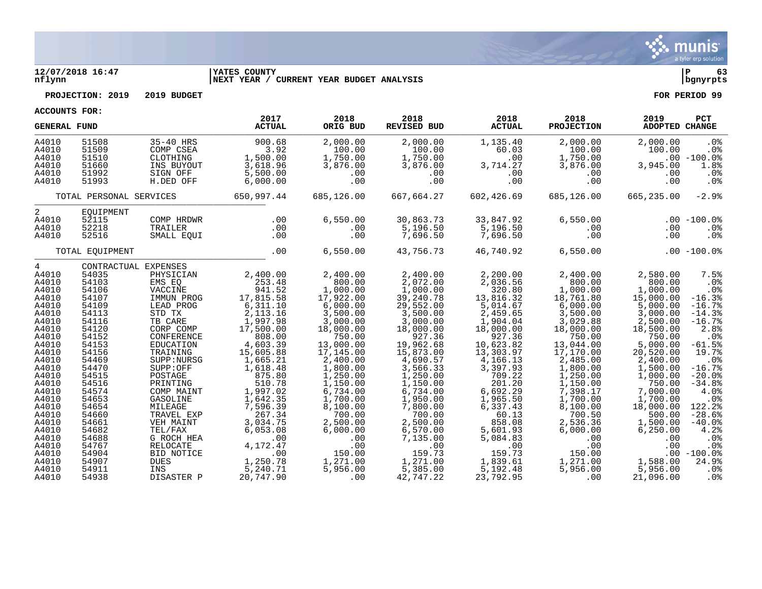

### **12/07/2018 16:47 |YATES COUNTY |P 63 nflynn |NEXT YEAR / CURRENT YEAR BUDGET ANALYSIS |bgnyrpts**

**PROJECTION: 2019 2019 BUDGET FOR PERIOD 99**

| <b>GENERAL FUND</b>                                                                                                                                                                                         |                                                                                                                                                                                           |                                                                                                                                                                                                                                                                                        | 2017<br><b>ACTUAL</b>                                                                                                                                                                                                                             | 2018<br>ORIG BUD                                                                                                                                                                                                                                       | 2018<br><b>REVISED BUD</b>                                                                                                                                                                                                                                | 2018<br><b>ACTUAL</b>                                                                                                                                                                                                                           | 2018<br><b>PROJECTION</b>                                                                                                                                                                                                                              | 2019<br>ADOPTED CHANGE                                                                                                                                                                                                                                | PCT                                                                                                                                                                                                                       |
|-------------------------------------------------------------------------------------------------------------------------------------------------------------------------------------------------------------|-------------------------------------------------------------------------------------------------------------------------------------------------------------------------------------------|----------------------------------------------------------------------------------------------------------------------------------------------------------------------------------------------------------------------------------------------------------------------------------------|---------------------------------------------------------------------------------------------------------------------------------------------------------------------------------------------------------------------------------------------------|--------------------------------------------------------------------------------------------------------------------------------------------------------------------------------------------------------------------------------------------------------|-----------------------------------------------------------------------------------------------------------------------------------------------------------------------------------------------------------------------------------------------------------|-------------------------------------------------------------------------------------------------------------------------------------------------------------------------------------------------------------------------------------------------|--------------------------------------------------------------------------------------------------------------------------------------------------------------------------------------------------------------------------------------------------------|-------------------------------------------------------------------------------------------------------------------------------------------------------------------------------------------------------------------------------------------------------|---------------------------------------------------------------------------------------------------------------------------------------------------------------------------------------------------------------------------|
| A4010<br>A4010<br>A4010<br>A4010<br>A4010<br>A4010                                                                                                                                                          | 51508<br>51509<br>51510<br>51660<br>51992<br>51993                                                                                                                                        | 35-40 HRS<br>COMP CSEA<br>CLOTHING<br>INS BUYOUT<br>SIGN OFF<br>H.DED OFF                                                                                                                                                                                                              | 900.68<br>3.92<br>1,500.00<br>3,618.96<br>5,500.00<br>6,000.00                                                                                                                                                                                    | 2,000.00<br>100.00<br>1,750.00<br>3,876.00<br>.00<br>.00                                                                                                                                                                                               | 2,000.00<br>100.00<br>1,750.00<br>3,876.00<br>.00<br>.00                                                                                                                                                                                                  | 1,135.40<br>60.03<br>.00<br>3,714.27<br>.00<br>.00                                                                                                                                                                                              | 2,000.00<br>100.00<br>1,750.00<br>3,876.00<br>.00<br>.00                                                                                                                                                                                               | 2,000.00<br>100.00<br>3,945.00<br>.00<br>.00                                                                                                                                                                                                          | .0%<br>.0%<br>$.00 - 100.0$<br>1.8%<br>.0%<br>.0%                                                                                                                                                                         |
|                                                                                                                                                                                                             | TOTAL PERSONAL SERVICES                                                                                                                                                                   |                                                                                                                                                                                                                                                                                        | 650,997.44                                                                                                                                                                                                                                        | 685,126.00                                                                                                                                                                                                                                             | 667,664.27                                                                                                                                                                                                                                                | 602,426.69                                                                                                                                                                                                                                      | 685,126.00                                                                                                                                                                                                                                             | 665,235.00                                                                                                                                                                                                                                            | $-2.9%$                                                                                                                                                                                                                   |
| 2<br>A4010<br>A4010<br>A4010                                                                                                                                                                                | EOUIPMENT<br>52115<br>52218<br>52516                                                                                                                                                      | COMP HRDWR<br>TRAILER<br>SMALL EQUI                                                                                                                                                                                                                                                    | .00<br>.00<br>.00                                                                                                                                                                                                                                 | 6,550.00<br>.00<br>.00                                                                                                                                                                                                                                 | 30,863.73<br>5,196.50<br>7,696.50                                                                                                                                                                                                                         | 33,847.92<br>5,196.50<br>7,696.50                                                                                                                                                                                                               | 6,550.00<br>.00<br>.00                                                                                                                                                                                                                                 | .00<br>.00                                                                                                                                                                                                                                            | $.00 - 100.0$<br>.0%<br>$.0\%$                                                                                                                                                                                            |
|                                                                                                                                                                                                             | TOTAL EQUIPMENT                                                                                                                                                                           |                                                                                                                                                                                                                                                                                        | .00                                                                                                                                                                                                                                               | 6,550.00                                                                                                                                                                                                                                               | 43,756.73                                                                                                                                                                                                                                                 | 46,740.92                                                                                                                                                                                                                                       | 6,550.00                                                                                                                                                                                                                                               |                                                                                                                                                                                                                                                       | $.00 - 100.0%$                                                                                                                                                                                                            |
| $\overline{4}$<br>A4010<br>A4010<br>A4010<br>A4010<br>A4010<br>A4010<br>A4010<br>A4010<br>A4010<br>A4010<br>A4010<br>A4010<br>A4010<br>A4010<br>A4010<br>A4010<br>A4010<br>A4010<br>A4010<br>A4010<br>A4010 | 54035<br>54103<br>54106<br>54107<br>54109<br>54113<br>54116<br>54120<br>54152<br>54153<br>54156<br>54469<br>54470<br>54515<br>54516<br>54574<br>54653<br>54654<br>54660<br>54661<br>54682 | CONTRACTUAL EXPENSES<br>PHYSICIAN<br>EMS EO<br>VACCINE<br>IMMUN PROG<br>LEAD PROG<br>STD TX<br>TB CARE<br>CORP COMP<br>CONFERENCE<br>EDUCATION<br>TRAINING<br>SUPP:NURSG<br>SUPP:OFF<br>POSTAGE<br>PRINTING<br>COMP MAINT<br>GASOLINE<br>MILEAGE<br>TRAVEL EXP<br>VEH MAINT<br>TEL/FAX | 2,400.00<br>253.48<br>941.52<br>17,815.58<br>6, 311.10<br>2, 113.16<br>1,997.98<br>17,500.00<br>808.00<br>4,603.39<br>15,605.88<br>1,665.21<br>1,618.48<br>875.80<br>510.78<br>1,997.02<br>1,642.35<br>7,596.39<br>267.34<br>3,034.75<br>6,053.08 | 2,400.00<br>800.00<br>1,000.00<br>17,922.00<br>6,000.00<br>3,500.00<br>3,000.00<br>18,000.00<br>750.00<br>13,000.00<br>17,145.00<br>2,400.00<br>1,800.00<br>1,250.00<br>1,150.00<br>6,734.00<br>1,700.00<br>8,100.00<br>700.00<br>2,500.00<br>6,000.00 | 2,400.00<br>2,072.00<br>1,000.00<br>39,240.78<br>29,552.00<br>3,500.00<br>3,000.00<br>18,000.00<br>927.36<br>19,962.68<br>15,873.00<br>4,690.57<br>3,566.33<br>1,250.00<br>1,150.00<br>6,734.00<br>1,950.00<br>7,800.00<br>700.00<br>2,500.00<br>6,570.00 | 2,200.00<br>2,036.56<br>320.80<br>13,816.32<br>5,014.67<br>2,459.65<br>1,904.04<br>18,000.00<br>927.36<br>10,623.82<br>13,303.97<br>4,166.13<br>3,397.93<br>709.22<br>201.20<br>6,692.29<br>1,965.50<br>6,337.43<br>60.13<br>858.08<br>5,601.93 | 2,400.00<br>800.00<br>1,000.00<br>18,761.80<br>6,000.00<br>3,500.00<br>3,029.88<br>18,000.00<br>750.00<br>13,044.00<br>17,170.00<br>2,485.00<br>1,800.00<br>1,250.00<br>1,150.00<br>7,398.17<br>1,700.00<br>8,100.00<br>700.50<br>2,536.36<br>6,000.00 | 2,580.00<br>800.00<br>1,000.00<br>15,000.00<br>5,000.00<br>3,000.00<br>2,500.00<br>18,500.00<br>750.00<br>5,000.00<br>20,520.00<br>2,400.00<br>1,500.00<br>1,000.00<br>750.00<br>7,000.00<br>1,700.00<br>18,000.00<br>500.00<br>1,500.00<br>6, 250.00 | 7.5%<br>.0%<br>$.0\%$<br>$-16.3%$<br>$-16.7%$<br>$-14.3%$<br>$-16.7%$<br>2.8%<br>.0 <sub>8</sub><br>$-61.5%$<br>19.7%<br>.0%<br>$-16.7%$<br>$-20.0%$<br>$-34.8%$<br>4.0%<br>.0%<br>122.2%<br>$-28.6%$<br>$-40.0%$<br>4.2% |
| A4010<br>A4010<br>A4010<br>A4010<br>A4010<br>A4010                                                                                                                                                          | 54688<br>54767<br>54904<br>54907<br>54911<br>54938                                                                                                                                        | G ROCH HEA<br>RELOCATE<br>BID NOTICE<br><b>DUES</b><br>INS<br>DISASTER P                                                                                                                                                                                                               | .00<br>4,172.47<br>.00<br>1,250.78<br>5,240.71<br>20,747.90                                                                                                                                                                                       | .00<br>.00<br>150.00<br>1,271.00<br>5,956.00<br>.00                                                                                                                                                                                                    | 7,135.00<br>.00<br>159.73<br>1,271.00<br>5,385.00<br>42,747.22                                                                                                                                                                                            | 5,084.83<br>.00<br>159.73<br>1,839.61<br>5,192.48<br>23,792.95                                                                                                                                                                                  | .00<br>.00<br>150.00<br>1,271.00<br>5,956.00<br>.00                                                                                                                                                                                                    | .00<br>.00<br>1,588.00<br>5,956.00<br>21,096.00                                                                                                                                                                                                       | .0%<br>.0%<br>$.00 - 100.0$<br>24.9%<br>.0%<br>$.0\%$                                                                                                                                                                     |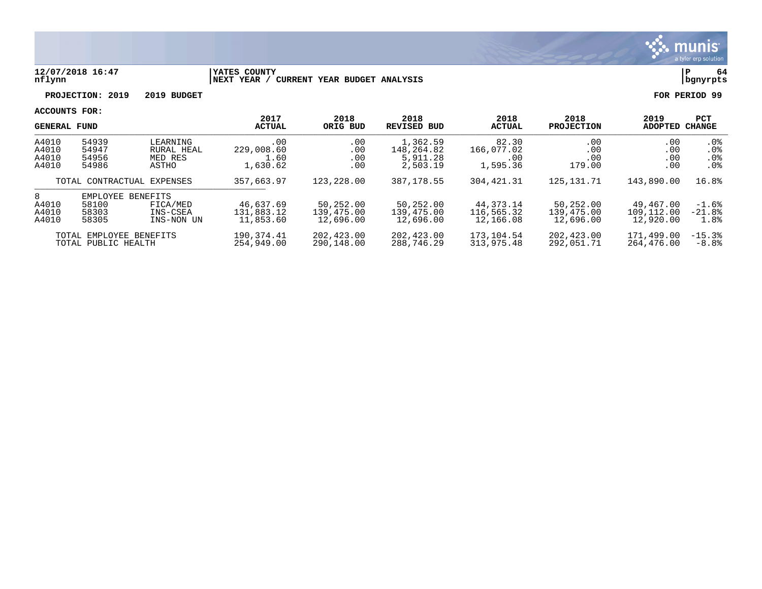

### **12/07/2018 16:47 |YATES COUNTY |P 64 nflynn |NEXT YEAR / CURRENT YEAR BUDGET ANALYSIS |bgnyrpts**

**PROJECTION: 2019 2019 BUDGET FOR PERIOD 99**

| <b>GENERAL FUND</b>              |                                                |                                                | 2017<br><b>ACTUAL</b>                 | 2018<br>ORIG BUD                     | 2018<br><b>REVISED BUD</b>                     | 2018<br><b>ACTUAL</b>                  | 2018<br><b>PROJECTION</b>            | 2019<br>ADOPTED                      | <b>PCT</b><br><b>CHANGE</b>                                     |
|----------------------------------|------------------------------------------------|------------------------------------------------|---------------------------------------|--------------------------------------|------------------------------------------------|----------------------------------------|--------------------------------------|--------------------------------------|-----------------------------------------------------------------|
| A4010<br>A4010<br>A4010<br>A4010 | 54939<br>54947<br>54956<br>54986               | LEARNING<br>RURAL HEAL<br>MED RES<br>ASTHO     | .00<br>229,008.60<br>1.60<br>1,630.62 | .00<br>.00<br>.00<br>.00             | 1,362.59<br>148,264.82<br>5,911.28<br>2,503.19 | 82.30<br>166,077.02<br>.00<br>1,595.36 | .00<br>.00<br>.00<br>179.00          | .00<br>.00<br>.00<br>.00             | $.0\%$<br>.0 <sub>8</sub><br>.0 <sub>8</sub><br>.0 <sub>8</sub> |
|                                  | TOTAL CONTRACTUAL EXPENSES                     |                                                | 357,663.97                            | 123,228.00                           | 387, 178.55                                    | 304, 421.31                            | 125, 131. 71                         | 143,890.00                           | 16.8%                                                           |
| 8<br>A4010<br>A4010<br>A4010     | EMPLOYEE<br>58100<br>58303<br>58305            | BENEFITS<br>FICA/MED<br>INS-CSEA<br>INS-NON UN | 46,637.69<br>131,883.12<br>11,853.60  | 50,252.00<br>139,475.00<br>12,696.00 | 50,252.00<br>139,475.00<br>12,696.00           | 44, 373. 14<br>116,565.32<br>12,166.08 | 50,252.00<br>139,475.00<br>12,696.00 | 49,467.00<br>109,112.00<br>12,920.00 | $-1.6%$<br>$-21.8%$<br>1.8%                                     |
|                                  | TOTAL EMPLOYEE BENEFITS<br>TOTAL PUBLIC HEALTH |                                                | 190,374.41<br>254,949,00              | 202,423.00<br>290,148.00             | 202,423.00<br>288,746.29                       | 173,104.54<br>313,975.48               | 202,423.00<br>292.051.71             | 171,499.00<br>264,476.00             | $-15.3%$<br>$-8.8%$                                             |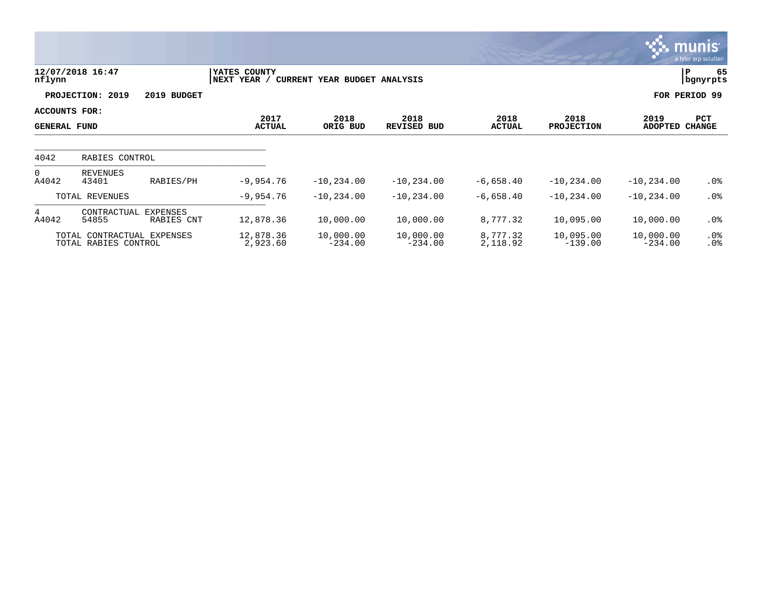|                                             |                                                    |             |                              |                              |                            |                       |                           |                        | munis<br>a tyler erp solution |
|---------------------------------------------|----------------------------------------------------|-------------|------------------------------|------------------------------|----------------------------|-----------------------|---------------------------|------------------------|-------------------------------|
| nflynn                                      | 12/07/2018 16:47                                   |             | YATES COUNTY<br> NEXT YEAR / | CURRENT YEAR BUDGET ANALYSIS |                            |                       |                           |                        | P<br>65<br>  bgnyrpts         |
|                                             | PROJECTION: 2019                                   | 2019 BUDGET |                              |                              |                            |                       |                           |                        | FOR PERIOD 99                 |
| <b>ACCOUNTS FOR:</b><br><b>GENERAL FUND</b> |                                                    |             | 2017<br><b>ACTUAL</b>        | 2018<br>ORIG BUD             | 2018<br><b>REVISED BUD</b> | 2018<br><b>ACTUAL</b> | 2018<br><b>PROJECTION</b> | 2019<br><b>ADOPTED</b> | PCT<br><b>CHANGE</b>          |
| 4042                                        | RABIES CONTROL                                     |             |                              |                              |                            |                       |                           |                        |                               |
| $\overline{0}$<br>A4042                     | REVENUES<br>43401                                  | RABIES/PH   | $-9,954.76$                  | $-10, 234.00$                | $-10, 234.00$              | $-6,658.40$           | $-10, 234.00$             | $-10, 234.00$          | $.0\%$                        |
|                                             | TOTAL REVENUES                                     |             | $-9,954.76$                  | $-10, 234.00$                | $-10, 234.00$              | $-6,658.40$           | $-10, 234.00$             | $-10, 234.00$          | .0%                           |
| 4<br>A4042                                  | CONTRACTUAL EXPENSES<br>54855                      | RABIES CNT  | 12,878.36                    | 10,000.00                    | 10,000.00                  | 8,777.32              | 10,095.00                 | 10,000.00              | $.0\%$                        |
|                                             | TOTAL CONTRACTUAL EXPENSES<br>TOTAL RABIES CONTROL |             | 12,878.36<br>2,923.60        | 10,000.00<br>$-234.00$       | 10,000.00<br>$-234.00$     | 8,777.32<br>2,118.92  | 10,095.00<br>$-139.00$    | 10,000.00<br>$-234.00$ | $.0\%$<br>.0%                 |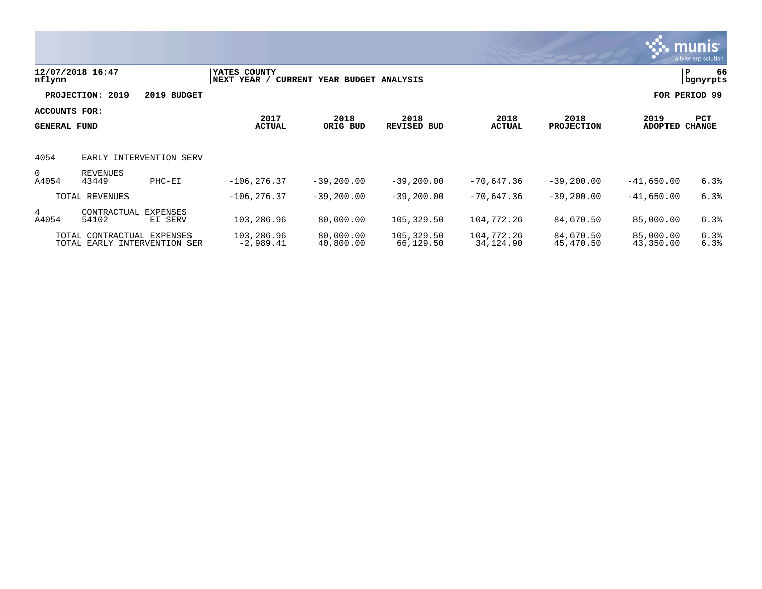|                                      |                                                            |                     |                              |                              |                            |                         |                           |                        | munis<br>a tyler erp solution |
|--------------------------------------|------------------------------------------------------------|---------------------|------------------------------|------------------------------|----------------------------|-------------------------|---------------------------|------------------------|-------------------------------|
| nflynn                               | 12/07/2018 16:47                                           |                     | YATES COUNTY<br> NEXT YEAR / | CURRENT YEAR BUDGET ANALYSIS |                            |                         |                           |                        | P<br>66<br>  bgnyrpts         |
|                                      | PROJECTION: 2019                                           | 2019 BUDGET         |                              |                              |                            |                         |                           |                        | FOR PERIOD 99                 |
| ACCOUNTS FOR:<br><b>GENERAL FUND</b> |                                                            |                     | 2017<br><b>ACTUAL</b>        | 2018<br>ORIG BUD             | 2018<br><b>REVISED BUD</b> | 2018<br><b>ACTUAL</b>   | 2018<br><b>PROJECTION</b> | 2019<br><b>ADOPTED</b> | PCT<br><b>CHANGE</b>          |
| 4054                                 | EARLY INTERVENTION SERV                                    |                     |                              |                              |                            |                         |                           |                        |                               |
| $\Omega$<br>A4054                    | <b>REVENUES</b><br>43449                                   | $PHC-EI$            | $-106, 276.37$               | $-39, 200.00$                | $-39,200.00$               | $-70,647.36$            | $-39, 200.00$             | $-41,650.00$           | 6.3%                          |
|                                      | TOTAL REVENUES                                             |                     | $-106, 276.37$               | $-39, 200.00$                | $-39,200.00$               | $-70,647.36$            | $-39, 200.00$             | $-41,650.00$           | 6.3%                          |
| 4<br>A4054                           | CONTRACTUAL<br>54102                                       | EXPENSES<br>EI SERV | 103,286.96                   | 80,000.00                    | 105,329.50                 | 104,772.26              | 84,670.50                 | 85,000.00              | 6.3%                          |
|                                      | TOTAL CONTRACTUAL EXPENSES<br>TOTAL EARLY INTERVENTION SER |                     | 103,286.96<br>$-2,989.41$    | 80,000.00<br>40,800.00       | 105,329.50<br>66,129.50    | 104,772.26<br>34,124.90 | 84,670.50<br>45,470.50    | 85,000.00<br>43,350.00 | 6.3%<br>6.3%                  |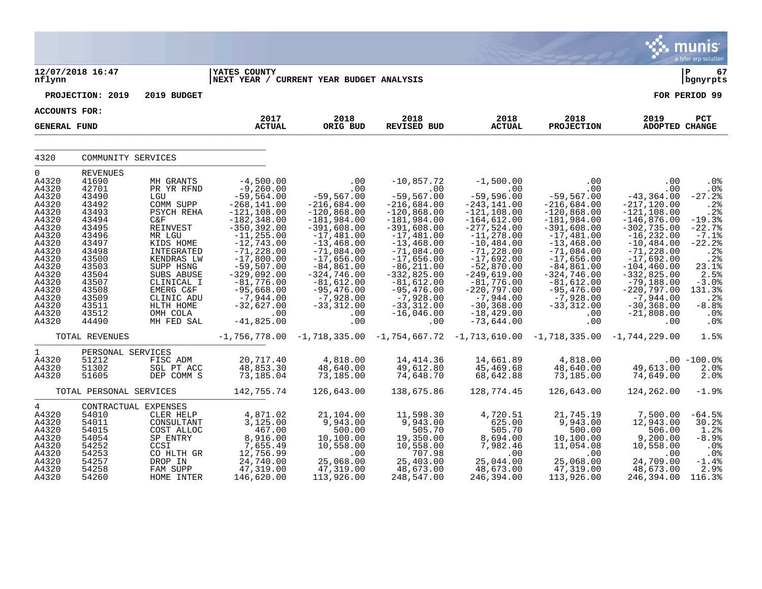|                                                                                                                                                                                        |                                                                                                                                                                                     |                                                                                                                                                                                                                                            |                                                                                                                                                                                                                                                                                                             |                                                                                                                                                                                                                                                                               |                                                                                                                                                                                                                                                                                                 |                                                                                                                                                                                                                                                                                                                |                                                                                                                                                                                                                                                                                                   |                                                                                                                                                                                                                                                                                              | <b>munis</b><br>a tyler erp solution                                                                                                                                                              |
|----------------------------------------------------------------------------------------------------------------------------------------------------------------------------------------|-------------------------------------------------------------------------------------------------------------------------------------------------------------------------------------|--------------------------------------------------------------------------------------------------------------------------------------------------------------------------------------------------------------------------------------------|-------------------------------------------------------------------------------------------------------------------------------------------------------------------------------------------------------------------------------------------------------------------------------------------------------------|-------------------------------------------------------------------------------------------------------------------------------------------------------------------------------------------------------------------------------------------------------------------------------|-------------------------------------------------------------------------------------------------------------------------------------------------------------------------------------------------------------------------------------------------------------------------------------------------|----------------------------------------------------------------------------------------------------------------------------------------------------------------------------------------------------------------------------------------------------------------------------------------------------------------|---------------------------------------------------------------------------------------------------------------------------------------------------------------------------------------------------------------------------------------------------------------------------------------------------|----------------------------------------------------------------------------------------------------------------------------------------------------------------------------------------------------------------------------------------------------------------------------------------------|---------------------------------------------------------------------------------------------------------------------------------------------------------------------------------------------------|
| nflynn                                                                                                                                                                                 | 12/07/2018 16:47                                                                                                                                                                    |                                                                                                                                                                                                                                            | <b>YATES COUNTY</b><br>NEXT YEAR / CURRENT YEAR BUDGET ANALYSIS                                                                                                                                                                                                                                             |                                                                                                                                                                                                                                                                               |                                                                                                                                                                                                                                                                                                 |                                                                                                                                                                                                                                                                                                                |                                                                                                                                                                                                                                                                                                   |                                                                                                                                                                                                                                                                                              | l P<br>67<br>  bgnyrpts                                                                                                                                                                           |
|                                                                                                                                                                                        | PROJECTION: 2019                                                                                                                                                                    | 2019 BUDGET                                                                                                                                                                                                                                |                                                                                                                                                                                                                                                                                                             |                                                                                                                                                                                                                                                                               |                                                                                                                                                                                                                                                                                                 |                                                                                                                                                                                                                                                                                                                |                                                                                                                                                                                                                                                                                                   |                                                                                                                                                                                                                                                                                              | FOR PERIOD 99                                                                                                                                                                                     |
| ACCOUNTS FOR:                                                                                                                                                                          |                                                                                                                                                                                     |                                                                                                                                                                                                                                            |                                                                                                                                                                                                                                                                                                             |                                                                                                                                                                                                                                                                               |                                                                                                                                                                                                                                                                                                 |                                                                                                                                                                                                                                                                                                                |                                                                                                                                                                                                                                                                                                   |                                                                                                                                                                                                                                                                                              |                                                                                                                                                                                                   |
| <b>GENERAL FUND</b>                                                                                                                                                                    |                                                                                                                                                                                     |                                                                                                                                                                                                                                            | 2017<br><b>ACTUAL</b>                                                                                                                                                                                                                                                                                       | 2018<br>ORIG BUD                                                                                                                                                                                                                                                              | 2018<br><b>REVISED BUD</b>                                                                                                                                                                                                                                                                      | 2018<br><b>ACTUAL</b>                                                                                                                                                                                                                                                                                          | 2018<br><b>PROJECTION</b>                                                                                                                                                                                                                                                                         | 2019<br>ADOPTED CHANGE                                                                                                                                                                                                                                                                       | PCT                                                                                                                                                                                               |
| 4320                                                                                                                                                                                   | COMMUNITY SERVICES                                                                                                                                                                  |                                                                                                                                                                                                                                            |                                                                                                                                                                                                                                                                                                             |                                                                                                                                                                                                                                                                               |                                                                                                                                                                                                                                                                                                 |                                                                                                                                                                                                                                                                                                                |                                                                                                                                                                                                                                                                                                   |                                                                                                                                                                                                                                                                                              |                                                                                                                                                                                                   |
| $\mathbf 0$<br>A4320<br>A4320<br>A4320<br>A4320<br>A4320<br>A4320<br>A4320<br>A4320<br>A4320<br>A4320<br>A4320<br>A4320<br>A4320<br>A4320<br>A4320<br>A4320<br>A4320<br>A4320<br>A4320 | REVENUES<br>41690<br>42701<br>43490<br>43492<br>43493<br>43494<br>43495<br>43496<br>43497<br>43498<br>43500<br>43503<br>43504<br>43507<br>43508<br>43509<br>43511<br>43512<br>44490 | MH GRANTS<br>PR YR RFND<br>LGU<br>COMM SUPP<br>PSYCH REHA<br>C&F<br>REINVEST<br>MR LGU<br>KIDS HOME<br>INTEGRATED<br>KENDRAS LW<br>SUPP HSNG<br>SUBS ABUSE<br>CLINICAL I<br>EMERG C&F<br>CLINIC ADU<br>HLTH HOME<br>OMH COLA<br>MH FED SAL | $-4,500.00$<br>$-9,260.00$<br>$-59,564.00$<br>$-268, 141.00$<br>$-121, 108.00$<br>$-182, 348.00$<br>$-350, 392.00$<br>$-11, 255.00$<br>$-12,743.00$<br>$-71, 228.00$<br>$-17,800.00$<br>$-59,507.00$<br>$-329,092.00$<br>$-81,776.00$<br>$-95,668.00$<br>$-7,944.00$<br>$-32,627.00$<br>.00<br>$-41,825.00$ | .00<br>.00<br>$-59,567.00$<br>$-216,684.00$<br>$-120,868.00$<br>$-181,984.00$<br>$-391,608.00$<br>$-17,481.00$<br>$-13,468.00$<br>$-71,084.00$<br>$-17,656.00$<br>$-84, 861.00$<br>$-324,746.00$<br>$-81,612.00$<br>$-95,476.00$<br>$-7,928.00$<br>$-33,312.00$<br>.00<br>.00 | $-10,857.72$<br>.00<br>$-59,567.00$<br>$-216,684.00$<br>$-120,868.00$<br>$-181,984.00$<br>$-391,608.00$<br>$-17,481.00$<br>$-13,468.00$<br>$-71,084.00$<br>$-17,656.00$<br>$-86, 211.00$<br>$-332,825.00$<br>$-81,612.00$<br>$-95,476.00$<br>$-7,928.00$<br>$-33,312.00$<br>$-16,046.00$<br>.00 | $-1,500.00$<br>.00<br>$-59,596.00$<br>$-243, 141.00$<br>$-121, 108.00$<br>$-164,612.00$<br>$-277,524.00$<br>$-11, 278.00$<br>$-10, 484.00$<br>$-71, 228.00$<br>$-17,692.00$<br>$-52,870.00$<br>$-249,619.00$<br>$-81,776.00$<br>$-220,797.00$<br>$-7,944.00$<br>$-30, 368.00$<br>$-18, 429.00$<br>$-73,644.00$ | .00<br>$.00 \,$<br>$-59,567.00$<br>$-216,684.00$<br>$-120,868.00$<br>$-181,984.00$<br>$-391,608.00$<br>$-17,481.00$<br>$-13,468.00$<br>$-71,084.00$<br>$-17,656.00$<br>$-84,861.00$<br>$-324,746.00$<br>$-81,612.00$<br>$-95,476.00$<br>$-7,928.00$<br>$-33,312.00$<br>$.00 \ \rm$<br>$.00 \ \rm$ | .00<br>.00<br>$-43, 364.00$<br>$-217, 120.00$<br>$-121, 108.00$<br>$-146,876.00$<br>$-302,735.00$<br>$-16, 232.00$<br>$-10, 484.00$<br>$-71,228.00$<br>$-17,692.00$<br>$-104, 460.00$<br>$-332,825.00$<br>$-79,188.00$<br>$-220,797.00$<br>-7,944.00<br>$-30, 368.00$<br>$-21,808.00$<br>.00 | $.0\%$<br>.0 <sub>8</sub><br>$-27.2%$<br>.2%<br>.2%<br>$-19.3%$<br>$-22.7%$<br>$-7.1%$<br>$-22.2$<br>.2%<br>.2%<br>23.1%<br>2.5%<br>$-3.0%$<br>131.3%<br>.2%<br>$-8.8%$<br>.0 <sub>8</sub><br>.0% |
|                                                                                                                                                                                        | TOTAL REVENUES                                                                                                                                                                      |                                                                                                                                                                                                                                            |                                                                                                                                                                                                                                                                                                             |                                                                                                                                                                                                                                                                               | $-1,756,778.00$ $-1,718,335.00$ $-1,754,667.72$ $-1,713,610.00$ $-1,718,335.00$ $-1,744,229.00$                                                                                                                                                                                                 |                                                                                                                                                                                                                                                                                                                |                                                                                                                                                                                                                                                                                                   |                                                                                                                                                                                                                                                                                              | 1.5%                                                                                                                                                                                              |
| $\mathbf{1}$<br>A4320<br>A4320<br>A4320                                                                                                                                                | PERSONAL SERVICES<br>51212<br>51302<br>51605                                                                                                                                        | FISC ADM<br>SGL PT ACC<br>DEP COMM S                                                                                                                                                                                                       | 20,717.40<br>48,853.30<br>73, 185.04                                                                                                                                                                                                                                                                        | 4,818.00<br>48,640.00<br>73,185.00                                                                                                                                                                                                                                            | 14,414.36<br>49,612.80<br>74,648.70                                                                                                                                                                                                                                                             | 14,661.89<br>45,469.68<br>68,642.88                                                                                                                                                                                                                                                                            | 4,818.00<br>48,640.00<br>73,185.00                                                                                                                                                                                                                                                                | 49,613.00<br>74,649.00                                                                                                                                                                                                                                                                       | $.00 - 100.0$<br>2.0%<br>2.0%                                                                                                                                                                     |
|                                                                                                                                                                                        | TOTAL PERSONAL SERVICES                                                                                                                                                             |                                                                                                                                                                                                                                            | 142,755.74                                                                                                                                                                                                                                                                                                  | 126,643.00                                                                                                                                                                                                                                                                    | 138,675.86                                                                                                                                                                                                                                                                                      | 128,774.45                                                                                                                                                                                                                                                                                                     | 126,643.00                                                                                                                                                                                                                                                                                        | 124,262.00                                                                                                                                                                                                                                                                                   | $-1.9%$                                                                                                                                                                                           |
| $\overline{4}$<br>A4320<br>A4320<br>A4320<br>A4320<br>A4320<br>A4320<br>A4320<br>A4320<br>A4320                                                                                        | CONTRACTUAL EXPENSES<br>54010<br>54011<br>54015<br>54054<br>54252<br>54253<br>54257<br>54258<br>54260                                                                               | CLER HELP<br>CONSULTANT<br>COST ALLOC<br>SP ENTRY<br>CCSI<br>CO HLTH GR<br>DROP IN<br>FAM SUPP<br>HOME INTER                                                                                                                               | 4,871.02<br>3,125.00<br>467.00<br>8,916.00<br>7,655.49<br>12,756.99<br>24,740.00<br>47,319.00<br>146,620.00                                                                                                                                                                                                 | 21,104.00<br>9,943.00<br>500.00<br>10,100.00<br>10,558.00<br>.00<br>25,068.00<br>47,319.00<br>113,926.00                                                                                                                                                                      | 11,598.30<br>9,943.00<br>505.70<br>19,350.00<br>10,558.00<br>707.98<br>25,403.00<br>48,673.00<br>248,547.00                                                                                                                                                                                     | 4,720.51<br>625.00<br>505.70<br>8,694.00<br>7,982.46<br>.00<br>25,044.00<br>48,673.00<br>246,394.00                                                                                                                                                                                                            | 21,745.19<br>9,943.00<br>500.00<br>10,100.00<br>11,054.08<br>.00<br>25,068.00<br>47,319.00<br>113,926.00                                                                                                                                                                                          | 7,500.00<br>12,943.00<br>506.00<br>9,200.00<br>10,558.00<br>.00<br>24,709.00<br>48,673.00<br>246,394.00                                                                                                                                                                                      | $-64.5%$<br>30.2%<br>1.2%<br>$-8.9%$<br>.0%<br>$.0\%$<br>$-1.4%$<br>2.9%<br>116.3%                                                                                                                |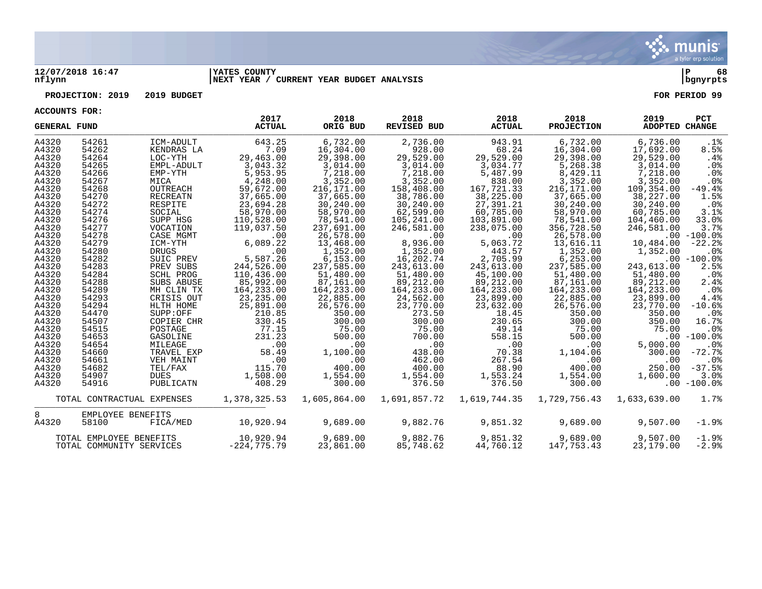

### **12/07/2018 16:47 |YATES COUNTY |P 68 nflynn |NEXT YEAR / CURRENT YEAR BUDGET ANALYSIS |bgnyrpts**

**PROJECTION: 2019 2019 BUDGET FOR PERIOD 99**

| <b>GENERAL FUND</b> |                          |                            | 2017<br><b>ACTUAL</b>    | 2018<br>ORIG BUD        | 2018<br>REVISED BUD          | 2018<br><b>ACTUAL</b>   | 2018<br><b>PROJECTION</b> | 2019<br><b>ADOPTED CHANGE</b> | <b>PCT</b>      |
|---------------------|--------------------------|----------------------------|--------------------------|-------------------------|------------------------------|-------------------------|---------------------------|-------------------------------|-----------------|
| A4320<br>A4320      | 54261<br>54262           | ICM-ADULT<br>KENDRAS LA    | 643.25<br>7.09           | 6,732.00<br>16,304.00   | 2,736.00<br>928.00           | 943.91<br>68.24         | 6,732.00<br>16,304.00     | 6,736.00                      | .1%<br>8.5%     |
| A4320               | 54264                    | LOC-YTH                    | 29,463.00                | 29,398.00               | 29,529.00                    | 29,529.00               | 29,398.00                 | 17,692.00<br>29,529.00        | $.4\%$          |
| A4320               | 54265                    | EMPL-ADULT                 | 3,043.32                 | 3,014.00                | 3,014.00                     | 3,034.77                | 5,268.38                  | 3,014.00                      | .0%             |
| A4320               | 54266                    | EMP-YTH                    | 5,953.95                 | 7,218.00                | 7,218.00                     | 5,487.99                | 8,429.11                  | 7,218.00                      | .0 <sub>8</sub> |
| A4320               | 54267                    | MICA                       | 4,248.00                 | 3,352.00                | 3,352.00                     | 838.00                  | 3,352.00                  | 3,352.00                      | .0%             |
| A4320               | 54268                    | OUTREACH                   | 59,672.00                | 216,171.00              | 158,408.00                   | 167,721.33              | 216,171.00                | 109,354.00                    | $-49.4%$        |
| A4320               | 54270                    | RECREATN                   | 37,665.00                | 37,665.00               | 38,786.00                    | 38,225.00               | 37,665.00                 | 38,227.00                     | 1.5%            |
| A4320               | 54272                    | RESPITE                    | 23,694.28                | 30,240.00               | 30,240.00                    | 27,391.21               | 30,240.00                 | 30,240.00                     | $.0\%$          |
| A4320               | 54274                    | SOCIAL                     | 58,970.00                | 58,970.00               | 62,599.00                    | 60,785.00               | 58,970.00                 | 60,785.00                     | 3.1%            |
| A4320               | 54276                    | SUPP HSG                   | 110,528.00               | 78,541.00               | 105,241.00                   | 103,891.00              | 78,541.00                 | 104,460.00                    | 33.0%           |
| A4320               | 54277                    | VOCATION                   | 119,037.50               | 237,691.00              | 246,581.00                   | 238,075.00              | 356,728.50                | 246,581.00                    | 3.7%            |
| A4320               | 54278                    | CASE MGMT                  | .00                      | 26,578.00               | .00                          | .00                     | 26,578.00                 |                               | $.00 - 100.0$   |
| A4320               | 54279                    | ICM-YTH                    | 6,089.22                 | 13,468.00               | 8,936.00                     | 5,063.72                | 13,616.11                 | 10,484.00                     | $-22.2%$        |
| A4320               | 54280                    | <b>DRUGS</b>               | .00                      | 1,352.00                | 1,352.00                     | 443.57                  | 1,352.00                  | 1,352.00                      | $.0\%$          |
| A4320               | 54282                    | SUIC PREV                  | 5,587.26                 | 6, 153.00               | 16,202.74                    | 2,705.99                | 6, 253.00                 |                               | $.00 - 100.0$   |
| A4320               | 54283                    | PREV SUBS                  | 244,526.00               | 237,585.00              | 243,613.00                   | 243,613.00              | 237,585.00                | 243,613.00                    | 2.5%            |
| A4320               | 54284                    | <b>SCHL PROG</b>           | 110,436.00               | 51,480.00               | 51,480.00                    | 45,100.00               | 51,480.00                 | 51,480.00                     | $.0\%$          |
| A4320<br>A4320      | 54288<br>54289           | SUBS ABUSE                 | 85,992.00                | 87,161.00               | 89,212.00                    | 89,212.00<br>164,233.00 | 87,161.00                 | 89,212.00                     | 2.4%<br>$.0\%$  |
| A4320               | 54293                    | MH CLIN TX<br>CRISIS OUT   | 164,233.00<br>23, 235.00 | 164,233.00<br>22,885.00 | 164,233.00<br>24,562.00      | 23,899.00               | 164,233.00<br>22,885.00   | 164,233.00<br>23,899.00       | 4.4%            |
| A4320               | 54294                    | HLTH HOME                  | 25,891.00                | 26,576.00               | 23,770.00                    | 23,632.00               | 26,576.00                 | 23,770.00                     | $-10.6%$        |
| A4320               | 54470                    | SUPP:OFF                   | 210.85                   | 350.00                  | 273.50                       | 18.45                   | 350.00                    | 350.00                        | .0%             |
| A4320               | 54507                    | COPIER CHR                 | 330.45                   | 300.00                  | 300.00                       | 230.65                  | 300.00                    | 350.00                        | 16.7%           |
| A4320               | 54515                    | POSTAGE                    | 77.15                    | 75.00                   | 75.00                        | 49.14                   | 75.00                     | 75.00                         | $.0\%$          |
| A4320               | 54653                    | GASOLINE                   | 231.23                   | 500.00                  | 700.00                       | 558.15                  | 500.00                    |                               | $.00 - 100.0$   |
| A4320               | 54654                    | MILEAGE                    | .00                      | .00                     | .00                          | .00                     | .00                       | 5,000.00                      | .0%             |
| A4320               | 54660                    | TRAVEL EXP                 | 58.49                    | 1,100.00                | 438.00                       | 70.38                   | 1,104.06                  | 300.00                        | $-72.7%$        |
| A4320               | 54661                    | VEH MAINT                  | .00                      | .00                     | 462.00                       | 267.54                  | .00                       | .00                           | $.0\%$          |
| A4320               | 54682                    | TEL/FAX                    | 115.70                   | 400.00                  | 400.00                       | 88.90                   | 400.00                    | 250.00                        | $-37.5%$        |
| A4320               | 54907                    | DUES                       | 1,508.00                 | 1,554.00                | 1,554.00                     | 1,553.24                | 1,554.00                  | 1,600.00                      | 3.0%            |
| A4320               | 54916                    | PUBLICATN                  | 408.29                   | 300.00                  | 376.50                       | 376.50                  | 300.00                    |                               | $.00 - 100.0$   |
|                     |                          | TOTAL CONTRACTUAL EXPENSES | 1,378,325.53             |                         | 1,605,864.00    1,691,857.72 | 1,619,744.35            | 1,729,756.43              | 1,633,639.00                  | 1.7%            |
| 8                   | EMPLOYEE BENEFITS        |                            |                          |                         |                              |                         |                           |                               |                 |
| A4320               | 58100                    | FICA/MED                   | 10,920.94                | 9,689.00                | 9,882.76                     | 9,851.32                | 9,689.00                  | 9,507.00                      | $-1.9%$         |
|                     | TOTAL EMPLOYEE BENEFITS  |                            | 10,920.94                | 9,689.00                | 9,882.76                     | 9,851.32                | 9,689.00                  | 9.507.00                      | $-1.9%$         |
|                     | TOTAL COMMUNITY SERVICES |                            | $-224,775.79$            | 23,861.00               | 85,748.62                    | 44,760.12               | 147,753.43                | 23,179.00                     | $-2.9%$         |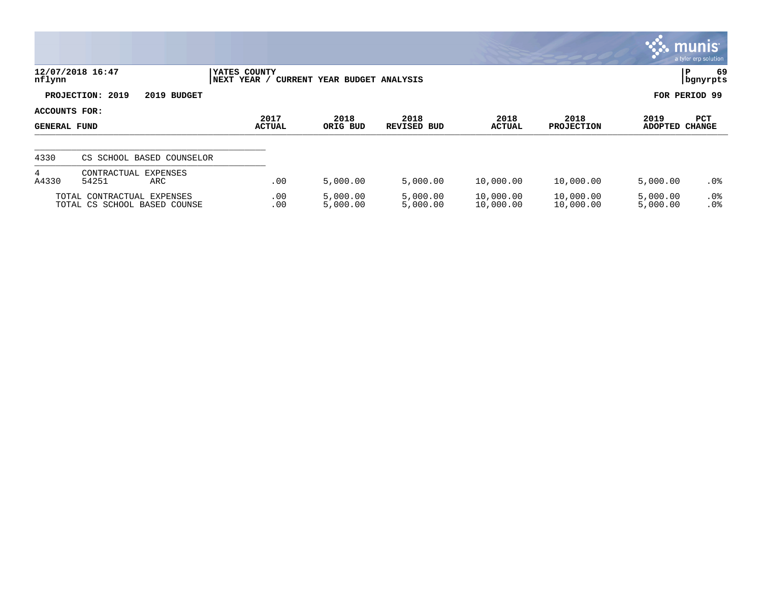|                               |                                                            |                                |                              |                      |                        |                           |                        | <b>Communis</b><br>a tyler erp solution |
|-------------------------------|------------------------------------------------------------|--------------------------------|------------------------------|----------------------|------------------------|---------------------------|------------------------|-----------------------------------------|
| nflynn                        | 12/07/2018 16:47                                           | YATES COUNTY<br>YEAR /<br>NEXT | CURRENT YEAR BUDGET ANALYSIS |                      |                        |                           |                        | 69<br>P<br>  bgnyrpts                   |
|                               | PROJECTION: 2019<br>2019 BUDGET                            |                                |                              |                      |                        |                           |                        | FOR PERIOD 99                           |
| ACCOUNTS FOR:<br>GENERAL FUND |                                                            | 2017<br><b>ACTUAL</b>          | 2018<br>ORIG BUD             | 2018<br>REVISED BUD  | 2018<br><b>ACTUAL</b>  | 2018<br><b>PROJECTION</b> | 2019<br><b>ADOPTED</b> | PCT<br><b>CHANGE</b>                    |
| 4330                          | CS SCHOOL BASED COUNSELOR                                  |                                |                              |                      |                        |                           |                        |                                         |
| $4\overline{ }$<br>A4330      | CONTRACTUAL EXPENSES<br>54251<br>ARC                       | .00                            | 5,000.00                     | 5,000.00             | 10,000.00              | 10,000.00                 | 5,000.00               | .0%                                     |
|                               | TOTAL CONTRACTUAL EXPENSES<br>TOTAL CS SCHOOL BASED COUNSE | .00<br>.00                     | 5,000.00<br>5,000.00         | 5,000.00<br>5,000.00 | 10,000.00<br>10,000.00 | 10,000.00<br>10,000.00    | 5,000.00<br>5,000.00   | $.0\%$<br>.0%                           |

**SOF**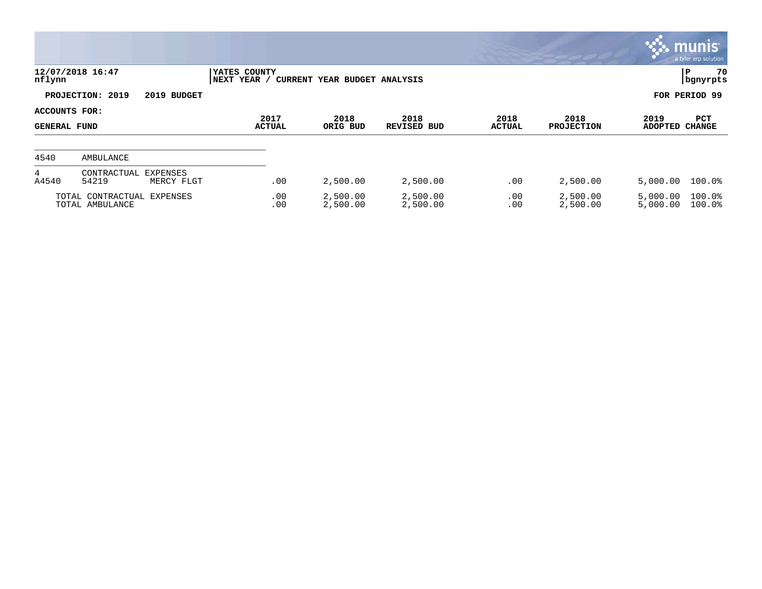|                                             |                                                |                             |                              |                            |                       |                           |                        | $\mathbb{C}$ munis<br>a tyler erp solution |
|---------------------------------------------|------------------------------------------------|-----------------------------|------------------------------|----------------------------|-----------------------|---------------------------|------------------------|--------------------------------------------|
| nflynn                                      | 12/07/2018 16:47                               | YATES COUNTY<br>NEXT YEAR / | CURRENT YEAR BUDGET ANALYSIS |                            |                       |                           |                        | 70<br>P<br>  bgnyrpts                      |
|                                             | PROJECTION: 2019<br>2019 BUDGET                |                             |                              |                            |                       |                           |                        | FOR PERIOD 99                              |
| <b>ACCOUNTS FOR:</b><br><b>GENERAL FUND</b> |                                                | 2017<br><b>ACTUAL</b>       | 2018<br>ORIG BUD             | 2018<br><b>REVISED BUD</b> | 2018<br><b>ACTUAL</b> | 2018<br><b>PROJECTION</b> | 2019<br><b>ADOPTED</b> | PCT<br><b>CHANGE</b>                       |
| 4540                                        | AMBULANCE                                      |                             |                              |                            |                       |                           |                        |                                            |
| 4<br>A4540                                  | CONTRACTUAL<br>EXPENSES<br>54219<br>MERCY FLGT | .00                         | 2,500.00                     | 2,500.00                   | .00                   | 2,500.00                  | 5,000.00               | $100.0$ $%$                                |
|                                             | TOTAL CONTRACTUAL EXPENSES<br>TOTAL AMBULANCE  | .00<br>.00                  | 2,500.00<br>2,500.00         | 2,500.00<br>2,500.00       | .00<br>.00            | 2,500.00<br>2,500.00      | 5,000.00<br>5,000.00   | 100.0%<br>100.0%                           |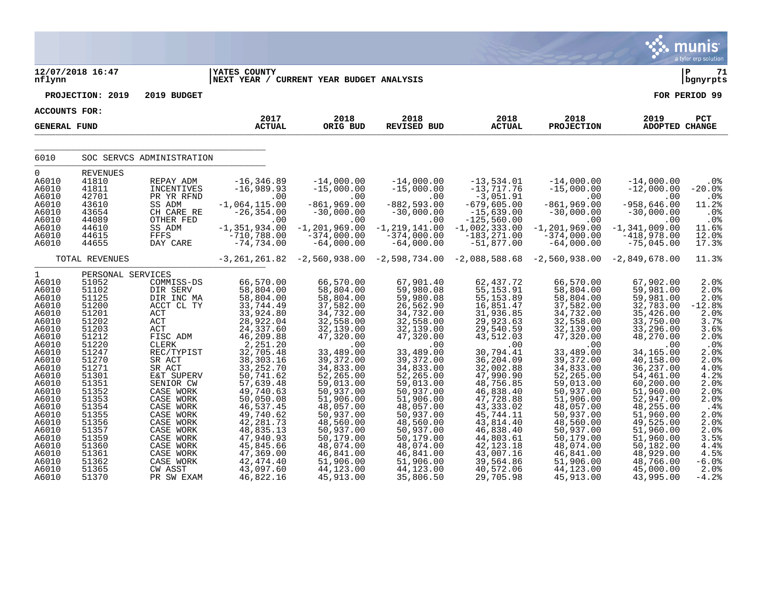|                                                                                                                                                                                                                                      |                                                                                                                                                                                                                                           |                                                                                                                                                                                                                                                                                                        |                                                                                                                                                                                                                                                                                                                             |                                                                                                                                                                                                                                                                                                                      |                                                                                                                                                                                                                                                                                                                    |                                                                                                                                                                                                                                                                                                                      |                                                                                                                                                                                                                                                                                                                  |                                                                                                                                                                                                                                                                                                                  | munis<br>a tyler erp solution                                                                                                                                                                          |
|--------------------------------------------------------------------------------------------------------------------------------------------------------------------------------------------------------------------------------------|-------------------------------------------------------------------------------------------------------------------------------------------------------------------------------------------------------------------------------------------|--------------------------------------------------------------------------------------------------------------------------------------------------------------------------------------------------------------------------------------------------------------------------------------------------------|-----------------------------------------------------------------------------------------------------------------------------------------------------------------------------------------------------------------------------------------------------------------------------------------------------------------------------|----------------------------------------------------------------------------------------------------------------------------------------------------------------------------------------------------------------------------------------------------------------------------------------------------------------------|--------------------------------------------------------------------------------------------------------------------------------------------------------------------------------------------------------------------------------------------------------------------------------------------------------------------|----------------------------------------------------------------------------------------------------------------------------------------------------------------------------------------------------------------------------------------------------------------------------------------------------------------------|------------------------------------------------------------------------------------------------------------------------------------------------------------------------------------------------------------------------------------------------------------------------------------------------------------------|------------------------------------------------------------------------------------------------------------------------------------------------------------------------------------------------------------------------------------------------------------------------------------------------------------------|--------------------------------------------------------------------------------------------------------------------------------------------------------------------------------------------------------|
| 12/07/2018 16:47<br>nflynn                                                                                                                                                                                                           |                                                                                                                                                                                                                                           |                                                                                                                                                                                                                                                                                                        | <b>YATES COUNTY</b><br>NEXT YEAR / CURRENT YEAR BUDGET ANALYSIS                                                                                                                                                                                                                                                             |                                                                                                                                                                                                                                                                                                                      |                                                                                                                                                                                                                                                                                                                    |                                                                                                                                                                                                                                                                                                                      |                                                                                                                                                                                                                                                                                                                  |                                                                                                                                                                                                                                                                                                                  | l P<br>71<br>bgnyrpts                                                                                                                                                                                  |
|                                                                                                                                                                                                                                      | PROJECTION: 2019                                                                                                                                                                                                                          | 2019 BUDGET                                                                                                                                                                                                                                                                                            |                                                                                                                                                                                                                                                                                                                             |                                                                                                                                                                                                                                                                                                                      |                                                                                                                                                                                                                                                                                                                    |                                                                                                                                                                                                                                                                                                                      |                                                                                                                                                                                                                                                                                                                  |                                                                                                                                                                                                                                                                                                                  | FOR PERIOD 99                                                                                                                                                                                          |
| <b>ACCOUNTS FOR:</b>                                                                                                                                                                                                                 |                                                                                                                                                                                                                                           |                                                                                                                                                                                                                                                                                                        |                                                                                                                                                                                                                                                                                                                             |                                                                                                                                                                                                                                                                                                                      |                                                                                                                                                                                                                                                                                                                    |                                                                                                                                                                                                                                                                                                                      |                                                                                                                                                                                                                                                                                                                  |                                                                                                                                                                                                                                                                                                                  |                                                                                                                                                                                                        |
| <b>GENERAL FUND</b>                                                                                                                                                                                                                  |                                                                                                                                                                                                                                           |                                                                                                                                                                                                                                                                                                        | 2017<br><b>ACTUAL</b>                                                                                                                                                                                                                                                                                                       | 2018<br>ORIG BUD                                                                                                                                                                                                                                                                                                     | 2018<br><b>REVISED BUD</b>                                                                                                                                                                                                                                                                                         | 2018<br><b>ACTUAL</b>                                                                                                                                                                                                                                                                                                | 2018<br><b>PROJECTION</b>                                                                                                                                                                                                                                                                                        | 2019<br><b>ADOPTED CHANGE</b>                                                                                                                                                                                                                                                                                    | PCT                                                                                                                                                                                                    |
| 6010                                                                                                                                                                                                                                 |                                                                                                                                                                                                                                           | SOC SERVCS ADMINISTRATION                                                                                                                                                                                                                                                                              |                                                                                                                                                                                                                                                                                                                             |                                                                                                                                                                                                                                                                                                                      |                                                                                                                                                                                                                                                                                                                    |                                                                                                                                                                                                                                                                                                                      |                                                                                                                                                                                                                                                                                                                  |                                                                                                                                                                                                                                                                                                                  |                                                                                                                                                                                                        |
| $\mathbf 0$<br>A6010<br>A6010<br>A6010<br>A6010<br>A6010<br>A6010<br>A6010<br>A6010<br>A6010                                                                                                                                         | <b>REVENUES</b><br>41810<br>41811<br>42701<br>43610<br>43654<br>44089<br>44610<br>44615<br>44655                                                                                                                                          | REPAY ADM<br>INCENTIVES<br>PR YR RFND<br>SS ADM<br>CH CARE RE<br>OTHER FED<br>SS ADM<br>FFFS<br>DAY CARE                                                                                                                                                                                               | $-16, 346.89$<br>$-16,989.93$<br>.00<br>$-1,064,115.00$<br>$-26, 354.00$<br>.00<br>$-1, 351, 934.00$<br>$-710,788.00$<br>$-74, 734.00$                                                                                                                                                                                      | $-14,000.00$<br>$-15,000.00$<br>.00<br>$-861,969.00$<br>$-30,000.00$<br>.00<br>$-1, 201, 969.00$<br>$-374,000.00$<br>$-64,000.00$                                                                                                                                                                                    | $-14,000.00$<br>$-15,000.00$<br>.00<br>$-882,593.00$<br>$-30,000.00$<br>.00<br>$-1, 219, 141.00$<br>$-374,000.00$<br>$-64,000.00$                                                                                                                                                                                  | $-13,534.01$<br>$-13,717.76$<br>$-3,051.91$<br>$-679, 605.00$<br>$-15,639.00$<br>$-125,560.00$<br>$-1,002,333.00$<br>$-183, 271.00$<br>$-51,877.00$                                                                                                                                                                  | $-14,000.00$<br>$-15,000.00$<br>$.00 \ \rm$<br>$-861,969.00$<br>$-30,000.00$<br>.00<br>$-1, 201, 969.00$<br>$-374,000.00$<br>$-64,000.00$                                                                                                                                                                        | $-14,000.00$<br>$-12,000.00$<br>.00<br>$-958,646.00$<br>$-30,000.00$<br>.00<br>$-1,341,009.00$<br>$-418,978.00$<br>$-75,045.00$                                                                                                                                                                                  | .0%<br>$-20.0%$<br>$.0\%$<br>11.2%<br>.0%<br>.0%<br>11.6%<br>12.0%<br>17.3%                                                                                                                            |
|                                                                                                                                                                                                                                      | TOTAL REVENUES                                                                                                                                                                                                                            |                                                                                                                                                                                                                                                                                                        |                                                                                                                                                                                                                                                                                                                             |                                                                                                                                                                                                                                                                                                                      |                                                                                                                                                                                                                                                                                                                    | $-3,261,261.82$ $-2,560,938.00$ $-2,598,734.00$ $-2,088,588.68$ $-2,560,938.00$ $-2,849,678.00$                                                                                                                                                                                                                      |                                                                                                                                                                                                                                                                                                                  |                                                                                                                                                                                                                                                                                                                  | 11.3%                                                                                                                                                                                                  |
| $\mathbf{1}$<br>A6010<br>A6010<br>A6010<br>A6010<br>A6010<br>A6010<br>A6010<br>A6010<br>A6010<br>A6010<br>A6010<br>A6010<br>A6010<br>A6010<br>A6010<br>A6010<br>A6010<br>A6010<br>A6010<br>A6010<br>A6010<br>A6010<br>A6010<br>A6010 | PERSONAL SERVICES<br>51052<br>51102<br>51125<br>51200<br>51201<br>51202<br>51203<br>51212<br>51220<br>51247<br>51270<br>51271<br>51301<br>51351<br>51352<br>51353<br>51354<br>51355<br>51356<br>51357<br>51359<br>51360<br>51361<br>51362 | COMMISS-DS<br>DIR SERV<br>DIR INC MA<br>ACCT CL TY<br>$\mathtt{ACT}$<br>ACT<br>ACT<br>FISC ADM<br>CLERK<br>REC/TYPIST<br>SR ACT<br>SR ACT<br>E&T SUPERV<br>SENIOR CW<br>CASE WORK<br>CASE WORK<br>CASE WORK<br>CASE WORK<br>CASE WORK<br>CASE WORK<br>CASE WORK<br>CASE WORK<br>CASE WORK<br>CASE WORK | 66,570.00<br>58,804.00<br>58,804.00<br>33,744.49<br>33,924.80<br>28,922.04<br>24, 337.60<br>46,209.88<br>2,251.20<br>32,705.48<br>38, 303. 16<br>33, 252.70<br>50, 741.62<br>57, 639.48<br>49,740.63<br>50,050.08<br>46,537.45<br>49,740.62<br>42, 281.73<br>48,835.13<br>47,940.93<br>45,845.66<br>47,369.00<br>42, 474.40 | 66,570.00<br>58,804.00<br>58,804.00<br>37,582.00<br>34,732.00<br>32,558.00<br>32,139.00<br>47,320.00<br>$\sim 00$<br>33,489.00<br>39,372.00<br>34,833.00<br>52,265.00<br>59,013.00<br>50,937.00<br>51,906.00<br>48,057.00<br>50,937.00<br>48,560.00<br>50,937.00<br>50,179.00<br>48,074.00<br>46,841.00<br>51,906.00 | 67,901.40<br>59,980.08<br>59,980.08<br>26,562.90<br>34,732.00<br>32,558.00<br>32, 139.00<br>47,320.00<br>.00<br>33,489.00<br>39, 372.00<br>34,833.00<br>52, 265.00<br>59,013.00<br>50,937.00<br>51,906.00<br>48,057.00<br>50,937.00<br>48,560.00<br>50,937.00<br>50, 179.00<br>48,074.00<br>46,841.00<br>51,906.00 | 62,437.72<br>55, 153.91<br>55, 153.89<br>16,851.47<br>31,936.85<br>29,923.63<br>29,540.59<br>43,512.03<br>.00<br>30,794.41<br>36,204.09<br>32,002.88<br>47,990.90<br>48,756.85<br>46,838.40<br>47,728.88<br>43, 333.02<br>45, 744.11<br>43,814.40<br>46,838.40<br>44,803.61<br>42, 123. 18<br>43,007.16<br>39,564.86 | 66,570.00<br>58,804.00<br>58,804.00<br>37,582.00<br>34,732.00<br>32,558.00<br>32,139.00<br>47,320.00<br>.00<br>33,489.00<br>39,372.00<br>34,833.00<br>52, 265.00<br>59, 013.00<br>50,937.00<br>51,906.00<br>48,057.00<br>50,937.00<br>48,560.00<br>50,937.00<br>50,179.00<br>48,074.00<br>46,841.00<br>51,906.00 | 67,902.00<br>59,981.00<br>59,981.00<br>32,783.00<br>35,426.00<br>33,750.00<br>33,296.00<br>48,270.00<br>.00<br>34,165.00<br>40,158.00<br>36, 237.00<br>54,461.00<br>60, 200.00<br>51,960.00<br>52,947.00<br>48,255.00<br>51,960.00<br>49,525.00<br>51,960.00<br>51,960.00<br>50,182.00<br>48,929.00<br>48,766.00 | 2.0%<br>2.0%<br>2.0%<br>$-12.8%$<br>2.0%<br>3.7%<br>3.6%<br>2.0%<br>.0%<br>2.0%<br>2.0%<br>4.0%<br>$\frac{4.2}{2.0}$<br>2.0%<br>2.0%<br>.4%<br>2.0%<br>2.0%<br>2.0%<br>3.5%<br>4.4%<br>4.5%<br>$-6.0%$ |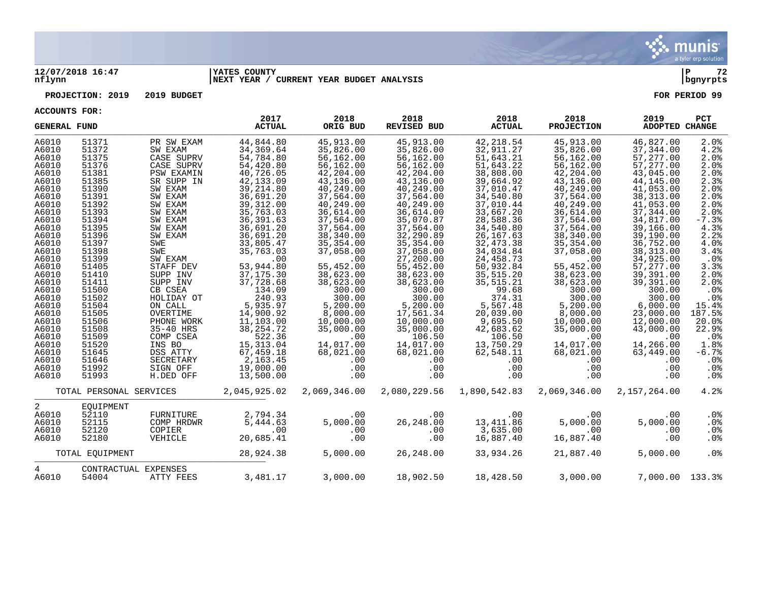

## **12/07/2018 16:47 |YATES COUNTY |P 72 nflynn |NEXT YEAR / CURRENT YEAR BUDGET ANALYSIS |bgnyrpts**

## **PROJECTION: 2019 2019 BUDGET FOR PERIOD 99**

**ACCOUNTS FOR:**

| <b>GENERAL FUND</b> |                         |                      | 2017<br><b>ACTUAL</b> | 2018<br>ORIG BUD | 2018<br>REVISED BUD | 2018<br><b>ACTUAL</b> | 2018<br><b>PROJECTION</b> | 2019<br>ADOPTED CHANGE | <b>PCT</b>      |
|---------------------|-------------------------|----------------------|-----------------------|------------------|---------------------|-----------------------|---------------------------|------------------------|-----------------|
| A6010               | 51371                   | PR SW EXAM           | 44,844.80             | 45,913.00        | 45,913.00           | 42,218.54             | 45,913.00                 | 46,827.00              | 2.0%            |
| A6010               | 51372                   | SW EXAM              | 34, 369.64            | 35,826.00        | 35,826.00           | 32,911.27             | 35,826.00                 | 37,344.00              | 4.2%            |
| A6010               | 51375                   | CASE SUPRV           | 54,784.80             | 56,162.00        | 56,162.00           | 51,643.21             | 56,162.00                 | 57,277.00              | 2.0%            |
| A6010               | 51376                   | CASE SUPRV           | 54,420.80             | 56,162.00        | 56,162.00           | 51,643.22             | 56,162.00                 | 57,277.00              | 2.0%            |
| A6010               | 51381                   | <b>PSW EXAMIN</b>    | 40,726.05             | 42,204.00        | 42,204.00           | 38,808.00             | 42,204.00                 | 43,045.00              | 2.0%            |
| A6010               | 51385                   | SR SUPP IN           | 42, 133.09            | 43,136.00        | 43,136.00           | 39,664.92             | 43,136.00                 | 44,145.00              | 2.3%            |
| A6010               | 51390                   | SW EXAM              | 39, 214.80            | 40,249.00        | 40,249.00           | 37,010.47             | 40,249.00                 | 41,053.00              | 2.0%            |
| A6010               | 51391                   | SW EXAM              | 36,691.20             | 37,564.00        | 37,564.00           | 34,540.80             | 37,564.00                 | 38, 313.00             | 2.0%            |
| A6010               | 51392                   | SW EXAM              | 39, 312.00            | 40,249.00        | 40,249.00           | 37,010.44             | 40,249.00                 | 41,053.00              | 2.0%            |
| A6010               | 51393                   | SW EXAM              | 35,763.03             | 36,614.00        | 36,614.00           | 33,667.20             | 36,614.00                 | 37,344.00              | 2.0%            |
| A6010               | 51394                   | SW EXAM              | 36, 391.63            | 37,564.00        | 35,070.87           | 28,588.36             | 37,564.00                 | 34,817.00              | $-7.3%$         |
| A6010               | 51395                   | SW EXAM              | 36,691.20             | 37,564.00        | 37,564.00           | 34,540.80             | 37,564.00                 | 39,166.00              | 4.3%            |
| A6010               | 51396                   | SW EXAM              | 36,691.20             | 38,340.00        | 32,290.89           | 26, 167.63            | 38,340.00                 | 39,190.00              | 2.2%            |
| A6010               | 51397                   | SWE                  | 33,805.47             | 35,354.00        | 35, 354.00          | 32, 473.38            | 35,354.00                 | 36,752.00              | 4.0%            |
| A6010               | 51398                   | SWE                  | 35,763.03             | 37,058.00        | 37,058.00           | 34,034.84             | 37,058.00                 | 38, 313.00             | 3.4%            |
| A6010               | 51399                   | SW EXAM              | .00                   | .00              | 27,200.00           | 24,458.73             | .00                       | 34,925.00              | .0%             |
| A6010               | 51405                   | STAFF DEV            | 53,944.80             | 55,452.00        | 55,452.00           | 50,932.84             | 55,452.00                 | 57,277.00              | 3.3%            |
| A6010               | 51410                   | SUPP INV             | 37, 175.30            | 38,623.00        | 38,623.00           | 35,515.20             | 38,623.00                 | 39,391.00              | 2.0%            |
| A6010               | 51411                   | SUPP INV             | 37,728.68             | 38,623.00        | 38,623.00           | 35, 515.21            | 38,623.00                 | 39,391.00              | 2.0%            |
| A6010               | 51500                   | CB CSEA              | 134.09                | 300.00           | 300.00              | 99.68                 | 300.00                    | 300.00                 | .0%             |
| A6010               | 51502                   | HOLIDAY OT           | 240.93                | 300.00           | 300.00              | 374.31                | 300.00                    | 300.00                 | .0%             |
| A6010               | 51504                   | ON CALL              | 5,935.97              | 5,200.00         | 5,200.00            | 5,567.48              | 5,200.00                  | 6,000.00               | 15.4%           |
| A6010               | 51505                   | OVERTIME             | 14,900.92             | 8,000.00         | 17,561.34           | 20,039.00             | 8,000.00                  | 23,000.00              | 187.5%          |
| A6010               | 51506                   | PHONE WORK           | 11,103.00             | 10,000.00        | 10,000.00           | 9,695.50              | 10,000.00                 | 12,000.00              | 20.0%           |
| A6010               | 51508                   | 35-40 HRS            | 38, 254. 72           | 35,000.00        | 35,000.00           | 42,683.62             | 35,000.00                 | 43,000.00              | 22.9%           |
| A6010               | 51509                   | COMP CSEA            | 522.36                | .00              | 106.50              | 106.50                | .00                       | .00                    | .0%             |
| A6010               | 51520                   | INS BO               | 15, 313.04            | 14,017.00        | 14,017.00           | 13,750.29             | 14,017.00                 | 14,266.00              | 1.8%            |
| A6010               | 51645                   | DSS ATTY             | 67,459.18             | 68,021.00        | 68,021.00           | 62,548.11             | 68,021.00                 | 63,449.00              | $-6.7%$         |
| A6010               | 51646                   | SECRETARY            | 2,163.45              | .00              | .00                 | .00                   | $.00 \,$                  | $.00 \,$               | .0 <sub>8</sub> |
| A6010               | 51992                   | SIGN OFF             | 19,000.00             | .00              | .00                 | .00                   | .00                       | .00                    | $.0\%$          |
| A6010               | 51993                   | H.DED OFF            | 13,500.00             | .00              | .00                 | .00                   | .00                       | .00                    | .0%             |
|                     |                         |                      |                       |                  |                     |                       |                           |                        |                 |
|                     | TOTAL PERSONAL SERVICES |                      | 2,045,925.02          | 2,069,346.00     | 2,080,229.56        | 1,890,542.83          | 2,069,346.00              | 2,157,264.00           | 4.2%            |
| 2                   | EOUIPMENT               |                      |                       |                  |                     |                       |                           |                        |                 |
| A6010               | 52110                   | FURNITURE            | 2,794.34              | .00              | .00                 | .00                   | .00                       | .00                    | .0 <sub>8</sub> |
| A6010               | 52115                   | COMP HRDWR           | 5,444.63              | 5,000.00         | 26,248.00           | 13,411.86             | 5,000.00                  | 5,000.00               | .0%             |
| A6010               | 52120                   | COPIER               | .00                   | .00              | .00                 | 3,635.00              | .00                       | .00                    | $.0\%$          |
| A6010               | 52180                   | VEHICLE              | 20,685.41             | .00              | .00                 | 16,887.40             | 16,887.40                 | .00                    | .0%             |
|                     | TOTAL EQUIPMENT         |                      | 28,924.38             | 5,000.00         | 26,248.00           | 33,934.26             | 21,887.40                 | 5,000.00               | .0%             |
| 4                   |                         | CONTRACTUAL EXPENSES |                       |                  |                     |                       |                           |                        |                 |
| A6010               | 54004                   | ATTY FEES            | 3,481.17              | 3,000.00         | 18,902.50           | 18,428.50             | 3,000.00                  | 7,000.00 133.3%        |                 |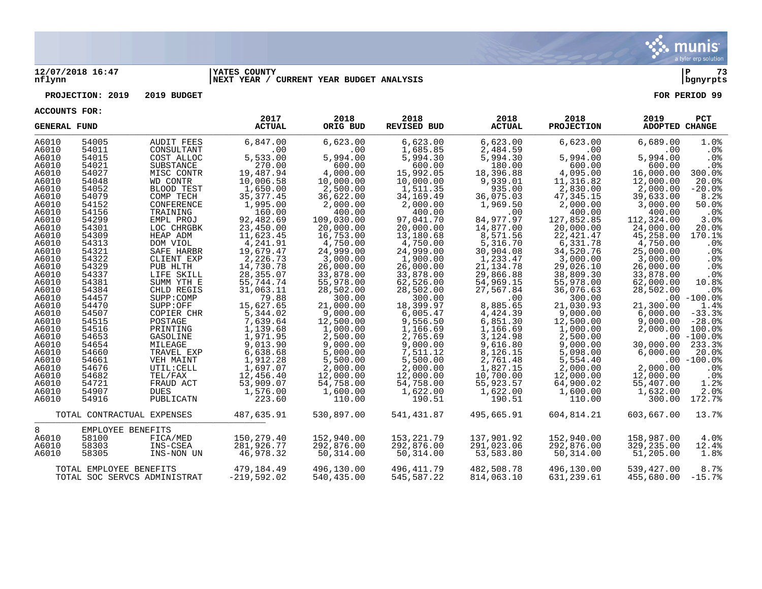

## **12/07/2018 16:47 |YATES COUNTY |P 73 nflynn |NEXT YEAR / CURRENT YEAR BUDGET ANALYSIS |bgnyrpts**

## **PROJECTION: 2019 2019 BUDGET FOR PERIOD 99**

**ACCOUNTS FOR:**

| <b>GENERAL FUND</b> |                         |                              | 2017<br><b>ACTUAL</b> | 2018<br>ORIG BUD | 2018<br><b>REVISED BUD</b> | 2018<br><b>ACTUAL</b> | 2018<br><b>PROJECTION</b> | 2019<br>ADOPTED CHANGE | PCT             |
|---------------------|-------------------------|------------------------------|-----------------------|------------------|----------------------------|-----------------------|---------------------------|------------------------|-----------------|
| A6010               | 54005                   | <b>AUDIT FEES</b>            | 6,847.00              | 6,623.00         | 6,623.00                   | 6,623.00              | 6,623.00                  | 6,689.00               | 1.0%            |
| A6010               | 54011                   | CONSULTANT                   | .00                   | .00              | 1,685.85                   | 2,484.59              | .00                       | .00                    | .0%             |
| A6010               | 54015                   | COST ALLOC                   | 5,533.00              | 5,994.00         | 5,994.30                   | 5,994.30              | 5,994.00                  | 5,994.00               | $.0\%$          |
| A6010               | 54021                   | SUBSTANCE                    | 270.00                | 600.00           | 600.00                     | 180.00                | 600.00                    | 600.00                 | .0%             |
| A6010               | 54027                   | MISC CONTR                   | 19,487.94             | 4,000.00         | 15,992.05                  | 18,396.88             | 4,095.00                  | 16,000.00              | 300.0%          |
| A6010               | 54048                   | WD CONTR                     | 10,006.58             | 10,000.00        | 10,000.00                  | 9,939.01              | 11,316.82                 | 12,000.00              | 20.0%           |
| A6010               | 54052                   | BLOOD TEST                   | 1,650.00              | 2,500.00         | 1,511.35                   | 935.00                | 2,830.00                  | 2,000.00               | $-20.0$ °       |
| A6010               | 54079                   | COMP TECH                    | 35, 377.45            | 36,622.00        | 34,169.49                  | 36,075.03             | 47,345.15                 | 39,633.00              | 8.2%            |
| A6010               | 54152                   | CONFERENCE                   | 1,995.00              | 2,000.00         | 2,000.00                   | 1,969.50              | 2,000.00                  | 3,000.00               | 50.0%           |
| A6010               | 54156                   | TRAINING                     | 160.00                | 400.00           | 400.00                     | .00                   | 400.00                    | 400.00                 | $.0\%$          |
| A6010               | 54299                   | EMPL PROJ                    | 92,482.69             | 109,030.00       | 97,041.70                  | 84,977.97             | 127,852.85                | 112,324.00             | 3.0%            |
| A6010               | 54301                   | LOC CHRGBK                   | 23,450.00             | 20,000.00        | 20,000.00                  | 14,877.00             | 20,000.00                 | 24,000.00              | 20.0%           |
| A6010               | 54309                   | HEAP ADM                     | 11,623.45             | 16,753.00        | 13,180.68                  | 8,571.56              | 22, 421.47                | 45,258.00              | 170.1%          |
| A6010               | 54313                   | DOM VIOL                     | 4,241.91              | 4,750.00         | 4,750.00                   | 5,316.70              | 6,331.78                  | 4,750.00               | .0 <sub>8</sub> |
| A6010               | 54321                   | SAFE HARBR                   | 19,679.47             | 24,999.00        | 24,999.00                  | 30,904.08             | 34,520.76                 | 25,000.00              | .0%             |
| A6010               | 54322                   | CLIENT EXP                   | 2,226.73              | 3,000.00         | 1,900.00                   | 1,233.47              | 3,000.00                  | 3,000.00               | .0%             |
| A6010               | 54329                   | PUB HLTH                     | 14,730.78             | 26,000.00        | 26,000.00                  | 21, 134. 78           | 29,026.10                 | 26,000.00              | .0%             |
| A6010               | 54337                   | LIFE SKILL                   | 28, 355.07            | 33,878.00        | 33,878.00                  | 29,866.88             | 38,809.30                 | 33,878.00              | .0%             |
| A6010               | 54381                   | SUMM YTH E                   | 55,744.74             | 55,978.00        | 62,526.00                  | 54,969.15             | 55,978.00                 | 62,000.00              | 10.8%           |
| A6010               | 54384                   | CHLD REGIS                   | 31,063.11             | 28,502.00        | 28,502.00                  | 27,567.84             | 36,076.63                 | 28,502.00              | .0%             |
| A6010               | 54457                   | SUPP:COMP                    | 79.88                 | 300.00           | 300.00                     | .00                   | 300.00                    |                        | $.00 - 100.0$   |
| A6010               | 54470                   | SUPP:OFF                     | 15,627.65             | 21,000.00        | 18,399.97                  | 8,885.65              | 21,030.93                 | 21,300.00              | 1.4%            |
| A6010               | 54507                   | COPIER CHR                   | 5,344.02              | 9,000.00         | 6,005.47                   | 4,424.39              | 9,000.00                  | 6,000.00               | $-33.3%$        |
| A6010               | 54515                   | POSTAGE                      | 7,639.64              | 12,500.00        | 9,556.50                   | 6,851.30              | 12,500.00                 | 9,000.00               | $-28.0%$        |
| A6010               | 54516                   | PRINTING                     | 1,139.68              | 1,000.00         | 1,166.69                   | 1,166.69              | 1,000.00                  | 2,000.00               | 100.0%          |
| A6010               | 54653                   | GASOLINE                     | 1,971.95              | 2,500.00         | 2,765.69                   | 3,124.98              | 2,500.00                  |                        | $.00 - 100.0%$  |
| A6010               | 54654                   | MILEAGE                      | 9,013.90              | 9,000.00         | 9,000.00                   | 9,616.80              | 9,000.00                  | 30,000.00              | 233.3%          |
| A6010               | 54660                   | TRAVEL EXP                   | 6,638.68              | 5,000.00         | 7,511.12                   | 8,126.15              | 5,098.00                  | 6,000.00               | 20.0%           |
| A6010               | 54661                   | VEH MAINT                    | 1,912.28              | 5,500.00         | 5,500.00                   | 2,761.48              | 5,554.40                  |                        | $.00 - 100.0%$  |
| A6010               | 54676                   | UTIL: CELL                   | 1,697.07              | 2,000.00         | 2,000.00                   | 1,827.15              | 2,000.00                  | 2,000.00               | $.0\%$          |
| A6010               | 54682                   | TEL/FAX                      | 12,456.40             | 12,000.00        | 12,000.00                  | 10,700.00             | 12,000.00                 | 12,000.00              | $.0\%$          |
| A6010               | 54721                   | FRAUD ACT                    | 53,909.07             | 54,758.00        | 54,758.00                  | 55,923.57             | 64,900.02                 | 55,407.00              | 1.2%            |
| A6010               | 54907                   | <b>DUES</b>                  | 1,576.00              | 1,600.00         | 1,622.00                   | 1,622.00              | 1,600.00                  | 1,632.00               | 2.0%            |
| A6010               | 54916                   | PUBLICATN                    | 223.60                | 110.00           | 190.51                     | 190.51                | 110.00                    | 300.00                 | 172.7%          |
|                     |                         | TOTAL CONTRACTUAL EXPENSES   | 487,635.91            | 530,897.00       | 541,431.87                 | 495,665.91            | 604,814.21                | 603,667.00             | 13.7%           |
| 8                   | EMPLOYEE BENEFITS       |                              |                       |                  |                            |                       |                           |                        |                 |
| A6010               | 58100                   | FICA/MED                     | 150,279.40            | 152,940.00       | 153, 221. 79               | 137,901.92            | 152,940.00                | 158,987.00             | 4.0%            |
| A6010               | 58303                   | INS-CSEA                     | 281,926.77            | 292,876.00       | 292,876.00                 | 291,023.06            | 292,876.00                | 329,235.00             | 12.4%           |
| A6010               | 58305                   | INS-NON UN                   | 46,978.32             | 50,314.00        | 50,314.00                  | 53,583.80             | 50,314.00                 | 51,205.00              | 1.8%            |
|                     | TOTAL EMPLOYEE BENEFITS |                              | 479,184.49            | 496,130.00       | 496,411.79                 | 482,508.78            | 496,130.00                | 539,427.00             | 8.7%            |
|                     |                         | TOTAL SOC SERVCS ADMINISTRAT | $-219.592.02$         | 540,435.00       | 545, 587.22                | 814,063.10            | 631, 239.61               | 455,680.00             | $-15.7%$        |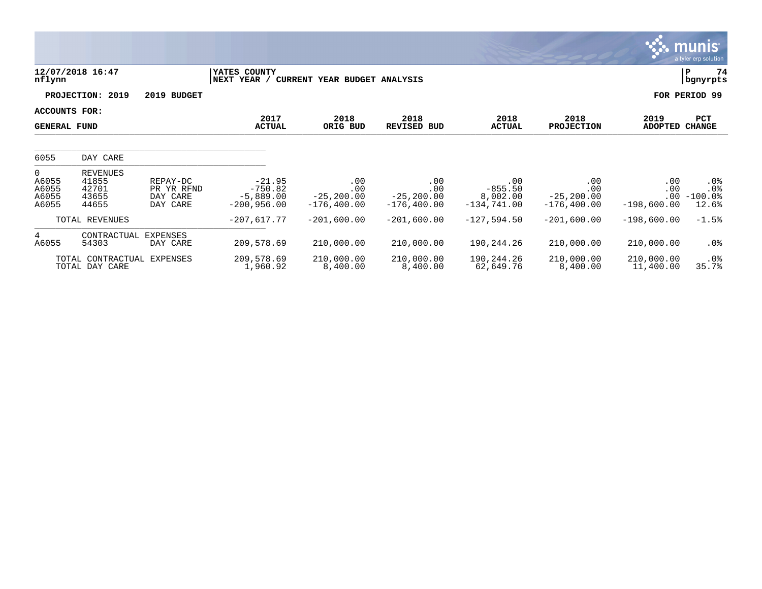|                                                    |                                                     |                                                |                                                       |                                               |                                               |                                               |                                               |                                    | <b>munis</b><br>a tyler erp solution |
|----------------------------------------------------|-----------------------------------------------------|------------------------------------------------|-------------------------------------------------------|-----------------------------------------------|-----------------------------------------------|-----------------------------------------------|-----------------------------------------------|------------------------------------|--------------------------------------|
| nflynn                                             | 12/07/2018 16:47                                    |                                                | YATES COUNTY<br>NEXT<br>YEAR /                        | CURRENT YEAR BUDGET ANALYSIS                  |                                               |                                               |                                               |                                    | ΙP<br>74<br>bgnyrpts                 |
|                                                    | PROJECTION:<br>2019                                 | 2019 BUDGET                                    |                                                       |                                               |                                               |                                               |                                               |                                    | FOR PERIOD 99                        |
| ACCOUNTS FOR:<br><b>GENERAL FUND</b>               |                                                     |                                                | 2017<br><b>ACTUAL</b>                                 | 2018<br>ORIG BUD                              | 2018<br><b>REVISED BUD</b>                    | 2018<br><b>ACTUAL</b>                         | 2018<br><b>PROJECTION</b>                     | 2019<br><b>ADOPTED</b>             | <b>PCT</b><br><b>CHANGE</b>          |
| 6055                                               | DAY CARE                                            |                                                |                                                       |                                               |                                               |                                               |                                               |                                    |                                      |
| $\overline{0}$<br>A6055<br>A6055<br>A6055<br>A6055 | <b>REVENUES</b><br>41855<br>42701<br>43655<br>44655 | REPAY-DC<br>PR YR RFND<br>DAY CARE<br>DAY CARE | $-21.95$<br>$-750.82$<br>$-5,889.00$<br>$-200,956.00$ | .00<br>.00<br>$-25, 200.00$<br>$-176, 400.00$ | .00<br>.00<br>$-25, 200.00$<br>$-176, 400.00$ | .00<br>$-855.50$<br>8,002.00<br>$-134,741.00$ | .00<br>.00<br>$-25, 200.00$<br>$-176, 400.00$ | .00<br>.00<br>.00<br>$-198,600.00$ | .0%<br>.0%<br>$-100.0$ %<br>12.6%    |
|                                                    | TOTAL REVENUES                                      |                                                | $-207,617.77$                                         | $-201,600.00$                                 | $-201,600.00$                                 | $-127,594.50$                                 | $-201,600.00$                                 | $-198,600.00$                      | $-1.5%$                              |
| $4\overline{ }$<br>A6055                           | CONTRACTUAL<br>54303                                | <b>EXPENSES</b><br>DAY CARE                    | 209,578.69                                            | 210,000.00                                    | 210,000.00                                    | 190,244.26                                    | 210,000.00                                    | 210,000.00                         | $.0\%$                               |
|                                                    | TOTAL CONTRACTUAL EXPENSES<br>TOTAL DAY CARE        |                                                | 209,578.69<br>1,960.92                                | 210,000.00<br>8,400.00                        | 210,000.00<br>8,400.00                        | 190,244.26<br>62,649.76                       | 210,000.00<br>8,400.00                        | 210,000.00<br>11,400.00            | $.0\%$<br>35.7%                      |

<u> Alban Maria Maria Maria Maria Maria Maria Maria Maria Maria Maria Maria Maria Maria Maria Maria Maria Maria M</u>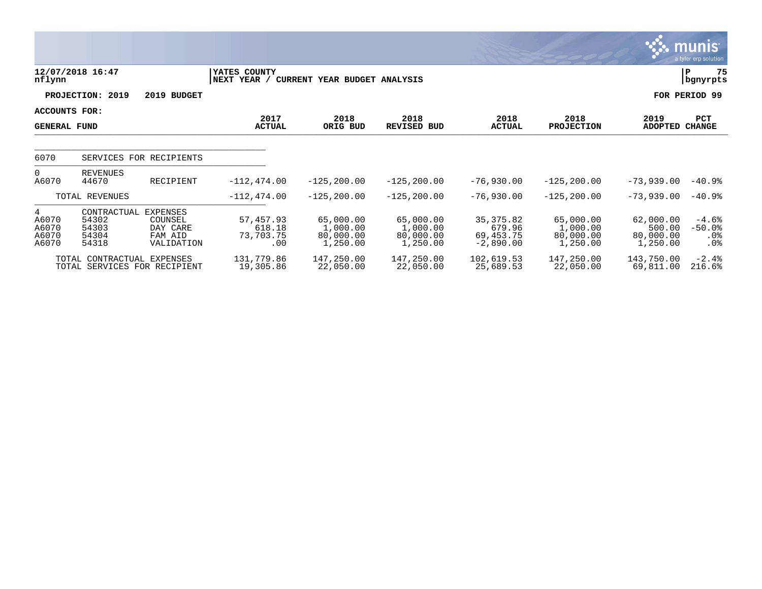|                                             |                                                   |                                                                 |                                         |                                                |                                                |                                                  |                                                |                                              | munis <sup>.</sup><br>a tyler erp solution |
|---------------------------------------------|---------------------------------------------------|-----------------------------------------------------------------|-----------------------------------------|------------------------------------------------|------------------------------------------------|--------------------------------------------------|------------------------------------------------|----------------------------------------------|--------------------------------------------|
| nflynn                                      | 12/07/2018 16:47                                  |                                                                 | YATES COUNTY<br>NEXT YEAR /             | CURRENT YEAR BUDGET ANALYSIS                   |                                                |                                                  |                                                |                                              | 75<br>P<br>bgnyrpts                        |
|                                             | PROJECTION: 2019                                  | 2019 BUDGET                                                     |                                         |                                                |                                                |                                                  |                                                |                                              | FOR PERIOD 99                              |
| <b>ACCOUNTS FOR:</b><br><b>GENERAL FUND</b> |                                                   |                                                                 | 2017<br><b>ACTUAL</b>                   | 2018<br>ORIG BUD                               | 2018<br><b>REVISED BUD</b>                     | 2018<br><b>ACTUAL</b>                            | 2018<br><b>PROJECTION</b>                      | 2019<br><b>ADOPTED</b>                       | PCT<br><b>CHANGE</b>                       |
| 6070                                        |                                                   | SERVICES FOR RECIPIENTS                                         |                                         |                                                |                                                |                                                  |                                                |                                              |                                            |
| $\Omega$<br>A6070                           | REVENUES<br>44670                                 | RECIPIENT                                                       | $-112, 474.00$                          | $-125, 200.00$                                 | $-125, 200.00$                                 | $-76,930.00$                                     | $-125, 200.00$                                 | $-73,939.00$                                 | $-40.9%$                                   |
|                                             | TOTAL REVENUES                                    |                                                                 | $-112, 474.00$                          | $-125, 200.00$                                 | $-125, 200.00$                                 | $-76,930.00$                                     | $-125, 200.00$                                 | $-73,939.00$                                 | $-40.9%$                                   |
| 4<br>A6070<br>A6070<br>A6070<br>A6070       | CONTRACTUAL<br>54302<br>54303<br>54304<br>54318   | <b>EXPENSES</b><br>COUNSEL<br>DAY CARE<br>FAM AID<br>VALIDATION | 57,457.93<br>618.18<br>73,703.75<br>.00 | 65,000.00<br>1,000.00<br>80,000.00<br>1,250.00 | 65,000.00<br>1,000.00<br>80,000.00<br>1,250.00 | 35, 375.82<br>679.96<br>69,453.75<br>$-2,890.00$ | 65,000.00<br>1,000.00<br>80,000.00<br>1,250.00 | 62,000.00<br>500.00<br>80,000.00<br>1,250.00 | $-4.6%$<br>$-50.0%$<br>$.0\%$<br>$.0\%$    |
|                                             | TOTAL CONTRACTUAL<br>TOTAL SERVICES FOR RECIPIENT | EXPENSES                                                        | 131,779.86<br>19,305.86                 | 147,250.00<br>22,050.00                        | 147,250.00<br>22,050.00                        | 102,619.53<br>25,689.53                          | 147,250.00<br>22,050.00                        | 143,750.00<br>69,811.00                      | $-2.4%$<br>216.6%                          |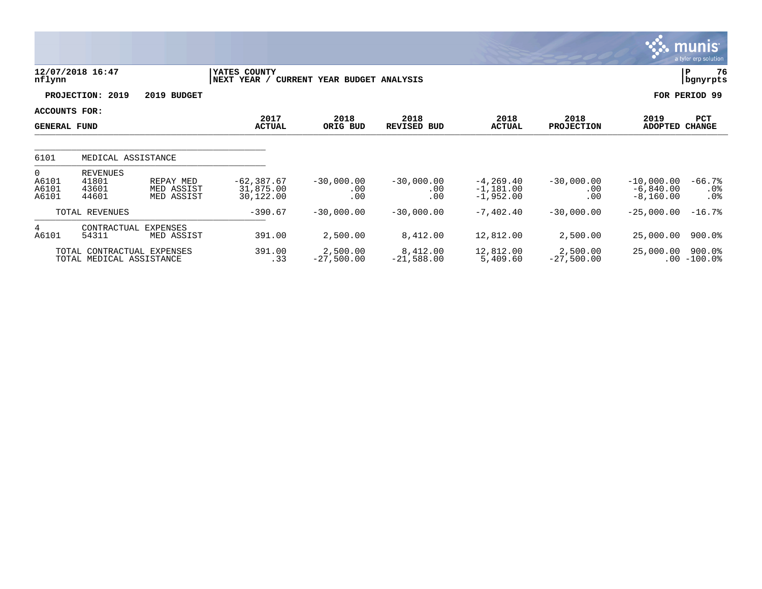|                                           |                                                        |                                       |                                         |                              |                                 |                                            |                            |                                            | munis <sup>.</sup><br>a tyler erp solution |
|-------------------------------------------|--------------------------------------------------------|---------------------------------------|-----------------------------------------|------------------------------|---------------------------------|--------------------------------------------|----------------------------|--------------------------------------------|--------------------------------------------|
| nflynn                                    | 12/07/2018 16:47                                       |                                       | YATES COUNTY<br>NEXT YEAR /             | CURRENT YEAR BUDGET ANALYSIS |                                 |                                            |                            |                                            | 76<br>P<br>  bgnyrpts                      |
|                                           | PROJECTION: 2019                                       | 2019 BUDGET                           |                                         |                              |                                 |                                            |                            |                                            | FOR PERIOD 99                              |
| ACCOUNTS FOR:<br><b>GENERAL FUND</b>      |                                                        |                                       | 2017<br><b>ACTUAL</b>                   | 2018<br>ORIG BUD             | 2018<br>REVISED BUD             | 2018<br><b>ACTUAL</b>                      | 2018<br><b>PROJECTION</b>  | 2019<br><b>ADOPTED</b>                     | PCT<br><b>CHANGE</b>                       |
| 6101                                      | MEDICAL ASSISTANCE                                     |                                       |                                         |                              |                                 |                                            |                            |                                            |                                            |
| $\overline{0}$<br>A6101<br>A6101<br>A6101 | <b>REVENUES</b><br>41801<br>43601<br>44601             | REPAY MED<br>MED ASSIST<br>MED ASSIST | $-62, 387.67$<br>31,875.00<br>30,122.00 | $-30,000.00$<br>.00<br>.00   | $-30,000.00$<br>$.00 \,$<br>.00 | $-4, 269.40$<br>$-1,181.00$<br>$-1,952.00$ | $-30,000.00$<br>.00<br>.00 | $-10,000.00$<br>$-6,840.00$<br>$-8,160.00$ | $-66.7%$<br>.0%<br>.0 <sub>8</sub>         |
|                                           | TOTAL REVENUES                                         |                                       | $-390.67$                               | $-30,000.00$                 | $-30,000.00$                    | $-7,402.40$                                | $-30,000.00$               | $-25,000.00$                               | $-16.7%$                                   |
| $4\overline{ }$<br>A6101                  | CONTRACTUAL<br>54311                                   | <b>EXPENSES</b><br>MED ASSIST         | 391.00                                  | 2,500.00                     | 8,412.00                        | 12,812.00                                  | 2,500.00                   | 25,000.00                                  | 900.0%                                     |
|                                           | TOTAL CONTRACTUAL EXPENSES<br>TOTAL MEDICAL ASSISTANCE |                                       | 391.00<br>.33                           | 2,500.00<br>$-27,500.00$     | 8,412.00<br>$-21,588.00$        | 12,812.00<br>5,409.60                      | 2,500.00<br>$-27,500.00$   | 25,000.00                                  | 900.0%<br>$.00 - 100.0$                    |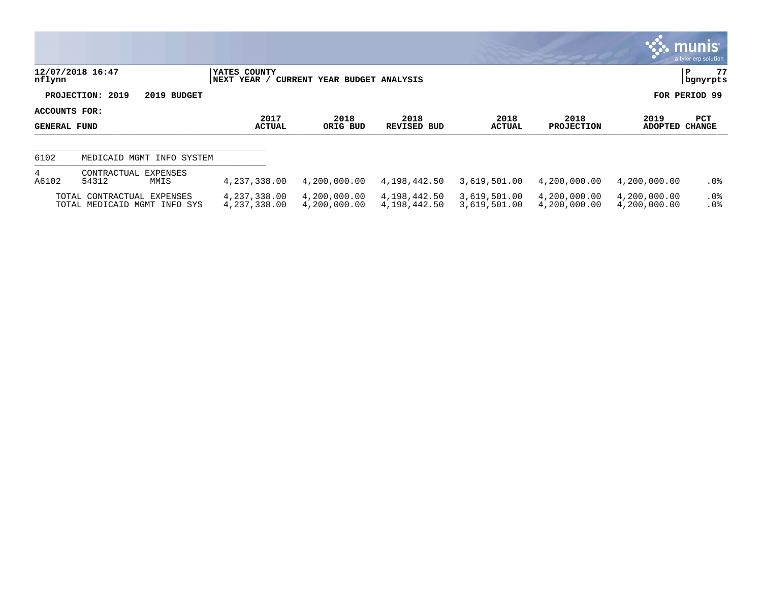|            |                                                            |             |                                    |                              |                              |                              |                              |                              | $\mathbb{C}$ . Munis i<br>a tyler erp solution |
|------------|------------------------------------------------------------|-------------|------------------------------------|------------------------------|------------------------------|------------------------------|------------------------------|------------------------------|------------------------------------------------|
| nflynn     | 12/07/2018 16:47                                           |             | YATES COUNTY<br> NEXT YEAR /       | CURRENT YEAR BUDGET ANALYSIS |                              |                              |                              |                              | 77<br>P<br>  bgnyrpts                          |
|            | PROJECTION: 2019                                           | 2019 BUDGET |                                    |                              |                              |                              |                              |                              | FOR PERIOD 99                                  |
|            | ACCOUNTS FOR:<br>GENERAL FUND                              |             | 2017<br><b>ACTUAL</b>              | 2018<br>ORIG BUD             | 2018<br>REVISED BUD          | 2018<br>ACTUAL               | 2018<br><b>PROJECTION</b>    | 2019<br>ADOPTED              | PCT<br><b>CHANGE</b>                           |
| 6102       | MEDICAID MGMT                                              | INFO SYSTEM |                                    |                              |                              |                              |                              |                              |                                                |
| 4<br>A6102 | CONTRACTUAL EXPENSES<br>54312                              | MMIS        | 4, 237, 338, 00                    | 4,200,000.00                 | 4,198,442.50                 | 3,619,501.00                 | 4,200,000.00                 | 4,200,000.00                 | $.0\%$                                         |
|            | TOTAL CONTRACTUAL EXPENSES<br>TOTAL MEDICAID MGMT INFO SYS |             | 4, 237, 338, 00<br>4, 237, 338, 00 | 4,200,000.00<br>4,200,000.00 | 4,198,442.50<br>4,198,442.50 | 3,619,501.00<br>3,619,501.00 | 4,200,000.00<br>4,200,000.00 | 4,200,000.00<br>4,200,000.00 | $.0\%$<br>.0 <sup>°</sup>                      |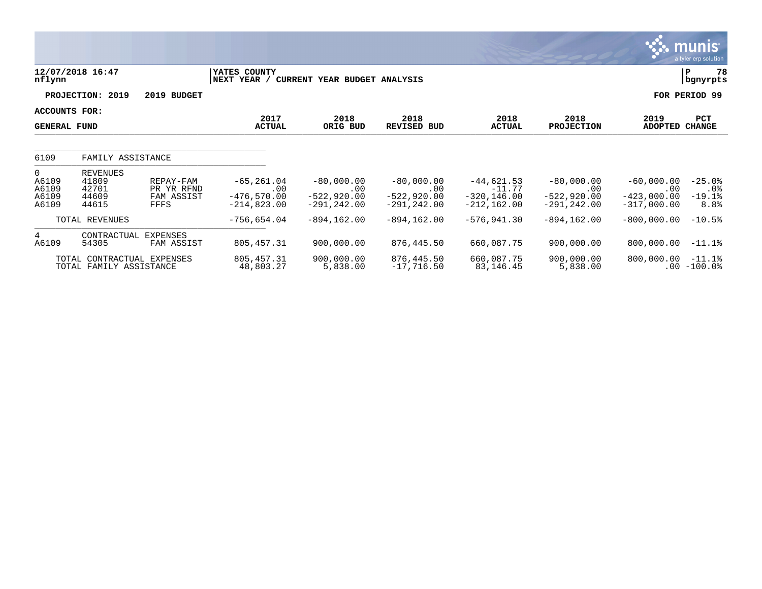|                                                    |                                                       |                                                      |                                                         |                                                        |                                                             |                                                              |                                                        |                                                            | <b>munis</b><br>a tyler erp solution   |
|----------------------------------------------------|-------------------------------------------------------|------------------------------------------------------|---------------------------------------------------------|--------------------------------------------------------|-------------------------------------------------------------|--------------------------------------------------------------|--------------------------------------------------------|------------------------------------------------------------|----------------------------------------|
| nflynn                                             | 12/07/2018 16:47                                      |                                                      | YATES COUNTY<br>NEXT YEAR /                             | CURRENT YEAR BUDGET ANALYSIS                           |                                                             |                                                              |                                                        |                                                            | 78<br>ΙP<br>  bgnyrpts                 |
|                                                    | PROJECTION: 2019                                      | 2019 BUDGET                                          |                                                         |                                                        |                                                             |                                                              |                                                        |                                                            | FOR PERIOD 99                          |
| ACCOUNTS FOR:<br><b>GENERAL FUND</b>               |                                                       |                                                      | 2017<br><b>ACTUAL</b>                                   | 2018<br>ORIG BUD                                       | 2018<br>REVISED BUD                                         | 2018<br><b>ACTUAL</b>                                        | 2018<br><b>PROJECTION</b>                              | 2019<br><b>ADOPTED</b>                                     | PCT<br><b>CHANGE</b>                   |
| 6109                                               | FAMILY ASSISTANCE                                     |                                                      |                                                         |                                                        |                                                             |                                                              |                                                        |                                                            |                                        |
| $\overline{0}$<br>A6109<br>A6109<br>A6109<br>A6109 | <b>REVENUES</b><br>41809<br>42701<br>44609<br>44615   | REPAY-FAM<br>PR YR RFND<br>FAM ASSIST<br><b>FFFS</b> | $-65, 261.04$<br>.00<br>$-476, 570.00$<br>$-214,823.00$ | $-80,000.00$<br>.00<br>$-522,920.00$<br>$-291, 242.00$ | $-80,000.00$<br>$.00 \,$<br>$-522,920.00$<br>$-291, 242.00$ | $-44,621.53$<br>$-11.77$<br>$-320, 146.00$<br>$-212, 162.00$ | $-80,000.00$<br>.00<br>$-522,920.00$<br>$-291, 242.00$ | $-60,000.00$<br>$.00 \,$<br>$-423,000.00$<br>$-317,000.00$ | $-25.0%$<br>$.0\%$<br>$-19.1%$<br>8.8% |
|                                                    | TOTAL REVENUES                                        |                                                      | $-756,654.04$                                           | $-894, 162.00$                                         | $-894, 162.00$                                              | $-576, 941.30$                                               | $-894, 162.00$                                         | $-800,000.00$                                              | $-10.5%$                               |
| 4<br>A6109                                         | CONTRACTUAL<br>54305                                  | <b>EXPENSES</b><br>FAM ASSIST                        | 805, 457.31                                             | 900,000.00                                             | 876,445.50                                                  | 660,087.75                                                   | 900,000.00                                             | 800,000.00                                                 | $-11.1%$                               |
|                                                    | TOTAL CONTRACTUAL EXPENSES<br>TOTAL FAMILY ASSISTANCE |                                                      | 805, 457.31<br>48,803.27                                | 900,000.00<br>5,838.00                                 | 876,445.50<br>$-17,716.50$                                  | 660,087.75<br>83,146.45                                      | 900,000.00<br>5,838.00                                 | 800,000.00                                                 | $-11.1%$<br>$.00 - 100.0$              |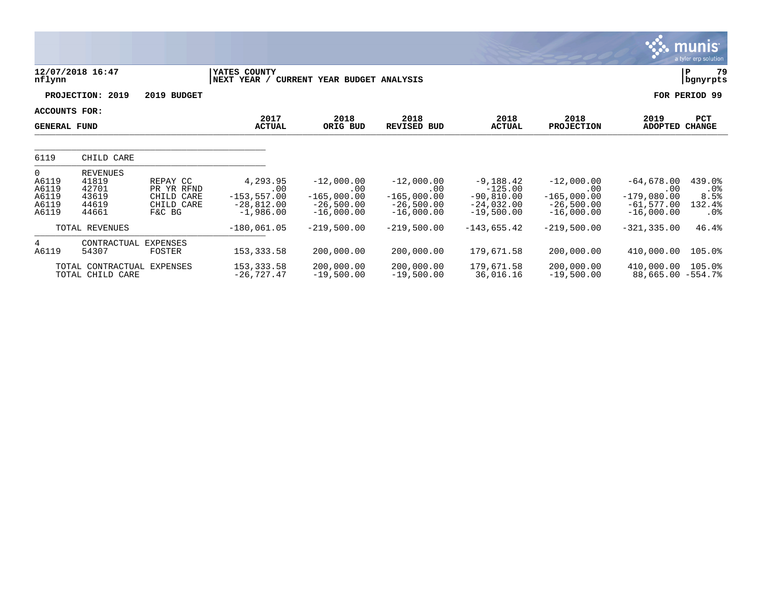|                                                             |                                                              |                                                              |                                                                  |                                                                      |                                                                      |                                                                          |                                                                           |                                                                      | <b>munis</b><br>a tyler erp solution      |
|-------------------------------------------------------------|--------------------------------------------------------------|--------------------------------------------------------------|------------------------------------------------------------------|----------------------------------------------------------------------|----------------------------------------------------------------------|--------------------------------------------------------------------------|---------------------------------------------------------------------------|----------------------------------------------------------------------|-------------------------------------------|
| nflynn                                                      | 12/07/2018 16:47                                             |                                                              | YATES COUNTY<br>NEXT YEAR /                                      | CURRENT YEAR BUDGET ANALYSIS                                         |                                                                      |                                                                          |                                                                           |                                                                      | 79<br>ΙP<br>bgnyrpts                      |
|                                                             | PROJECTION: 2019                                             | 2019 BUDGET                                                  |                                                                  |                                                                      |                                                                      |                                                                          |                                                                           | FOR                                                                  | PERIOD 99                                 |
| <b>ACCOUNTS FOR:</b><br><b>GENERAL FUND</b>                 |                                                              |                                                              | 2017<br><b>ACTUAL</b>                                            | 2018<br>ORIG BUD                                                     | 2018<br><b>REVISED BUD</b>                                           | 2018<br><b>ACTUAL</b>                                                    | 2018<br><b>PROJECTION</b>                                                 | 2019<br><b>ADOPTED</b>                                               | PCT<br><b>CHANGE</b>                      |
| 6119                                                        | CHILD CARE                                                   |                                                              |                                                                  |                                                                      |                                                                      |                                                                          |                                                                           |                                                                      |                                           |
| $\overline{0}$<br>A6119<br>A6119<br>A6119<br>A6119<br>A6119 | <b>REVENUES</b><br>41819<br>42701<br>43619<br>44619<br>44661 | REPAY CC<br>PR YR RFND<br>CHILD CARE<br>CHILD CARE<br>F&C BG | 4,293.95<br>.00<br>$-153, 557.00$<br>$-28,812.00$<br>$-1,986.00$ | $-12,000.00$<br>.00<br>$-165,000.00$<br>$-26,500.00$<br>$-16,000.00$ | $-12,000.00$<br>.00<br>$-165,000.00$<br>$-26,500.00$<br>$-16,000.00$ | $-9,188.42$<br>$-125.00$<br>$-90,810.00$<br>$-24,032.00$<br>$-19,500.00$ | $-12,000.00$<br>$.00 \,$<br>$-165,000.00$<br>$-26,500.00$<br>$-16,000.00$ | $-64,678.00$<br>.00<br>$-179,080.00$<br>$-61,577.00$<br>$-16,000.00$ | 439.0%<br>$.0\%$<br>8.5%<br>132.4%<br>.0% |
|                                                             | TOTAL REVENUES                                               |                                                              | $-180,061.05$                                                    | $-219,500.00$                                                        | $-219,500.00$                                                        | $-143,655.42$                                                            | $-219,500.00$                                                             | $-321, 335.00$                                                       | 46.4%                                     |
| $4\overline{ }$<br>A6119                                    | CONTRACTUAL EXPENSES<br>54307                                | FOSTER                                                       | 153, 333.58                                                      | 200,000.00                                                           | 200,000.00                                                           | 179,671.58                                                               | 200,000.00                                                                | 410,000.00                                                           | 105.0%                                    |
|                                                             | TOTAL CONTRACTUAL<br>TOTAL CHILD CARE                        | EXPENSES                                                     | 153, 333.58<br>$-26,727.47$                                      | 200,000.00<br>$-19,500.00$                                           | 200,000.00<br>$-19,500.00$                                           | 179,671.58<br>36,016.16                                                  | 200,000.00<br>$-19,500.00$                                                | 410,000.00<br>$88,665.00 - 554.7$                                    | 105.0%                                    |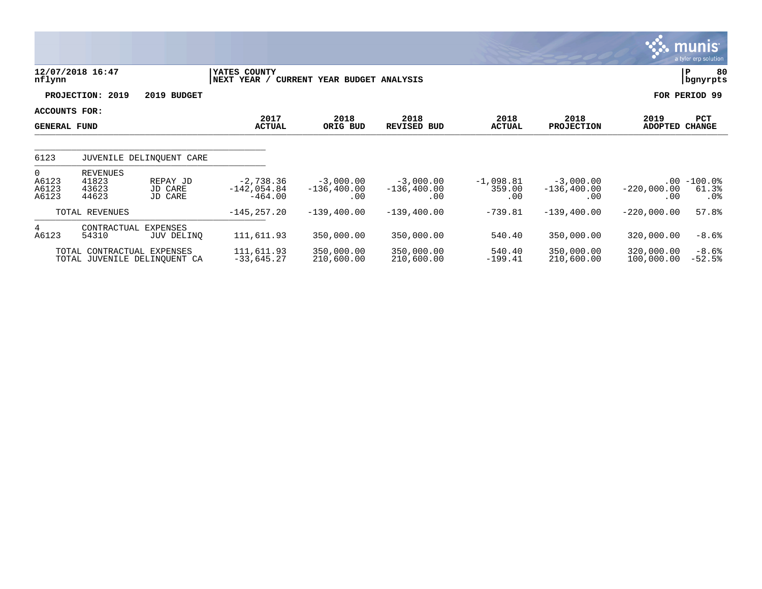|                                           |                                            |                                |                                           |                                      |                                      |                              |                                      |                          | munis'<br>a tyler erp solution   |
|-------------------------------------------|--------------------------------------------|--------------------------------|-------------------------------------------|--------------------------------------|--------------------------------------|------------------------------|--------------------------------------|--------------------------|----------------------------------|
| nflynn                                    | 12/07/2018 16:47                           |                                | YATES COUNTY<br>NEXT YEAR /               | CURRENT YEAR BUDGET ANALYSIS         |                                      |                              |                                      |                          | 80<br>P<br>bgnyrpts              |
|                                           | PROJECTION: 2019                           | 2019 BUDGET                    |                                           |                                      |                                      |                              |                                      |                          | FOR PERIOD 99                    |
| ACCOUNTS FOR:<br><b>GENERAL FUND</b>      |                                            |                                | 2017<br><b>ACTUAL</b>                     | 2018<br>ORIG BUD                     | 2018<br><b>REVISED BUD</b>           | 2018<br><b>ACTUAL</b>        | 2018<br><b>PROJECTION</b>            | 2019<br>ADOPTED CHANGE   | PCT                              |
| 6123                                      |                                            | JUVENILE DELINQUENT CARE       |                                           |                                      |                                      |                              |                                      |                          |                                  |
| $\overline{0}$<br>A6123<br>A6123<br>A6123 | <b>REVENUES</b><br>41823<br>43623<br>44623 | REPAY JD<br>JD CARE<br>JD CARE | $-2,738.36$<br>$-142,054.84$<br>$-464.00$ | $-3,000.00$<br>$-136, 400.00$<br>.00 | $-3,000,00$<br>$-136, 400.00$<br>.00 | $-1,098.81$<br>359.00<br>.00 | $-3,000.00$<br>$-136, 400.00$<br>.00 | $-220,000.00$<br>.00     | $.00 - 100.0$<br>61.3%<br>$.0\%$ |
|                                           | TOTAL REVENUES                             |                                | $-145, 257.20$                            | $-139,400.00$                        | $-139,400.00$                        | $-739.81$                    | $-139,400.00$                        | $-220,000.00$            | 57.8%                            |
| $4\overline{ }$<br>A6123                  | CONTRACTUAL<br>54310                       | EXPENSES<br>JUV DELINQ         | 111,611.93                                | 350,000.00                           | 350,000.00                           | 540.40                       | 350,000.00                           | 320,000.00               | $-8.6%$                          |
|                                           | TOTAL CONTRACTUAL EXPENSES                 | TOTAL JUVENILE DELINQUENT CA   | 111,611.93<br>$-33,645.27$                | 350,000.00<br>210,600.00             | 350,000.00<br>210,600.00             | 540.40<br>$-199.41$          | 350,000.00<br>210,600.00             | 320,000.00<br>100,000.00 | $-8.6%$<br>$-52.5%$              |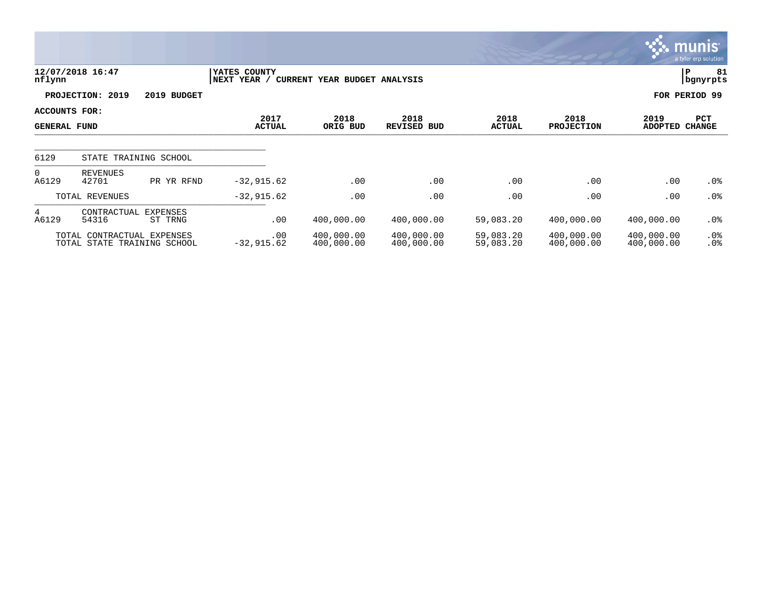|                                      |                                                           |                       |                             |                              |                            |                        |                           |                          | <b>83. MUNIST</b><br>a tyler erp solution. |
|--------------------------------------|-----------------------------------------------------------|-----------------------|-----------------------------|------------------------------|----------------------------|------------------------|---------------------------|--------------------------|--------------------------------------------|
| nflynn                               | 12/07/2018 16:47                                          |                       | YATES COUNTY<br>NEXT YEAR / | CURRENT YEAR BUDGET ANALYSIS |                            |                        |                           |                          | 81<br>P<br>  bgnyrpts                      |
|                                      | PROJECTION: 2019                                          | 2019 BUDGET           |                             |                              |                            |                        |                           |                          | FOR PERIOD 99                              |
| ACCOUNTS FOR:<br><b>GENERAL FUND</b> |                                                           |                       | 2017<br><b>ACTUAL</b>       | 2018<br>ORIG BUD             | 2018<br><b>REVISED BUD</b> | 2018<br><b>ACTUAL</b>  | 2018<br><b>PROJECTION</b> | 2019<br><b>ADOPTED</b>   | PCT<br><b>CHANGE</b>                       |
| 6129                                 |                                                           | STATE TRAINING SCHOOL |                             |                              |                            |                        |                           |                          |                                            |
| $\mathbf 0$<br>A6129                 | <b>REVENUES</b><br>42701                                  | PR YR RFND            | $-32,915.62$                | .00                          | .00                        | .00                    | .00                       | .00                      | $.0\%$                                     |
|                                      | TOTAL REVENUES                                            |                       | $-32,915.62$                | .00                          | .00                        | .00                    | .00                       | .00                      | .0%                                        |
| 4<br>A6129                           | CONTRACTUAL EXPENSES<br>54316                             | ST TRNG               | .00                         | 400,000.00                   | 400,000.00                 | 59,083.20              | 400,000.00                | 400,000.00               | $.0\%$                                     |
|                                      | TOTAL CONTRACTUAL EXPENSES<br>TOTAL STATE TRAINING SCHOOL |                       | .00<br>$-32,915.62$         | 400,000.00<br>400,000.00     | 400,000.00<br>400,000.00   | 59,083.20<br>59,083.20 | 400,000.00<br>400,000.00  | 400,000.00<br>400,000.00 | $.0\%$<br>.0%                              |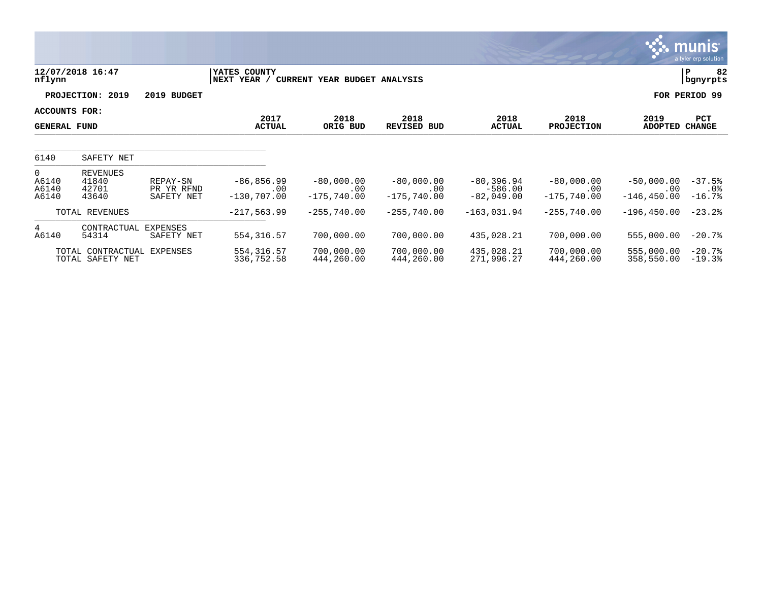|                                           |                                                |                                      |                                        |                                      |                                      |                                            |                                      |                                       | munis'<br>a tyler erp solution |
|-------------------------------------------|------------------------------------------------|--------------------------------------|----------------------------------------|--------------------------------------|--------------------------------------|--------------------------------------------|--------------------------------------|---------------------------------------|--------------------------------|
| nflynn                                    | 12/07/2018 16:47                               |                                      | YATES COUNTY<br>NEXT YEAR /            | CURRENT YEAR BUDGET ANALYSIS         |                                      |                                            |                                      | P                                     | 82<br>bgnyrpts                 |
|                                           | PROJECTION: 2019                               | 2019 BUDGET                          |                                        |                                      |                                      |                                            |                                      |                                       | FOR PERIOD 99                  |
| ACCOUNTS FOR:<br><b>GENERAL FUND</b>      |                                                |                                      | 2017<br><b>ACTUAL</b>                  | 2018<br>ORIG BUD                     | 2018<br>REVISED BUD                  | 2018<br><b>ACTUAL</b>                      | 2018<br><b>PROJECTION</b>            | 2019<br>ADOPTED CHANGE                | <b>PCT</b>                     |
| 6140                                      | SAFETY NET                                     |                                      |                                        |                                      |                                      |                                            |                                      |                                       |                                |
| $\overline{0}$<br>A6140<br>A6140<br>A6140 | REVENUES<br>41840<br>42701<br>43640            | REPAY-SN<br>PR YR RFND<br>SAFETY NET | $-86, 856.99$<br>.00<br>$-130, 707.00$ | $-80,000.00$<br>.00<br>$-175,740.00$ | $-80,000.00$<br>.00<br>$-175,740.00$ | $-80, 396.94$<br>$-586.00$<br>$-82,049.00$ | $-80,000.00$<br>.00<br>$-175,740.00$ | $-50,000.00$<br>.00<br>$-146, 450.00$ | $-37.5%$<br>$.0\%$<br>$-16.7%$ |
|                                           | TOTAL REVENUES                                 |                                      | $-217,563.99$                          | $-255,740.00$                        | $-255,740.00$                        | $-163,031.94$                              | $-255,740.00$                        | $-196, 450.00$                        | $-23.2%$                       |
| $4\overline{ }$<br>A6140                  | CONTRACTUAL<br>54314                           | EXPENSES<br>SAFETY NET               | 554, 316.57                            | 700,000.00                           | 700,000.00                           | 435,028.21                                 | 700,000.00                           | 555,000.00                            | $-20.7%$                       |
|                                           | TOTAL CONTRACTUAL EXPENSES<br>TOTAL SAFETY NET |                                      | 554, 316.57<br>336,752.58              | 700,000.00<br>444,260.00             | 700,000.00<br>444,260.00             | 435,028.21<br>271,996.27                   | 700,000.00<br>444,260.00             | 555,000.00<br>358,550.00              | $-20.7%$<br>$-19.3%$           |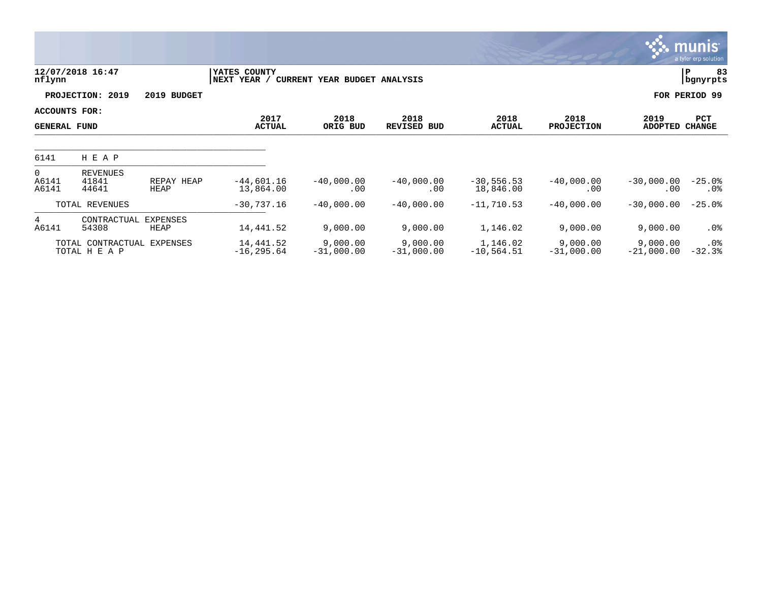|                                      |                                             |                         |                             |                              |                            |                           |                           |                          | <b>munis</b><br>a tyler erp solution |
|--------------------------------------|---------------------------------------------|-------------------------|-----------------------------|------------------------------|----------------------------|---------------------------|---------------------------|--------------------------|--------------------------------------|
| nflynn                               | 12/07/2018 16:47                            |                         | YATES COUNTY<br>NEXT YEAR / | CURRENT YEAR BUDGET ANALYSIS |                            |                           |                           |                          | lР<br>83<br>bgnyrpts                 |
|                                      | PROJECTION: 2019                            | 2019 BUDGET             |                             |                              |                            |                           |                           |                          | FOR PERIOD 99                        |
| ACCOUNTS FOR:<br><b>GENERAL FUND</b> |                                             |                         | 2017<br><b>ACTUAL</b>       | 2018<br>ORIG BUD             | 2018<br><b>REVISED BUD</b> | 2018<br><b>ACTUAL</b>     | 2018<br><b>PROJECTION</b> | 2019<br><b>ADOPTED</b>   | PCT<br><b>CHANGE</b>                 |
| 6141                                 | H E A P                                     |                         |                             |                              |                            |                           |                           |                          |                                      |
| $\overline{0}$<br>A6141<br>A6141     | <b>REVENUES</b><br>41841<br>44641           | REPAY HEAP<br>HEAP      | $-44,601.16$<br>13,864.00   | $-40,000.00$<br>.00          | $-40,000.00$<br>.00        | $-30,556.53$<br>18,846.00 | $-40,000.00$<br>.00       | $-30,000.00$<br>.00      | $-25.0%$<br>$.0\%$                   |
|                                      | TOTAL REVENUES                              |                         | $-30,737.16$                | $-40,000.00$                 | $-40,000.00$               | $-11,710.53$              | $-40,000.00$              | $-30,000.00$             | $-25.0%$                             |
| 4<br>A6141                           | CONTRACTUAL<br>54308                        | <b>EXPENSES</b><br>HEAP | 14,441.52                   | 9,000.00                     | 9,000.00                   | 1,146.02                  | 9,000.00                  | 9,000.00                 | .0%                                  |
|                                      | TOTAL CONTRACTUAL EXPENSES<br>TOTAL H E A P |                         | 14,441.52<br>$-16, 295.64$  | 9,000.00<br>$-31,000.00$     | 9,000.00<br>$-31,000.00$   | 1,146.02<br>$-10,564.51$  | 9,000.00<br>$-31,000.00$  | 9,000.00<br>$-21,000.00$ | $.0\%$<br>$-32.3%$                   |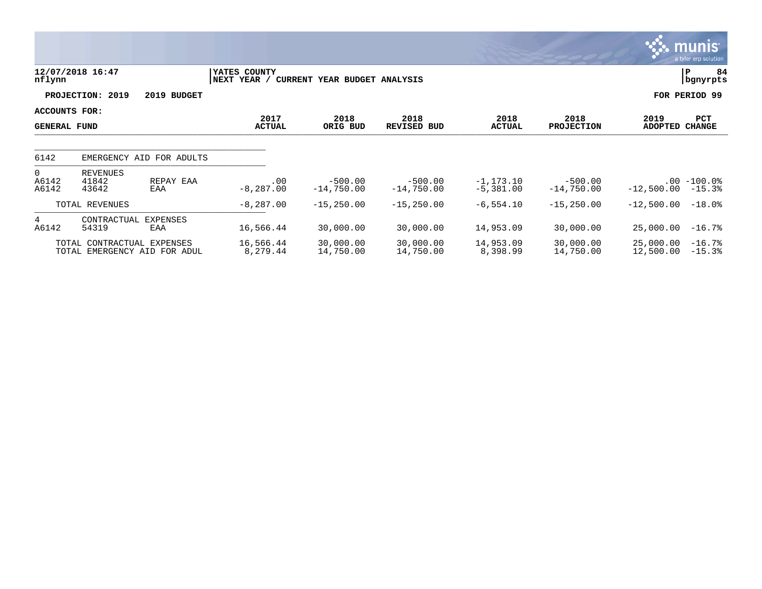|                                      |                                   |                                                            |                              |                              |                            |                             |                           |                        | munis<br>a tyler erp solution |
|--------------------------------------|-----------------------------------|------------------------------------------------------------|------------------------------|------------------------------|----------------------------|-----------------------------|---------------------------|------------------------|-------------------------------|
| nflynn                               | 12/07/2018 16:47                  |                                                            | YATES COUNTY<br> NEXT YEAR / | CURRENT YEAR BUDGET ANALYSIS |                            |                             |                           |                        | P<br>84<br>bgnyrpts           |
|                                      | PROJECTION: 2019                  | 2019 BUDGET                                                |                              |                              |                            |                             |                           |                        | FOR PERIOD 99                 |
| ACCOUNTS FOR:<br><b>GENERAL FUND</b> |                                   |                                                            | 2017<br><b>ACTUAL</b>        | 2018<br>ORIG BUD             | 2018<br><b>REVISED BUD</b> | 2018<br><b>ACTUAL</b>       | 2018<br><b>PROJECTION</b> | 2019<br><b>ADOPTED</b> | <b>PCT</b><br><b>CHANGE</b>   |
| 6142                                 |                                   | EMERGENCY AID FOR ADULTS                                   |                              |                              |                            |                             |                           |                        |                               |
| $\overline{0}$<br>A6142<br>A6142     | <b>REVENUES</b><br>41842<br>43642 | REPAY EAA<br>EAA                                           | .00<br>$-8, 287.00$          | $-500.00$<br>$-14,750.00$    | $-500.00$<br>$-14,750.00$  | $-1, 173.10$<br>$-5,381.00$ | $-500.00$<br>$-14,750.00$ | $-12,500.00$           | $.00 - 100.0$<br>$-15.3%$     |
|                                      | TOTAL REVENUES                    |                                                            | $-8,287.00$                  | $-15, 250.00$                | $-15, 250.00$              | $-6,554.10$                 | $-15, 250.00$             | $-12,500.00$           | $-18.0$ °                     |
| $4^{\circ}$<br>A6142                 | CONTRACTUAL<br>54319              | <b>EXPENSES</b><br>EAA                                     | 16,566.44                    | 30,000.00                    | 30,000.00                  | 14,953.09                   | 30,000.00                 | 25,000.00              | $-16.7%$                      |
|                                      |                                   | TOTAL CONTRACTUAL EXPENSES<br>TOTAL EMERGENCY AID FOR ADUL | 16,566.44<br>8,279.44        | 30,000.00<br>14,750.00       | 30,000.00<br>14,750.00     | 14,953.09<br>8,398.99       | 30,000.00<br>14,750.00    | 25,000.00<br>12,500.00 | $-16.7%$<br>$-15.3%$          |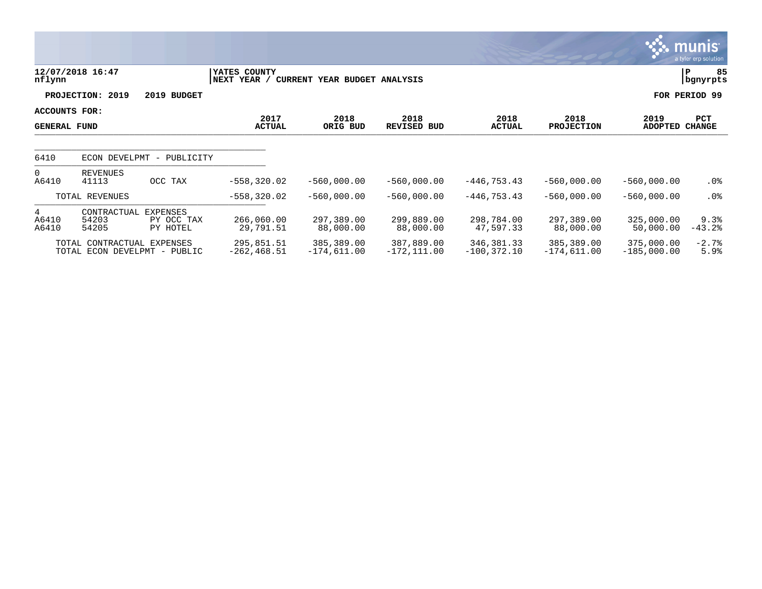|                                      |                                                            |                                       |                                        |                             |                              |                              |                             |                             | <b>munis</b><br>a tyler erp solution |
|--------------------------------------|------------------------------------------------------------|---------------------------------------|----------------------------------------|-----------------------------|------------------------------|------------------------------|-----------------------------|-----------------------------|--------------------------------------|
| nflynn                               | 12/07/2018 16:47                                           |                                       | YATES COUNTY<br>NEXT YEAR /<br>CURRENT | YEAR BUDGET ANALYSIS        |                              |                              |                             |                             | 85<br>P<br>bgnyrpts                  |
|                                      | PROJECTION: 2019                                           | 2019 BUDGET                           |                                        |                             |                              |                              |                             |                             | FOR PERIOD 99                        |
| ACCOUNTS FOR:<br><b>GENERAL FUND</b> |                                                            |                                       | 2017<br><b>ACTUAL</b>                  | 2018<br>ORIG BUD            | 2018<br><b>REVISED BUD</b>   | 2018<br><b>ACTUAL</b>        | 2018<br><b>PROJECTION</b>   | 2019<br><b>ADOPTED</b>      | PCT<br><b>CHANGE</b>                 |
| 6410                                 | ECON DEVELPMT                                              | PUBLICITY<br>$\overline{\phantom{a}}$ |                                        |                             |                              |                              |                             |                             |                                      |
| $\overline{0}$<br>A6410              | <b>REVENUES</b><br>41113                                   | OCC TAX                               | $-558, 320.02$                         | $-560,000.00$               | $-560,000.00$                | $-446, 753.43$               | $-560,000.00$               | $-560,000.00$               | $.0\%$                               |
|                                      | TOTAL REVENUES                                             |                                       | $-558, 320.02$                         | $-560,000.00$               | $-560.000.00$                | $-446, 753.43$               | $-560,000.00$               | $-560,000.00$               | .0 <sub>8</sub>                      |
| 4<br>A6410<br>A6410                  | CONTRACTUAL<br>54203<br>54205                              | EXPENSES<br>PY OCC TAX<br>PY HOTEL    | 266,060.00<br>29,791.51                | 297,389.00<br>88,000.00     | 299,889.00<br>88,000.00      | 298,784.00<br>47,597.33      | 297,389.00<br>88,000.00     | 325,000.00<br>50,000.00     | 9.3%<br>$-43.2%$                     |
|                                      | TOTAL CONTRACTUAL EXPENSES<br>TOTAL ECON DEVELPMT - PUBLIC |                                       | 295,851.51<br>$-262, 468.51$           | 385,389.00<br>$-174,611.00$ | 387,889.00<br>$-172, 111.00$ | 346,381.33<br>$-100, 372.10$ | 385,389.00<br>$-174,611.00$ | 375,000.00<br>$-185,000.00$ | $-2.7%$<br>5.9%                      |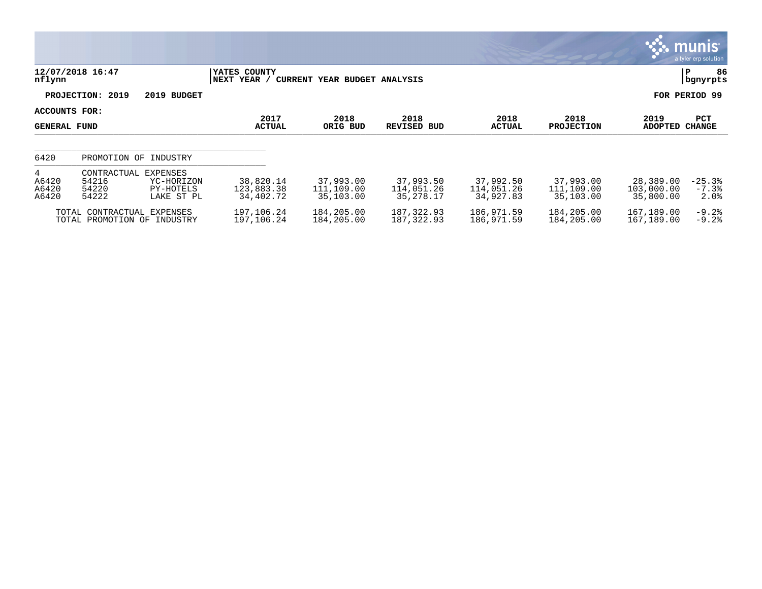|                                      |                                                           |                                                   |                                      |                                      |                                        |                                      |                                      |                                      | <b>munis</b><br>a tyler erp solution |  |
|--------------------------------------|-----------------------------------------------------------|---------------------------------------------------|--------------------------------------|--------------------------------------|----------------------------------------|--------------------------------------|--------------------------------------|--------------------------------------|--------------------------------------|--|
| nflynn                               | 12/07/2018 16:47                                          |                                                   | YATES COUNTY<br>NEXT YEAR /          | CURRENT YEAR BUDGET ANALYSIS         |                                        |                                      |                                      |                                      |                                      |  |
|                                      | PROJECTION: 2019                                          | 2019 BUDGET                                       |                                      |                                      |                                        |                                      |                                      |                                      | FOR PERIOD 99                        |  |
| ACCOUNTS FOR:<br><b>GENERAL FUND</b> |                                                           |                                                   | 2017<br><b>ACTUAL</b>                | 2018<br>ORIG BUD                     | 2018<br><b>REVISED BUD</b>             | 2018<br><b>ACTUAL</b>                | 2018<br><b>PROJECTION</b>            | 2019<br><b>ADOPTED</b>               | PCT<br><b>CHANGE</b>                 |  |
| 6420                                 | PROMOTION OF INDUSTRY                                     |                                                   |                                      |                                      |                                        |                                      |                                      |                                      |                                      |  |
| 4<br>A6420<br>A6420<br>A6420         | CONTRACTUAL<br>54216<br>54220<br>54222                    | EXPENSES<br>YC-HORIZON<br>PY-HOTELS<br>LAKE ST PL | 38,820.14<br>123,883.38<br>34,402.72 | 37,993.00<br>111,109.00<br>35,103.00 | 37,993.50<br>114,051.26<br>35, 278. 17 | 37,992.50<br>114,051.26<br>34,927.83 | 37,993.00<br>111,109.00<br>35,103.00 | 28,389.00<br>103,000.00<br>35,800.00 | $-25.3%$<br>$-7.3%$<br>$2.0\%$       |  |
|                                      | TOTAL CONTRACTUAL EXPENSES<br>TOTAL PROMOTION OF INDUSTRY |                                                   | 197,106.24<br>197,106.24             | 184,205.00<br>184,205.00             | 187,322.93<br>187,322.93               | 186,971.59<br>186,971.59             | 184,205.00<br>184,205.00             | 167,189.00<br>167,189.00             | $-9.2%$<br>$-9.2%$                   |  |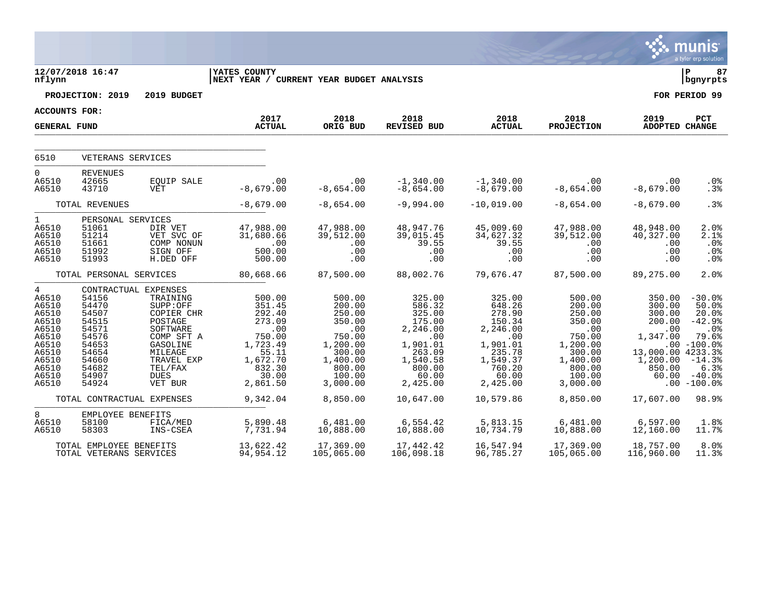|                                                                                                               |                                                                                                                                        |                                                                                                                                                                           |                                                                                                                                     |                                                                                                                                          |                                                                                                                                                   |                                                                                                                                        |                                                                                                                                     |                                                                                                                 | munis<br>a tyler erp solution                                                                                                               |
|---------------------------------------------------------------------------------------------------------------|----------------------------------------------------------------------------------------------------------------------------------------|---------------------------------------------------------------------------------------------------------------------------------------------------------------------------|-------------------------------------------------------------------------------------------------------------------------------------|------------------------------------------------------------------------------------------------------------------------------------------|---------------------------------------------------------------------------------------------------------------------------------------------------|----------------------------------------------------------------------------------------------------------------------------------------|-------------------------------------------------------------------------------------------------------------------------------------|-----------------------------------------------------------------------------------------------------------------|---------------------------------------------------------------------------------------------------------------------------------------------|
| nflynn                                                                                                        | 12/07/2018 16:47                                                                                                                       |                                                                                                                                                                           | YATES COUNTY<br>NEXT YEAR / CURRENT YEAR BUDGET ANALYSIS                                                                            |                                                                                                                                          |                                                                                                                                                   |                                                                                                                                        |                                                                                                                                     |                                                                                                                 | l P<br>87<br>bgnyrpts                                                                                                                       |
|                                                                                                               | PROJECTION: 2019                                                                                                                       | 2019 BUDGET                                                                                                                                                               |                                                                                                                                     |                                                                                                                                          |                                                                                                                                                   |                                                                                                                                        |                                                                                                                                     |                                                                                                                 | FOR PERIOD 99                                                                                                                               |
| <b>ACCOUNTS FOR:</b>                                                                                          |                                                                                                                                        |                                                                                                                                                                           |                                                                                                                                     |                                                                                                                                          |                                                                                                                                                   |                                                                                                                                        |                                                                                                                                     |                                                                                                                 |                                                                                                                                             |
| <b>GENERAL FUND</b>                                                                                           |                                                                                                                                        |                                                                                                                                                                           | 2017<br><b>ACTUAL</b>                                                                                                               | 2018<br>ORIG BUD                                                                                                                         | 2018<br>REVISED BUD                                                                                                                               | 2018<br><b>ACTUAL</b>                                                                                                                  | 2018<br><b>PROJECTION</b>                                                                                                           | 2019<br>ADOPTED CHANGE                                                                                          | PCT                                                                                                                                         |
| 6510                                                                                                          | VETERANS SERVICES                                                                                                                      |                                                                                                                                                                           |                                                                                                                                     |                                                                                                                                          |                                                                                                                                                   |                                                                                                                                        |                                                                                                                                     |                                                                                                                 |                                                                                                                                             |
| $\overline{0}$<br>A6510<br>A6510                                                                              | <b>REVENUES</b><br>42665<br>43710                                                                                                      | EQUIP SALE<br>VET                                                                                                                                                         | .00<br>$-8,679.00$                                                                                                                  | .00<br>$-8,654.00$                                                                                                                       | $-1,340.00$<br>$-8,654.00$                                                                                                                        | -1,340.00<br>-8,679.00                                                                                                                 | $.00\,$<br>$-8,654.00$                                                                                                              | .00<br>$-8,679.00$                                                                                              | .0%<br>.3%                                                                                                                                  |
|                                                                                                               | TOTAL REVENUES                                                                                                                         |                                                                                                                                                                           | $-8,679.00$                                                                                                                         | $-8,654.00$                                                                                                                              | $-9,994.00$                                                                                                                                       | $-10,019.00$                                                                                                                           | $-8,654.00$                                                                                                                         | $-8,679.00$                                                                                                     | .3%                                                                                                                                         |
| $\mathbf{1}$<br>A6510<br>A6510<br>A6510<br>A6510<br>A6510                                                     | PERSONAL SERVICES<br>51061<br>51214<br>51661<br>51992<br>51993                                                                         | DIR VET<br>VET SVC OF<br>COMP NONUN<br>SIGN OFF<br>H.DED OFF                                                                                                              | 47,988.00<br>31,680.66<br>500.00<br>500.00                                                                                          | 47,988.00<br>39,512.00<br>.00<br>.00<br>.00                                                                                              | 48,947.76<br>39,015.45<br>39.55<br>.00<br>.00                                                                                                     | 45,009.60<br>34,627.32<br>39.55<br>.00<br>.00                                                                                          | 47,988.00<br>39,512.00<br>$.00 \,$<br>.00<br>.00                                                                                    | 48,948.00<br>40,327.00<br>.00<br>.00<br>.00                                                                     | 2.0%<br>2.1%<br>.0%<br>.0%<br>.0 <sub>8</sub>                                                                                               |
|                                                                                                               | TOTAL PERSONAL SERVICES                                                                                                                |                                                                                                                                                                           | 80,668.66                                                                                                                           | 87,500.00                                                                                                                                | 88,002.76                                                                                                                                         | 79,676.47                                                                                                                              | 87,500.00                                                                                                                           | 89,275.00                                                                                                       | 2.0%                                                                                                                                        |
| 4<br>A6510<br>A6510<br>A6510<br>A6510<br>A6510<br>A6510<br>A6510<br>A6510<br>A6510<br>A6510<br>A6510<br>A6510 | 54156<br>54470<br>54507<br>54515<br>54571<br>54576<br>54653<br>54654<br>54660<br>54682<br>54907<br>54924<br>TOTAL CONTRACTUAL EXPENSES | CONTRACTUAL EXPENSES<br>TRAINING<br>SUPP:OFF<br>COPIER CHR<br>POSTAGE<br>SOFTWARE<br>COMP SFT A<br>GASOLINE<br>MILEAGE<br>TRAVEL EXP<br>TEL/FAX<br><b>DUES</b><br>VET BUR | 500.00<br>351.45<br>292.40<br>273.09<br>.00<br>750.00<br>1,723.49<br>55.11<br>1,672.70<br>$832.30$<br>30.00<br>2,861.50<br>9,342.04 | 500.00<br>200.00<br>250.00<br>350.00<br>$\,$ .00<br>750.00<br>1,200.00<br>300.00<br>1,400.00<br>800.00<br>100.00<br>3,000.00<br>8,850.00 | 325.00<br>586.32<br>325.00<br>175.00<br>2,246.00<br>$\overline{00}$<br>1,901.01<br>263.09<br>1,540.58<br>800.00<br>60.00<br>2,425.00<br>10,647.00 | 325.00<br>648.26<br>278.90<br>150.34<br>2, 246.00<br>.00<br>1,901.01<br>235.78<br>1,549.37<br>760.20<br>60.00<br>2,425.00<br>10,579.86 | 500.00<br>200.00<br>250.00<br>350.00<br>.00<br>750.00<br>1,200.00<br>300.00<br>1,400.00<br>800.00<br>100.00<br>3,000.00<br>8,850.00 | 350.00<br>300.00<br>300.00<br>200.00<br>.00<br>1,347.00<br>13,000.00 4233.3%<br>1,200.00<br>850.00<br>17,607.00 | $-30.0%$<br>50.0%<br>20.0%<br>$-42.9%$<br>$.0\%$<br>79.6%<br>$.00 - 100.0$<br>$-14.3%$<br>6.3%<br>$60.00 - 40.0$<br>$.00 - 100.08$<br>98.9% |
| 8<br>A6510<br>A6510                                                                                           | EMPLOYEE BENEFITS<br>58100<br>58303                                                                                                    | FICA/MED<br>INS-CSEA                                                                                                                                                      | 5,890.48<br>7,731.94                                                                                                                | 6,481.00<br>10,888.00                                                                                                                    | 6,554.42<br>10,888.00                                                                                                                             | 5,813.15<br>10,734.79                                                                                                                  | 6,481.00<br>10,888.00                                                                                                               | 6,597.00<br>12,160.00                                                                                           | 1.8%<br>11.7%                                                                                                                               |
|                                                                                                               | TOTAL EMPLOYEE BENEFITS<br>TOTAL VETERANS SERVICES                                                                                     |                                                                                                                                                                           | 13,622.42<br>94,954.12                                                                                                              | 17,369.00<br>105,065.00                                                                                                                  | 17,442.42<br>106,098.18                                                                                                                           | 16,547.94<br>96,785.27                                                                                                                 | 17,369.00<br>105,065.00                                                                                                             | 18,757.00<br>116,960.00                                                                                         | 8.0%<br>11.3%                                                                                                                               |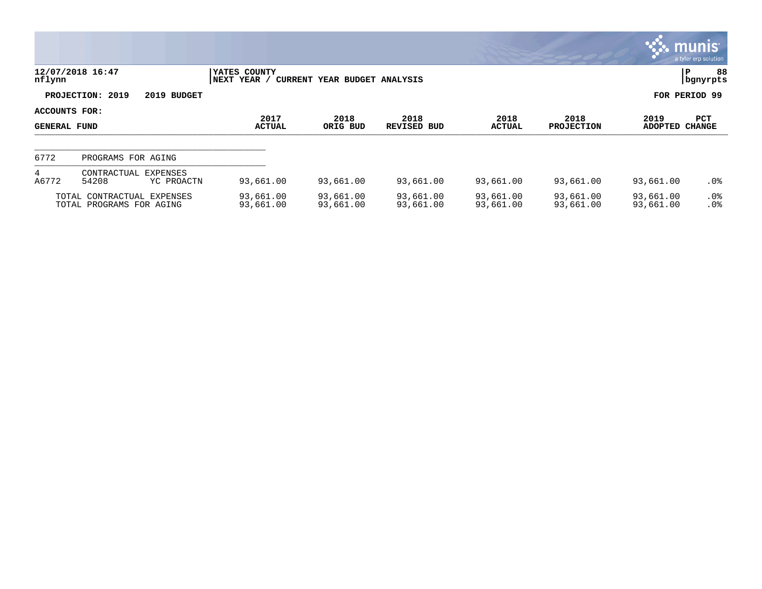|                                      |                                                        |                             |                              |                        |                        |                           |                        | <u>ርጉ munis l</u><br>a tyler erp solution |  |
|--------------------------------------|--------------------------------------------------------|-----------------------------|------------------------------|------------------------|------------------------|---------------------------|------------------------|-------------------------------------------|--|
| nflynn                               | 12/07/2018 16:47                                       | YATES COUNTY<br>NEXT YEAR / | CURRENT YEAR BUDGET ANALYSIS |                        |                        |                           |                        | 88<br>P<br>  bgnyrpts                     |  |
|                                      | PROJECTION: 2019<br>2019 BUDGET                        |                             |                              |                        |                        |                           |                        | FOR PERIOD 99                             |  |
| ACCOUNTS FOR:<br><b>GENERAL FUND</b> |                                                        | 2017<br><b>ACTUAL</b>       | 2018<br>ORIG BUD             | 2018<br>REVISED BUD    | 2018<br><b>ACTUAL</b>  | 2018<br><b>PROJECTION</b> | 2019<br><b>ADOPTED</b> | PCT<br><b>CHANGE</b>                      |  |
| 6772                                 | PROGRAMS FOR AGING                                     |                             |                              |                        |                        |                           |                        |                                           |  |
| 4<br>A6772                           | CONTRACTUAL EXPENSES<br>54208<br>YC PROACTN            | 93,661.00                   | 93,661.00                    | 93,661.00              | 93,661.00              | 93,661.00                 | 93,661.00              | $.0\%$                                    |  |
|                                      | TOTAL CONTRACTUAL EXPENSES<br>TOTAL PROGRAMS FOR AGING | 93,661.00<br>93,661.00      | 93,661.00<br>93,661.00       | 93,661.00<br>93,661.00 | 93,661.00<br>93,661.00 | 93,661.00<br>93,661.00    | 93,661.00<br>93,661.00 | $.0\%$<br>.0%                             |  |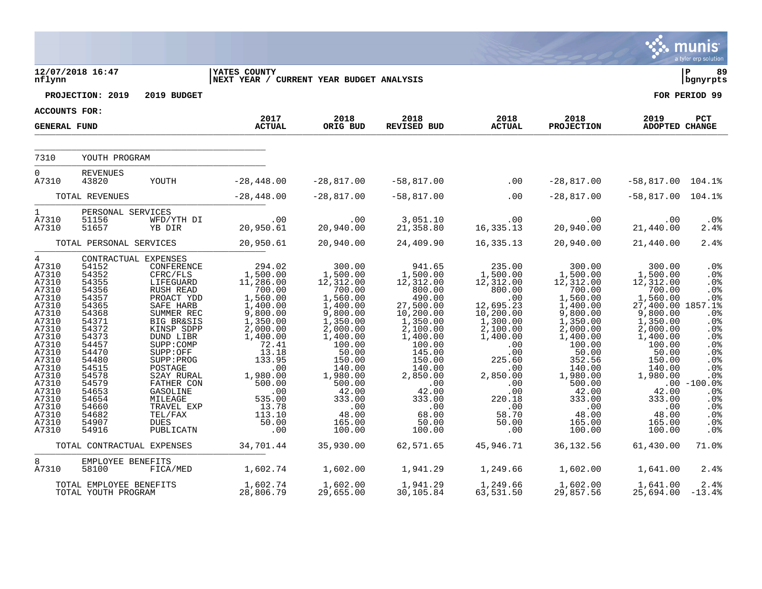|                                                                                                                                                                                                                  |                                                                                                                                                                                                                            |                                                                                                                                                                                                                                                                                                          |                                                                                                                                                                                                                                                              |                                                                                                                                                                                                                                       |                                                                                                                                                                                                                                                           |                                                                                                                                                                                                                                              |                                                                                                                                                                                                                                             |                                                                                                                                                                                                                                          | munis<br>a tyler erp solution                                                                                                                       |
|------------------------------------------------------------------------------------------------------------------------------------------------------------------------------------------------------------------|----------------------------------------------------------------------------------------------------------------------------------------------------------------------------------------------------------------------------|----------------------------------------------------------------------------------------------------------------------------------------------------------------------------------------------------------------------------------------------------------------------------------------------------------|--------------------------------------------------------------------------------------------------------------------------------------------------------------------------------------------------------------------------------------------------------------|---------------------------------------------------------------------------------------------------------------------------------------------------------------------------------------------------------------------------------------|-----------------------------------------------------------------------------------------------------------------------------------------------------------------------------------------------------------------------------------------------------------|----------------------------------------------------------------------------------------------------------------------------------------------------------------------------------------------------------------------------------------------|---------------------------------------------------------------------------------------------------------------------------------------------------------------------------------------------------------------------------------------------|------------------------------------------------------------------------------------------------------------------------------------------------------------------------------------------------------------------------------------------|-----------------------------------------------------------------------------------------------------------------------------------------------------|
| nflynn                                                                                                                                                                                                           | 12/07/2018 16:47                                                                                                                                                                                                           |                                                                                                                                                                                                                                                                                                          | <b>YATES COUNTY</b><br>NEXT YEAR / CURRENT YEAR BUDGET ANALYSIS                                                                                                                                                                                              |                                                                                                                                                                                                                                       |                                                                                                                                                                                                                                                           |                                                                                                                                                                                                                                              |                                                                                                                                                                                                                                             |                                                                                                                                                                                                                                          | l P<br>89<br>  bgnyrpts                                                                                                                             |
|                                                                                                                                                                                                                  | PROJECTION: 2019                                                                                                                                                                                                           | 2019 BUDGET                                                                                                                                                                                                                                                                                              |                                                                                                                                                                                                                                                              |                                                                                                                                                                                                                                       |                                                                                                                                                                                                                                                           |                                                                                                                                                                                                                                              |                                                                                                                                                                                                                                             |                                                                                                                                                                                                                                          | FOR PERIOD 99                                                                                                                                       |
| ACCOUNTS FOR:                                                                                                                                                                                                    |                                                                                                                                                                                                                            |                                                                                                                                                                                                                                                                                                          |                                                                                                                                                                                                                                                              |                                                                                                                                                                                                                                       |                                                                                                                                                                                                                                                           |                                                                                                                                                                                                                                              |                                                                                                                                                                                                                                             |                                                                                                                                                                                                                                          |                                                                                                                                                     |
| <b>GENERAL FUND</b>                                                                                                                                                                                              |                                                                                                                                                                                                                            |                                                                                                                                                                                                                                                                                                          | 2017<br><b>ACTUAL</b>                                                                                                                                                                                                                                        | 2018<br>ORIG BUD                                                                                                                                                                                                                      | 2018<br>REVISED BUD                                                                                                                                                                                                                                       | 2018<br><b>ACTUAL</b>                                                                                                                                                                                                                        | 2018<br><b>PROJECTION</b>                                                                                                                                                                                                                   | 2019<br>ADOPTED CHANGE                                                                                                                                                                                                                   | PCT                                                                                                                                                 |
| 7310                                                                                                                                                                                                             | YOUTH PROGRAM                                                                                                                                                                                                              |                                                                                                                                                                                                                                                                                                          |                                                                                                                                                                                                                                                              |                                                                                                                                                                                                                                       |                                                                                                                                                                                                                                                           |                                                                                                                                                                                                                                              |                                                                                                                                                                                                                                             |                                                                                                                                                                                                                                          |                                                                                                                                                     |
| $0 \qquad \qquad$<br>A7310                                                                                                                                                                                       | <b>REVENUES</b><br>43820                                                                                                                                                                                                   | YOUTH                                                                                                                                                                                                                                                                                                    | $-28,448.00$                                                                                                                                                                                                                                                 | $-28,817.00$                                                                                                                                                                                                                          | -58,817.00                                                                                                                                                                                                                                                | $\sim$ 00                                                                                                                                                                                                                                    | $-28,817.00$                                                                                                                                                                                                                                | $-58,817.00$ 104.1%                                                                                                                                                                                                                      |                                                                                                                                                     |
|                                                                                                                                                                                                                  | TOTAL REVENUES                                                                                                                                                                                                             |                                                                                                                                                                                                                                                                                                          | $-28,448.00$                                                                                                                                                                                                                                                 | $-28,817.00$                                                                                                                                                                                                                          | $-58,817.00$                                                                                                                                                                                                                                              | .00                                                                                                                                                                                                                                          | $-28,817.00$                                                                                                                                                                                                                                | $-58,817.00$ 104.1%                                                                                                                                                                                                                      |                                                                                                                                                     |
| 1<br>A7310<br>A7310                                                                                                                                                                                              | PERSONAL SERVICES<br>51156<br>51657                                                                                                                                                                                        | WFD/YTH DI<br>YB DIR                                                                                                                                                                                                                                                                                     | $00 \cdot 20 \cdot 00$<br>20,950.61                                                                                                                                                                                                                          | .00<br>20,940.00                                                                                                                                                                                                                      | 3,051.10<br>21,358.80                                                                                                                                                                                                                                     | .00<br>16,335.13                                                                                                                                                                                                                             | .00<br>20,940.00                                                                                                                                                                                                                            | .00<br>21,440.00                                                                                                                                                                                                                         | $.0\%$<br>2.4%                                                                                                                                      |
|                                                                                                                                                                                                                  | TOTAL PERSONAL SERVICES                                                                                                                                                                                                    |                                                                                                                                                                                                                                                                                                          | 20,950.61                                                                                                                                                                                                                                                    | 20,940.00                                                                                                                                                                                                                             | 24,409.90                                                                                                                                                                                                                                                 | 16,335.13                                                                                                                                                                                                                                    | 20,940.00                                                                                                                                                                                                                                   | 21,440.00                                                                                                                                                                                                                                | 2.4%                                                                                                                                                |
| $4\degree$<br>A7310<br>A7310<br>A7310<br>A7310<br>A7310<br>A7310<br>A7310<br>A7310<br>A7310<br>A7310<br>A7310<br>A7310<br>A7310<br>A7310<br>A7310<br>A7310<br>A7310<br>A7310<br>A7310<br>A7310<br>A7310<br>A7310 | CONTRACTUAL EXPENSES<br>54152<br>54352<br>54355<br>54356<br>54357<br>54365<br>54368<br>54371<br>54372<br>54373<br>54457<br>54470<br>54480<br>54515<br>54578<br>54579<br>54653<br>54654<br>54660<br>54682<br>54907<br>54916 | CONFERENCE<br>CFRC/FLS<br>LIFEGUARD<br>RUSH READ<br>PROACT YDD<br>SAFE HARB<br>SUMMER REC<br><b>BIG BR&amp;SIS</b><br>KINSP SDPP<br>DUND LIBR<br>SUPP: COMP<br>SUPP:OFF<br>SUPP: PROG<br>POSTAGE<br>S2AY RURAL<br>FATHER CON<br>GASOLINE<br>MILEAGE<br>TRAVEL EXP<br>TEL/FAX<br><b>DUES</b><br>PUBLICATN | $294.02$<br>1,500.00<br>11,286.00<br>700.00<br>1,560.00<br>$\overline{1}$ , 400.00<br>9,800.00<br>1,350.00<br>2,000.00<br>1,400.00<br>72.41<br>13.18<br>133.95<br>.00<br>1,980.00<br>500.00<br>.00<br>535.00<br>13.78<br>$1\overline{13}.10$<br>50.00<br>.00 | 300.00<br>1,500.00<br>12,312.00<br>700.00<br>1,560.00<br>1,400.00<br>9,800.00<br>1,350.00<br>2,000.00<br>1,400.00<br>100.00<br>50.00<br>150.00<br>140.00<br>1,980.00<br>500.00<br>42.00<br>333.00<br>.00<br>48.00<br>165.00<br>100.00 | 941.65<br>1,500.00<br>12,312.00<br>800.00<br>$490.00$<br>27,500.00<br>10, 200.00<br>$\frac{1}{2}$ , 350.00<br>2, 100.00<br>1,400.00<br>100.00<br>145.00<br>150.00<br>140.00<br>2,850.00<br>$\ddots$<br>42.00<br>333.00<br>.00<br>68.00<br>50.00<br>100.00 | $235.00$<br>1,500.00<br>12,312.00<br>800.00<br>$.00$<br>12,695.23<br>10, 200.00<br>$\frac{1}{2}$ , 300.00<br>2, 100.00<br>1,400.00<br>.00<br>.00<br>225.60<br>$\cdot$ 00<br>2,850.00<br>.00<br>.00<br>220.18<br>.00<br>58.70<br>50.00<br>.00 | 300.00<br>1,500.00<br>12,312.00<br>700.00<br>$1,560.00$<br>$1,400.00$<br>9,800.00<br>$1,350.00$<br>2,000.00<br>1,400.00<br>100.00<br>50.00<br>352.56<br>140.00<br>1,980.00<br>500.00<br>42.00<br>333.00<br>.00<br>48.00<br>165.00<br>100.00 | 300.00<br>1,500.00<br>12,312.00<br>700.00<br>1,560.00 .0%<br>27,400.00 1857.1%<br>9,800.00<br>1,350.00<br>2,000.00<br>1,400.00<br>100.00<br>50.00<br>150.00<br>140.00<br>1,980.00<br>42.00<br>333.00<br>.00<br>48.00<br>165.00<br>100.00 | .0%<br>.0%<br>.0%<br>.0%<br>.0%<br>.0%<br>.0%<br>.0%<br>.0%<br>.0%<br>.0%<br>.0%<br>.0%<br>$.00 - 100.08$<br>.0%<br>.0%<br>.0%<br>.0%<br>.0%<br>.0% |
|                                                                                                                                                                                                                  | TOTAL CONTRACTUAL EXPENSES                                                                                                                                                                                                 |                                                                                                                                                                                                                                                                                                          | 34,701.44                                                                                                                                                                                                                                                    | 35,930.00                                                                                                                                                                                                                             | 62,571.65                                                                                                                                                                                                                                                 | 45,946.71                                                                                                                                                                                                                                    | 36, 132.56                                                                                                                                                                                                                                  | 61,430.00                                                                                                                                                                                                                                | 71.0%                                                                                                                                               |
| 8<br>A7310                                                                                                                                                                                                       | EMPLOYEE BENEFITS<br>58100                                                                                                                                                                                                 | FICA/MED                                                                                                                                                                                                                                                                                                 | 1,602.74                                                                                                                                                                                                                                                     | 1,602.00                                                                                                                                                                                                                              | 1,941.29                                                                                                                                                                                                                                                  | 1,249.66                                                                                                                                                                                                                                     | 1,602.00                                                                                                                                                                                                                                    | 1,641.00                                                                                                                                                                                                                                 | 2.4%                                                                                                                                                |
|                                                                                                                                                                                                                  | TOTAL EMPLOYEE BENEFITS<br>TOTAL YOUTH PROGRAM                                                                                                                                                                             |                                                                                                                                                                                                                                                                                                          | 1,602.74<br>28,806.79                                                                                                                                                                                                                                        | 1,602.00<br>29,655.00                                                                                                                                                                                                                 | 1,941.29<br>30,105.84                                                                                                                                                                                                                                     | 1,249.66<br>63,531.50                                                                                                                                                                                                                        | 1,602.00<br>29,857.56                                                                                                                                                                                                                       | 1,641.00<br>25,694.00                                                                                                                                                                                                                    | 2.4%<br>$-13.4%$                                                                                                                                    |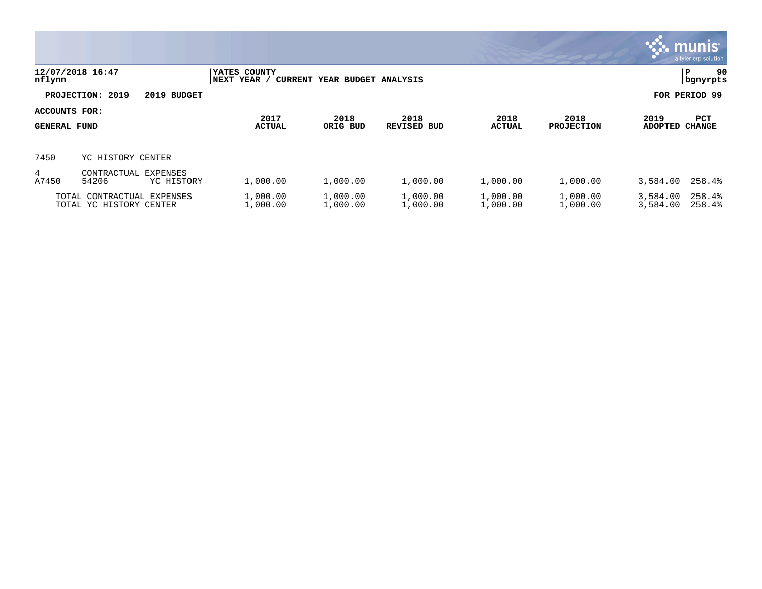|                                      |                                                       |                             |                              |                            |                       |                           |                        | <b>W. munis</b><br>a tyler erp solution |
|--------------------------------------|-------------------------------------------------------|-----------------------------|------------------------------|----------------------------|-----------------------|---------------------------|------------------------|-----------------------------------------|
| nflynn                               | 12/07/2018 16:47                                      | YATES COUNTY<br>NEXT YEAR / | CURRENT YEAR BUDGET ANALYSIS |                            |                       |                           |                        | 90<br> P<br>  bgnyrpts                  |
|                                      | PROJECTION: 2019<br>2019 BUDGET                       |                             |                              |                            |                       |                           |                        | FOR PERIOD 99                           |
| ACCOUNTS FOR:<br><b>GENERAL FUND</b> |                                                       | 2017<br><b>ACTUAL</b>       | 2018<br>ORIG BUD             | 2018<br><b>REVISED BUD</b> | 2018<br><b>ACTUAL</b> | 2018<br><b>PROJECTION</b> | 2019<br><b>ADOPTED</b> | <b>PCT</b><br>CHANGE                    |
| 7450                                 | YC HISTORY CENTER                                     |                             |                              |                            |                       |                           |                        |                                         |
| 4<br>A7450                           | <b>EXPENSES</b><br>CONTRACTUAL<br>54206<br>YC HISTORY | 1,000.00                    | 1,000.00                     | 1,000.00                   | 1,000.00              | 1,000.00                  | 3,584.00               | 258.4%                                  |
|                                      | TOTAL CONTRACTUAL EXPENSES<br>TOTAL YC HISTORY CENTER | 1,000.00<br>1,000.00        | 1,000.00<br>1,000.00         | 1,000.00<br>1,000.00       | 1,000.00<br>1,000.00  | 1,000.00<br>1,000.00      | 3,584.00<br>3,584.00   | 258.4%<br>258.4%                        |

**COL**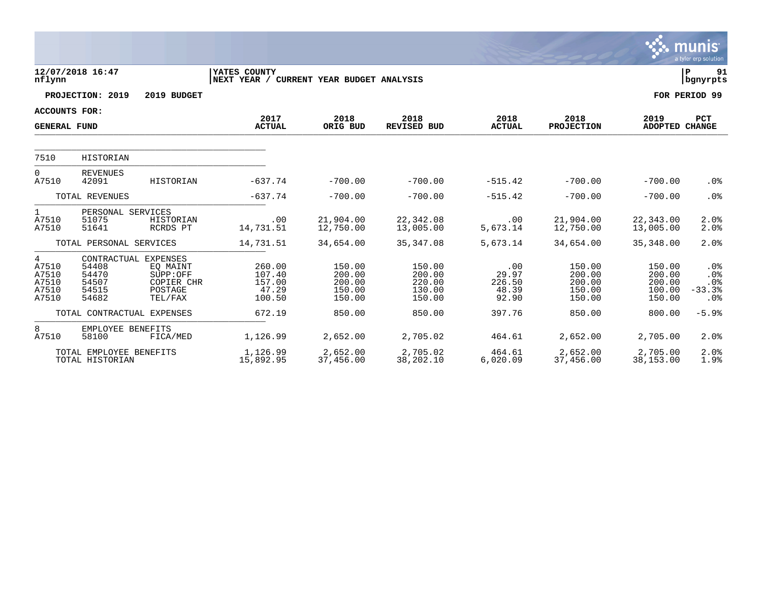|                                                |                                                                   |                                                          |                                                          |                                                |                                                |                                          |                                                |                                                | munıs<br>a tyler erp solution           |
|------------------------------------------------|-------------------------------------------------------------------|----------------------------------------------------------|----------------------------------------------------------|------------------------------------------------|------------------------------------------------|------------------------------------------|------------------------------------------------|------------------------------------------------|-----------------------------------------|
| nflynn                                         | 12/07/2018 16:47                                                  |                                                          | YATES COUNTY<br>NEXT YEAR / CURRENT YEAR BUDGET ANALYSIS |                                                |                                                |                                          |                                                |                                                | lР<br>91<br>  bgnyrpts                  |
|                                                | PROJECTION: 2019                                                  | 2019 BUDGET                                              |                                                          |                                                |                                                |                                          |                                                |                                                | FOR PERIOD 99                           |
| <b>ACCOUNTS FOR:</b>                           |                                                                   |                                                          |                                                          |                                                |                                                |                                          |                                                |                                                |                                         |
| <b>GENERAL FUND</b>                            |                                                                   |                                                          | 2017<br><b>ACTUAL</b>                                    | 2018<br>ORIG BUD                               | 2018<br><b>REVISED BUD</b>                     | 2018<br><b>ACTUAL</b>                    | 2018<br><b>PROJECTION</b>                      | 2019<br>ADOPTED CHANGE                         | <b>PCT</b>                              |
| 7510                                           | <b>HISTORIAN</b>                                                  |                                                          |                                                          |                                                |                                                |                                          |                                                |                                                |                                         |
| 0<br>A7510                                     | <b>REVENUES</b><br>42091                                          | HISTORIAN                                                | $-637.74$                                                | $-700.00$                                      | $-700.00$                                      | $-515.42$                                | $-700.00$                                      | $-700.00$                                      | .0%                                     |
|                                                | TOTAL REVENUES                                                    |                                                          | $-637.74$                                                | $-700.00$                                      | $-700.00$                                      | $-515.42$                                | $-700.00$                                      | $-700.00$                                      | .0%                                     |
| 1<br>A7510<br>A7510                            | PERSONAL SERVICES<br>51075<br>51641                               | HISTORIAN<br>RCRDS PT                                    | .00<br>14,731.51                                         | 21,904.00<br>12,750.00                         | 22,342.08<br>13,005.00                         | .00<br>5,673.14                          | 21,904.00<br>12,750.00                         | 22,343.00<br>13,005.00                         | 2.0%<br>2.0%                            |
|                                                | TOTAL PERSONAL SERVICES                                           |                                                          | 14,731.51                                                | 34,654.00                                      | 35, 347.08                                     | 5,673.14                                 | 34,654.00                                      | 35, 348.00                                     | 2.0%                                    |
| 4<br>A7510<br>A7510<br>A7510<br>A7510<br>A7510 | CONTRACTUAL EXPENSES<br>54408<br>54470<br>54507<br>54515<br>54682 | EO MAINT<br>SUPP:OFF<br>COPIER CHR<br>POSTAGE<br>TEL/FAX | 260.00<br>107.40<br>157.00<br>47.29<br>100.50            | 150.00<br>200.00<br>200.00<br>150.00<br>150.00 | 150.00<br>200.00<br>220.00<br>130.00<br>150.00 | .00<br>29.97<br>226.50<br>48.39<br>92.90 | 150.00<br>200.00<br>200.00<br>150.00<br>150.00 | 150.00<br>200.00<br>200.00<br>100.00<br>150.00 | $.0\%$<br>.0%<br>.0%<br>$-33.3%$<br>.0% |
|                                                | TOTAL CONTRACTUAL EXPENSES                                        |                                                          | 672.19                                                   | 850.00                                         | 850.00                                         | 397.76                                   | 850.00                                         | 800.00                                         | $-5.9%$                                 |
| 8<br>A7510                                     | EMPLOYEE BENEFITS<br>58100                                        | FICA/MED                                                 | 1,126.99                                                 | 2,652.00                                       | 2,705.02                                       | 464.61                                   | 2,652.00                                       | 2,705.00                                       | 2.0%                                    |
|                                                | TOTAL EMPLOYEE BENEFITS<br>TOTAL HISTORIAN                        |                                                          | 1,126.99<br>15,892.95                                    | 2,652.00<br>37,456.00                          | 2,705.02<br>38,202.10                          | 464.61<br>6,020.09                       | 2,652.00<br>37,456.00                          | 2,705.00<br>38,153.00                          | 2.0%<br>1.9%                            |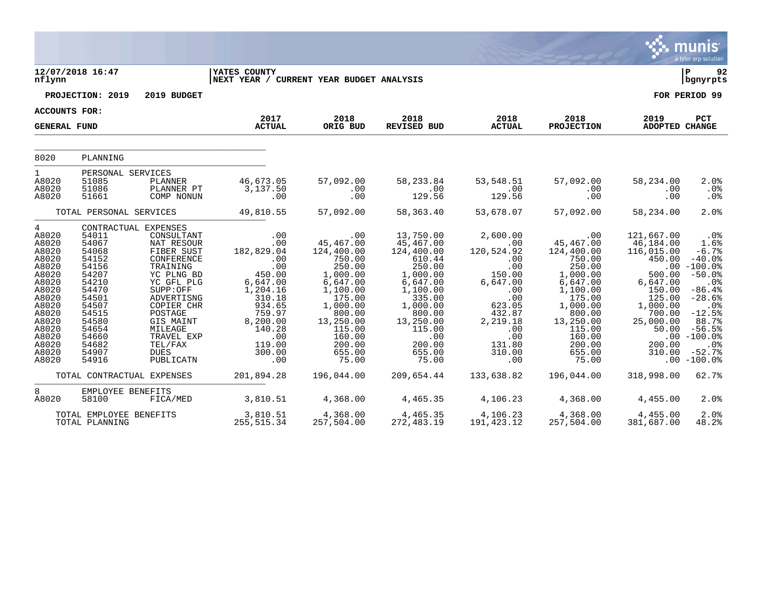|                                                                                                                                                                          |                                                                                                                                                                                                                               |                                                                                                                                                                              |                                                                                                                                                                    |                                                                                                                                                                                      |                                                                                                                                                                                          |                                                                                                                                                          |                                                                                                                                                                                      |                                                                                                                                                           | munis<br>a tyler erp solution                                                                                                                                                                   |
|--------------------------------------------------------------------------------------------------------------------------------------------------------------------------|-------------------------------------------------------------------------------------------------------------------------------------------------------------------------------------------------------------------------------|------------------------------------------------------------------------------------------------------------------------------------------------------------------------------|--------------------------------------------------------------------------------------------------------------------------------------------------------------------|--------------------------------------------------------------------------------------------------------------------------------------------------------------------------------------|------------------------------------------------------------------------------------------------------------------------------------------------------------------------------------------|----------------------------------------------------------------------------------------------------------------------------------------------------------|--------------------------------------------------------------------------------------------------------------------------------------------------------------------------------------|-----------------------------------------------------------------------------------------------------------------------------------------------------------|-------------------------------------------------------------------------------------------------------------------------------------------------------------------------------------------------|
| nflynn                                                                                                                                                                   | 12/07/2018 16:47                                                                                                                                                                                                              |                                                                                                                                                                              | YATES COUNTY<br>NEXT YEAR / CURRENT YEAR BUDGET ANALYSIS                                                                                                           |                                                                                                                                                                                      |                                                                                                                                                                                          |                                                                                                                                                          |                                                                                                                                                                                      |                                                                                                                                                           | l P<br>92<br>bgnyrpts                                                                                                                                                                           |
|                                                                                                                                                                          | PROJECTION: 2019                                                                                                                                                                                                              | 2019 BUDGET                                                                                                                                                                  |                                                                                                                                                                    |                                                                                                                                                                                      |                                                                                                                                                                                          |                                                                                                                                                          |                                                                                                                                                                                      |                                                                                                                                                           | FOR PERIOD 99                                                                                                                                                                                   |
| <b>ACCOUNTS FOR:</b>                                                                                                                                                     |                                                                                                                                                                                                                               |                                                                                                                                                                              |                                                                                                                                                                    |                                                                                                                                                                                      |                                                                                                                                                                                          |                                                                                                                                                          |                                                                                                                                                                                      |                                                                                                                                                           |                                                                                                                                                                                                 |
| <b>GENERAL FUND</b>                                                                                                                                                      |                                                                                                                                                                                                                               |                                                                                                                                                                              | 2017<br><b>ACTUAL</b>                                                                                                                                              | 2018<br>ORIG BUD                                                                                                                                                                     | 2018<br>REVISED BUD                                                                                                                                                                      | 2018<br><b>ACTUAL</b>                                                                                                                                    | 2018<br><b>PROJECTION</b>                                                                                                                                                            | 2019<br><b>ADOPTED CHANGE</b>                                                                                                                             | PCT                                                                                                                                                                                             |
| 8020                                                                                                                                                                     | PLANNING                                                                                                                                                                                                                      |                                                                                                                                                                              |                                                                                                                                                                    |                                                                                                                                                                                      |                                                                                                                                                                                          |                                                                                                                                                          |                                                                                                                                                                                      |                                                                                                                                                           |                                                                                                                                                                                                 |
| $1 \quad$<br>A8020<br>A8020<br>A8020                                                                                                                                     | PERSONAL SERVICES<br>51085<br>PLANNER<br>51086<br>51661                                                                                                                                                                       | PLANNER PT<br>COMP NONUN                                                                                                                                                     | 46,673.05<br>3,137.50<br>.00                                                                                                                                       | 57,092.00<br>.00<br>.00                                                                                                                                                              | 58, 233.84<br>.00<br>129.56                                                                                                                                                              | 53,548.51<br>.00<br>129.56                                                                                                                               | 57,092.00<br>.00<br>.00                                                                                                                                                              | 58,234.00<br>.00<br>.00                                                                                                                                   | 2.0%<br>.0%<br>.0%                                                                                                                                                                              |
|                                                                                                                                                                          | TOTAL PERSONAL SERVICES                                                                                                                                                                                                       |                                                                                                                                                                              | 49,810.55                                                                                                                                                          | 57,092.00                                                                                                                                                                            | 58,363.40                                                                                                                                                                                | 53,678.07                                                                                                                                                | 57,092.00                                                                                                                                                                            | 58,234.00                                                                                                                                                 | 2.0%                                                                                                                                                                                            |
| $4\overline{ }$<br>A8020<br>A8020<br>A8020<br>A8020<br>A8020<br>A8020<br>A8020<br>A8020<br>A8020<br>A8020<br>A8020<br>A8020<br>A8020<br>A8020<br>A8020<br>A8020<br>A8020 | CONTRACTUAL EXPENSES<br>54011<br>54067<br>54068<br>54152<br>54156<br>54207<br>54210<br>54470<br>54501<br>54507<br>54515<br>POSTAGE<br>54580<br>54654<br>MILEAGE<br>54660<br>TEL/FAX<br>54682<br><b>DUES</b><br>54907<br>54916 | CONSULTANT<br>NAT RESOUR<br>FIBER SUST<br>CONFERENCE<br>TRAINING<br>YC PLNG BD<br>YC GFL PLG<br>SUPP:OFF<br>ADVERTISNG<br>COPIER CHR<br>GIS MAINT<br>TRAVEL EXP<br>PUBLICATN | .00<br>.00<br>182,829.04<br>.00<br>.00<br>450.00<br>$6,647.00$<br>$1,204.16$<br>310.18<br>934.65<br>759.97<br>8,200.00<br>140.28<br>.00<br>119.00<br>300.00<br>.00 | .00<br>45,467.00<br>124,400.00<br>750.00<br>250.00<br>1,000.00<br>6,647.00<br>1,100.00<br>175.00<br>1,000.00<br>800.00<br>13,250.00<br>115.00<br>160.00<br>200.00<br>655.00<br>75.00 | 13,750.00<br>45, 467.00<br>124,400.00<br>610.44<br>250.00<br>1,000.00<br>6,647.00<br>1,100.00<br>335.00<br>1,000.00<br>800.00<br>13,250.00<br>115.00<br>.00<br>200.00<br>655.00<br>75.00 | 2,600.00<br>.00<br>120,524.92<br>.00<br>.00<br>150.00<br>6,647.00<br>.00<br>.00<br>623.05<br>432.87<br>2,219.18<br>.00<br>.00<br>131.80<br>310.00<br>.00 | .00<br>45,467.00<br>124,400.00<br>750.00<br>250.00<br>1,000.00<br>6,647.00<br>1,100.00<br>175.00<br>1,000.00<br>800.00<br>13,250.00<br>115.00<br>160.00<br>200.00<br>655.00<br>75.00 | 121,667.00<br>46,184.00<br>116,015.00<br>450.00<br>500.00<br>6,647.00<br>150.00<br>125.00<br>1,000.00<br>700.00<br>25,000.00<br>50.00<br>200.00<br>310.00 | .0%<br>1.6%<br>$-6.7%$<br>$-40.0%$<br>$.00 - 100.0$<br>$-50.0%$<br>$.0\%$<br>$-86.4%$<br>$-28.6%$<br>.0%<br>$-12.5%$<br>88.7%<br>$-56.5%$<br>$.00 - 100.0$<br>.0%<br>$-52.7%$<br>$.00 - 100.0%$ |
|                                                                                                                                                                          | TOTAL CONTRACTUAL EXPENSES                                                                                                                                                                                                    |                                                                                                                                                                              | 201,894.28                                                                                                                                                         | 196,044.00                                                                                                                                                                           | 209,654.44                                                                                                                                                                               | 133,638.82                                                                                                                                               | 196,044.00                                                                                                                                                                           | 318,998.00                                                                                                                                                | 62.7%                                                                                                                                                                                           |
| 8<br>A8020                                                                                                                                                               | EMPLOYEE BENEFITS<br>58100                                                                                                                                                                                                    | FICA/MED                                                                                                                                                                     | 3,810.51                                                                                                                                                           | 4,368.00                                                                                                                                                                             | 4,465.35                                                                                                                                                                                 | 4,106.23                                                                                                                                                 | 4,368.00                                                                                                                                                                             | 4,455.00                                                                                                                                                  | 2.0%                                                                                                                                                                                            |
|                                                                                                                                                                          | TOTAL EMPLOYEE BENEFITS<br>TOTAL PLANNING                                                                                                                                                                                     |                                                                                                                                                                              | 3,810.51<br>255, 515.34                                                                                                                                            | 4,368.00<br>257,504.00                                                                                                                                                               | 4,465.35<br>272,483.19                                                                                                                                                                   | 4,106.23<br>191,423.12                                                                                                                                   | 4,368.00<br>257,504.00                                                                                                                                                               | 4,455.00<br>381,687.00                                                                                                                                    | 2.0%<br>48.2%                                                                                                                                                                                   |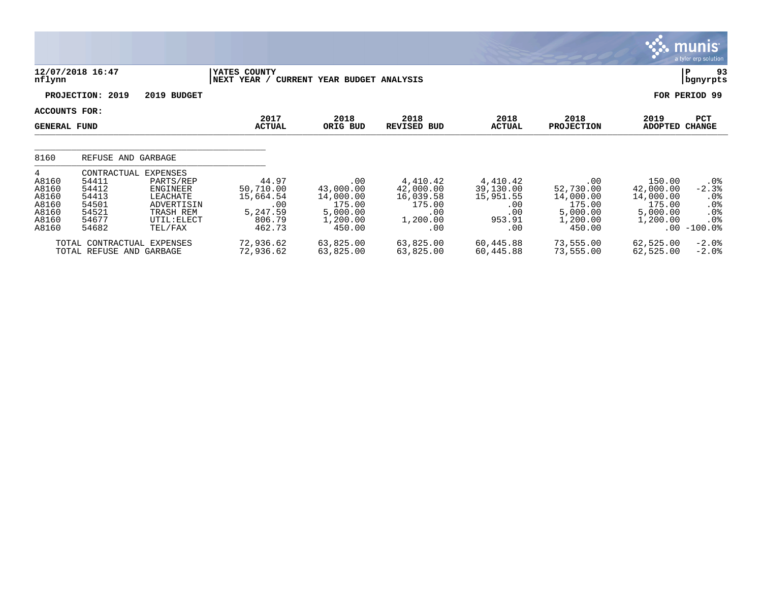|                                                                  |                                                                            |                                                                                                    |                                                                        |                                                                           |                                                                        |                                                                   |                                                                           | <b>munis</b> '<br>a tyler erp solution,                                                                                                                                                           |
|------------------------------------------------------------------|----------------------------------------------------------------------------|----------------------------------------------------------------------------------------------------|------------------------------------------------------------------------|---------------------------------------------------------------------------|------------------------------------------------------------------------|-------------------------------------------------------------------|---------------------------------------------------------------------------|---------------------------------------------------------------------------------------------------------------------------------------------------------------------------------------------------|
| nflynn                                                           | 12/07/2018 16:47                                                           |                                                                                                    | YATES COUNTY<br> NEXT YEAR /                                           | <b>CURRENT YEAR BUDGET ANALYSIS</b>                                       |                                                                        |                                                                   |                                                                           | 93<br>P<br>bgnyrpts                                                                                                                                                                               |
|                                                                  | PROJECTION: 2019                                                           | 2019 BUDGET                                                                                        |                                                                        |                                                                           |                                                                        |                                                                   |                                                                           | FOR PERIOD 99                                                                                                                                                                                     |
| ACCOUNTS FOR:<br><b>GENERAL FUND</b>                             |                                                                            |                                                                                                    | 2017<br><b>ACTUAL</b>                                                  | 2018<br>ORIG BUD                                                          | 2018<br><b>REVISED BUD</b>                                             | 2018<br><b>ACTUAL</b>                                             | 2018<br><b>PROJECTION</b>                                                 | 2019<br>PCT<br><b>ADOPTED</b><br><b>CHANGE</b>                                                                                                                                                    |
| 8160                                                             | REFUSE AND GARBAGE                                                         |                                                                                                    |                                                                        |                                                                           |                                                                        |                                                                   |                                                                           |                                                                                                                                                                                                   |
| 4<br>A8160<br>A8160<br>A8160<br>A8160<br>A8160<br>A8160<br>A8160 | CONTRACTUAL<br>54411<br>54412<br>54413<br>54501<br>54521<br>54677<br>54682 | EXPENSES<br>PARTS/REP<br>ENGINEER<br>LEACHATE<br>ADVERTISIN<br>TRASH REM<br>UTIL: ELECT<br>TEL/FAX | 44.97<br>50,710.00<br>15,664.54<br>.00<br>5,247.59<br>806.79<br>462.73 | .00<br>43,000.00<br>14,000.00<br>175.00<br>5,000.00<br>1,200.00<br>450.00 | 4,410.42<br>42,000.00<br>16,039.58<br>175.00<br>.00<br>1,200.00<br>.00 | 4,410.42<br>39,130.00<br>15,951.55<br>.00<br>.00<br>953.91<br>.00 | .00<br>52,730.00<br>14,000.00<br>175.00<br>5,000.00<br>1,200.00<br>450.00 | 150.00<br>.0 <sub>8</sub><br>42,000.00<br>$-2.3%$<br>14,000.00<br>.0 <sub>8</sub><br>175.00<br>.0 <sub>8</sub><br>5,000.00<br>.0 <sub>8</sub><br>1,200.00<br>.0 <sub>8</sub><br>$-100.0$ %<br>.00 |
|                                                                  | TOTAL CONTRACTUAL EXPENSES<br>TOTAL REFUSE AND GARBAGE                     |                                                                                                    | 72,936.62<br>72,936.62                                                 | 63,825.00<br>63,825.00                                                    | 63,825.00<br>63,825.00                                                 | 60,445.88<br>60,445.88                                            | 73,555.00<br>73,555.00                                                    | $-2.0$<br>62,525.00<br>62,525.00<br>$-2.0$ %                                                                                                                                                      |

**COL**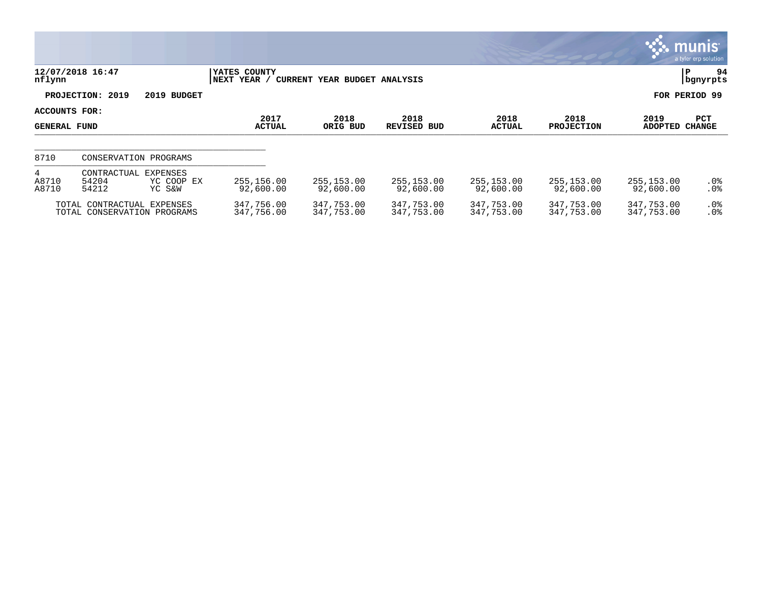|                                      |                                                           |                                  |                             |                              |                          |                          |                           |                          | munis<br>a tyler erp solution |
|--------------------------------------|-----------------------------------------------------------|----------------------------------|-----------------------------|------------------------------|--------------------------|--------------------------|---------------------------|--------------------------|-------------------------------|
| nflynn                               | 12/07/2018 16:47                                          |                                  | YATES COUNTY<br>NEXT YEAR / | CURRENT YEAR BUDGET ANALYSIS |                          |                          |                           |                          | 94<br>P<br>bgnyrpts           |
|                                      | PROJECTION: 2019                                          | 2019 BUDGET                      |                             |                              |                          |                          |                           |                          | FOR PERIOD 99                 |
| ACCOUNTS FOR:<br><b>GENERAL FUND</b> |                                                           |                                  | 2017<br><b>ACTUAL</b>       | 2018<br>ORIG BUD             | 2018<br>REVISED BUD      | 2018<br><b>ACTUAL</b>    | 2018<br><b>PROJECTION</b> | 2019<br><b>ADOPTED</b>   | PCT<br><b>CHANGE</b>          |
| 8710                                 |                                                           | CONSERVATION PROGRAMS            |                             |                              |                          |                          |                           |                          |                               |
| 4<br>A8710<br>A8710                  | CONTRACTUAL<br>54204<br>54212                             | EXPENSES<br>YC COOP EX<br>YC S&W | 255,156.00<br>92,600.00     | 255,153.00<br>92,600.00      | 255,153.00<br>92,600.00  | 255,153.00<br>92,600.00  | 255,153.00<br>92,600.00   | 255,153.00<br>92,600.00  | $.0\%$<br>.0%                 |
|                                      | TOTAL CONTRACTUAL EXPENSES<br>TOTAL CONSERVATION PROGRAMS |                                  | 347,756.00<br>347,756.00    | 347,753.00<br>347,753.00     | 347,753.00<br>347,753.00 | 347,753.00<br>347,753.00 | 347,753.00<br>347,753.00  | 347,753.00<br>347,753.00 | $.0\%$<br>.0%                 |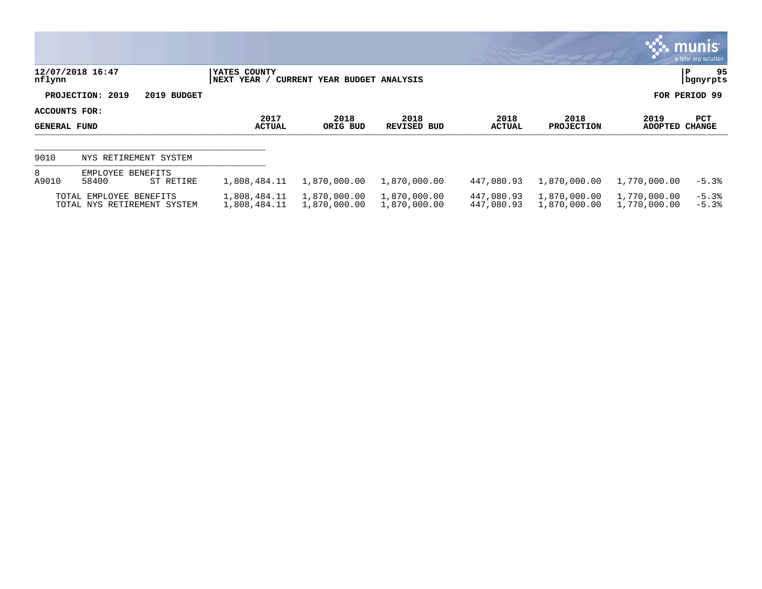|                                      |                                                        |                              |                              |                              |                          |                              |                              | $\mathbf{3.3}\ \mathbf{m}$ unis l<br>a tyler erp solution |
|--------------------------------------|--------------------------------------------------------|------------------------------|------------------------------|------------------------------|--------------------------|------------------------------|------------------------------|-----------------------------------------------------------|
| nflynn                               | 12/07/2018 16:47                                       | YATES COUNTY<br> NEXT YEAR / | CURRENT YEAR BUDGET ANALYSIS |                              |                          |                              |                              | 95<br>P<br>  bgnyrpts                                     |
|                                      | PROJECTION: 2019<br>2019 BUDGET                        |                              |                              |                              |                          |                              |                              | FOR PERIOD 99                                             |
| ACCOUNTS FOR:<br><b>GENERAL FUND</b> |                                                        | 2017<br><b>ACTUAL</b>        | 2018<br>ORIG BUD             | 2018<br>REVISED BUD          | 2018<br><b>ACTUAL</b>    | 2018<br><b>PROJECTION</b>    | 2019<br><b>ADOPTED</b>       | <b>PCT</b><br><b>CHANGE</b>                               |
| 9010                                 | NYS RETIREMENT SYSTEM                                  |                              |                              |                              |                          |                              |                              |                                                           |
| 8<br>A9010                           | EMPLOYEE BENEFITS<br>58400<br>ST RETIRE                | 1,808,484.11                 | 1,870,000.00                 | 1,870,000.00                 | 447,080.93               | 1,870,000.00                 | 1,770,000.00                 | $-5.3%$                                                   |
|                                      | TOTAL EMPLOYEE BENEFITS<br>TOTAL NYS RETIREMENT SYSTEM | 1,808,484.11<br>1,808,484.11 | 1,870,000.00<br>1,870,000.00 | 1,870,000.00<br>1,870,000.00 | 447,080.93<br>447,080.93 | 1,870,000.00<br>1,870,000.00 | 1,770,000.00<br>1,770,000.00 | $-5.3%$<br>$-5.3%$                                        |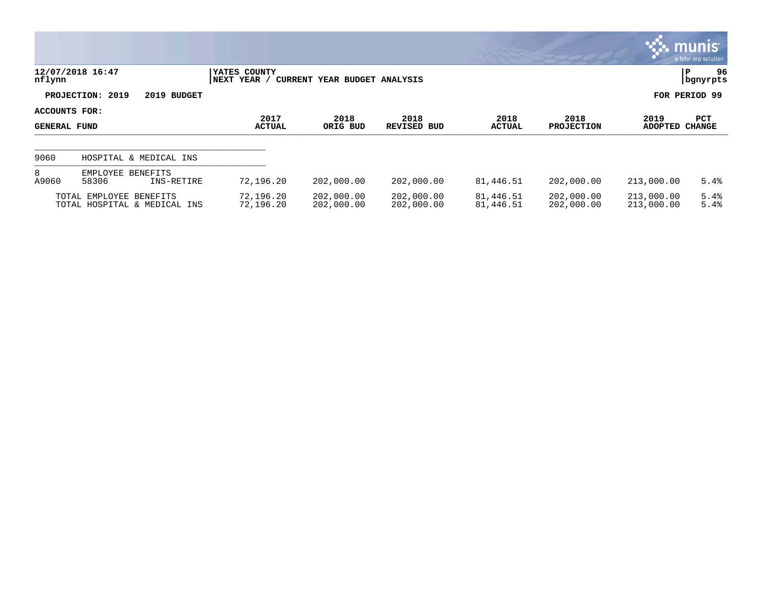|                                             |                                                         |                             |                              |                            |                        |                           |                          | munis<br>a tyler erp solution |
|---------------------------------------------|---------------------------------------------------------|-----------------------------|------------------------------|----------------------------|------------------------|---------------------------|--------------------------|-------------------------------|
| nflynn                                      | 12/07/2018 16:47                                        | YATES COUNTY<br>NEXT YEAR / | CURRENT YEAR BUDGET ANALYSIS |                            |                        |                           |                          | 96<br>ΙP<br>  bgnyrpts        |
|                                             | PROJECTION: 2019<br>2019 BUDGET                         |                             |                              |                            |                        |                           |                          | FOR PERIOD 99                 |
| <b>ACCOUNTS FOR:</b><br><b>GENERAL FUND</b> |                                                         | 2017<br><b>ACTUAL</b>       | 2018<br>ORIG BUD             | 2018<br><b>REVISED BUD</b> | 2018<br><b>ACTUAL</b>  | 2018<br><b>PROJECTION</b> | 2019<br>ADOPTED          | <b>PCT</b><br><b>CHANGE</b>   |
| 9060                                        | HOSPITAL & MEDICAL INS                                  |                             |                              |                            |                        |                           |                          |                               |
| 8<br>A9060                                  | EMPLOYEE BENEFITS<br>58306<br>INS-RETIRE                | 72,196.20                   | 202,000.00                   | 202,000.00                 | 81,446.51              | 202,000.00                | 213,000.00               | 5.4%                          |
|                                             | TOTAL EMPLOYEE BENEFITS<br>TOTAL HOSPITAL & MEDICAL INS | 72,196.20<br>72,196.20      | 202,000.00<br>202,000.00     | 202,000.00<br>202,000.00   | 81,446.51<br>81,446.51 | 202,000.00<br>202,000.00  | 213,000.00<br>213,000.00 | 5.4%<br>5.4%                  |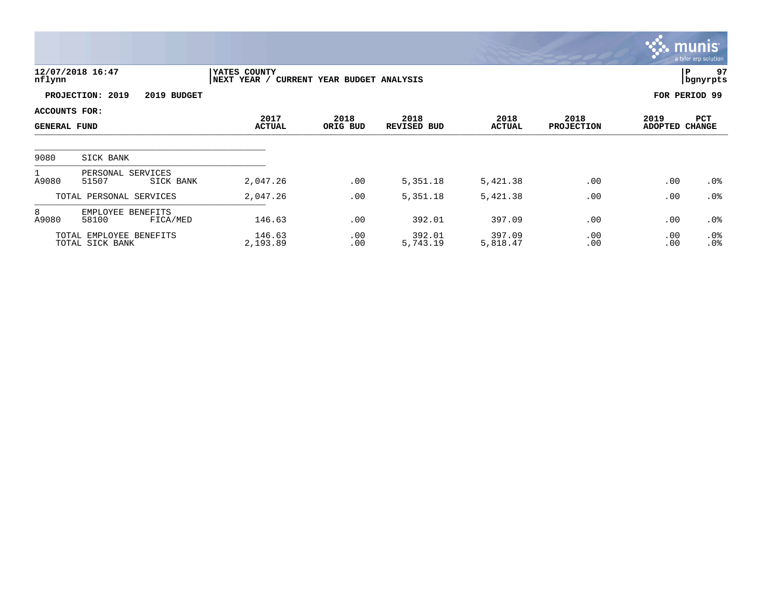|                                             |                                            |                                      |                              |                            |                       |                           |                 | <b>munis</b><br>a tyler erp solution |
|---------------------------------------------|--------------------------------------------|--------------------------------------|------------------------------|----------------------------|-----------------------|---------------------------|-----------------|--------------------------------------|
| nflynn                                      | 12/07/2018 16:47                           | <b>IYATES COUNTY</b><br> NEXT YEAR / | CURRENT YEAR BUDGET ANALYSIS |                            |                       |                           |                 | 97<br> P<br>  bgnyrpts               |
|                                             | PROJECTION: 2019<br>2019 BUDGET            |                                      |                              |                            |                       |                           |                 | FOR PERIOD 99                        |
| <b>ACCOUNTS FOR:</b><br><b>GENERAL FUND</b> |                                            | 2017<br><b>ACTUAL</b>                | 2018<br>ORIG BUD             | 2018<br><b>REVISED BUD</b> | 2018<br><b>ACTUAL</b> | 2018<br><b>PROJECTION</b> | 2019<br>ADOPTED | PCT<br><b>CHANGE</b>                 |
| 9080                                        | SICK BANK                                  |                                      |                              |                            |                       |                           |                 |                                      |
| A9080                                       | PERSONAL SERVICES<br>51507<br>SICK BANK    | 2,047.26                             | .00                          | 5,351.18                   | 5,421.38              | .00                       | .00             | $.0\%$                               |
|                                             | TOTAL PERSONAL SERVICES                    | 2,047.26                             | .00                          | 5,351.18                   | 5,421.38              | .00                       | .00             | .0%                                  |
| 8<br>A9080                                  | EMPLOYEE BENEFITS<br>58100<br>FICA/MED     | 146.63                               | .00                          | 392.01                     | 397.09                | .00                       | .00             | .0 <sub>8</sub>                      |
|                                             | TOTAL EMPLOYEE BENEFITS<br>TOTAL SICK BANK | 146.63<br>2,193.89                   | .00<br>.00                   | 392.01<br>5,743.19         | 397.09<br>5,818.47    | .00<br>.00                | .00<br>.00      | $.0\%$<br>.0%                        |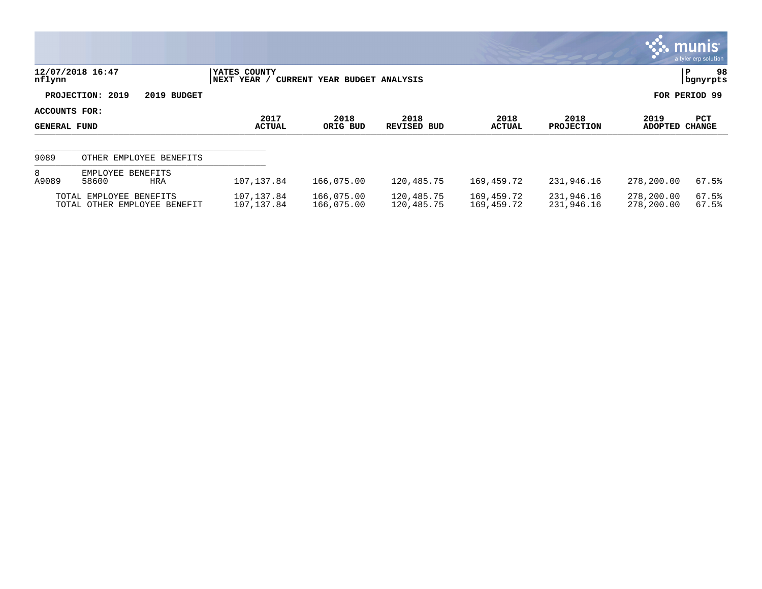|                                      |                                                         |                              |                              |                          |                          |                           |                          | <b>WE MUNIS</b><br>a tyler erp solution |
|--------------------------------------|---------------------------------------------------------|------------------------------|------------------------------|--------------------------|--------------------------|---------------------------|--------------------------|-----------------------------------------|
| nflynn                               | 12/07/2018 16:47                                        | YATES COUNTY<br> NEXT YEAR / | CURRENT YEAR BUDGET ANALYSIS |                          |                          |                           |                          | 98<br>P<br>  bgnyrpts                   |
|                                      | PROJECTION: 2019<br>2019 BUDGET                         |                              |                              |                          |                          |                           |                          | FOR PERIOD 99                           |
| ACCOUNTS FOR:<br><b>GENERAL FUND</b> |                                                         | 2017<br><b>ACTUAL</b>        | 2018<br>ORIG BUD             | 2018<br>REVISED BUD      | 2018<br>ACTUAL           | 2018<br><b>PROJECTION</b> | 2019<br>ADOPTED          | <b>PCT</b><br><b>CHANGE</b>             |
| 9089                                 | OTHER EMPLOYEE BENEFITS                                 |                              |                              |                          |                          |                           |                          |                                         |
| 8<br>A9089                           | EMPLOYEE BENEFITS<br>58600<br>HRA                       | 107, 137.84                  | 166,075.00                   | 120,485.75               | 169,459.72               | 231,946.16                | 278,200.00               | 67.5%                                   |
|                                      | TOTAL EMPLOYEE BENEFITS<br>TOTAL OTHER EMPLOYEE BENEFIT | 107,137.84<br>107, 137.84    | 166,075.00<br>166,075.00     | 120,485.75<br>120,485.75 | 169,459.72<br>169,459.72 | 231,946.16<br>231,946.16  | 278,200.00<br>278,200.00 | 67.5%<br>67.5%                          |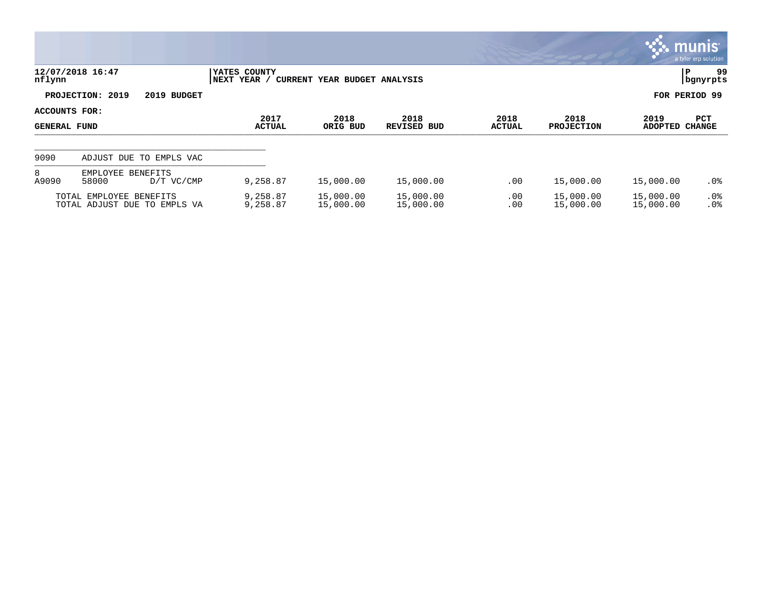|                                      |                                                         |                       |                             |                              |                        |                           |                        |                        | $\mathbb{C}$ munis $\mathbb{C}$<br>a tyler erp solution |
|--------------------------------------|---------------------------------------------------------|-----------------------|-----------------------------|------------------------------|------------------------|---------------------------|------------------------|------------------------|---------------------------------------------------------|
| nflynn                               | 12/07/2018 16:47                                        |                       | YATES COUNTY<br>NEXT YEAR / | CURRENT YEAR BUDGET ANALYSIS |                        |                           |                        |                        | 99<br>P<br>  bgnyrpts                                   |
|                                      | PROJECTION: 2019                                        | 2019 BUDGET           |                             |                              |                        |                           |                        |                        | FOR PERIOD 99                                           |
| ACCOUNTS FOR:<br><b>GENERAL FUND</b> |                                                         | 2017<br><b>ACTUAL</b> | 2018<br>ORIG BUD            | 2018<br>REVISED BUD          | 2018<br><b>ACTUAL</b>  | 2018<br><b>PROJECTION</b> | 2019<br><b>ADOPTED</b> | PCT<br><b>CHANGE</b>   |                                                         |
| 9090                                 | ADJUST DUE TO EMPLS VAC                                 |                       |                             |                              |                        |                           |                        |                        |                                                         |
| 8<br>A9090                           | EMPLOYEE BENEFITS<br>58000                              | D/T VC/CMP            | 9,258.87                    | 15,000.00                    | 15,000.00              | .00                       | 15,000.00              | 15,000.00              | .0%                                                     |
|                                      | TOTAL EMPLOYEE BENEFITS<br>TOTAL ADJUST DUE TO EMPLS VA |                       | 9,258.87<br>9,258.87        | 15,000.00<br>15,000.00       | 15,000.00<br>15,000.00 | .00<br>.00                | 15,000.00<br>15,000.00 | 15,000.00<br>15,000.00 | $.0\%$<br>.0%                                           |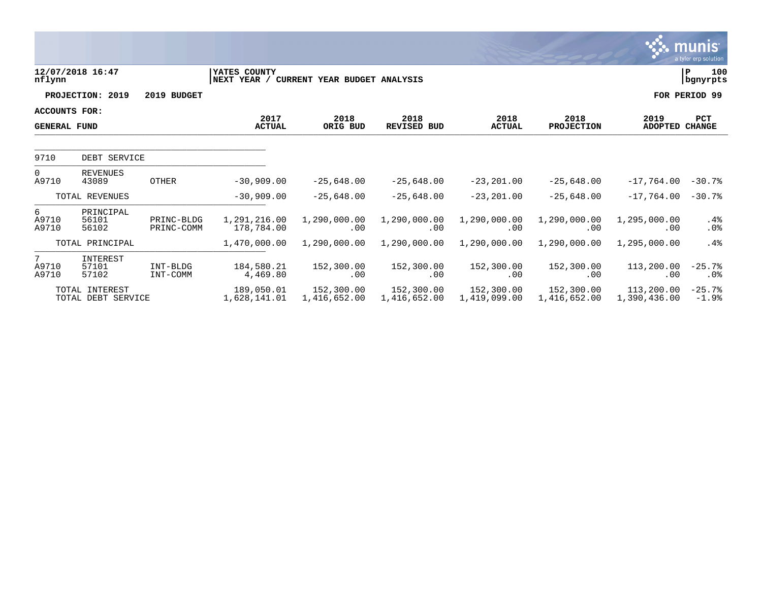|                                             |                                      |                          |                             |                              |                            |                            |                            |                            | <b>munis</b><br>a tyler erp solution |
|---------------------------------------------|--------------------------------------|--------------------------|-----------------------------|------------------------------|----------------------------|----------------------------|----------------------------|----------------------------|--------------------------------------|
| nflynn                                      | 12/07/2018 16:47                     |                          | YATES COUNTY<br>NEXT YEAR / | CURRENT YEAR BUDGET ANALYSIS |                            |                            |                            |                            | 100<br>ΙP<br>  bgnyrpts              |
|                                             | PROJECTION: 2019                     | 2019 BUDGET              |                             |                              |                            |                            |                            |                            | FOR PERIOD 99                        |
| <b>ACCOUNTS FOR:</b><br><b>GENERAL FUND</b> |                                      |                          | 2017<br><b>ACTUAL</b>       | 2018<br>ORIG BUD             | 2018<br><b>REVISED BUD</b> | 2018<br><b>ACTUAL</b>      | 2018<br><b>PROJECTION</b>  | 2019<br>ADOPTED            | <b>PCT</b><br><b>CHANGE</b>          |
| 9710                                        | DEBT SERVICE                         |                          |                             |                              |                            |                            |                            |                            |                                      |
| $\Omega$<br>A9710                           | <b>REVENUES</b><br>43089             | <b>OTHER</b>             | $-30,909.00$                | $-25.648.00$                 | $-25.648.00$               | $-23, 201.00$              | $-25,648.00$               | $-17.764.00$               | $-30.7%$                             |
|                                             | TOTAL REVENUES                       |                          | $-30,909.00$                | $-25,648.00$                 | $-25,648.00$               | $-23, 201.00$              | $-25,648.00$               | $-17.764.00$               | $-30.7%$                             |
| 6<br>A9710<br>A9710                         | PRINCIPAL<br>56101<br>56102          | PRINC-BLDG<br>PRINC-COMM | 1,291,216.00<br>178,784.00  | 1,290,000.00<br>.00          | 1,290,000.00<br>.00        | 1,290,000.00<br>.00        | 1,290,000.00<br>.00        | 1,295,000.00<br>.00        | $.4\%$<br>.0%                        |
|                                             | TOTAL PRINCIPAL                      |                          | 1,470,000.00                | 1,290,000.00                 | 1,290,000.00               | 1,290,000.00               | 1,290,000.00               | 1,295,000.00               | $.4\%$                               |
| 7<br>A9710<br>A9710                         | INTEREST<br>57101<br>57102           | INT-BLDG<br>INT-COMM     | 184,580.21<br>4,469.80      | 152,300.00<br>.00            | 152,300.00<br>.00          | 152,300.00<br>.00          | 152,300.00<br>.00          | 113,200.00<br>.00          | $-25.7%$<br>$.0\%$                   |
|                                             | TOTAL INTEREST<br>TOTAL DEBT SERVICE |                          | 189,050.01<br>1,628,141.01  | 152,300.00<br>1,416,652.00   | 152,300.00<br>1,416,652.00 | 152,300.00<br>1,419,099.00 | 152,300.00<br>1,416,652.00 | 113,200.00<br>1,390,436.00 | $-25.7%$<br>$-1.9%$                  |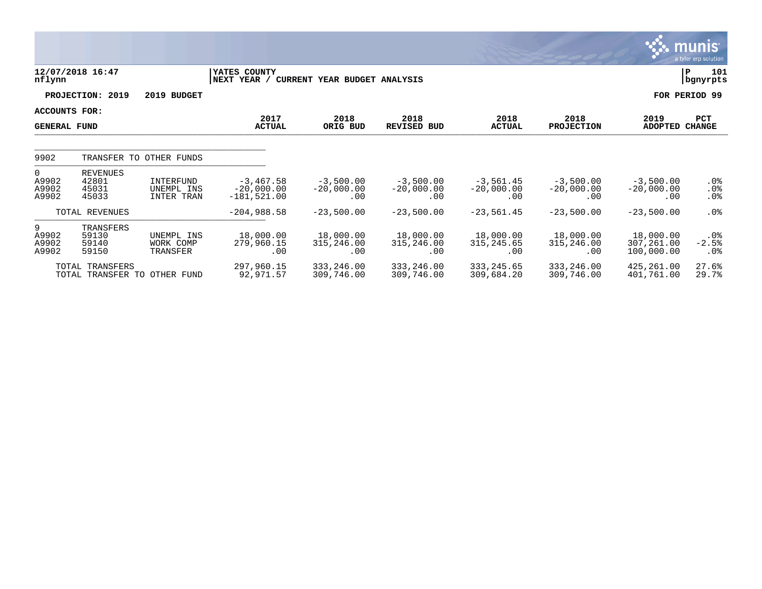|                                     |                                                 |                                              |                                              |                                    |                                    |                                    |                                    |                                       | munis <sup>®</sup><br>a tyler erp solution |
|-------------------------------------|-------------------------------------------------|----------------------------------------------|----------------------------------------------|------------------------------------|------------------------------------|------------------------------------|------------------------------------|---------------------------------------|--------------------------------------------|
| nflynn                              | 12/07/2018 16:47                                |                                              | YATES COUNTY<br>NEXT YEAR /                  | CURRENT YEAR BUDGET ANALYSIS       |                                    |                                    |                                    |                                       | 101<br>P<br>bgnyrpts                       |
|                                     | PROJECTION: 2019                                | 2019 BUDGET                                  |                                              |                                    |                                    |                                    |                                    |                                       | FOR PERIOD 99                              |
|                                     | ACCOUNTS FOR:<br><b>GENERAL FUND</b>            |                                              | 2017<br><b>ACTUAL</b>                        | 2018<br>ORIG BUD                   | 2018<br><b>REVISED BUD</b>         | 2018<br><b>ACTUAL</b>              | 2018<br><b>PROJECTION</b>          | 2019<br><b>ADOPTED</b>                | PCT<br><b>CHANGE</b>                       |
| 9902                                | TRANSFER TO                                     | OTHER FUNDS                                  |                                              |                                    |                                    |                                    |                                    |                                       |                                            |
| $\Omega$<br>A9902<br>A9902<br>A9902 | <b>REVENUES</b><br>42801<br>45031<br>45033      | <b>INTERFUND</b><br>UNEMPL INS<br>INTER TRAN | $-3,467.58$<br>$-20,000.00$<br>$-181,521.00$ | $-3,500.00$<br>$-20,000.00$<br>.00 | $-3,500.00$<br>$-20,000.00$<br>.00 | $-3,561.45$<br>$-20,000.00$<br>.00 | $-3,500.00$<br>$-20,000.00$<br>.00 | $-3,500.00$<br>$-20,000.00$<br>.00    | $.0\%$<br>.0%<br>$.0\%$                    |
|                                     | TOTAL REVENUES                                  |                                              | $-204,988.58$                                | $-23,500.00$                       | $-23,500.00$                       | $-23,561.45$                       | $-23,500.00$                       | $-23,500.00$                          | $.0\%$                                     |
| 9<br>A9902<br>A9902<br>A9902        | TRANSFERS<br>59130<br>59140<br>59150            | UNEMPL INS<br>WORK COMP<br>TRANSFER          | 18,000.00<br>279,960.15<br>.00               | 18,000.00<br>315,246.00<br>.00     | 18,000.00<br>315,246.00<br>.00     | 18,000.00<br>315, 245.65<br>.00    | 18,000.00<br>315,246.00<br>.00     | 18,000.00<br>307,261.00<br>100,000.00 | $.0\%$<br>$-2.5%$<br>$.0\%$                |
|                                     | TOTAL TRANSFERS<br>TOTAL TRANSFER TO OTHER FUND |                                              | 297,960.15<br>92,971.57                      | 333,246.00<br>309,746.00           | 333,246.00<br>309,746.00           | 333, 245.65<br>309,684.20          | 333, 246.00<br>309,746.00          | 425,261.00<br>401,761.00              | 27.6%<br>29.7%                             |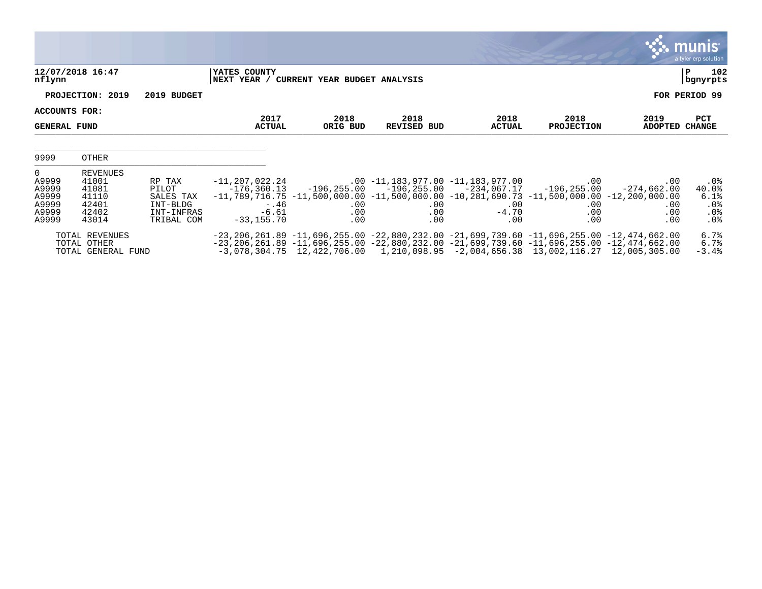|                                                                |                                                                       |                                                                      |                                                                      |                                          |                                                                                                                                                                                                                                                                                                                                  |                                 |                                                                   |                                                     | <b>munis</b><br>a tyler erp solution                  |
|----------------------------------------------------------------|-----------------------------------------------------------------------|----------------------------------------------------------------------|----------------------------------------------------------------------|------------------------------------------|----------------------------------------------------------------------------------------------------------------------------------------------------------------------------------------------------------------------------------------------------------------------------------------------------------------------------------|---------------------------------|-------------------------------------------------------------------|-----------------------------------------------------|-------------------------------------------------------|
| nflynn                                                         | 12/07/2018 16:47                                                      |                                                                      | YATES COUNTY                                                         | NEXT YEAR / CURRENT YEAR BUDGET ANALYSIS |                                                                                                                                                                                                                                                                                                                                  |                                 |                                                                   |                                                     | 102<br>l P<br>bgnyrpts                                |
|                                                                | PROJECTION: 2019                                                      | 2019 BUDGET                                                          |                                                                      |                                          |                                                                                                                                                                                                                                                                                                                                  |                                 |                                                                   |                                                     | FOR PERIOD 99                                         |
| ACCOUNTS FOR:<br><b>GENERAL FUND</b>                           |                                                                       | 2017<br><b>ACTUAL</b>                                                | 2018<br>ORIG BUD                                                     | 2018<br><b>REVISED BUD</b>               | 2018<br>ACTUAL                                                                                                                                                                                                                                                                                                                   | 2018<br><b>PROJECTION</b>       | 2019<br>ADOPTED CHANGE                                            | PCT                                                 |                                                       |
| 9999                                                           | OTHER                                                                 |                                                                      |                                                                      |                                          |                                                                                                                                                                                                                                                                                                                                  |                                 |                                                                   |                                                     |                                                       |
| $\Omega$<br>A9999<br>A9999<br>A9999<br>A9999<br>A9999<br>A9999 | <b>REVENUES</b><br>41001<br>41081<br>41110<br>42401<br>42402<br>43014 | RP TAX<br>PILOT<br>SALES TAX<br>INT-BLDG<br>INT-INFRAS<br>TRIBAL COM | -11,207,022.24<br>$-176,360.13$<br>$-.46$<br>$-6.61$<br>$-33,155.70$ | .00<br>.00<br>$.00 \,$                   | .00 -11,183,977.00 -11,183,977.00<br>$-196, 255.00$ $-196, 255.00$ $-234, 067.17$<br>$-11, 789, 716.75$ $-11, 500, 000.00$ $-11, 500, 000.00$ $-10, 281, 690.73$ $-11, 500, 000.00$ $-12, 200, 000.00$<br>$.00 \,$<br>$.00 \,$<br>.00                                                                                            | $.00 \,$<br>$-4.70$<br>$.00 \,$ | $.00 \,$<br>$-196, 255.00$<br>$.00 \,$<br>$.00 \,$<br>$.00 \ \rm$ | $.00 \,$<br>$-274.662.00$<br>$.00 \,$<br>.00<br>.00 | $.0\%$<br>40.0%<br>6.1%<br>$.0\%$<br>$.0\%$<br>$.0\%$ |
|                                                                | TOTAL REVENUES<br>TOTAL OTHER<br>TOTAL GENERAL FUND                   |                                                                      |                                                                      |                                          | $-23, 206, 261.89$ $-11, 696, 255.00$ $-22, 880, 232.00$ $-21, 699, 739.60$ $-11, 696, 255.00$ $-12, 474, 662.00$<br>$-23, 206, 261.89$ $-11, 696, 255.00$ $-22, 880, 232.00$ $-21, 699, 739.60$ $-11, 696, 255.00$ $-12, 474, 662.00$<br>$-3,078,304.75$ 12,422,706.00 1,210,098.95 $-2,004,656.38$ 13,002,116.27 12,005,305.00 |                                 |                                                                   |                                                     | 6.7%<br>6.7%<br>$-3.4%$                               |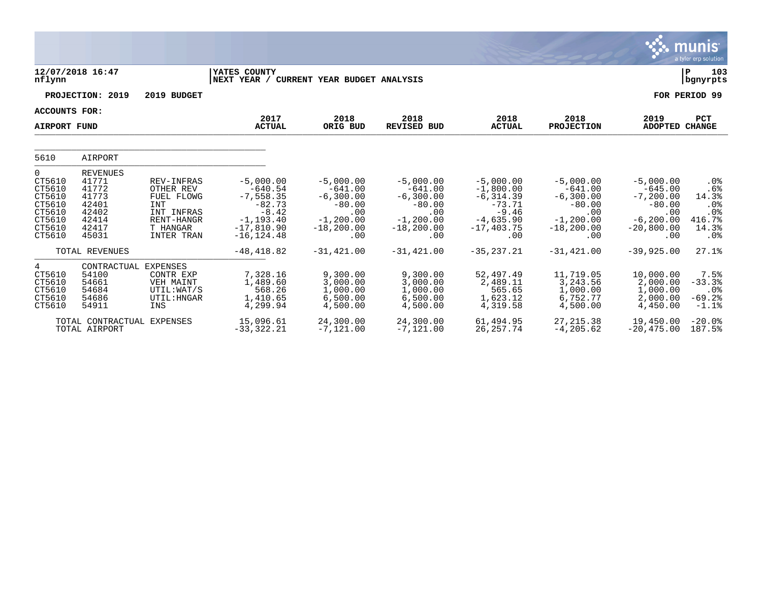|                                                                                   |                                                                                         |                                                                                                                  |                                                                                                                 |                                                                                                    |                                                                                                     |                                                                                                          |                                                                                                    |                                                                                                    | munis<br>a tyler erp solution                               |
|-----------------------------------------------------------------------------------|-----------------------------------------------------------------------------------------|------------------------------------------------------------------------------------------------------------------|-----------------------------------------------------------------------------------------------------------------|----------------------------------------------------------------------------------------------------|-----------------------------------------------------------------------------------------------------|----------------------------------------------------------------------------------------------------------|----------------------------------------------------------------------------------------------------|----------------------------------------------------------------------------------------------------|-------------------------------------------------------------|
| nflynn                                                                            | 12/07/2018 16:47                                                                        |                                                                                                                  | YATES COUNTY<br>NEXT YEAR /                                                                                     | CURRENT YEAR BUDGET ANALYSIS                                                                       |                                                                                                     |                                                                                                          |                                                                                                    |                                                                                                    | P<br>103<br>bgnyrpts                                        |
|                                                                                   | PROJECTION: 2019                                                                        | 2019 BUDGET                                                                                                      |                                                                                                                 |                                                                                                    |                                                                                                     |                                                                                                          |                                                                                                    |                                                                                                    | FOR PERIOD 99                                               |
| ACCOUNTS FOR:<br><b>AIRPORT FUND</b>                                              |                                                                                         |                                                                                                                  | 2017<br><b>ACTUAL</b>                                                                                           | 2018<br>ORIG BUD                                                                                   | 2018<br><b>REVISED BUD</b>                                                                          | 2018<br><b>ACTUAL</b>                                                                                    | 2018<br>PROJECTION                                                                                 | 2019<br>ADOPTED CHANGE                                                                             | PCT                                                         |
| 5610                                                                              | AIRPORT                                                                                 |                                                                                                                  |                                                                                                                 |                                                                                                    |                                                                                                     |                                                                                                          |                                                                                                    |                                                                                                    |                                                             |
| 0<br>CT5610<br>CT5610<br>CT5610<br>CT5610<br>CT5610<br>CT5610<br>CT5610<br>CT5610 | <b>REVENUES</b><br>41771<br>41772<br>41773<br>42401<br>42402<br>42414<br>42417<br>45031 | REV-INFRAS<br>OTHER REV<br>FUEL FLOWG<br><b>INT</b><br>INT INFRAS<br>RENT-HANGR<br>T HANGAR<br><b>INTER TRAN</b> | $-5,000.00$<br>$-640.54$<br>$-7,558.35$<br>$-82.73$<br>$-8.42$<br>$-1, 193.40$<br>$-17,810.90$<br>$-16, 124.48$ | $-5,000.00$<br>$-641.00$<br>$-6,300.00$<br>$-80.00$<br>.00<br>$-1, 200.00$<br>$-18, 200.00$<br>.00 | $-5,000.00$<br>$-641.00$<br>$-6, 300.00$<br>$-80.00$<br>.00<br>$-1, 200.00$<br>$-18, 200.00$<br>.00 | $-5.000.00$<br>$-1,800.00$<br>$-6, 314.39$<br>$-73.71$<br>$-9.46$<br>$-4,635.90$<br>$-17, 403.75$<br>.00 | $-5.000.00$<br>$-641.00$<br>$-6,300.00$<br>$-80.00$<br>.00<br>$-1, 200.00$<br>$-18, 200.00$<br>.00 | $-5,000.00$<br>$-645.00$<br>$-7, 200.00$<br>$-80.00$<br>.00<br>$-6, 200.00$<br>$-20,800.00$<br>.00 | .0%<br>.6%<br>14.3%<br>.0%<br>.0%<br>416.7%<br>14.3%<br>.0% |
|                                                                                   | TOTAL REVENUES                                                                          |                                                                                                                  | $-48, 418.82$                                                                                                   | $-31, 421.00$                                                                                      | $-31,421.00$                                                                                        | $-35, 237.21$                                                                                            | $-31,421.00$                                                                                       | $-39,925.00$                                                                                       | 27.1%                                                       |
| 4<br>CT5610<br>CT5610<br>CT5610<br>CT5610<br>CT5610                               | CONTRACTUAL EXPENSES<br>54100<br>54661<br>54684<br>54686<br>54911                       | CONTR EXP<br>VEH MAINT<br>UTIL:WAT/S<br>UTIL: HNGAR<br>INS                                                       | 7,328.16<br>1,489.60<br>568.26<br>1,410.65<br>4,299.94                                                          | 9,300.00<br>3,000.00<br>1,000.00<br>6,500.00<br>4,500.00                                           | 9,300.00<br>3,000.00<br>1,000.00<br>6,500.00<br>4,500.00                                            | 52,497.49<br>2,489.11<br>565.65<br>1,623.12<br>4,319.58                                                  | 11,719.05<br>3, 243.56<br>1,000.00<br>6,752.77<br>4,500.00                                         | 10,000.00<br>2,000.00<br>1,000.00<br>2,000.00<br>4,450.00                                          | 7.5%<br>$-33.3%$<br>.0%<br>$-69.2%$<br>$-1.1%$              |
|                                                                                   | TOTAL CONTRACTUAL<br>TOTAL AIRPORT                                                      | <b>EXPENSES</b>                                                                                                  | 15,096.61<br>$-33, 322.21$                                                                                      | 24,300.00<br>$-7,121.00$                                                                           | 24,300.00<br>$-7,121.00$                                                                            | 61,494.95<br>26, 257. 74                                                                                 | 27, 215, 38<br>$-4, 205.62$                                                                        | 19,450.00<br>$-20, 475.00$                                                                         | $-20.0%$<br>187.5%                                          |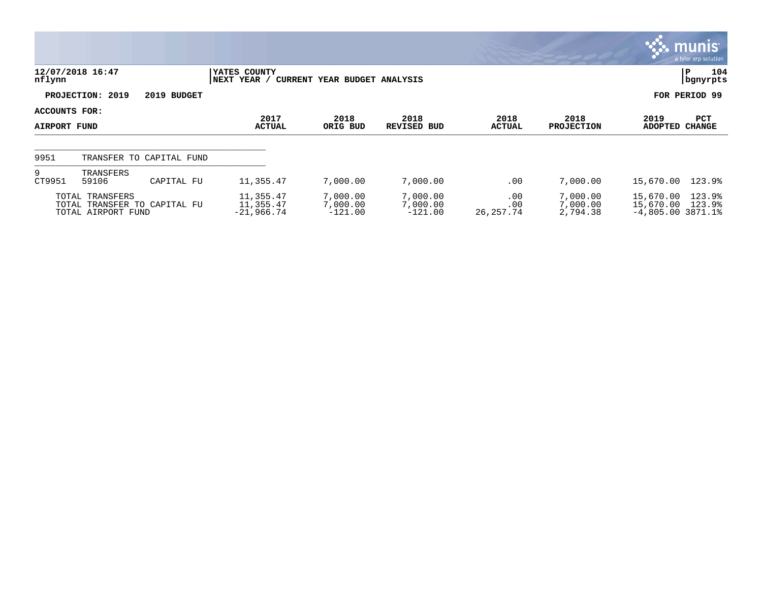|                                      |                                       |                              |                                        |                                   |                                   |                         |                                  |                                               | $\mathbb{R}$ munis l<br>a tyler erp solution |
|--------------------------------------|---------------------------------------|------------------------------|----------------------------------------|-----------------------------------|-----------------------------------|-------------------------|----------------------------------|-----------------------------------------------|----------------------------------------------|
| nflynn                               | 12/07/2018 16:47                      |                              | YATES COUNTY<br>NEXT YEAR /            | CURRENT YEAR BUDGET ANALYSIS      |                                   |                         |                                  |                                               | 104<br>IΡ<br>bgnyrpts                        |
|                                      | PROJECTION: 2019                      | 2019 BUDGET                  |                                        |                                   |                                   |                         |                                  |                                               | FOR PERIOD 99                                |
| ACCOUNTS FOR:<br><b>AIRPORT FUND</b> |                                       |                              | 2017<br><b>ACTUAL</b>                  | 2018<br>ORIG BUD                  | 2018<br>REVISED BUD               | 2018<br>ACTUAL          | 2018<br><b>PROJECTION</b>        | 2019<br><b>ADOPTED</b>                        | PCT<br><b>CHANGE</b>                         |
| 9951                                 |                                       | TRANSFER TO CAPITAL FUND     |                                        |                                   |                                   |                         |                                  |                                               |                                              |
| 9<br>CT9951                          | TRANSFERS<br>59106                    | CAPITAL FU                   | 11,355.47                              | 7,000.00                          | 7,000.00                          | .00                     | 7,000.00                         | 15,670.00                                     | 123.9%                                       |
|                                      | TOTAL TRANSFERS<br>TOTAL AIRPORT FUND | TOTAL TRANSFER TO CAPITAL FU | 11,355.47<br>11,355.47<br>$-21,966.74$ | 7,000.00<br>7,000.00<br>$-121.00$ | 7,000.00<br>7,000.00<br>$-121.00$ | .00<br>.00<br>26,257.74 | 7,000.00<br>7,000.00<br>2,794.38 | 15,670.00<br>15,670.00<br>$-4,805.00$ 3871.1% | 123.9%<br>123.9%                             |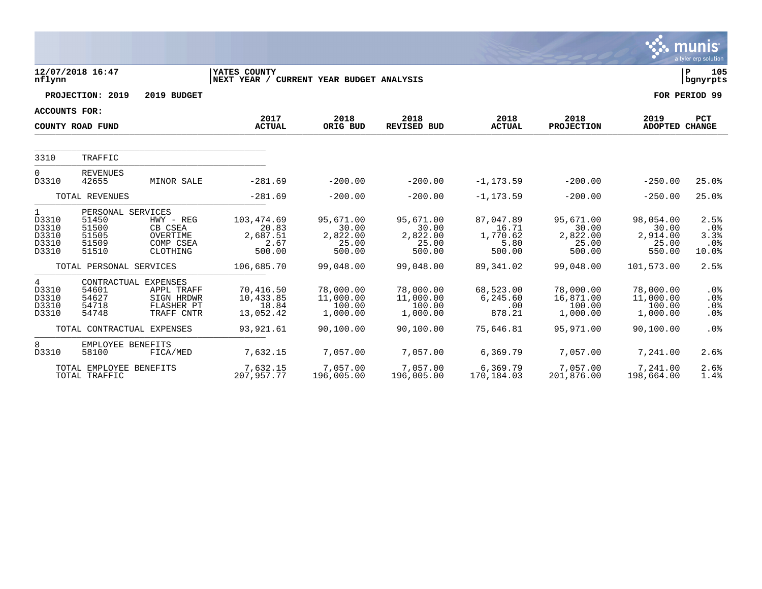|                                                           |                                                                |                                                                              |                                                          |                                                   |                                                   |                                                  |                                                   |                                                   | munis<br>a tyler erp solution             |
|-----------------------------------------------------------|----------------------------------------------------------------|------------------------------------------------------------------------------|----------------------------------------------------------|---------------------------------------------------|---------------------------------------------------|--------------------------------------------------|---------------------------------------------------|---------------------------------------------------|-------------------------------------------|
| nflynn                                                    | 12/07/2018 16:47                                               |                                                                              | YATES COUNTY<br>NEXT YEAR / CURRENT YEAR BUDGET ANALYSIS |                                                   |                                                   |                                                  |                                                   |                                                   | 105<br>∣P<br>  bgnyrpts                   |
|                                                           | PROJECTION: 2019                                               | 2019 BUDGET                                                                  |                                                          |                                                   |                                                   |                                                  |                                                   |                                                   | FOR PERIOD 99                             |
| <b>ACCOUNTS FOR:</b>                                      |                                                                |                                                                              |                                                          |                                                   |                                                   |                                                  |                                                   |                                                   |                                           |
|                                                           | COUNTY ROAD FUND                                               |                                                                              | 2017<br><b>ACTUAL</b>                                    | 2018<br>ORIG BUD                                  | 2018<br><b>REVISED BUD</b>                        | 2018<br><b>ACTUAL</b>                            | 2018<br><b>PROJECTION</b>                         | 2019<br>ADOPTED CHANGE                            | PCT                                       |
| 3310                                                      | TRAFFIC                                                        |                                                                              |                                                          |                                                   |                                                   |                                                  |                                                   |                                                   |                                           |
| $\Omega$<br>D3310                                         | <b>REVENUES</b><br>42655                                       | MINOR SALE                                                                   | $-281.69$                                                | $-200.00$                                         | $-200.00$                                         | $-1, 173.59$                                     | $-200.00$                                         | $-250.00$                                         | 25.0%                                     |
|                                                           | TOTAL REVENUES                                                 |                                                                              | $-281.69$                                                | $-200.00$                                         | $-200.00$                                         | $-1, 173.59$                                     | $-200.00$                                         | $-250.00$                                         | 25.0%                                     |
| $\mathbf{1}$<br>D3310<br>D3310<br>D3310<br>D3310<br>D3310 | PERSONAL SERVICES<br>51450<br>51500<br>51505<br>51509<br>51510 | $HWY - REG$<br>CB CSEA<br>OVERTIME<br>COMP CSEA<br>CLOTHING                  | 103,474.69<br>20.83<br>2,687.51<br>2.67<br>500.00        | 95,671.00<br>30.00<br>2,822.00<br>25.00<br>500.00 | 95,671.00<br>30.00<br>2,822.00<br>25.00<br>500.00 | 87,047.89<br>16.71<br>1,770.62<br>5.80<br>500.00 | 95,671.00<br>30.00<br>2,822.00<br>25.00<br>500.00 | 98,054.00<br>30.00<br>2,914.00<br>25.00<br>550.00 | 2.5%<br>$.0\%$<br>3.3%<br>$.0\%$<br>10.0% |
|                                                           | TOTAL PERSONAL SERVICES                                        |                                                                              | 106,685.70                                               | 99,048.00                                         | 99,048.00                                         | 89,341.02                                        | 99,048.00                                         | 101,573.00                                        | 2.5%                                      |
| 4<br>D3310<br>D3310<br>D3310<br>D3310                     | 54601<br>54627<br>54718<br>54748                               | CONTRACTUAL EXPENSES<br>APPL TRAFF<br>SIGN HRDWR<br>FLASHER PT<br>TRAFF CNTR | 70,416.50<br>10,433.85<br>18.84<br>13,052.42             | 78,000.00<br>11,000.00<br>100.00<br>1,000.00      | 78,000.00<br>11,000.00<br>100.00<br>1,000.00      | 68,523.00<br>6,245.60<br>.00<br>878.21           | 78,000.00<br>16,871.00<br>100.00<br>1,000.00      | 78,000.00<br>11,000.00<br>100.00<br>1,000.00      | $.0\%$<br>$.0\%$<br>.0%<br>$.0\%$         |
|                                                           | TOTAL CONTRACTUAL EXPENSES                                     |                                                                              | 93,921.61                                                | 90,100.00                                         | 90,100.00                                         | 75,646.81                                        | 95,971.00                                         | 90,100.00                                         | .0%                                       |
| 8<br>D3310                                                | EMPLOYEE BENEFITS<br>58100                                     | FICA/MED                                                                     | 7,632.15                                                 | 7,057.00                                          | 7,057.00                                          | 6,369.79                                         | 7,057.00                                          | 7,241.00                                          | 2.6%                                      |
|                                                           | TOTAL EMPLOYEE BENEFITS<br>TOTAL TRAFFIC                       |                                                                              | 7,632.15<br>207,957.77                                   | 7,057.00<br>196,005.00                            | 7,057.00<br>196,005.00                            | 6,369.79<br>170,184.03                           | 7,057.00<br>201,876.00                            | 7,241.00<br>198,664.00                            | 2.6%<br>1.4%                              |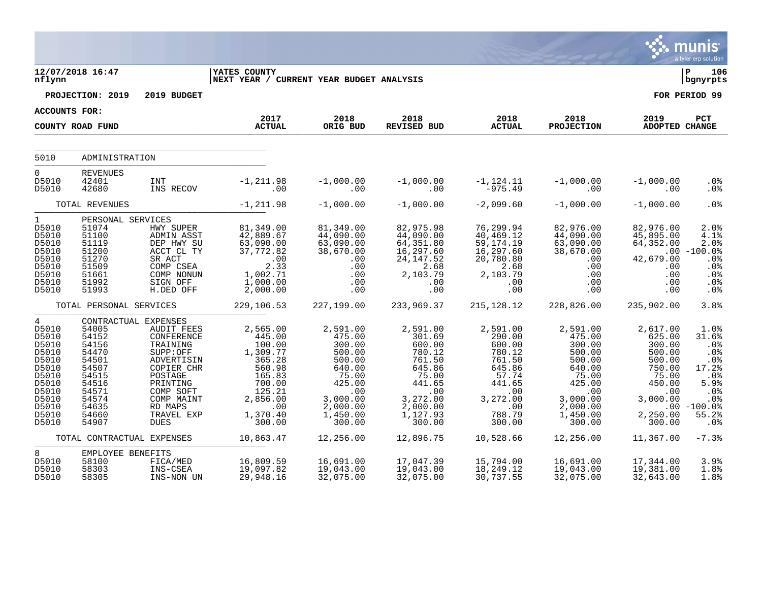|                                                                                                                                      |                                                                                                                                                                         |                                                                                                                                                                        |                                                                                                                                                  |                                                                                                                                                 |                                                                                                                                                 |                                                                                                                                          |                                                                                                                                                 |                                                                                                                                     | munis<br>a tyler erp solution                                                                                                     |
|--------------------------------------------------------------------------------------------------------------------------------------|-------------------------------------------------------------------------------------------------------------------------------------------------------------------------|------------------------------------------------------------------------------------------------------------------------------------------------------------------------|--------------------------------------------------------------------------------------------------------------------------------------------------|-------------------------------------------------------------------------------------------------------------------------------------------------|-------------------------------------------------------------------------------------------------------------------------------------------------|------------------------------------------------------------------------------------------------------------------------------------------|-------------------------------------------------------------------------------------------------------------------------------------------------|-------------------------------------------------------------------------------------------------------------------------------------|-----------------------------------------------------------------------------------------------------------------------------------|
| nflynn                                                                                                                               | 12/07/2018 16:47                                                                                                                                                        |                                                                                                                                                                        | <b>IYATES COUNTY</b><br> NEXT YEAR / CURRENT YEAR BUDGET ANALYSIS                                                                                |                                                                                                                                                 |                                                                                                                                                 |                                                                                                                                          |                                                                                                                                                 |                                                                                                                                     | ∣ P<br>106<br>  bgnyrpts                                                                                                          |
|                                                                                                                                      | PROJECTION: 2019                                                                                                                                                        | 2019 BUDGET                                                                                                                                                            |                                                                                                                                                  |                                                                                                                                                 |                                                                                                                                                 |                                                                                                                                          |                                                                                                                                                 |                                                                                                                                     | FOR PERIOD 99                                                                                                                     |
| ACCOUNTS FOR:                                                                                                                        |                                                                                                                                                                         |                                                                                                                                                                        |                                                                                                                                                  |                                                                                                                                                 |                                                                                                                                                 |                                                                                                                                          |                                                                                                                                                 |                                                                                                                                     |                                                                                                                                   |
|                                                                                                                                      | COUNTY ROAD FUND                                                                                                                                                        |                                                                                                                                                                        | 2017<br><b>ACTUAL</b>                                                                                                                            | 2018<br>ORIG BUD                                                                                                                                | 2018<br>REVISED BUD                                                                                                                             | 2018<br><b>ACTUAL</b>                                                                                                                    | 2018<br><b>PROJECTION</b>                                                                                                                       | 2019<br><b>ADOPTED CHANGE</b>                                                                                                       | PCT                                                                                                                               |
| 5010                                                                                                                                 | ADMINISTRATION                                                                                                                                                          |                                                                                                                                                                        |                                                                                                                                                  |                                                                                                                                                 |                                                                                                                                                 |                                                                                                                                          |                                                                                                                                                 |                                                                                                                                     |                                                                                                                                   |
| $\mathbf 0$                                                                                                                          | <b>REVENUES</b>                                                                                                                                                         |                                                                                                                                                                        |                                                                                                                                                  |                                                                                                                                                 |                                                                                                                                                 |                                                                                                                                          |                                                                                                                                                 |                                                                                                                                     |                                                                                                                                   |
| D5010<br>D5010                                                                                                                       | 42401<br>42680                                                                                                                                                          | <b>INT</b><br>INS RECOV                                                                                                                                                | $-1, 211.98$<br>.00                                                                                                                              | $-1,000.00$<br>.00                                                                                                                              | $-1,000.00$<br>.00                                                                                                                              | $-1,124.11$<br>$-975.49$                                                                                                                 | $-1,000.00$<br>.00                                                                                                                              | $-1,000.00$<br>.00                                                                                                                  | .0%<br>.0 <sub>8</sub>                                                                                                            |
|                                                                                                                                      | TOTAL REVENUES                                                                                                                                                          |                                                                                                                                                                        | $-1, 211.98$                                                                                                                                     | $-1,000.00$                                                                                                                                     | $-1,000.00$                                                                                                                                     | $-2,099.60$                                                                                                                              | $-1,000.00$                                                                                                                                     | $-1,000.00$                                                                                                                         | .0 <sup>8</sup>                                                                                                                   |
| $\mathbf{1}$<br>D5010<br>D5010<br>D5010<br>D5010<br>D5010<br>D5010<br>D5010<br>D5010<br>D5010                                        | PERSONAL SERVICES<br>51074<br>51100<br>51119<br>51200<br>51270<br>51509<br>51661<br>51992<br>51993                                                                      | HWY SUPER<br>ADMIN ASST<br>DEP HWY SU<br>ACCT CL TY<br>SR ACT<br>COMP CSEA<br>COMP NONUN<br>SIGN OFF<br>H.DED OFF                                                      | 81,349.00<br>42,889.67<br>63,090.00<br>37,772.82<br>$\frac{00}{2}$<br>2.33<br>1,002.71<br>1,000.00<br>2,000.00                                   | 81,349.00<br>44,090.00<br>63,090.00<br>38,670.00<br>.00<br>.00<br>.00<br>.00<br>.00                                                             | 82,975.98<br>44,090.00<br>64,351.80<br>16,297.60<br>24, 147.52<br>2.68<br>2,103.79<br>.00<br>.00                                                | 76,299.94<br>40,469.12<br>59, 174. 19<br>16, 297.60<br>20,780.80<br>2.68<br>2,103.79<br>.00<br>.00                                       | 82,976.00<br>44,090.00<br>63,090.00<br>38,670.00<br>.00<br>.00<br>.00<br>.00<br>$.00 \,$                                                        | 82,976.00<br>45,895.00<br>64,352.00<br>42,679.00<br>.00<br>.00<br>.00<br>.00                                                        | 2.0%<br>4.1%<br>2.0%<br>$.00 - 100.0$<br>.0%<br>.0%<br>.0%<br>$.0\%$<br>.0 <sub>8</sub>                                           |
|                                                                                                                                      | TOTAL PERSONAL SERVICES                                                                                                                                                 |                                                                                                                                                                        | 229,106.53                                                                                                                                       | 227,199.00                                                                                                                                      | 233,969.37                                                                                                                                      | 215, 128. 12                                                                                                                             | 228,826.00                                                                                                                                      | 235,902.00                                                                                                                          | 3.8%                                                                                                                              |
| $4\overline{ }$<br>D5010<br>D5010<br>D5010<br>D5010<br>D5010<br>D5010<br>D5010<br>D5010<br>D5010<br>D5010<br>D5010<br>D5010<br>D5010 | CONTRACTUAL EXPENSES<br>54005<br>54152<br>54156<br>54470<br>54501<br>54507<br>54515<br>54516<br>54571<br>54574<br>54635<br>54660<br>54907<br>TOTAL CONTRACTUAL EXPENSES | AUDIT FEES<br>CONFERENCE<br>TRAINING<br>SUPP:OFF<br>ADVERTISIN<br>COPIER CHR<br>POSTAGE<br>PRINTING<br>COMP SOFT<br>COMP MAINT<br>RD MAPS<br>TRAVEL EXP<br><b>DUES</b> | 2,565.00<br>445.00<br>100.00<br>1,309.77<br>365.28<br>560.98<br>165.83<br>700.00<br>125.21<br>2,856.00<br>.00<br>1,370.40<br>300.00<br>10,863.47 | 2,591.00<br>475.00<br>300.00<br>500.00<br>500.00<br>640.00<br>75.00<br>425.00<br>.00<br>3,000.00<br>2,000.00<br>1,450.00<br>300.00<br>12,256.00 | 2,591.00<br>301.69<br>600.00<br>780.12<br>761.50<br>645.86<br>75.00<br>441.65<br>.00<br>3,272.00<br>2,000.00<br>1,127.93<br>300.00<br>12,896.75 | 2,591.00<br>290.00<br>600.00<br>780.12<br>761.50<br>645.86<br>57.74<br>441.65<br>.00<br>3,272.00<br>.00<br>788.79<br>300.00<br>10,528.66 | 2,591.00<br>475.00<br>300.00<br>500.00<br>500.00<br>640.00<br>75.00<br>425.00<br>.00<br>3,000.00<br>2,000.00<br>1,450.00<br>300.00<br>12,256.00 | 2,617.00<br>625.00<br>300.00<br>500.00<br>500.00<br>750.00<br>75.00<br>450.00<br>.00<br>3,000.00<br>2,250.00<br>300.00<br>11,367.00 | 1.0%<br>31.6%<br>.0%<br>.0%<br>.0%<br>17.2%<br>.0%<br>5.9%<br>.0%<br>.0%<br>$.00 - 100.08$<br>55.2%<br>.0 <sup>8</sup><br>$-7.3%$ |
| 8                                                                                                                                    | EMPLOYEE BENEFITS                                                                                                                                                       |                                                                                                                                                                        |                                                                                                                                                  |                                                                                                                                                 |                                                                                                                                                 |                                                                                                                                          |                                                                                                                                                 |                                                                                                                                     |                                                                                                                                   |
| D5010<br>D5010<br>D5010                                                                                                              | 58100<br>58303<br>58305                                                                                                                                                 | FICA/MED<br>INS-CSEA<br>INS-NON UN                                                                                                                                     | 16,809.59<br>19,097.82<br>29,948.16                                                                                                              | 16,691.00<br>19,043.00<br>32,075.00                                                                                                             | 17,047.39<br>19,043.00<br>32,075.00                                                                                                             | 15,794.00<br>18,249.12<br>30,737.55                                                                                                      | 16,691.00<br>19,043.00<br>32,075.00                                                                                                             | 17,344.00<br>19,381.00<br>32,643.00                                                                                                 | 3.9%<br>1.8%<br>1.8%                                                                                                              |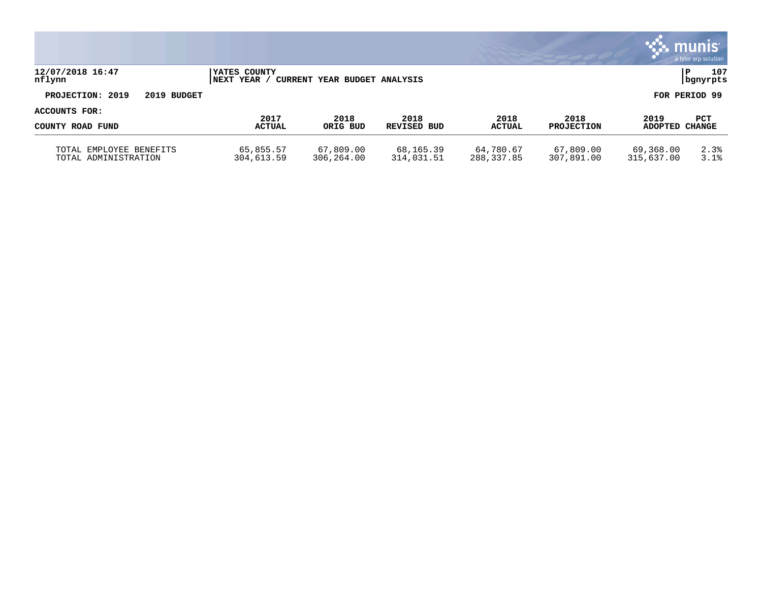|                                                 |                                           |                              |                         |                         |                           |                         | $\mathbf{\ddot{.}}\mathbf{.}$ munis<br>a tyler erp solution |
|-------------------------------------------------|-------------------------------------------|------------------------------|-------------------------|-------------------------|---------------------------|-------------------------|-------------------------------------------------------------|
| 12/07/2018 16:47<br>nflynn                      | <b>IYATES COUNTY</b><br><b>INEXT YEAR</b> | CURRENT YEAR BUDGET ANALYSIS |                         |                         |                           |                         | 107<br>P<br>  bgnyrpts                                      |
| PROJECTION: 2019<br>2019 BUDGET                 |                                           |                              |                         |                         |                           |                         | FOR PERIOD 99                                               |
| ACCOUNTS FOR:                                   |                                           |                              |                         |                         |                           |                         |                                                             |
| COUNTY ROAD FUND                                | 2017<br><b>ACTUAL</b>                     | 2018<br>ORIG BUD             | 2018<br>REVISED BUD     | 2018<br><b>ACTUAL</b>   | 2018<br><b>PROJECTION</b> | 2019<br>ADOPTED CHANGE  | PCT                                                         |
| TOTAL EMPLOYEE BENEFITS<br>TOTAL ADMINISTRATION | 65,855.57<br>304,613.59                   | 67,809.00<br>306,264.00      | 68,165.39<br>314,031.51 | 64,780.67<br>288,337.85 | 67,809.00<br>307,891.00   | 69,368.00<br>315,637.00 | 2.3%<br>3.1%                                                |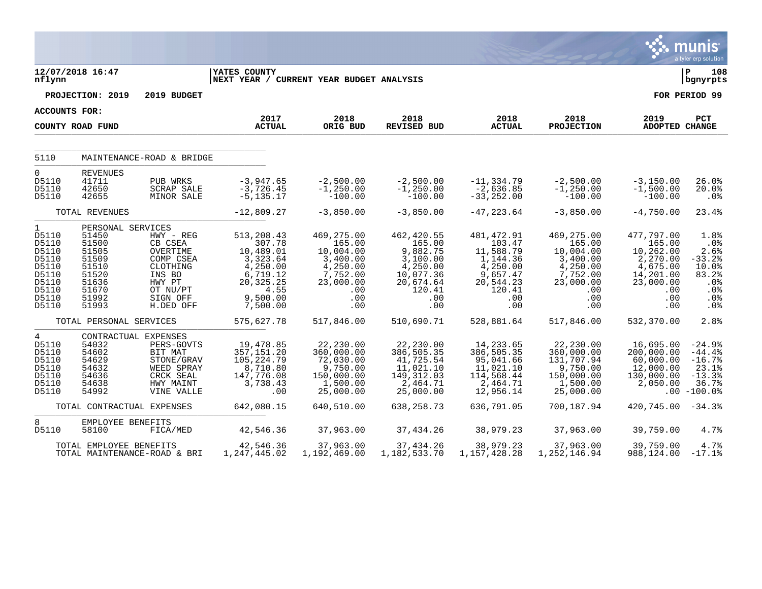|                                                                                                        |                                                                                                             |                                                                                                                    |                                                                                                                      |                                                                                                         |                                                                                                             |                                                                                                            |                                                                                                                  |                                                                                                          | munis<br>a tyler erp solution                                                                |
|--------------------------------------------------------------------------------------------------------|-------------------------------------------------------------------------------------------------------------|--------------------------------------------------------------------------------------------------------------------|----------------------------------------------------------------------------------------------------------------------|---------------------------------------------------------------------------------------------------------|-------------------------------------------------------------------------------------------------------------|------------------------------------------------------------------------------------------------------------|------------------------------------------------------------------------------------------------------------------|----------------------------------------------------------------------------------------------------------|----------------------------------------------------------------------------------------------|
| nflynn                                                                                                 | 12/07/2018 16:47                                                                                            |                                                                                                                    | YATES COUNTY<br>NEXT YEAR / CURRENT YEAR BUDGET ANALYSIS                                                             |                                                                                                         |                                                                                                             |                                                                                                            |                                                                                                                  |                                                                                                          | lР<br>108<br>  bgnyrpts                                                                      |
|                                                                                                        | PROJECTION: 2019                                                                                            | 2019 BUDGET                                                                                                        |                                                                                                                      |                                                                                                         |                                                                                                             |                                                                                                            |                                                                                                                  |                                                                                                          | FOR PERIOD 99                                                                                |
| <b>ACCOUNTS FOR:</b>                                                                                   |                                                                                                             |                                                                                                                    |                                                                                                                      |                                                                                                         |                                                                                                             |                                                                                                            |                                                                                                                  |                                                                                                          |                                                                                              |
|                                                                                                        | COUNTY ROAD FUND                                                                                            |                                                                                                                    | 2017<br><b>ACTUAL</b>                                                                                                | 2018<br>ORIG BUD                                                                                        | 2018<br><b>REVISED BUD</b>                                                                                  | 2018<br><b>ACTUAL</b>                                                                                      | 2018<br><b>PROJECTION</b>                                                                                        | 2019<br>ADOPTED CHANGE                                                                                   | PCT                                                                                          |
| 5110                                                                                                   |                                                                                                             | MAINTENANCE-ROAD & BRIDGE                                                                                          |                                                                                                                      |                                                                                                         |                                                                                                             |                                                                                                            |                                                                                                                  |                                                                                                          |                                                                                              |
| $\mathbf 0$<br>D5110<br>D5110<br>D5110                                                                 | <b>REVENUES</b><br>41711<br>42650<br>42655                                                                  | PUB WRKS<br><b>SCRAP SALE</b><br>MINOR SALE                                                                        | $-3,947.65$<br>$-3,726.45$<br>$-5, 135.17$                                                                           | $-2,500.00$<br>$-1, 250.00$<br>$-100.00$                                                                | $-2,500.00$<br>$-1, 250.00$<br>$-100.00$                                                                    | $-11, 334.79$<br>$-2,636.85$<br>$-33, 252.00$                                                              | $-2,500.00$<br>$-1, 250.00$<br>$-100.00$                                                                         | $-3,150.00$<br>$-1,500.00$<br>$-100.00$                                                                  | 26.0%<br>20.0%<br>.0%                                                                        |
|                                                                                                        | TOTAL REVENUES                                                                                              |                                                                                                                    | $-12,809.27$                                                                                                         | $-3,850.00$                                                                                             | $-3,850.00$                                                                                                 | $-47, 223.64$                                                                                              | $-3,850.00$                                                                                                      | $-4,750.00$                                                                                              | 23.4%                                                                                        |
| $\mathbf{1}$<br>D5110<br>D5110<br>D5110<br>D5110<br>D5110<br>D5110<br>D5110<br>D5110<br>D5110<br>D5110 | PERSONAL SERVICES<br>51450<br>51500<br>51505<br>51509<br>51510<br>51520<br>51636<br>51670<br>51992<br>51993 | HWY - REG<br>CB CSEA<br>OVERTIME<br>COMP CSEA<br>CLOTHING<br>INS BO<br>HWY PT<br>OT NU/PT<br>SIGN OFF<br>H.DED OFF | 513,208.43<br>307.78<br>10,489.01<br>3,323.64<br>4,250.00<br>6,719.12<br>20, 325. 25<br>4.55<br>9,500.00<br>7,500.00 | 469,275.00<br>165.00<br>10,004.00<br>3,400.00<br>4,250.00<br>7,752.00<br>23,000.00<br>.00<br>.00<br>.00 | 462, 420.55<br>165.00<br>9,882.75<br>3,100.00<br>4,250.00<br>10,077.36<br>20,674.64<br>120.41<br>.00<br>.00 | 481,472.91<br>103.47<br>11,588.79<br>1,144.36<br>4,250.00<br>9,657.47<br>20,544.23<br>120.41<br>.00<br>.00 | 469,275.00<br>165.00<br>10,004.00<br>3,400.00<br>4,250.00<br>7,752.00<br>23,000.00<br>$.00 \ \rm$<br>.00<br>.00. | 477,797.00<br>165.00<br>10,262.00<br>2,270.00<br>4,675.00<br>14,201.00<br>23,000.00<br>.00<br>.00<br>.00 | 1.8%<br>.0%<br>2.6%<br>$-33.2%$<br>10.0%<br>83.2%<br>.0%<br>$.0\%$<br>.0%<br>.0 <sub>8</sub> |
|                                                                                                        | TOTAL PERSONAL SERVICES                                                                                     |                                                                                                                    | 575,627.78                                                                                                           | 517,846.00                                                                                              | 510,690.71                                                                                                  | 528,881.64                                                                                                 | 517,846.00                                                                                                       | 532,370.00                                                                                               | 2.8%                                                                                         |
| 4<br>D5110<br>D5110<br>D5110<br>D5110<br>D5110<br>D5110<br>D5110                                       | 54032<br>54602<br>54629<br>54632<br>54636<br>54638<br>54992                                                 | CONTRACTUAL EXPENSES<br>PERS-GOVTS<br>BIT MAT<br>STONE/GRAV<br>WEED SPRAY<br>CRCK SEAL<br>HWY MAINT<br>VINE VALLE  | 19,478.85<br>357,151.20<br>105, 224.79<br>8,710.80<br>147,776.08<br>3,738.43<br>.00                                  | 22,230.00<br>360,000.00<br>72,030.00<br>9,750.00<br>150,000.00<br>1,500.00<br>25,000.00                 | 22,230.00<br>386,505.35<br>41,725.54<br>11,021.10<br>149, 312.03<br>2,464.71<br>25,000.00                   | 14,233.65<br>386,505.35<br>95,041.66<br>11,021.10<br>114,568.44<br>2,464.71<br>12,956.14                   | 22,230.00<br>360,000.00<br>131,707.94<br>9,750.00<br>150,000.00<br>1,500.00<br>25,000.00                         | 16,695.00<br>200,000.00<br>60,000.00<br>12,000.00<br>130,000.00<br>2,050.00                              | $-24.9%$<br>$-44.4$<br>$-16.7%$<br>23.1%<br>$-13.3%$<br>36.7%<br>$.00 - 100.0$               |
|                                                                                                        | TOTAL CONTRACTUAL EXPENSES                                                                                  |                                                                                                                    | 642,080.15                                                                                                           | 640,510.00                                                                                              | 638, 258. 73                                                                                                | 636,791.05                                                                                                 | 700,187.94                                                                                                       | 420,745.00                                                                                               | $-34.3%$                                                                                     |
| 8<br>D5110                                                                                             | EMPLOYEE BENEFITS<br>58100                                                                                  | FICA/MED                                                                                                           | 42,546.36                                                                                                            | 37,963.00                                                                                               | 37, 434.26                                                                                                  | 38,979.23                                                                                                  | 37,963.00                                                                                                        | 39,759.00                                                                                                | 4.7%                                                                                         |
|                                                                                                        | TOTAL EMPLOYEE BENEFITS                                                                                     | TOTAL MAINTENANCE-ROAD & BRI                                                                                       | 42,546.36<br>1,247,445.02                                                                                            | 37,963.00<br>1,192,469.00                                                                               | 37,434.26<br>1,182,533.70                                                                                   | 38,979.23<br>1,157,428.28                                                                                  | 37,963.00<br>1,252,146.94                                                                                        | 39,759.00<br>988,124.00                                                                                  | 4.7%<br>$-17.1$ $8$                                                                          |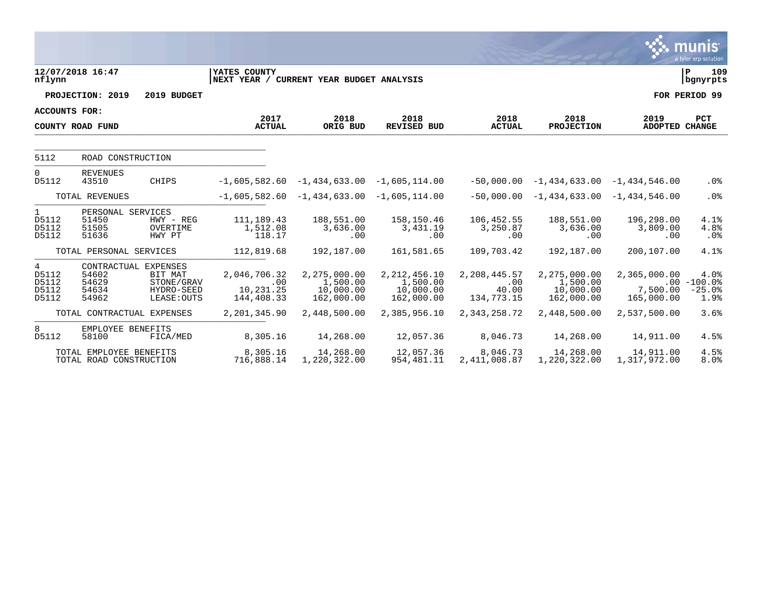|                                         |                                                          |                                                    |                                                          |                                                     |                                                       |                                            |                                                     |                                        | munis<br>a tyler erp solution              |
|-----------------------------------------|----------------------------------------------------------|----------------------------------------------------|----------------------------------------------------------|-----------------------------------------------------|-------------------------------------------------------|--------------------------------------------|-----------------------------------------------------|----------------------------------------|--------------------------------------------|
| nflynn                                  | 12/07/2018 16:47                                         |                                                    | YATES COUNTY<br>NEXT YEAR / CURRENT YEAR BUDGET ANALYSIS |                                                     |                                                       |                                            |                                                     |                                        | 109<br>lР<br>  bgnyrpts                    |
|                                         | PROJECTION: 2019                                         | 2019 BUDGET                                        |                                                          |                                                     |                                                       |                                            |                                                     |                                        | FOR PERIOD 99                              |
| <b>ACCOUNTS FOR:</b>                    |                                                          |                                                    |                                                          |                                                     |                                                       |                                            |                                                     |                                        |                                            |
|                                         | COUNTY ROAD FUND                                         |                                                    | 2017<br><b>ACTUAL</b>                                    | 2018<br>ORIG BUD                                    | 2018<br><b>REVISED BUD</b>                            | 2018<br><b>ACTUAL</b>                      | 2018<br><b>PROJECTION</b>                           | 2019<br>ADOPTED CHANGE                 | <b>PCT</b>                                 |
| 5112                                    | ROAD CONSTRUCTION                                        |                                                    |                                                          |                                                     |                                                       |                                            |                                                     |                                        |                                            |
| $\Omega$<br>D5112                       | <b>REVENUES</b><br>43510                                 | CHIPS                                              |                                                          | $-1,605,582.60 -1,434,633.00$                       | $-1,605,114.00$                                       | $-50,000.00$                               |                                                     | $-1,434,633.00 -1,434,546.00$          | .0%                                        |
| TOTAL REVENUES                          |                                                          |                                                    |                                                          | $-1,605,582.60$ $-1,434,633.00$                     | $-1,605,114.00$                                       | $-50,000.00$                               |                                                     | $-1,434,633.00 -1,434,546.00$          | .0%                                        |
| $\mathbf{1}$<br>D5112<br>D5112<br>D5112 | PERSONAL SERVICES<br>51450<br>51505<br>51636             | $HWY - REG$<br>OVERTIME<br>HWY PT                  | 111,189.43<br>1,512.08<br>118.17                         | 188,551.00<br>3,636.00<br>.00                       | 158,150.46<br>3,431.19<br>.00                         | 106,452.55<br>3,250.87<br>.00              | 188,551.00<br>3,636.00<br>.00                       | 196,298.00<br>3,809.00<br>.00          | 4.1%<br>4.8%<br>.0%                        |
|                                         | TOTAL PERSONAL SERVICES                                  |                                                    | 112,819.68                                               | 192,187.00                                          | 161,581.65                                            | 109,703.42                                 | 192,187.00                                          | 200,107.00                             | 4.1%                                       |
| 4<br>D5112<br>D5112<br>D5112<br>D5112   | CONTRACTUAL EXPENSES<br>54602<br>54629<br>54634<br>54962 | BIT MAT<br>STONE/GRAV<br>HYDRO-SEED<br>LEASE: OUTS | 2,046,706.32<br>.00<br>10,231.25<br>144,408.33           | 2,275,000.00<br>1,500.00<br>10,000.00<br>162,000.00 | 2, 212, 456.10<br>1,500.00<br>10,000.00<br>162,000.00 | 2,208,445.57<br>.00<br>40.00<br>134,773.15 | 2,275,000.00<br>1,500.00<br>10,000.00<br>162,000.00 | 2,365,000.00<br>7,500.00<br>165,000.00 | 4.0%<br>$.00 - 100.0%$<br>$-25.0%$<br>1.9% |
|                                         | TOTAL CONTRACTUAL EXPENSES                               |                                                    | 2,201,345.90                                             | 2,448,500.00                                        | 2,385,956.10                                          | 2,343,258.72                               | 2,448,500.00                                        | 2,537,500.00                           | 3.6%                                       |
| 8<br>D5112                              | EMPLOYEE BENEFITS<br>58100                               | FICA/MED                                           | 8,305.16                                                 | 14,268.00                                           | 12,057.36                                             | 8,046.73                                   | 14,268.00                                           | 14,911.00                              | 4.5%                                       |
|                                         | TOTAL EMPLOYEE BENEFITS<br>TOTAL ROAD CONSTRUCTION       |                                                    | 8,305.16<br>716,888.14                                   | 14,268.00<br>1,220,322.00                           | 12,057.36<br>954, 481. 11                             | 8,046.73<br>2,411,008.87                   | 14,268.00<br>1,220,322.00                           | 14,911.00<br>1,317,972.00              | 4.5%<br>8.0%                               |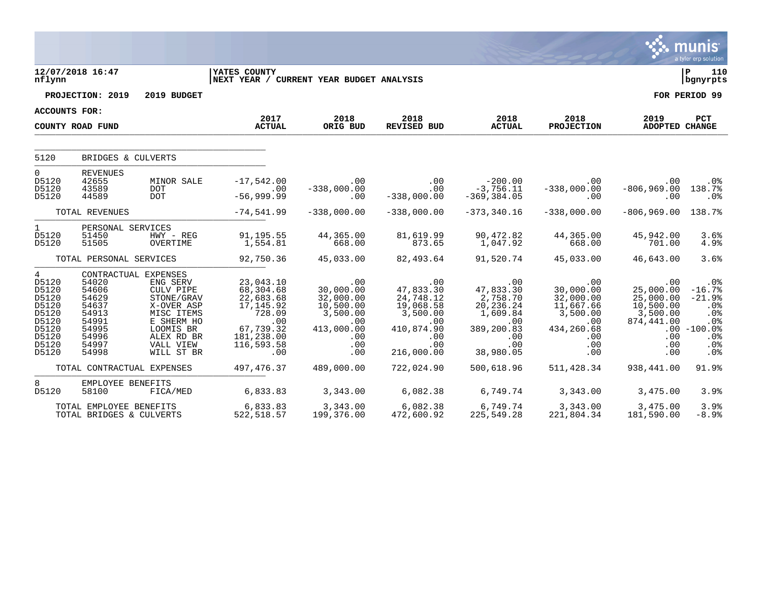|                                                                                                  |                                                                                                       |                                                                                                                       |                                                                                                             |                                                                                           |                                                                                           |                                                                                          |                                                                                                          |                                                                                     | a tyler erp solution                                                             |
|--------------------------------------------------------------------------------------------------|-------------------------------------------------------------------------------------------------------|-----------------------------------------------------------------------------------------------------------------------|-------------------------------------------------------------------------------------------------------------|-------------------------------------------------------------------------------------------|-------------------------------------------------------------------------------------------|------------------------------------------------------------------------------------------|----------------------------------------------------------------------------------------------------------|-------------------------------------------------------------------------------------|----------------------------------------------------------------------------------|
| nflynn                                                                                           | 12/07/2018 16:47                                                                                      |                                                                                                                       | <b>YATES COUNTY</b><br>NEXT YEAR / CURRENT YEAR BUDGET ANALYSIS                                             |                                                                                           |                                                                                           |                                                                                          |                                                                                                          |                                                                                     | l P<br>110<br>  bgnyrpts                                                         |
|                                                                                                  | PROJECTION: 2019                                                                                      | 2019 BUDGET                                                                                                           |                                                                                                             |                                                                                           |                                                                                           |                                                                                          |                                                                                                          |                                                                                     | FOR PERIOD 99                                                                    |
| ACCOUNTS FOR:                                                                                    |                                                                                                       |                                                                                                                       |                                                                                                             |                                                                                           |                                                                                           |                                                                                          |                                                                                                          |                                                                                     |                                                                                  |
|                                                                                                  | COUNTY ROAD FUND                                                                                      |                                                                                                                       | 2017<br><b>ACTUAL</b>                                                                                       | 2018<br>ORIG BUD                                                                          | 2018<br>REVISED BUD                                                                       | 2018<br><b>ACTUAL</b>                                                                    | 2018<br><b>PROJECTION</b>                                                                                | 2019<br><b>ADOPTED CHANGE</b>                                                       | PCT                                                                              |
| 5120                                                                                             | BRIDGES & CULVERTS                                                                                    |                                                                                                                       |                                                                                                             |                                                                                           |                                                                                           |                                                                                          |                                                                                                          |                                                                                     |                                                                                  |
| $\mathbf 0$<br>D5120<br>D5120<br>D5120                                                           | <b>REVENUES</b><br>42655<br>43589<br>44589                                                            | MINOR SALE<br><b>DOT</b><br><b>DOT</b>                                                                                | $-17,542.00$<br>.00<br>$-56,999.99$                                                                         | .00<br>$-338,000.00$<br>.00                                                               | .00<br>.00<br>$-338,000.00$                                                               | $-200.00$<br>$-3,756.11$<br>$-369, 384.05$                                               | $.00 \,$<br>$-338,000.00$<br>.00                                                                         | .00<br>$-806, 969.00$<br>.00                                                        | .0%<br>138.7%<br>.0%                                                             |
|                                                                                                  | TOTAL REVENUES                                                                                        |                                                                                                                       | $-74,541.99$                                                                                                | $-338,000.00$                                                                             | $-338,000.00$                                                                             | $-373, 340.16$                                                                           | $-338,000.00$                                                                                            | $-806, 969.00$                                                                      | 138.7%                                                                           |
| 1<br>D5120<br>D5120                                                                              | PERSONAL SERVICES<br>51450<br>51505                                                                   | HWY - REG<br>OVERTIME                                                                                                 | 91,195.55<br>1,554.81                                                                                       | 44,365.00<br>668.00                                                                       | 81,619.99<br>873.65                                                                       | 90,472.82<br>1,047.92                                                                    | 44,365.00<br>668.00                                                                                      | 45,942.00<br>701.00                                                                 | 3.6%<br>4.9%                                                                     |
|                                                                                                  | TOTAL PERSONAL SERVICES                                                                               |                                                                                                                       | 92,750.36                                                                                                   | 45,033.00                                                                                 | 82,493.64                                                                                 | 91,520.74                                                                                | 45,033.00                                                                                                | 46,643.00                                                                           | 3.6%                                                                             |
| $4\overline{ }$<br>D5120<br>D5120<br>D5120<br>D5120<br>D5120<br>D5120<br>D5120<br>D5120<br>D5120 | CONTRACTUAL EXPENSES<br>54020<br>54606<br>54629<br>54637<br>54913<br>54991<br>54995<br>54996<br>54997 | ENG SERV<br>CULV PIPE<br>STONE/GRAV<br>X-OVER ASP<br>MISC ITEMS<br>E SHERM HO<br>LOOMIS BR<br>ALEX RD BR<br>VALL VIEW | 23,043.10<br>68,304.68<br>22,683.68<br>17, 145.92<br>728.09<br>.00<br>67,739.32<br>181,238.00<br>116,593.58 | .00<br>30,000.00<br>32,000.00<br>10,500.00<br>3,500.00<br>.00<br>413,000.00<br>.00<br>.00 | .00<br>47,833.30<br>24,748.12<br>19,068.58<br>3,500.00<br>.00<br>410,874.90<br>.00<br>.00 | .00<br>47,833.30<br>2,758.70<br>20,236.24<br>1,609.84<br>.00<br>389,200.83<br>.00<br>.00 | .00<br>30,000.00<br>32,000.00<br>11,667.66<br>3,500.00<br>$.00 \,$<br>434,260.68<br>$.00 \,$<br>$.00 \,$ | .00<br>25,000.00<br>25,000.00<br>10,500.00<br>3,500.00<br>874,441.00<br>.00<br>.00. | .0%<br>$-16.7%$<br>$-21.9%$<br>.0%<br>.0%<br>.0%<br>$.00 - 100.0%$<br>.0%<br>.0% |
| D5120                                                                                            | 54998                                                                                                 | WILL ST BR                                                                                                            | .00                                                                                                         | .00                                                                                       | 216,000.00                                                                                | 38,980.05                                                                                | .00                                                                                                      | .00                                                                                 | .0%                                                                              |
|                                                                                                  | TOTAL CONTRACTUAL EXPENSES                                                                            |                                                                                                                       | 497, 476.37                                                                                                 | 489,000.00                                                                                | 722,024.90                                                                                | 500,618.96                                                                               | 511,428.34                                                                                               | 938,441.00                                                                          | 91.9%                                                                            |
| 8<br>D5120                                                                                       | EMPLOYEE BENEFITS<br>58100                                                                            | FICA/MED                                                                                                              | 6,833.83                                                                                                    | 3,343.00                                                                                  | 6,082.38                                                                                  | 6,749.74                                                                                 | 3,343.00                                                                                                 | 3,475.00                                                                            | 3.9%                                                                             |
|                                                                                                  | TOTAL EMPLOYEE BENEFITS<br>TOTAL BRIDGES & CULVERTS                                                   |                                                                                                                       | 6,833.83<br>522, 518.57                                                                                     | 3,343.00<br>199,376.00                                                                    | 6,082.38<br>472,600.92                                                                    | 6,749.74<br>225,549.28                                                                   | 3,343.00<br>221,804.34                                                                                   | 3,475.00<br>181,590.00                                                              | 3.9%<br>$-8.9%$                                                                  |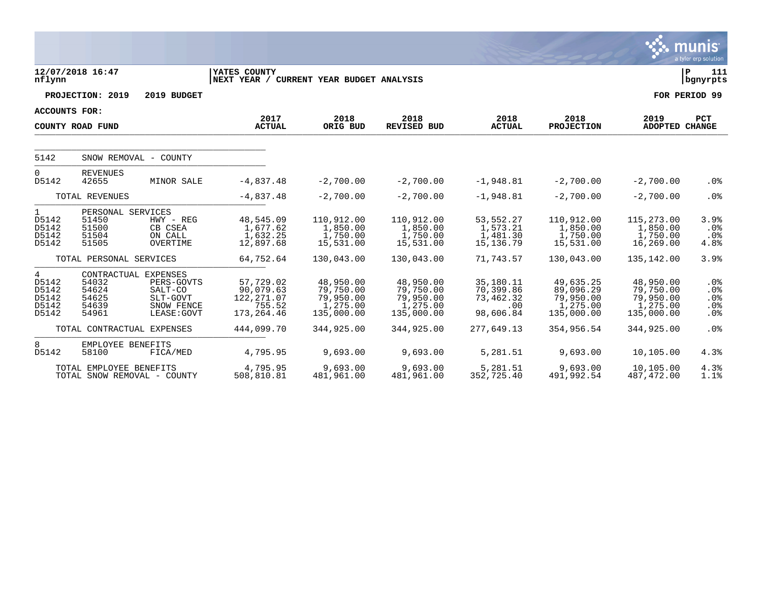|                                                  |                                                       |                                                                                        |                                                                |                                                               |                                                               |                                                         |                                                               |                                                               | <b>munis</b><br>a tyler erp solution |
|--------------------------------------------------|-------------------------------------------------------|----------------------------------------------------------------------------------------|----------------------------------------------------------------|---------------------------------------------------------------|---------------------------------------------------------------|---------------------------------------------------------|---------------------------------------------------------------|---------------------------------------------------------------|--------------------------------------|
| nflynn                                           | 12/07/2018 16:47                                      |                                                                                        | YATES COUNTY<br>NEXT YEAR / CURRENT YEAR BUDGET ANALYSIS       |                                                               |                                                               |                                                         |                                                               |                                                               | l P<br>111<br>  bgnyrpts             |
|                                                  | PROJECTION: 2019                                      | 2019 BUDGET                                                                            |                                                                |                                                               |                                                               |                                                         |                                                               |                                                               | FOR PERIOD 99                        |
| <b>ACCOUNTS FOR:</b>                             |                                                       |                                                                                        |                                                                |                                                               |                                                               |                                                         |                                                               |                                                               |                                      |
|                                                  | COUNTY ROAD FUND                                      |                                                                                        | 2017<br><b>ACTUAL</b>                                          | 2018<br>ORIG BUD                                              | 2018<br><b>REVISED BUD</b>                                    | 2018<br><b>ACTUAL</b>                                   | 2018<br><b>PROJECTION</b>                                     | 2019<br>ADOPTED CHANGE                                        | <b>PCT</b>                           |
| 5142                                             |                                                       | SNOW REMOVAL - COUNTY                                                                  |                                                                |                                                               |                                                               |                                                         |                                                               |                                                               |                                      |
| 0<br>D5142                                       | <b>REVENUES</b><br>42655                              | MINOR SALE                                                                             | $-4,837.48$                                                    | $-2,700.00$                                                   | $-2,700.00$                                                   | $-1,948.81$                                             | $-2,700.00$                                                   | $-2,700.00$                                                   | .0%                                  |
|                                                  | TOTAL REVENUES                                        |                                                                                        | $-4,837.48$                                                    | $-2,700.00$                                                   | $-2,700.00$                                                   | $-1,948.81$                                             | $-2,700.00$                                                   | $-2,700.00$                                                   | .0%                                  |
| $\mathbf{1}$<br>D5142<br>D5142<br>D5142<br>D5142 | PERSONAL SERVICES<br>51450<br>51500<br>51504<br>51505 | $HWY - REG$<br>CB CSEA<br>ON CALL<br>OVERTIME                                          | 48,545.09<br>1,677.62<br>1,632.25<br>12,897.68                 | 110,912.00<br>1,850.00<br>1,750.00<br>15,531.00               | 110,912.00<br>1,850.00<br>1,750.00<br>15,531.00               | 53, 552. 27<br>1,573.21<br>1,481.30<br>15,136.79        | 110,912.00<br>1,850.00<br>1,750.00<br>15,531.00               | 115,273.00<br>1,850.00<br>1,750.00<br>16,269.00               | 3.9%<br>.0%<br>$.0\%$<br>4.8%        |
|                                                  | TOTAL PERSONAL SERVICES                               |                                                                                        | 64,752.64                                                      | 130,043.00                                                    | 130,043.00                                                    | 71,743.57                                               | 130,043.00                                                    | 135,142.00                                                    | 3.9%                                 |
| 4<br>D5142<br>D5142<br>D5142<br>D5142<br>D5142   | 54032<br>54624<br>54625<br>54639<br>54961             | CONTRACTUAL EXPENSES<br>PERS-GOVTS<br>SALT-CO<br>SLT-GOVT<br>SNOW FENCE<br>LEASE: GOVT | 57,729.02<br>90,079.63<br>122, 271.07<br>755.52<br>173, 264.46 | 48,950.00<br>79,750.00<br>79,950.00<br>1,275.00<br>135,000.00 | 48,950.00<br>79,750.00<br>79,950.00<br>1,275.00<br>135,000.00 | 35,180.11<br>70,399.86<br>73,462.32<br>.00<br>98,606.84 | 49,635.25<br>89,096.29<br>79,950.00<br>1,275.00<br>135,000.00 | 48,950.00<br>79,750.00<br>79,950.00<br>1,275.00<br>135,000.00 | $.0\%$<br>.0%<br>.0%<br>.0%<br>.0%   |
|                                                  | TOTAL CONTRACTUAL EXPENSES                            |                                                                                        | 444,099.70                                                     | 344,925.00                                                    | 344,925.00                                                    | 277,649.13                                              | 354,956.54                                                    | 344,925.00                                                    | .0%                                  |
| 8<br>D5142                                       | EMPLOYEE BENEFITS<br>58100                            | FICA/MED                                                                               | 4,795.95                                                       | 9,693.00                                                      | 9,693.00                                                      | 5,281.51                                                | 9,693.00                                                      | 10,105.00                                                     | 4.3%                                 |
|                                                  | TOTAL EMPLOYEE BENEFITS                               | TOTAL SNOW REMOVAL - COUNTY                                                            | 4,795.95<br>508,810.81                                         | 9,693.00<br>481,961.00                                        | 9,693.00<br>481,961.00                                        | 5,281.51<br>352,725.40                                  | 9,693.00<br>491,992.54                                        | 10,105.00<br>487,472.00                                       | 4.3%<br>1.1%                         |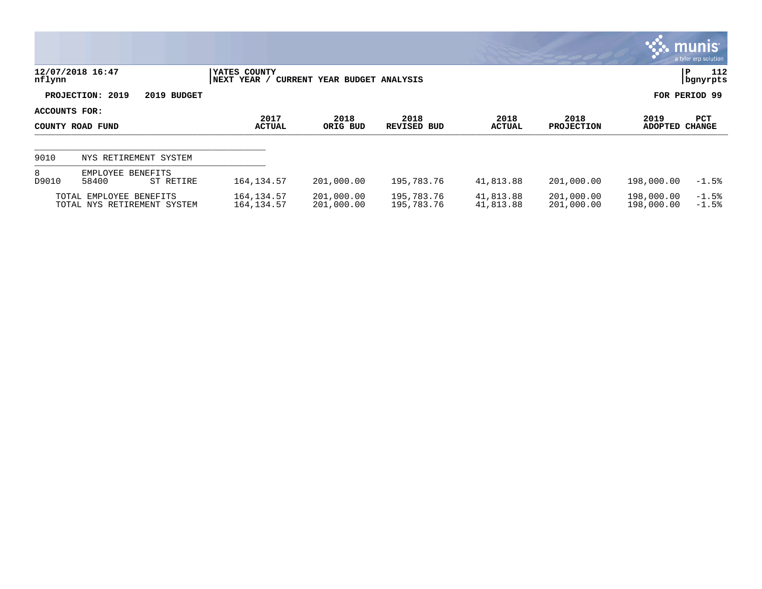|                                   |                                                        |                              |                              |                          |                        |                           |                          | $\mathbb{C}$ munis<br>a tyler erp solution |
|-----------------------------------|--------------------------------------------------------|------------------------------|------------------------------|--------------------------|------------------------|---------------------------|--------------------------|--------------------------------------------|
| nflynn                            | 12/07/2018 16:47                                       | YATES COUNTY<br> NEXT YEAR / | CURRENT YEAR BUDGET ANALYSIS |                          |                        |                           |                          | 112<br>P<br>  bgnyrpts                     |
|                                   | PROJECTION: 2019<br>2019 BUDGET                        |                              |                              |                          |                        |                           |                          | FOR PERIOD 99                              |
| ACCOUNTS FOR:<br>COUNTY ROAD FUND |                                                        | 2017<br><b>ACTUAL</b>        | 2018<br>ORIG BUD             | 2018<br>REVISED BUD      | 2018<br>ACTUAL         | 2018<br><b>PROJECTION</b> | 2019<br>ADOPTED          | PCT<br><b>CHANGE</b>                       |
| 9010                              | NYS RETIREMENT SYSTEM                                  |                              |                              |                          |                        |                           |                          |                                            |
| 8<br>D9010                        | EMPLOYEE BENEFITS<br>58400<br>ST RETIRE                | 164, 134.57                  | 201,000.00                   | 195,783.76               | 41,813.88              | 201,000.00                | 198,000.00               | $-1.5%$                                    |
|                                   | TOTAL EMPLOYEE BENEFITS<br>TOTAL NYS RETIREMENT SYSTEM | 164, 134.57<br>164, 134.57   | 201,000.00<br>201,000.00     | 195,783.76<br>195,783.76 | 41,813.88<br>41,813.88 | 201,000.00<br>201,000.00  | 198,000.00<br>198,000.00 | $-1.5%$<br>$-1.5%$                         |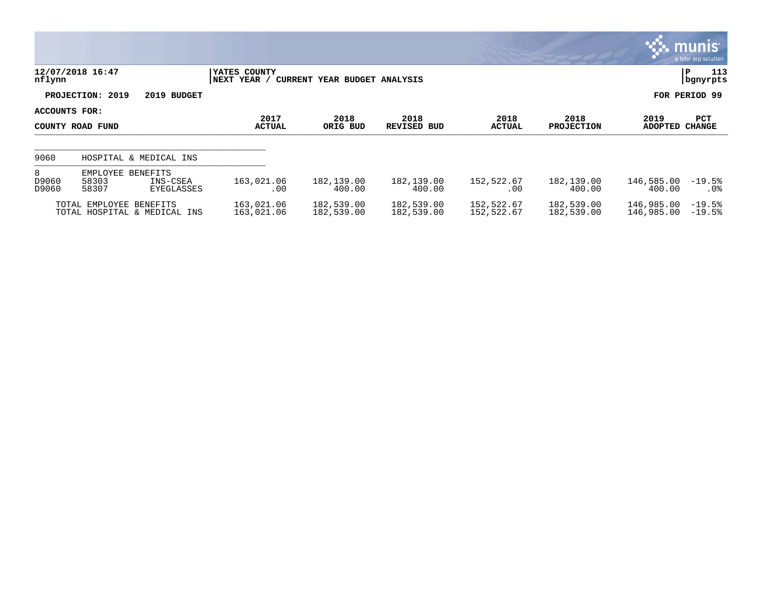|                     |                                                                  |                              |                              |                            |                          |                           |                          | $\mathbb{R}$ munis<br>a tyler erp solution |
|---------------------|------------------------------------------------------------------|------------------------------|------------------------------|----------------------------|--------------------------|---------------------------|--------------------------|--------------------------------------------|
| nflynn              | 12/07/2018 16:47                                                 | YATES COUNTY<br> NEXT YEAR / | CURRENT YEAR BUDGET ANALYSIS |                            |                          |                           |                          | 113<br>P<br>bgnyrpts                       |
|                     | PROJECTION: 2019<br>2019 BUDGET                                  |                              |                              |                            |                          |                           |                          | FOR PERIOD 99                              |
| ACCOUNTS FOR:       | COUNTY ROAD FUND                                                 | 2017<br><b>ACTUAL</b>        | 2018<br>ORIG BUD             | 2018<br><b>REVISED BUD</b> | 2018<br><b>ACTUAL</b>    | 2018<br><b>PROJECTION</b> | 2019<br>ADOPTED          | <b>PCT</b><br>CHANGE                       |
| 9060                | HOSPITAL & MEDICAL INS                                           |                              |                              |                            |                          |                           |                          |                                            |
| 8<br>D9060<br>D9060 | EMPLOYEE<br>BENEFITS<br>58303<br>INS-CSEA<br>58307<br>EYEGLASSES | 163,021.06<br>.00            | 182,139.00<br>400.00         | 182,139.00<br>400.00       | 152,522.67<br>.00        | 182,139.00<br>400.00      | 146,585.00<br>400.00     | $-19.5%$<br>$.0\%$                         |
|                     | TOTAL EMPLOYEE BENEFITS<br>TOTAL HOSPITAL & MEDICAL INS          | 163,021.06<br>163,021.06     | 182,539.00<br>182,539.00     | 182,539.00<br>182,539.00   | 152,522.67<br>152,522.67 | 182,539.00<br>182,539.00  | 146,985.00<br>146,985.00 | $-19.5%$<br>$-19.5%$                       |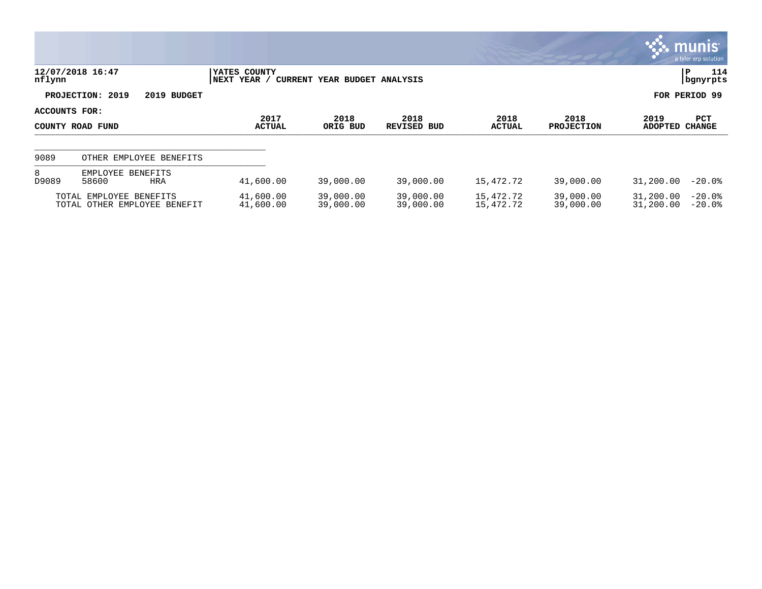|               |                                                         |                              |                              |                        |                        |                           |                        | $\sim$ munis $\sim$<br>a tyler erp solution |
|---------------|---------------------------------------------------------|------------------------------|------------------------------|------------------------|------------------------|---------------------------|------------------------|---------------------------------------------|
| nflynn        | 12/07/2018 16:47                                        | YATES COUNTY<br> NEXT YEAR / | CURRENT YEAR BUDGET ANALYSIS |                        |                        |                           |                        | 114<br>P<br>  bgnyrpts                      |
|               | PROJECTION: 2019<br>2019 BUDGET                         |                              |                              |                        |                        |                           |                        | FOR PERIOD 99                               |
| ACCOUNTS FOR: | COUNTY ROAD FUND                                        | 2017<br><b>ACTUAL</b>        | 2018<br>ORIG BUD             | 2018<br>REVISED BUD    | 2018<br>ACTUAL         | 2018<br><b>PROJECTION</b> | 2019<br><b>ADOPTED</b> | PCT<br><b>CHANGE</b>                        |
| 9089          | OTHER EMPLOYEE BENEFITS                                 |                              |                              |                        |                        |                           |                        |                                             |
| 8<br>D9089    | EMPLOYEE BENEFITS<br>58600<br>HRA                       | 41,600.00                    | 39,000.00                    | 39,000.00              | 15,472.72              | 39,000.00                 | 31,200.00              | $-20.0%$                                    |
|               | TOTAL EMPLOYEE BENEFITS<br>TOTAL OTHER EMPLOYEE BENEFIT | 41,600.00<br>41,600.00       | 39,000.00<br>39,000.00       | 39,000.00<br>39,000.00 | 15,472.72<br>15,472.72 | 39,000.00<br>39,000.00    | 31,200.00<br>31,200.00 | $-20.0%$<br>$-20.0%$                        |

**SOF**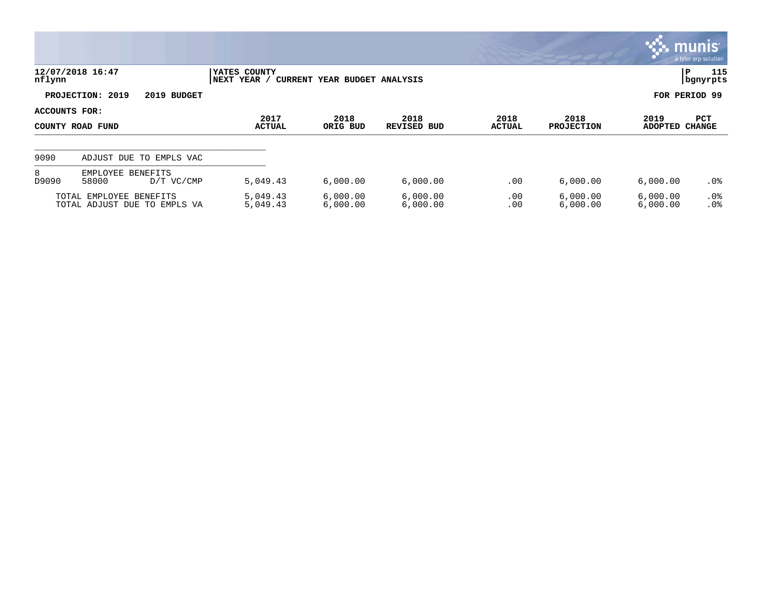|                                   |                                                         |                             |                              |                            |                       |                           | $\mathbb{C}$ munis $\mathbb{C}$ | a tyler erp solution   |
|-----------------------------------|---------------------------------------------------------|-----------------------------|------------------------------|----------------------------|-----------------------|---------------------------|---------------------------------|------------------------|
| nflynn                            | 12/07/2018 16:47                                        | YATES COUNTY<br>NEXT YEAR / | CURRENT YEAR BUDGET ANALYSIS |                            |                       |                           |                                 | 115<br>P<br>  bgnyrpts |
|                                   | PROJECTION: 2019<br>2019 BUDGET                         |                             |                              |                            |                       |                           |                                 | FOR PERIOD 99          |
| ACCOUNTS FOR:<br>COUNTY ROAD FUND |                                                         | 2017<br><b>ACTUAL</b>       | 2018<br>ORIG BUD             | 2018<br><b>REVISED BUD</b> | 2018<br><b>ACTUAL</b> | 2018<br><b>PROJECTION</b> | 2019<br>ADOPTED                 | PCT<br><b>CHANGE</b>   |
| 9090                              | ADJUST DUE TO EMPLS VAC                                 |                             |                              |                            |                       |                           |                                 |                        |
| 8<br>D9090                        | EMPLOYEE BENEFITS<br>58000<br>D/T VC/CMP                | 5,049.43                    | 6,000.00                     | 6,000.00                   | .00                   | 6,000.00                  | 6,000.00                        | .0%                    |
|                                   | TOTAL EMPLOYEE BENEFITS<br>TOTAL ADJUST DUE TO EMPLS VA | 5,049.43<br>5,049.43        | 6,000.00<br>6,000.00         | 6,000.00<br>6,000.00       | .00<br>.00            | 6,000.00<br>6,000.00      | 6,000.00<br>6,000.00            | $.0\%$<br>.0%          |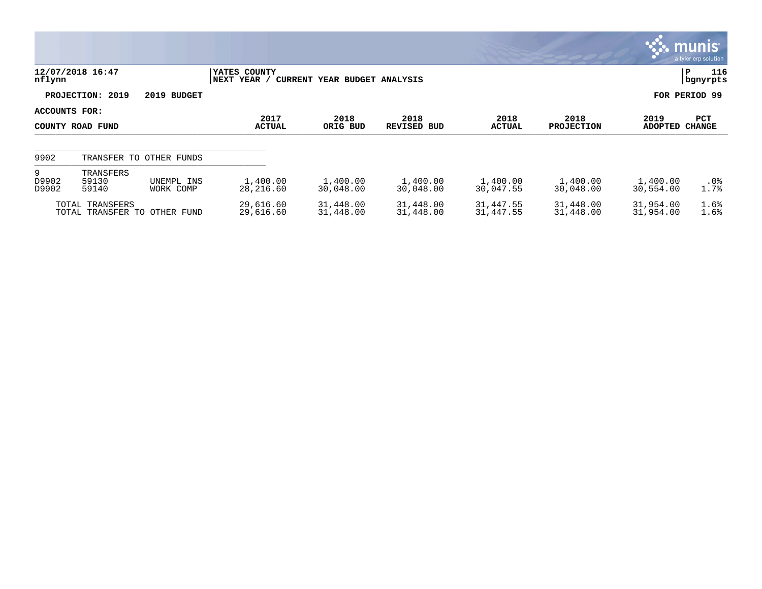|                     |                                                 |                         |                             |                              |                        |                        |                           |                        | munis<br>a tyler erp solution |
|---------------------|-------------------------------------------------|-------------------------|-----------------------------|------------------------------|------------------------|------------------------|---------------------------|------------------------|-------------------------------|
| nflynn              | 12/07/2018 16:47                                |                         | YATES COUNTY<br>NEXT YEAR / | CURRENT YEAR BUDGET ANALYSIS |                        |                        |                           |                        | 116<br>P<br>bgnyrpts          |
|                     | PROJECTION: 2019                                | 2019 BUDGET             |                             |                              |                        |                        |                           |                        | FOR PERIOD 99                 |
| ACCOUNTS FOR:       | COUNTY ROAD FUND                                |                         | 2017<br><b>ACTUAL</b>       | 2018<br>ORIG BUD             | 2018<br>REVISED BUD    | 2018<br><b>ACTUAL</b>  | 2018<br><b>PROJECTION</b> | 2019<br>ADOPTED        | PCT<br><b>CHANGE</b>          |
| 9902                |                                                 | TRANSFER TO OTHER FUNDS |                             |                              |                        |                        |                           |                        |                               |
| 9<br>D9902<br>D9902 | TRANSFERS<br>59130<br>59140                     | UNEMPL INS<br>WORK COMP | 1,400.00<br>28,216.60       | 1,400.00<br>30,048.00        | 1,400.00<br>30,048.00  | 1,400.00<br>30,047.55  | 1,400.00<br>30,048.00     | 1,400.00<br>30,554.00  | $.0\%$<br>1.7%                |
|                     | TOTAL TRANSFERS<br>TOTAL TRANSFER TO OTHER FUND |                         | 29,616.60<br>29,616.60      | 31,448.00<br>31,448.00       | 31,448.00<br>31,448.00 | 31,447.55<br>31,447.55 | 31,448.00<br>31,448.00    | 31,954.00<br>31,954.00 | 1.6%<br>1.6%                  |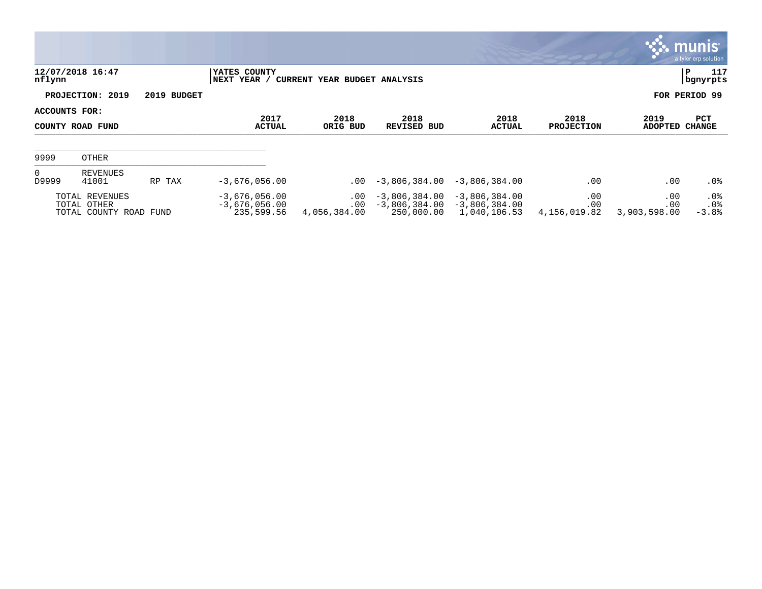|                                   |                                                         |                       |                                                  |                                      |                                                  |                                                    |                            |                            | <b>munis</b><br>a tyler erp solution |
|-----------------------------------|---------------------------------------------------------|-----------------------|--------------------------------------------------|--------------------------------------|--------------------------------------------------|----------------------------------------------------|----------------------------|----------------------------|--------------------------------------|
| nflynn                            | 12/07/2018 16:47                                        |                       | YATES COUNTY<br>NEXT YEAR /                      | CURRENT YEAR BUDGET ANALYSIS         |                                                  |                                                    |                            |                            | P<br>117<br>  bgnyrpts               |
|                                   | PROJECTION: 2019                                        | 2019 BUDGET           |                                                  |                                      |                                                  |                                                    |                            |                            | FOR PERIOD 99                        |
| ACCOUNTS FOR:<br>COUNTY ROAD FUND |                                                         | 2017<br><b>ACTUAL</b> | 2018<br>ORIG BUD                                 | 2018<br><b>REVISED BUD</b>           | 2018<br><b>ACTUAL</b>                            | 2018<br><b>PROJECTION</b>                          | 2019<br>ADOPTED            | PCT<br>CHANGE              |                                      |
| 9999                              | OTHER                                                   |                       |                                                  |                                      |                                                  |                                                    |                            |                            |                                      |
| $\overline{0}$<br>D9999           | REVENUES<br>41001                                       | RP TAX                | $-3,676,056.00$                                  | $.00 \,$                             | $-3,806,384.00$                                  | $-3,806,384.00$                                    | .00                        | .00                        | .0%                                  |
|                                   | TOTAL REVENUES<br>TOTAL OTHER<br>TOTAL COUNTY ROAD FUND |                       | $-3,676,056.00$<br>$-3,676,056.00$<br>235,599.56 | $.00 \,$<br>$.00 \,$<br>4,056,384.00 | $-3,806,384.00$<br>$-3,806,384.00$<br>250,000.00 | $-3,806,384.00$<br>$-3,806,384.00$<br>1,040,106.53 | .00<br>.00<br>4,156,019.82 | .00<br>.00<br>3,903,598.00 | .0%<br>.0%<br>$-3.8%$                |

 $\mathcal{L}^{\text{max}}$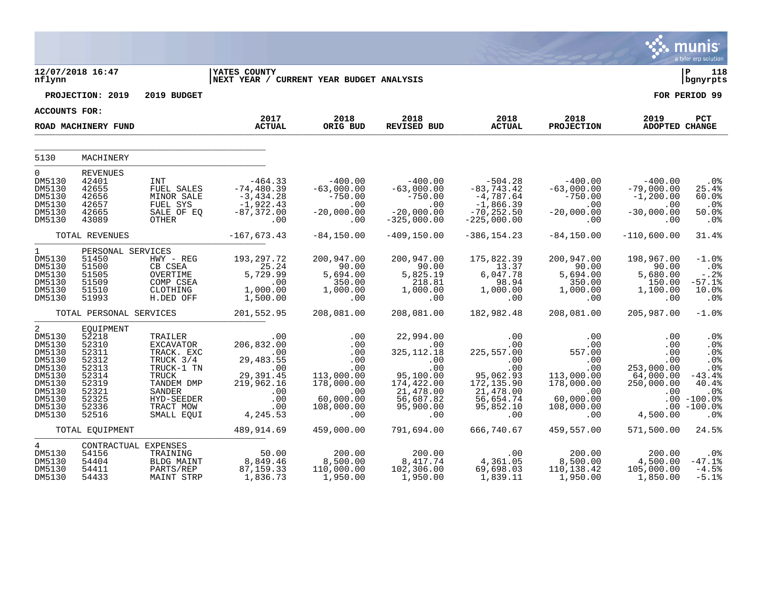|                                                                                                                 |                                                                                                              |                                                                                                                                         |                                                                                                                      |                                                                                                            |                                                                                                                                 |                                                                                                                  |                                                                                                                 |                                                                                      | munis<br>a tyler erp solution                                                                                            |
|-----------------------------------------------------------------------------------------------------------------|--------------------------------------------------------------------------------------------------------------|-----------------------------------------------------------------------------------------------------------------------------------------|----------------------------------------------------------------------------------------------------------------------|------------------------------------------------------------------------------------------------------------|---------------------------------------------------------------------------------------------------------------------------------|------------------------------------------------------------------------------------------------------------------|-----------------------------------------------------------------------------------------------------------------|--------------------------------------------------------------------------------------|--------------------------------------------------------------------------------------------------------------------------|
| nflynn                                                                                                          | 12/07/2018 16:47                                                                                             |                                                                                                                                         | <b>IYATES COUNTY</b><br>NEXT YEAR / CURRENT YEAR BUDGET ANALYSIS                                                     |                                                                                                            |                                                                                                                                 |                                                                                                                  |                                                                                                                 |                                                                                      | l P<br>118<br>  bgnyrpts                                                                                                 |
|                                                                                                                 | PROJECTION: 2019                                                                                             | 2019 BUDGET                                                                                                                             |                                                                                                                      |                                                                                                            |                                                                                                                                 |                                                                                                                  |                                                                                                                 |                                                                                      | FOR PERIOD 99                                                                                                            |
| <b>ACCOUNTS FOR:</b>                                                                                            |                                                                                                              |                                                                                                                                         |                                                                                                                      |                                                                                                            |                                                                                                                                 |                                                                                                                  |                                                                                                                 |                                                                                      |                                                                                                                          |
|                                                                                                                 | ROAD MACHINERY FUND                                                                                          |                                                                                                                                         | 2017<br><b>ACTUAL</b>                                                                                                | 2018<br>ORIG BUD                                                                                           | 2018<br><b>REVISED BUD</b>                                                                                                      | 2018<br><b>ACTUAL</b>                                                                                            | 2018<br><b>PROJECTION</b>                                                                                       | 2019<br>ADOPTED CHANGE                                                               | PCT                                                                                                                      |
| 5130                                                                                                            | MACHINERY                                                                                                    |                                                                                                                                         |                                                                                                                      |                                                                                                            |                                                                                                                                 |                                                                                                                  |                                                                                                                 |                                                                                      |                                                                                                                          |
| $\mathbf 0$<br>DM5130<br>DM5130<br>DM5130<br>DM5130<br>DM5130<br>DM5130                                         | <b>REVENUES</b><br>42401<br>42655<br>42656<br>42657<br>42665<br>43089                                        | INT<br>FUEL SALES<br>MINOR SALE<br>FUEL SYS<br>SALE OF EQ<br>OTHER                                                                      | $-464.33$<br>$-74, 480.39$<br>$-3,434.28$<br>$-1,922.43$<br>$-87, 372.00$<br>.00                                     | $-400.00$<br>$-63,000.00$<br>$-750.00$<br>$\overline{\phantom{0}}$ .00<br>$-20,000.00$<br>$\sim$ 00        | $-400.00$<br>$-63,000.00$<br>$-750.00$<br>.00<br>$-20,000.00$<br>$-325,000.00$                                                  | $-504.28$<br>$-83, 743.42$<br>$-4,787.64$<br>$-1,866.39$<br>$-70, 252.50$<br>$-225,000.00$                       | $-400.00$<br>$-63,000.00$<br>$-750.00$<br>.00<br>$-20,000.00$<br>.00                                            | $-400.00$<br>$-79,000.00$<br>$-1, 200.00$<br>.00<br>$-30,000.00$<br>.00              | $.0\%$<br>25.4%<br>60.0%<br>.0%<br>$50.0$ $%$<br>$.0\%$                                                                  |
|                                                                                                                 | TOTAL REVENUES                                                                                               |                                                                                                                                         | $-167,673.43$                                                                                                        | $-84, 150, 00$                                                                                             | $-409.150.00$                                                                                                                   | $-386.154.23$                                                                                                    | $-84, 150.00$                                                                                                   | $-110,600.00$                                                                        | 31.4%                                                                                                                    |
| $\mathbf{1}$<br>DM5130<br>DM5130<br>DM5130<br>DM5130<br>DM5130<br>DM5130                                        | PERSONAL SERVICES<br>51450<br>51500<br>51505<br>51509<br>51510<br>51993                                      | HWY - REG<br>CB CSEA<br>OVERTIME<br>COMP CSEA<br>CLOTHING<br>H.DED OFF                                                                  | 193,297.72<br>25.24<br>5,729.99<br>.00<br>1,000.00<br>1,500.00                                                       | 200,947.00<br>90.00<br>5,694.00<br>350.00<br>1,000.00<br>.00                                               | 200,947.00<br>90.00<br>5,825.19<br>218.81<br>1,000.00<br>.00                                                                    | 175,822.39<br>13.37<br>6,047.78<br>98.94<br>1,000.00<br>.00                                                      | 200,947.00<br>90.00<br>5,694.00<br>350.00<br>1,000.00<br>$.00 \,$                                               | 198,967.00<br>90.00<br>5,680.00<br>150.00<br>1,100.00<br>.00                         | $-1.0$ %<br>$.0\%$<br>$-0.2$<br>$-57.1%$<br>10.0%<br>.0%                                                                 |
|                                                                                                                 | TOTAL PERSONAL SERVICES                                                                                      |                                                                                                                                         | 201,552.95                                                                                                           | 208,081.00                                                                                                 | 208,081.00                                                                                                                      | 182,982.48                                                                                                       | 208,081.00                                                                                                      | 205,987.00                                                                           | $-1.0%$                                                                                                                  |
| 2<br>DM5130<br>DM5130<br>DM5130<br>DM5130<br>DM5130<br>DM5130<br>DM5130<br>DM5130<br>DM5130<br>DM5130<br>DM5130 | EQUIPMENT<br>52218<br>52310<br>52311<br>52312<br>52313<br>52314<br>52319<br>52321<br>52325<br>52336<br>52516 | TRAILER<br>EXCAVATOR<br>TRACK. EXC<br>TRUCK 3/4<br>TRUCK-1 TN<br>TRUCK<br>TANDEM DMP<br>SANDER<br>HYD-SEEDER<br>TRACT MOW<br>SMALL EQUI | .00<br>206,832.00<br>$\sim$ 00<br>29,483.55<br>$\sim$ 00<br>29,391.45<br>219,962.16<br>.00<br>.00<br>.00<br>4,245.53 | .00<br>.00<br>.00<br>.00<br>.00<br>113,000.00<br>178,000.00<br>$\sim 00$<br>60,000.00<br>108,000.00<br>.00 | 22,994.00<br>$\sim 00$<br>325, 112. 18<br>$.00$<br>0.0<br>95,100.00<br>174,422.00<br>21,478.00<br>56,687.82<br>95,900.00<br>.00 | .00<br>.00<br>225,557.00<br>.00<br>.00<br>95,062.93<br>172, 135.90<br>21,478.00<br>56,654.74<br>95,852.10<br>.00 | .00<br>.00<br>557.00<br>.00<br>$.00 \ \rm$<br>113,000.00<br>178,000.00<br>.00<br>60,000.00<br>108,000.00<br>.00 | .00<br>.00<br>.00<br>.00<br>253,000.00<br>64,000.00<br>250,000.00<br>.00<br>4,500.00 | .0%<br>.0%<br>$.0\%$<br>.0%<br>.0 <sub>8</sub><br>$-43.4%$<br>40.4%<br>$.0\%$<br>$.00 - 100.0%$<br>$.00 - 100.0%$<br>.0% |
|                                                                                                                 | TOTAL EQUIPMENT                                                                                              |                                                                                                                                         | 489,914.69                                                                                                           | 459,000.00                                                                                                 | 791,694.00                                                                                                                      | 666,740.67                                                                                                       | 459,557.00                                                                                                      | 571,500.00                                                                           | 24.5%                                                                                                                    |
| $\overline{4}$<br>DM5130<br>DM5130<br>DM5130<br>DM5130                                                          | CONTRACTUAL EXPENSES<br>54156<br>54404<br>54411<br>54433                                                     | TRAINING<br>BLDG MAINT<br>PARTS/REP<br>MAINT STRP                                                                                       | 50.00<br>8,849.46<br>87, 159. 33<br>1,836.73                                                                         | 200.00<br>8,500.00<br>110,000.00<br>1,950.00                                                               | 200.00<br>8,417.74<br>102,306.00<br>1,950.00                                                                                    | .00<br>4,361.05<br>69,698.03<br>1,839.11                                                                         | 200.00<br>8,500.00<br>110,138.42<br>1,950.00                                                                    | 200.00<br>4,500.00<br>105,000.00<br>1,850.00                                         | $.0\%$<br>$-47.1%$<br>$-4.5%$<br>$-5.1%$                                                                                 |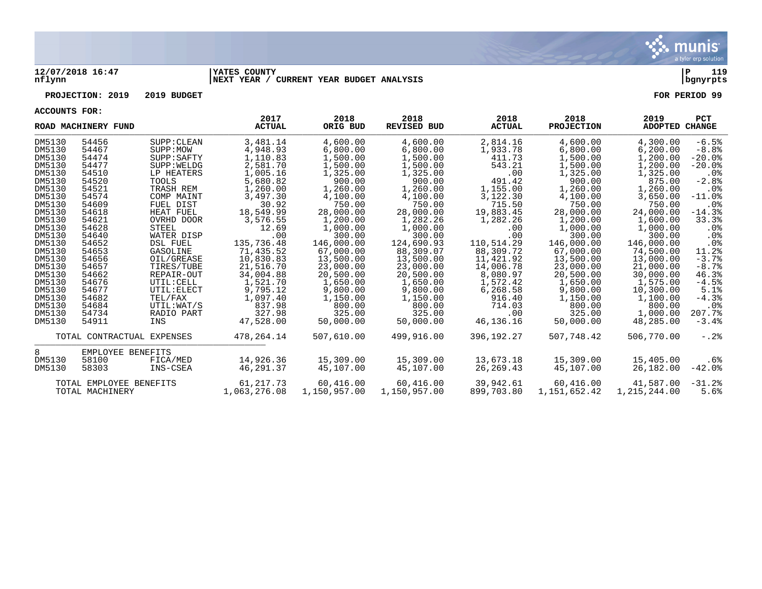

## **12/07/2018 16:47 |YATES COUNTY |P 119 nflynn |NEXT YEAR / CURRENT YEAR BUDGET ANALYSIS |bgnyrpts**

## **PROJECTION: 2019 2019 BUDGET FOR PERIOD 99**

**ACCOUNTS FOR:**

|        | ROAD MACHINERY FUND        | 2017<br><b>ACTUAL</b> |              | 2018<br>ORIG BUD | 2018<br><b>REVISED BUD</b> | 2018<br><b>ACTUAL</b> | 2018<br><b>PROJECTION</b> | 2019<br><b>ADOPTED CHANGE</b> | <b>PCT</b>      |
|--------|----------------------------|-----------------------|--------------|------------------|----------------------------|-----------------------|---------------------------|-------------------------------|-----------------|
| DM5130 | 54456                      | SUPP: CLEAN           | 3,481.14     | 4,600.00         | 4,600.00                   | 2,814.16              | 4,600.00                  | 4,300.00                      | $-6.5%$         |
| DM5130 | 54467                      | SUPP:MOW              | 4,948.93     | 6,800.00         | 6,800.00                   | 1,933.78              | 6,800.00                  | 6, 200.00                     | $-8.8%$         |
| DM5130 | 54474                      | SUPP: SAPTY           | 1,110.83     | 1,500.00         | 1,500.00                   | 411.73                | 1,500.00                  | 1,200.00                      | $-20.0$ °       |
| DM5130 | 54477                      | SUPP: WELDG           | 2,581.70     | 1,500.00         | 1,500.00                   | 543.21                | 1,500.00                  | 1,200.00                      | $-20.0$ .       |
| DM5130 | 54510                      | LP HEATERS            | 1,005.16     | 1,325.00         | 1,325.00                   | .00                   | 1,325.00                  | 1,325.00                      | $.0\%$          |
| DM5130 | 54520                      | TOOLS                 | 5,680.82     | 900.00           | 900.00                     | 491.42                | 900.00                    | 875.00                        | $-2.8%$         |
| DM5130 | 54521                      | TRASH REM             | 1,260.00     | 1,260.00         | 1,260.00                   | 1,155.00              | 1,260.00                  | 1,260.00                      | $.0\%$          |
| DM5130 | 54574                      | COMP MAINT            | 3,497.30     | 4,100.00         | 4,100.00                   | 3,122.30              | 4,100.00                  | 3,650.00                      | $-11.0%$        |
| DM5130 | 54609                      | FUEL DIST             | 30.92        | 750.00           | 750.00                     | 715.50                | 750.00                    | 750.00                        | .0%             |
| DM5130 | 54618                      | HEAT FUEL             | 18,549.99    | 28,000.00        | 28,000.00                  | 19,883.45             | 28,000.00                 | 24,000.00                     | $-14.3%$        |
| DM5130 | 54621                      | OVRHD DOOR            | 3,576.55     | 1,200.00         | 1,282.26                   | 1,282.26              | 1,200.00                  | 1,600.00                      | 33.3%           |
| DM5130 | 54628                      | STEEL                 | 12.69        | 1,000.00         | 1,000.00                   | .00                   | 1,000.00                  | 1,000.00                      | $.0\%$          |
| DM5130 | 54640                      | WATER DISP            | .00          | 300.00           | 300.00                     | .00                   | 300.00                    | 300.00                        | .0%             |
| DM5130 | 54652                      | <b>DSL FUEL</b>       | 135,736.48   | 146,000.00       | 124,690.93                 | 110,514.29            | 146,000.00                | 146,000.00                    | .0 <sub>8</sub> |
| DM5130 | 54653                      | GASOLINE              | 71,435.52    | 67,000.00        | 88,309.07                  | 88,309.72             | 67,000.00                 | 74,500.00                     | 11.2%           |
| DM5130 | 54656                      | OIL/GREASE            | 10,830.83    | 13,500.00        | 13,500.00                  | 11,421.92             | 13,500.00                 | 13,000.00                     | $-3.7%$         |
| DM5130 | 54657                      | TIRES/TUBE            | 21,516.70    | 23,000.00        | 23,000.00                  | 14,006.78             | 23,000.00                 | 21,000.00                     | $-8.7%$         |
| DM5130 | 54662                      | REPAIR-OUT            | 34,004.88    | 20,500.00        | 20,500.00                  | 8,080.97              | 20,500.00                 | 30,000.00                     | 46.3%           |
| DM5130 | 54676                      | UTIL: CELL            | 1,521.70     | 1,650.00         | 1,650.00                   | 1,572.42              | 1,650.00                  | 1,575.00                      | $-4.5%$         |
| DM5130 | 54677                      | UTIL: ELECT           | 9,795.12     | 9,800.00         | 9,800.00                   | 6,268.58              | 9,800.00                  | 10,300.00                     | 5.1%            |
| DM5130 | 54682                      | TEL/FAX               | 1,097.40     | 1,150.00         | 1,150.00                   | 916.40                | 1,150.00                  | 1,100.00                      | $-4.3%$         |
| DM5130 | 54684                      | UTIL:WAT/S            | 837.98       | 800.00           | 800.00                     | 714.03                | 800.00                    | 800.00                        | $.0\%$          |
| DM5130 | 54734                      | RADIO PART            | 327.98       | 325.00           | 325.00                     | .00                   | 325.00                    | 1,000.00                      | 207.7%          |
| DM5130 | 54911                      | INS                   | 47,528.00    | 50,000.00        | 50,000.00                  | 46,136.16             | 50,000.00                 | 48,285.00                     | $-3.4%$         |
|        | TOTAL CONTRACTUAL EXPENSES |                       | 478,264.14   | 507,610.00       | 499,916.00                 | 396,192.27            | 507,748.42                | 506,770.00                    | $-.2$ .         |
| 8      | EMPLOYEE BENEFITS          |                       |              |                  |                            |                       |                           |                               |                 |
| DM5130 | 58100                      | FICA/MED              | 14,926.36    | 15,309.00        | 15,309.00                  | 13,673.18             | 15,309.00                 | 15,405.00                     | .6%             |
| DM5130 | 58303                      | INS-CSEA              | 46,291.37    | 45,107.00        | 45,107.00                  | 26,269.43             | 45,107.00                 | 26,182.00                     | $-42.0$ °       |
|        | TOTAL EMPLOYEE BENEFITS    |                       | 61, 217.73   | 60,416.00        | 60,416.00                  | 39,942.61             | 60,416.00                 | 41,587.00                     | $-31.2%$        |
|        | TOTAL MACHINERY            |                       | 1,063,276.08 | 1,150,957.00     | 1,150,957.00               | 899,703.80            | 1,151,652.42              | 1,215,244.00                  | 5.6%            |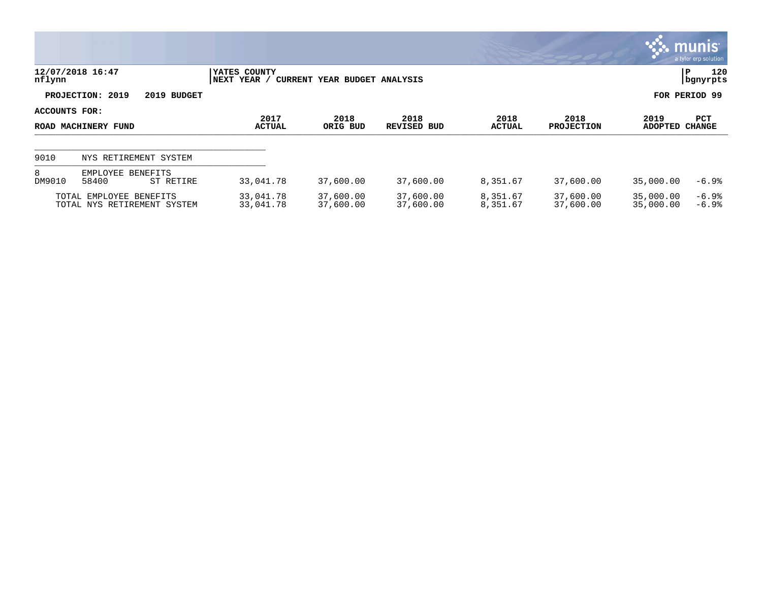|                                      |                                                        |                                                              |                        |                        |                      |                           |                        | <b>WE MUNIS</b><br>a tyler erp solution |
|--------------------------------------|--------------------------------------------------------|--------------------------------------------------------------|------------------------|------------------------|----------------------|---------------------------|------------------------|-----------------------------------------|
| nflynn                               | 12/07/2018 16:47                                       | YATES COUNTY<br> NEXT YEAR /<br>CURRENT YEAR BUDGET ANALYSIS |                        | 120<br>P<br>  bgnyrpts |                      |                           |                        |                                         |
|                                      | PROJECTION: 2019<br>2019 BUDGET                        |                                                              |                        |                        |                      | FOR PERIOD 99             |                        |                                         |
| ACCOUNTS FOR:<br>ROAD MACHINERY FUND |                                                        | 2017<br><b>ACTUAL</b>                                        | 2018<br>ORIG BUD       | 2018<br>REVISED BUD    | 2018<br>ACTUAL       | 2018<br><b>PROJECTION</b> | 2019<br>ADOPTED        | PCT<br><b>CHANGE</b>                    |
| 9010                                 | NYS RETIREMENT SYSTEM                                  |                                                              |                        |                        |                      |                           |                        |                                         |
| 8<br>DM9010                          | EMPLOYEE BENEFITS<br>58400<br>ST RETIRE                | 33,041.78                                                    | 37,600.00              | 37,600.00              | 8,351.67             | 37,600.00                 | 35,000.00              | $-6.9%$                                 |
|                                      | TOTAL EMPLOYEE BENEFITS<br>TOTAL NYS RETIREMENT SYSTEM | 33,041.78<br>33,041.78                                       | 37,600.00<br>37,600.00 | 37,600.00<br>37,600.00 | 8,351.67<br>8,351.67 | 37,600.00<br>37,600.00    | 35,000.00<br>35,000.00 | -6.9%<br>$-6.9%$                        |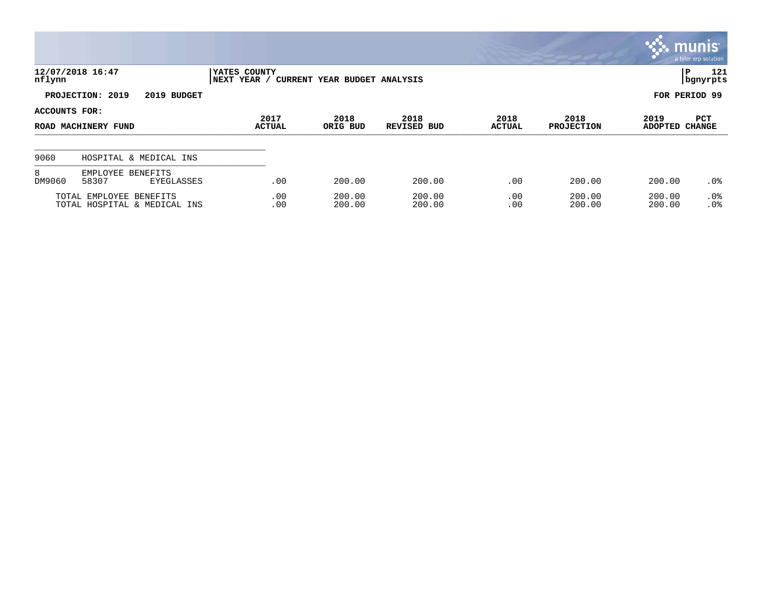|               |                                                         |                                                             |                  |                            |                       |                           |                        | $\sim$ munis<br>a tyler erp solution |  |  |
|---------------|---------------------------------------------------------|-------------------------------------------------------------|------------------|----------------------------|-----------------------|---------------------------|------------------------|--------------------------------------|--|--|
| nflynn        | 12/07/2018 16:47                                        | YATES COUNTY<br>NEXT YEAR /<br>CURRENT YEAR BUDGET ANALYSIS |                  |                            |                       |                           |                        | 121<br>P<br>  bgnyrpts               |  |  |
|               | PROJECTION: 2019<br>2019 BUDGET                         |                                                             |                  |                            |                       |                           |                        | FOR PERIOD 99                        |  |  |
| ACCOUNTS FOR: | ROAD MACHINERY FUND                                     | 2017<br><b>ACTUAL</b>                                       | 2018<br>ORIG BUD | 2018<br><b>REVISED BUD</b> | 2018<br><b>ACTUAL</b> | 2018<br><b>PROJECTION</b> | 2019<br><b>ADOPTED</b> | PCT<br><b>CHANGE</b>                 |  |  |
| 9060          | HOSPITAL & MEDICAL INS                                  |                                                             |                  |                            |                       |                           |                        |                                      |  |  |
| 8<br>DM9060   | EMPLOYEE BENEFITS<br>58307<br><b>EYEGLASSES</b>         | .00                                                         | 200.00           | 200.00                     | .00                   | 200.00                    | 200.00                 | $.0\%$                               |  |  |
|               | TOTAL EMPLOYEE BENEFITS<br>TOTAL HOSPITAL & MEDICAL INS | .00<br>.00                                                  | 200.00<br>200.00 | 200.00<br>200.00           | .00<br>.00            | 200.00<br>200.00          | 200.00<br>200.00       | $.0\%$<br>.0%                        |  |  |

**SOF**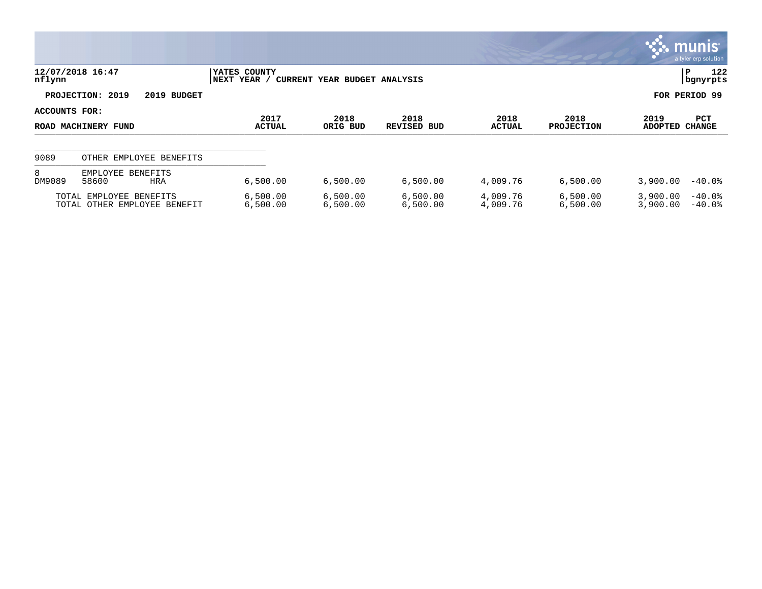|                                      |                                                         |                                                             |                      |                        |                       |                           |                        | $\mathbb{C}$ munis $\mathbb{C}$<br>a tyler erp solution |
|--------------------------------------|---------------------------------------------------------|-------------------------------------------------------------|----------------------|------------------------|-----------------------|---------------------------|------------------------|---------------------------------------------------------|
| nflynn                               | 12/07/2018 16:47                                        | YATES COUNTY<br>NEXT YEAR /<br>CURRENT YEAR BUDGET ANALYSIS |                      | 122<br>P<br>  bgnyrpts |                       |                           |                        |                                                         |
|                                      | PROJECTION: 2019<br>2019 BUDGET                         |                                                             |                      |                        |                       | FOR PERIOD 99             |                        |                                                         |
| ACCOUNTS FOR:<br>ROAD MACHINERY FUND |                                                         | 2017<br><b>ACTUAL</b>                                       | 2018<br>ORIG BUD     | 2018<br>REVISED BUD    | 2018<br><b>ACTUAL</b> | 2018<br><b>PROJECTION</b> | 2019<br><b>ADOPTED</b> | PCT<br><b>CHANGE</b>                                    |
| 9089                                 | OTHER EMPLOYEE BENEFITS                                 |                                                             |                      |                        |                       |                           |                        |                                                         |
| 8<br>DM9089                          | EMPLOYEE BENEFITS<br>58600<br>HRA                       | 6,500.00                                                    | 6,500.00             | 6,500.00               | 4,009.76              | 6,500.00                  | 3,900.00               | $-40.0\%$                                               |
|                                      | TOTAL EMPLOYEE BENEFITS<br>TOTAL OTHER EMPLOYEE BENEFIT | 6,500.00<br>6,500.00                                        | 6,500.00<br>6,500.00 | 6,500.00<br>6,500.00   | 4,009.76<br>4,009.76  | 6,500.00<br>6,500.00      | 3,900.00<br>3,900.00   | $-40.0$ °<br>$-40.0%$                                   |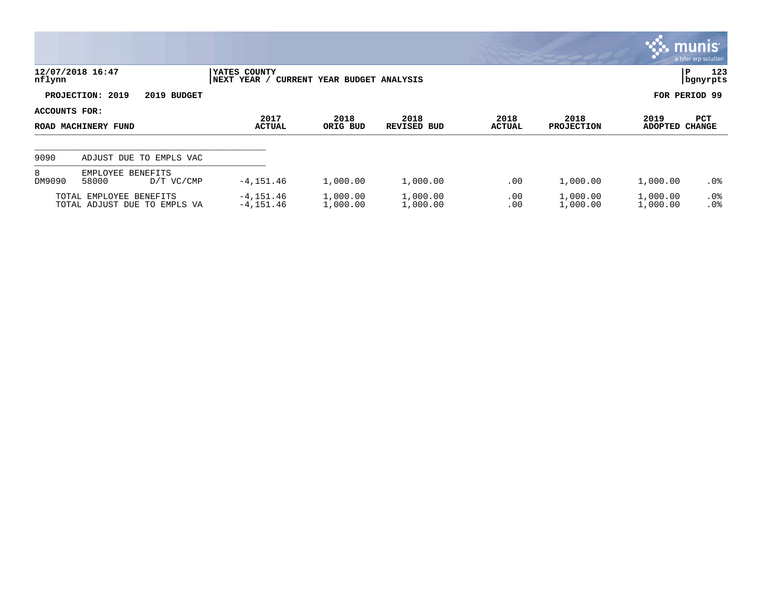|                                      |                                                         |                                                              |                      |                            |                       |                           | <b>W. munis</b>        | a tyler erp solution        |
|--------------------------------------|---------------------------------------------------------|--------------------------------------------------------------|----------------------|----------------------------|-----------------------|---------------------------|------------------------|-----------------------------|
| nflynn                               | 12/07/2018 16:47                                        | YATES COUNTY<br> NEXT YEAR /<br>CURRENT YEAR BUDGET ANALYSIS | IP.                  | 123<br>  bgnyrpts          |                       |                           |                        |                             |
|                                      | PROJECTION: 2019<br>2019 BUDGET                         |                                                              |                      |                            |                       |                           | FOR PERIOD 99          |                             |
| ACCOUNTS FOR:<br>ROAD MACHINERY FUND |                                                         | 2017<br><b>ACTUAL</b>                                        | 2018<br>ORIG BUD     | 2018<br><b>REVISED BUD</b> | 2018<br><b>ACTUAL</b> | 2018<br><b>PROJECTION</b> | 2019<br><b>ADOPTED</b> | <b>PCT</b><br><b>CHANGE</b> |
| 9090                                 | ADJUST DUE TO EMPLS VAC                                 |                                                              |                      |                            |                       |                           |                        |                             |
| 8<br>DM9090                          | EMPLOYEE BENEFITS<br>58000<br>$D/T$ VC/CMP              | $-4, 151.46$                                                 | 1,000.00             | 1,000.00                   | .00                   | 1,000.00                  | 1,000.00               | $.0\%$                      |
|                                      | TOTAL EMPLOYEE BENEFITS<br>TOTAL ADJUST DUE TO EMPLS VA | $-4, 151.46$<br>$-4, 151.46$                                 | 1,000.00<br>1,000.00 | 1,000.00<br>1,000.00       | .00<br>.00            | 1,000.00<br>1,000.00      | 1,000.00<br>1,000.00   | $.0\%$<br>.0%               |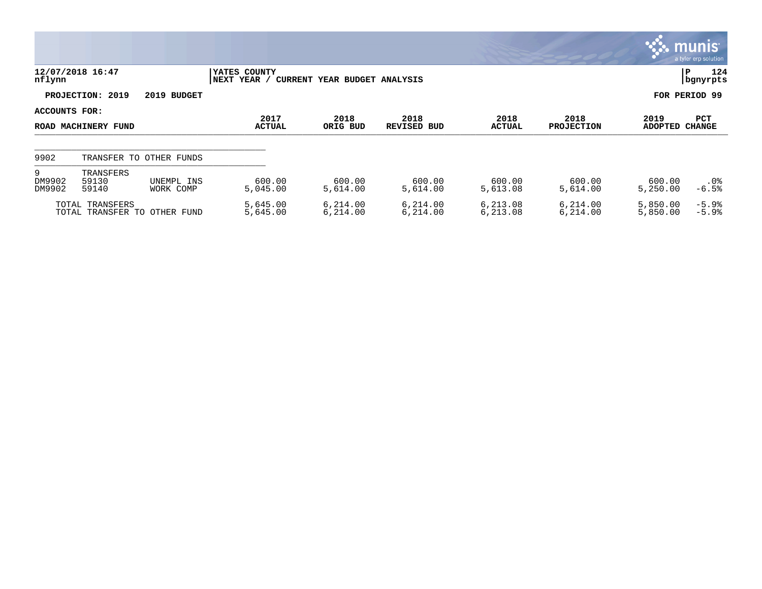|                                                                                              |                             |                              |                       |                      |                            |                       |                           |                        | <u>ः munis ।</u><br>a tyler erp solution |
|----------------------------------------------------------------------------------------------|-----------------------------|------------------------------|-----------------------|----------------------|----------------------------|-----------------------|---------------------------|------------------------|------------------------------------------|
| 12/07/2018 16:47<br>YATES COUNTY<br>nflynn<br>YEAR /<br>NEXT<br>CURRENT YEAR BUDGET ANALYSIS |                             |                              |                       |                      |                            |                       |                           | 124<br>P<br>  bgnyrpts |                                          |
|                                                                                              | PROJECTION: 2019            | 2019 BUDGET                  |                       |                      |                            |                       |                           |                        | FOR PERIOD 99                            |
| ACCOUNTS FOR:                                                                                | ROAD MACHINERY FUND         |                              | 2017<br><b>ACTUAL</b> | 2018<br>ORIG BUD     | 2018<br><b>REVISED BUD</b> | 2018<br><b>ACTUAL</b> | 2018<br><b>PROJECTION</b> | 2019<br>ADOPTED        | <b>PCT</b><br><b>CHANGE</b>              |
| 9902                                                                                         | TRANSFER TO                 | OTHER FUNDS                  |                       |                      |                            |                       |                           |                        |                                          |
| 9<br>DM9902<br>DM9902                                                                        | TRANSFERS<br>59130<br>59140 | UNEMPL INS<br>WORK COMP      | 600.00<br>5,045.00    | 600.00<br>5,614.00   | 600.00<br>5,614.00         | 600.00<br>5,613.08    | 600.00<br>5,614.00        | 600.00<br>5,250.00     | .0%<br>$-6.5%$                           |
|                                                                                              | TOTAL TRANSFERS             | TOTAL TRANSFER TO OTHER FUND | 5,645.00<br>5,645.00  | 6,214.00<br>6,214.00 | 6,214.00<br>6,214.00       | 6,213.08<br>6,213.08  | 6,214.00<br>6,214.00      | 5,850.00<br>5,850.00   | $-5.9%$<br>$-5.9%$                       |

**D**